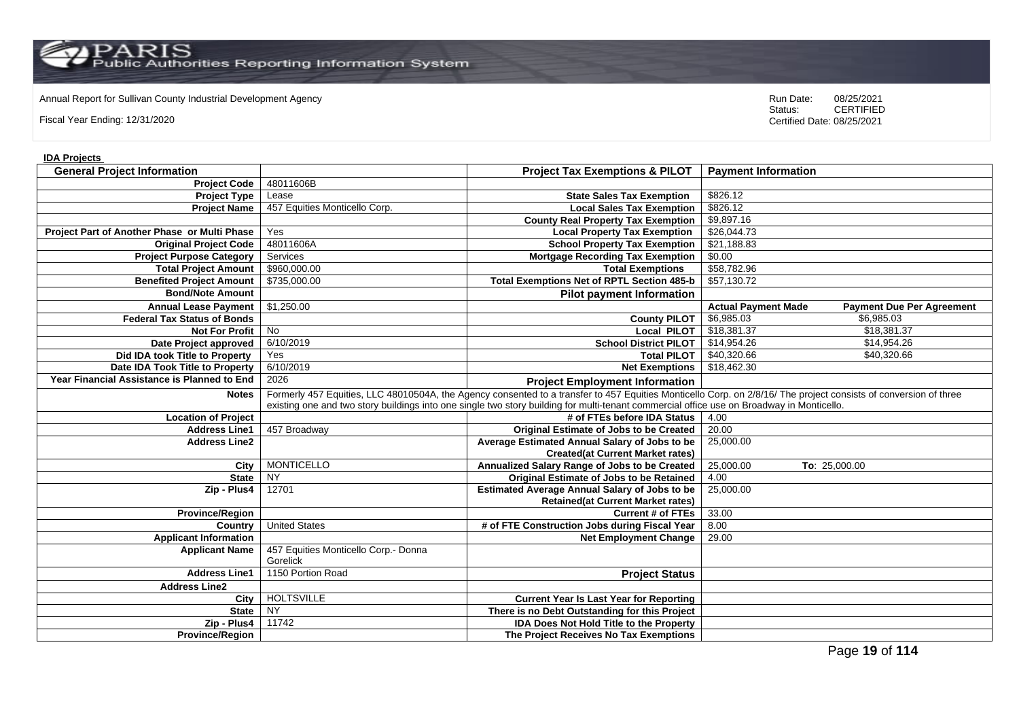$\mathrm{PARS} \ \mathrm{FMS}$ 

# Annual Report for Sullivan County Industrial Development Agency<br>
Status: CERTIFIED

Fiscal Year Ending: 12/31/2020

CERTIFIED Certified Date: 08/25/2021

### **IDA Projects**

| <b>General Project Information</b>           |                                                  | <b>Project Tax Exemptions &amp; PILOT</b>                                                                                                 | <b>Payment Information</b>                                                                                                                                       |
|----------------------------------------------|--------------------------------------------------|-------------------------------------------------------------------------------------------------------------------------------------------|------------------------------------------------------------------------------------------------------------------------------------------------------------------|
| <b>Project Code</b>                          | 48011606B                                        |                                                                                                                                           |                                                                                                                                                                  |
| <b>Project Type</b>                          | Lease                                            | <b>State Sales Tax Exemption</b>                                                                                                          | \$826.12                                                                                                                                                         |
| <b>Project Name</b>                          | 457 Equities Monticello Corp.                    | <b>Local Sales Tax Exemption</b>                                                                                                          | \$826.12                                                                                                                                                         |
|                                              |                                                  | <b>County Real Property Tax Exemption</b>                                                                                                 | \$9,897.16                                                                                                                                                       |
| Project Part of Another Phase or Multi Phase | Yes                                              | <b>Local Property Tax Exemption</b>                                                                                                       | \$26,044.73                                                                                                                                                      |
| <b>Original Project Code</b>                 | 48011606A                                        | <b>School Property Tax Exemption</b>                                                                                                      | \$21,188.83                                                                                                                                                      |
| <b>Project Purpose Category</b>              | Services                                         | <b>Mortgage Recording Tax Exemption</b>                                                                                                   | \$0.00                                                                                                                                                           |
| <b>Total Project Amount</b>                  | \$960,000,00                                     | <b>Total Exemptions</b>                                                                                                                   | \$58,782.96                                                                                                                                                      |
| <b>Benefited Project Amount</b>              | \$735,000.00                                     | Total Exemptions Net of RPTL Section 485-b                                                                                                | \$57,130.72                                                                                                                                                      |
| <b>Bond/Note Amount</b>                      |                                                  | <b>Pilot payment Information</b>                                                                                                          |                                                                                                                                                                  |
| <b>Annual Lease Payment</b>                  | \$1,250.00                                       |                                                                                                                                           | <b>Actual Payment Made</b><br><b>Payment Due Per Agreement</b>                                                                                                   |
| <b>Federal Tax Status of Bonds</b>           |                                                  | <b>County PILOT</b>                                                                                                                       | \$6,985.03<br>\$6,985.03                                                                                                                                         |
| Not For Profit                               | No                                               | Local PILOT                                                                                                                               | \$18,381.37<br>\$18,381.37                                                                                                                                       |
| Date Project approved                        | 6/10/2019                                        | <b>School District PILOT</b>                                                                                                              | \$14,954.26<br>\$14,954.26                                                                                                                                       |
| Did IDA took Title to Property               | Yes                                              | <b>Total PILOT</b>                                                                                                                        | \$40,320.66<br>\$40,320.66                                                                                                                                       |
| Date IDA Took Title to Property              | 6/10/2019                                        | <b>Net Exemptions</b>                                                                                                                     | \$18,462.30                                                                                                                                                      |
| Year Financial Assistance is Planned to End  | 2026                                             | <b>Project Employment Information</b>                                                                                                     |                                                                                                                                                                  |
| <b>Notes</b>                                 |                                                  |                                                                                                                                           | Formerly 457 Equities, LLC 48010504A, the Agency consented to a transfer to 457 Equities Monticello Corp. on 2/8/16/ The project consists of conversion of three |
|                                              |                                                  | existing one and two story buildings into one single two story building for multi-tenant commercial office use on Broadway in Monticello. |                                                                                                                                                                  |
| <b>Location of Project</b>                   |                                                  | # of FTEs before IDA Status                                                                                                               | 4.00                                                                                                                                                             |
| <b>Address Line1</b>                         | 457 Broadway                                     | <b>Original Estimate of Jobs to be Created</b>                                                                                            | 20.00                                                                                                                                                            |
| <b>Address Line2</b>                         |                                                  | Average Estimated Annual Salary of Jobs to be                                                                                             | 25,000.00                                                                                                                                                        |
|                                              |                                                  | <b>Created(at Current Market rates)</b>                                                                                                   |                                                                                                                                                                  |
| City                                         | MONTICELLO                                       | Annualized Salary Range of Jobs to be Created                                                                                             | 25,000.00<br>To: 25,000.00                                                                                                                                       |
| <b>State</b>                                 | <b>NY</b>                                        | Original Estimate of Jobs to be Retained                                                                                                  | 4.00                                                                                                                                                             |
| Zip - Plus4                                  | 12701                                            | <b>Estimated Average Annual Salary of Jobs to be</b>                                                                                      | 25,000.00                                                                                                                                                        |
|                                              |                                                  | <b>Retained(at Current Market rates)</b>                                                                                                  |                                                                                                                                                                  |
| <b>Province/Region</b>                       |                                                  | <b>Current # of FTEs</b>                                                                                                                  | 33.00                                                                                                                                                            |
| Country                                      | <b>United States</b>                             | # of FTE Construction Jobs during Fiscal Year                                                                                             | 8.00                                                                                                                                                             |
| <b>Applicant Information</b>                 |                                                  | <b>Net Employment Change</b>                                                                                                              | 29.00                                                                                                                                                            |
| <b>Applicant Name</b>                        | 457 Equities Monticello Corp.- Donna<br>Gorelick |                                                                                                                                           |                                                                                                                                                                  |
| <b>Address Line1</b>                         | 1150 Portion Road                                | <b>Project Status</b>                                                                                                                     |                                                                                                                                                                  |
| <b>Address Line2</b>                         |                                                  |                                                                                                                                           |                                                                                                                                                                  |
| City                                         | <b>HOLTSVILLE</b>                                | <b>Current Year Is Last Year for Reporting</b>                                                                                            |                                                                                                                                                                  |
| <b>State</b>                                 | <b>NY</b>                                        | There is no Debt Outstanding for this Project                                                                                             |                                                                                                                                                                  |
| Zip - Plus4                                  | 11742                                            | <b>IDA Does Not Hold Title to the Property</b>                                                                                            |                                                                                                                                                                  |
| <b>Province/Region</b>                       |                                                  | The Project Receives No Tax Exemptions                                                                                                    |                                                                                                                                                                  |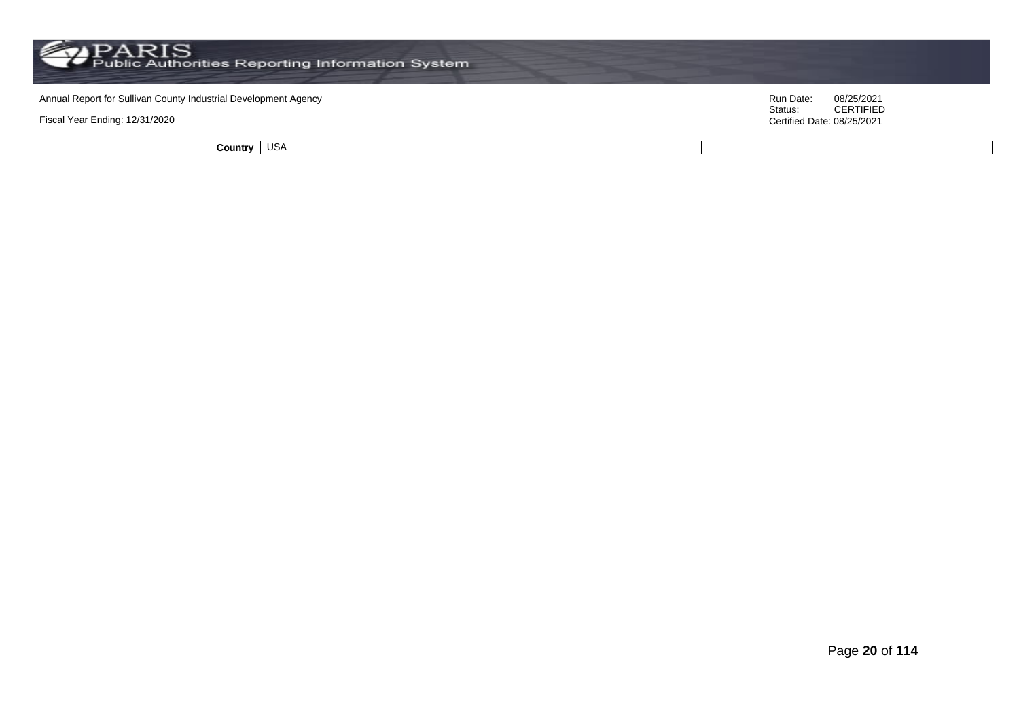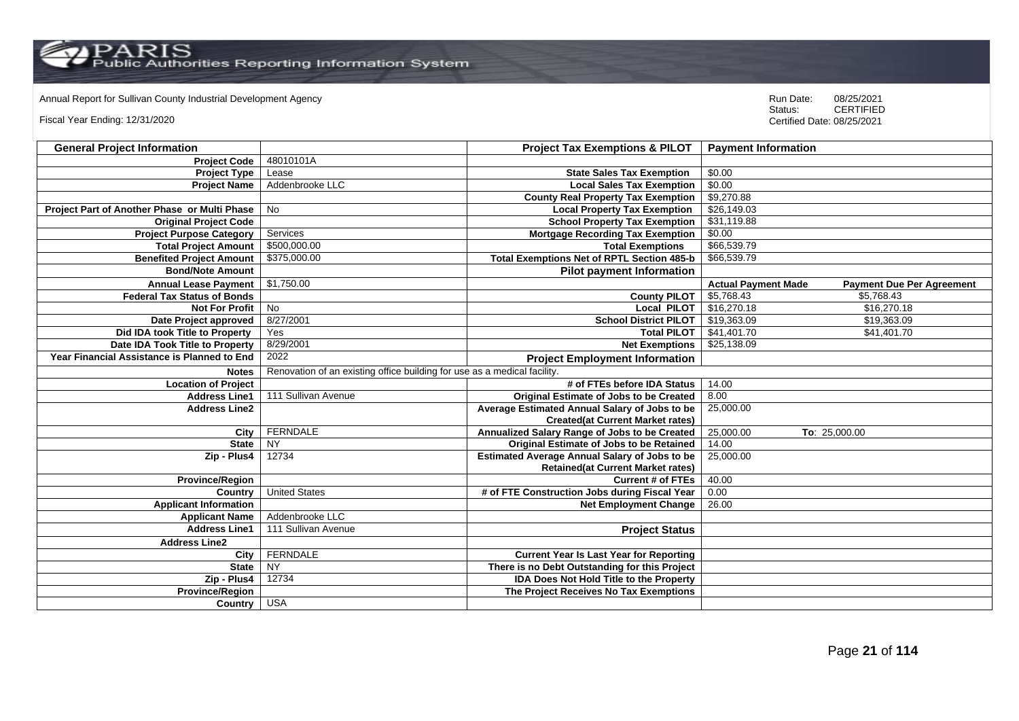$\operatorname{PARIS}_{\text{Public Authors}}$  Reporting Information System

# Annual Report for Sullivan County Industrial Development Agency<br>
Status: CERTIFIED

Fiscal Year Ending: 12/31/2020

| <b>General Project Information</b>           |                                                                          | <b>Project Tax Exemptions &amp; PILOT</b>            | <b>Payment Information</b>                                     |
|----------------------------------------------|--------------------------------------------------------------------------|------------------------------------------------------|----------------------------------------------------------------|
| <b>Project Code</b>                          | 48010101A                                                                |                                                      |                                                                |
| <b>Project Type</b>                          | Lease                                                                    | <b>State Sales Tax Exemption</b>                     | \$0.00                                                         |
| <b>Project Name</b>                          | Addenbrooke LLC                                                          | <b>Local Sales Tax Exemption</b>                     | \$0.00                                                         |
|                                              |                                                                          | <b>County Real Property Tax Exemption</b>            | \$9,270.88                                                     |
| Project Part of Another Phase or Multi Phase | <b>No</b>                                                                | <b>Local Property Tax Exemption</b>                  | \$26,149.03                                                    |
| <b>Original Project Code</b>                 |                                                                          | <b>School Property Tax Exemption</b>                 | \$31,119.88                                                    |
| <b>Project Purpose Category</b>              | Services                                                                 | <b>Mortgage Recording Tax Exemption</b>              | \$0.00                                                         |
| <b>Total Project Amount</b>                  | \$500,000.00                                                             | <b>Total Exemptions</b>                              | \$66,539.79                                                    |
| <b>Benefited Project Amount</b>              | \$375,000.00                                                             | <b>Total Exemptions Net of RPTL Section 485-b</b>    | \$66,539.79                                                    |
| <b>Bond/Note Amount</b>                      |                                                                          | <b>Pilot payment Information</b>                     |                                                                |
| <b>Annual Lease Payment</b>                  | \$1,750.00                                                               |                                                      | <b>Actual Payment Made</b><br><b>Payment Due Per Agreement</b> |
| <b>Federal Tax Status of Bonds</b>           |                                                                          | <b>County PILOT</b>                                  | \$5,768.43<br>\$5,768.43                                       |
| <b>Not For Profit</b>                        | $\overline{N}$                                                           | <b>Local PILOT</b>                                   | \$16,270.18<br>\$16,270.18                                     |
| Date Project approved                        | 8/27/2001                                                                | <b>School District PILOT</b>                         | \$19,363.09<br>\$19,363.09                                     |
| Did IDA took Title to Property               | Yes                                                                      | <b>Total PILOT</b>                                   | \$41,401.70<br>\$41,401.70                                     |
| Date IDA Took Title to Property              | 8/29/2001                                                                | <b>Net Exemptions</b>                                | \$25,138.09                                                    |
| Year Financial Assistance is Planned to End  | 2022                                                                     | <b>Project Employment Information</b>                |                                                                |
| <b>Notes</b>                                 | Renovation of an existing office building for use as a medical facility. |                                                      |                                                                |
| <b>Location of Project</b>                   |                                                                          | # of FTEs before IDA Status                          | 14.00                                                          |
| <b>Address Line1</b>                         | 111 Sullivan Avenue                                                      | Original Estimate of Jobs to be Created              | 8.00                                                           |
| <b>Address Line2</b>                         |                                                                          | Average Estimated Annual Salary of Jobs to be        | 25,000.00                                                      |
|                                              |                                                                          | <b>Created(at Current Market rates)</b>              |                                                                |
| City                                         | <b>FERNDALE</b>                                                          | Annualized Salary Range of Jobs to be Created        | 25,000.00<br>To: 25,000.00                                     |
| <b>State</b>                                 | NY                                                                       | Original Estimate of Jobs to be Retained             | 14.00                                                          |
| Zip - Plus4                                  | 12734                                                                    | <b>Estimated Average Annual Salary of Jobs to be</b> | 25,000.00                                                      |
|                                              |                                                                          | <b>Retained(at Current Market rates)</b>             |                                                                |
| <b>Province/Region</b>                       |                                                                          | <b>Current # of FTEs</b>                             | 40.00                                                          |
| Country                                      | <b>United States</b>                                                     | # of FTE Construction Jobs during Fiscal Year        | 0.00                                                           |
| <b>Applicant Information</b>                 |                                                                          | <b>Net Employment Change</b>                         | 26.00                                                          |
| <b>Applicant Name</b>                        | Addenbrooke LLC                                                          |                                                      |                                                                |
| <b>Address Line1</b>                         | 111 Sullivan Avenue                                                      | <b>Project Status</b>                                |                                                                |
| <b>Address Line2</b>                         |                                                                          |                                                      |                                                                |
| City                                         | FERNDALE                                                                 | <b>Current Year Is Last Year for Reporting</b>       |                                                                |
| <b>State</b>                                 | $\overline{NY}$                                                          | There is no Debt Outstanding for this Project        |                                                                |
| Zip - Plus4                                  | 12734                                                                    | <b>IDA Does Not Hold Title to the Property</b>       |                                                                |
| Province/Region                              |                                                                          | The Project Receives No Tax Exemptions               |                                                                |
| Country                                      | USA                                                                      |                                                      |                                                                |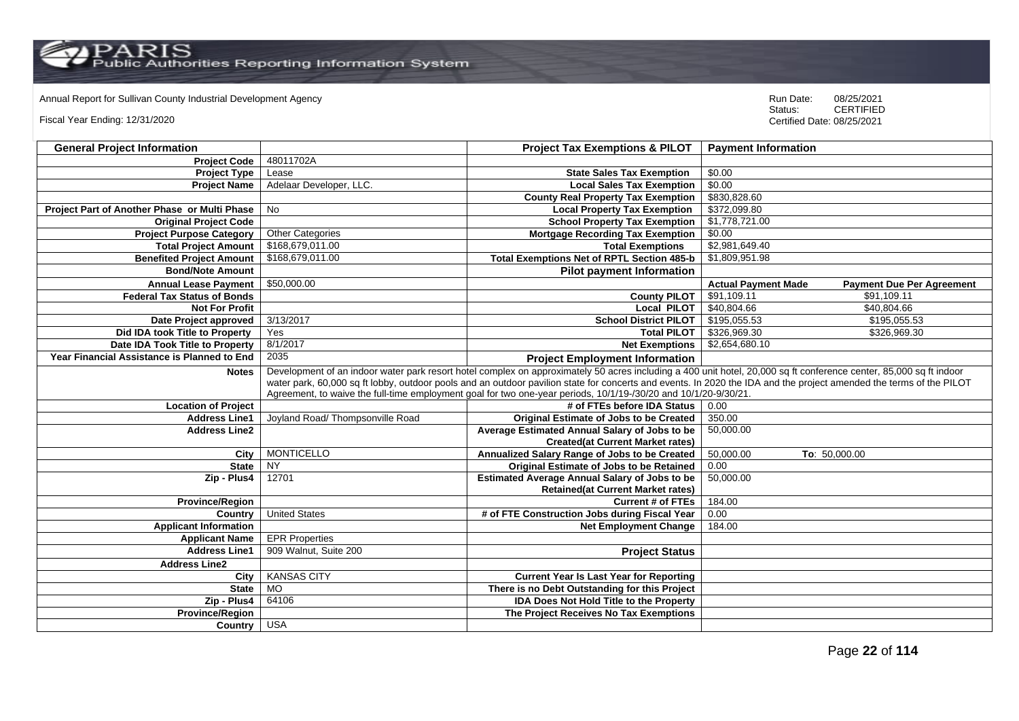$\operatorname{PARS}$  PARIS<br>Public Authorities Reporting Information System

# Annual Report for Sullivan County Industrial Development Agency<br>
Status: CERTIFIED

Fiscal Year Ending: 12/31/2020

| <b>General Project Information</b>           |                                  | <b>Project Tax Exemptions &amp; PILOT</b>                                                                      | <b>Payment Information</b>                                                                                                                                          |
|----------------------------------------------|----------------------------------|----------------------------------------------------------------------------------------------------------------|---------------------------------------------------------------------------------------------------------------------------------------------------------------------|
| <b>Project Code</b>                          | 48011702A                        |                                                                                                                |                                                                                                                                                                     |
| <b>Project Type</b>                          | Lease                            | <b>State Sales Tax Exemption</b>                                                                               | \$0.00                                                                                                                                                              |
| <b>Project Name</b>                          | Adelaar Developer, LLC.          | <b>Local Sales Tax Exemption</b>                                                                               | \$0.00                                                                                                                                                              |
|                                              |                                  | <b>County Real Property Tax Exemption</b>                                                                      | \$830,828.60                                                                                                                                                        |
| Project Part of Another Phase or Multi Phase | No                               | <b>Local Property Tax Exemption</b>                                                                            | \$372,099.80                                                                                                                                                        |
| <b>Original Project Code</b>                 |                                  | <b>School Property Tax Exemption</b>                                                                           | \$1,778,721.00                                                                                                                                                      |
| <b>Project Purpose Category</b>              | Other Categories                 | <b>Mortgage Recording Tax Exemption</b>                                                                        | \$0.00                                                                                                                                                              |
| <b>Total Project Amount</b>                  | \$168,679,011.00                 | <b>Total Exemptions</b>                                                                                        | \$2,981,649.40                                                                                                                                                      |
| <b>Benefited Project Amount</b>              | \$168,679,011.00                 | <b>Total Exemptions Net of RPTL Section 485-b</b>                                                              | \$1,809,951.98                                                                                                                                                      |
| <b>Bond/Note Amount</b>                      |                                  | <b>Pilot payment Information</b>                                                                               |                                                                                                                                                                     |
| <b>Annual Lease Payment</b>                  | \$50,000.00                      |                                                                                                                | <b>Actual Payment Made</b><br><b>Payment Due Per Agreement</b>                                                                                                      |
| <b>Federal Tax Status of Bonds</b>           |                                  | <b>County PILOT</b>                                                                                            | \$91,109.11<br>\$91,109.11                                                                                                                                          |
| <b>Not For Profit</b>                        |                                  | <b>Local PILOT</b>                                                                                             | \$40,804.66<br>\$40,804.66                                                                                                                                          |
| Date Project approved                        | 3/13/2017                        | <b>School District PILOT</b>                                                                                   | \$195,055.53<br>\$195,055.53                                                                                                                                        |
| Did IDA took Title to Property               | Yes                              | <b>Total PILOT</b>                                                                                             | \$326,969.30<br>\$326,969.30                                                                                                                                        |
| Date IDA Took Title to Property              | 8/1/2017                         | <b>Net Exemptions</b>                                                                                          | \$2,654,680.10                                                                                                                                                      |
| Year Financial Assistance is Planned to End  | 2035                             | <b>Project Employment Information</b>                                                                          |                                                                                                                                                                     |
| <b>Notes</b>                                 |                                  |                                                                                                                | Development of an indoor water park resort hotel complex on approximately 50 acres including a 400 unit hotel, 20,000 sq ft conference center, 85,000 sq ft indoor  |
|                                              |                                  |                                                                                                                | water park, 60,000 sq ft lobby, outdoor pools and an outdoor pavilion state for concerts and events. In 2020 the IDA and the project amended the terms of the PILOT |
|                                              |                                  | Agreement, to waive the full-time employment goal for two one-year periods, 10/1/19-/30/20 and 10/1/20-9/30/21 |                                                                                                                                                                     |
| <b>Location of Project</b>                   |                                  | # of FTEs before IDA Status                                                                                    | 0.00                                                                                                                                                                |
| <b>Address Line1</b>                         | Joyland Road/ Thompsonville Road | <b>Original Estimate of Jobs to be Created</b>                                                                 | 350.00                                                                                                                                                              |
| <b>Address Line2</b>                         |                                  | Average Estimated Annual Salary of Jobs to be                                                                  | 50,000.00                                                                                                                                                           |
|                                              |                                  | <b>Created(at Current Market rates)</b>                                                                        |                                                                                                                                                                     |
| City                                         | <b>MONTICELLO</b>                | Annualized Salary Range of Jobs to be Created                                                                  | 50,000.00<br>To: 50,000.00                                                                                                                                          |
| <b>State</b>                                 | NY                               | Original Estimate of Jobs to be Retained                                                                       | 0.00                                                                                                                                                                |
| Zip - Plus4                                  | 12701                            | <b>Estimated Average Annual Salary of Jobs to be</b>                                                           | 50,000.00                                                                                                                                                           |
|                                              |                                  | <b>Retained(at Current Market rates)</b>                                                                       |                                                                                                                                                                     |
| <b>Province/Region</b>                       |                                  | <b>Current # of FTEs</b>                                                                                       | 184.00                                                                                                                                                              |
| Country                                      | <b>United States</b>             | # of FTE Construction Jobs during Fiscal Year                                                                  | 0.00                                                                                                                                                                |
| <b>Applicant Information</b>                 |                                  | <b>Net Employment Change</b>                                                                                   | 184.00                                                                                                                                                              |
| <b>Applicant Name</b>                        | <b>EPR Properties</b>            |                                                                                                                |                                                                                                                                                                     |
| <b>Address Line1</b>                         | 909 Walnut, Suite 200            | <b>Project Status</b>                                                                                          |                                                                                                                                                                     |
| <b>Address Line2</b>                         |                                  |                                                                                                                |                                                                                                                                                                     |
| City                                         | <b>KANSAS CITY</b>               | <b>Current Year Is Last Year for Reporting</b>                                                                 |                                                                                                                                                                     |
| <b>State</b>                                 | <b>MO</b>                        | There is no Debt Outstanding for this Project                                                                  |                                                                                                                                                                     |
| Zip - Plus4                                  | 64106                            | <b>IDA Does Not Hold Title to the Property</b>                                                                 |                                                                                                                                                                     |
| <b>Province/Region</b>                       |                                  | The Project Receives No Tax Exemptions                                                                         |                                                                                                                                                                     |
| Country                                      | <b>USA</b>                       |                                                                                                                |                                                                                                                                                                     |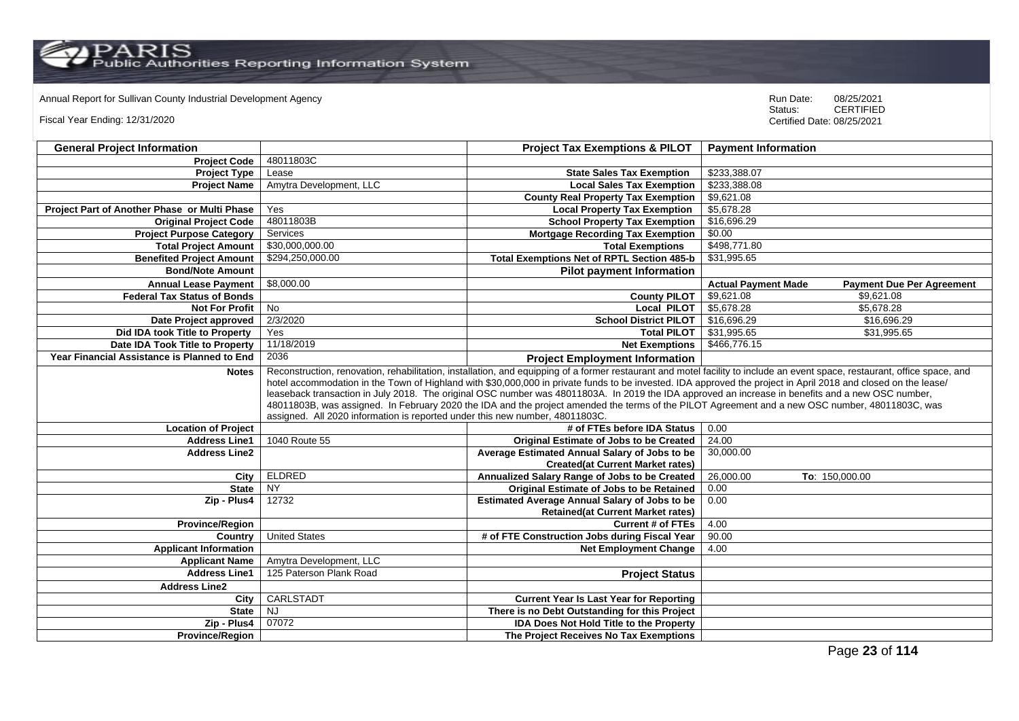# Annual Report for Sullivan County Industrial Development Agency<br>
Status: CERTIFIED

Fiscal Year Ending: 12/31/2020

| <b>General Project Information</b>           |                                                                              | <b>Project Tax Exemptions &amp; PILOT</b>                                                                                                         | <b>Payment Information</b>                                                                                                                                                                                                                                                                                                                                                                                                                                                                      |
|----------------------------------------------|------------------------------------------------------------------------------|---------------------------------------------------------------------------------------------------------------------------------------------------|-------------------------------------------------------------------------------------------------------------------------------------------------------------------------------------------------------------------------------------------------------------------------------------------------------------------------------------------------------------------------------------------------------------------------------------------------------------------------------------------------|
| <b>Project Code</b>                          | 48011803C                                                                    |                                                                                                                                                   |                                                                                                                                                                                                                                                                                                                                                                                                                                                                                                 |
| <b>Project Type</b>                          | Lease                                                                        | <b>State Sales Tax Exemption</b>                                                                                                                  | \$233,388.07                                                                                                                                                                                                                                                                                                                                                                                                                                                                                    |
| <b>Project Name</b>                          | Amytra Development, LLC                                                      | <b>Local Sales Tax Exemption</b>                                                                                                                  | \$233,388.08                                                                                                                                                                                                                                                                                                                                                                                                                                                                                    |
|                                              |                                                                              | <b>County Real Property Tax Exemption</b>                                                                                                         | \$9,621.08                                                                                                                                                                                                                                                                                                                                                                                                                                                                                      |
| Project Part of Another Phase or Multi Phase | Yes                                                                          | <b>Local Property Tax Exemption</b>                                                                                                               | \$5,678.28                                                                                                                                                                                                                                                                                                                                                                                                                                                                                      |
| <b>Original Project Code</b>                 | 48011803B                                                                    | <b>School Property Tax Exemption</b>                                                                                                              | \$16,696.29                                                                                                                                                                                                                                                                                                                                                                                                                                                                                     |
| <b>Project Purpose Category</b>              | Services                                                                     | <b>Mortgage Recording Tax Exemption</b>                                                                                                           | \$0.00                                                                                                                                                                                                                                                                                                                                                                                                                                                                                          |
| <b>Total Project Amount</b>                  | \$30,000,000.00                                                              | <b>Total Exemptions</b>                                                                                                                           | \$498,771.80                                                                                                                                                                                                                                                                                                                                                                                                                                                                                    |
| <b>Benefited Project Amount</b>              | \$294,250,000.00                                                             | <b>Total Exemptions Net of RPTL Section 485-b</b>                                                                                                 | \$31,995.65                                                                                                                                                                                                                                                                                                                                                                                                                                                                                     |
| <b>Bond/Note Amount</b>                      |                                                                              | <b>Pilot payment Information</b>                                                                                                                  |                                                                                                                                                                                                                                                                                                                                                                                                                                                                                                 |
| <b>Annual Lease Payment</b>                  | \$8,000.00                                                                   |                                                                                                                                                   | <b>Actual Payment Made</b><br><b>Payment Due Per Agreement</b>                                                                                                                                                                                                                                                                                                                                                                                                                                  |
| <b>Federal Tax Status of Bonds</b>           |                                                                              | <b>County PILOT</b>                                                                                                                               | \$9,621.08<br>\$9,621.08                                                                                                                                                                                                                                                                                                                                                                                                                                                                        |
| <b>Not For Profit</b>                        | <b>No</b>                                                                    | <b>Local PILOT</b>                                                                                                                                | \$5,678.28<br>\$5,678.28                                                                                                                                                                                                                                                                                                                                                                                                                                                                        |
| Date Project approved                        | 2/3/2020                                                                     | <b>School District PILOT</b>                                                                                                                      | \$16,696.29<br>\$16,696.29                                                                                                                                                                                                                                                                                                                                                                                                                                                                      |
| Did IDA took Title to Property               | Yes                                                                          | <b>Total PILOT</b>                                                                                                                                | \$31,995.65<br>\$31,995.65                                                                                                                                                                                                                                                                                                                                                                                                                                                                      |
| Date IDA Took Title to Property              | 11/18/2019                                                                   | <b>Net Exemptions</b>                                                                                                                             | \$466,776.15                                                                                                                                                                                                                                                                                                                                                                                                                                                                                    |
| Year Financial Assistance is Planned to End  | 2036                                                                         | <b>Project Employment Information</b>                                                                                                             |                                                                                                                                                                                                                                                                                                                                                                                                                                                                                                 |
|                                              | assigned. All 2020 information is reported under this new number, 48011803C. | leaseback transaction in July 2018. The original OSC number was 48011803A. In 2019 the IDA approved an increase in benefits and a new OSC number, | Reconstruction, renovation, rehabilitation, installation, and equipping of a former restaurant and motel facility to include an event space, restaurant, office space, and<br>hotel accommodation in the Town of Highland with \$30,000,000 in private funds to be invested. IDA approved the project in April 2018 and closed on the lease/<br>48011803B, was assigned. In February 2020 the IDA and the project amended the terms of the PILOT Agreement and a new OSC number, 48011803C, was |
| <b>Location of Project</b>                   |                                                                              | # of FTEs before IDA Status                                                                                                                       | 0.00                                                                                                                                                                                                                                                                                                                                                                                                                                                                                            |
| <b>Address Line1</b>                         | 1040 Route 55                                                                | Original Estimate of Jobs to be Created                                                                                                           | 24.00                                                                                                                                                                                                                                                                                                                                                                                                                                                                                           |
| <b>Address Line2</b>                         |                                                                              | Average Estimated Annual Salary of Jobs to be                                                                                                     | 30,000.00                                                                                                                                                                                                                                                                                                                                                                                                                                                                                       |
|                                              |                                                                              | <b>Created(at Current Market rates)</b>                                                                                                           |                                                                                                                                                                                                                                                                                                                                                                                                                                                                                                 |
| City                                         | ELDRED                                                                       | Annualized Salary Range of Jobs to be Created                                                                                                     | 26,000.00<br>To: 150,000.00                                                                                                                                                                                                                                                                                                                                                                                                                                                                     |
| <b>State</b>                                 | NY                                                                           | Original Estimate of Jobs to be Retained                                                                                                          | 0.00                                                                                                                                                                                                                                                                                                                                                                                                                                                                                            |
| Zip - Plus4                                  | 12732                                                                        | <b>Estimated Average Annual Salary of Jobs to be</b>                                                                                              | 0.00                                                                                                                                                                                                                                                                                                                                                                                                                                                                                            |
|                                              |                                                                              | <b>Retained(at Current Market rates)</b>                                                                                                          |                                                                                                                                                                                                                                                                                                                                                                                                                                                                                                 |
| <b>Province/Region</b>                       |                                                                              | <b>Current # of FTEs</b>                                                                                                                          | 4.00                                                                                                                                                                                                                                                                                                                                                                                                                                                                                            |
| Country                                      | <b>United States</b>                                                         | # of FTE Construction Jobs during Fiscal Year                                                                                                     | 90.00                                                                                                                                                                                                                                                                                                                                                                                                                                                                                           |
| <b>Applicant Information</b>                 |                                                                              | <b>Net Employment Change</b>                                                                                                                      | 4.00                                                                                                                                                                                                                                                                                                                                                                                                                                                                                            |
| <b>Applicant Name</b>                        | Amytra Development, LLC                                                      |                                                                                                                                                   |                                                                                                                                                                                                                                                                                                                                                                                                                                                                                                 |
| <b>Address Line1</b>                         | 125 Paterson Plank Road                                                      | <b>Project Status</b>                                                                                                                             |                                                                                                                                                                                                                                                                                                                                                                                                                                                                                                 |
| <b>Address Line2</b>                         |                                                                              |                                                                                                                                                   |                                                                                                                                                                                                                                                                                                                                                                                                                                                                                                 |
| City                                         | CARLSTADT                                                                    | <b>Current Year Is Last Year for Reporting</b>                                                                                                    |                                                                                                                                                                                                                                                                                                                                                                                                                                                                                                 |
| <b>State</b>                                 | <b>NJ</b>                                                                    | There is no Debt Outstanding for this Project                                                                                                     |                                                                                                                                                                                                                                                                                                                                                                                                                                                                                                 |
| Zip - Plus4                                  | 07072                                                                        | <b>IDA Does Not Hold Title to the Property</b>                                                                                                    |                                                                                                                                                                                                                                                                                                                                                                                                                                                                                                 |
| <b>Province/Region</b>                       |                                                                              | The Project Receives No Tax Exemptions                                                                                                            |                                                                                                                                                                                                                                                                                                                                                                                                                                                                                                 |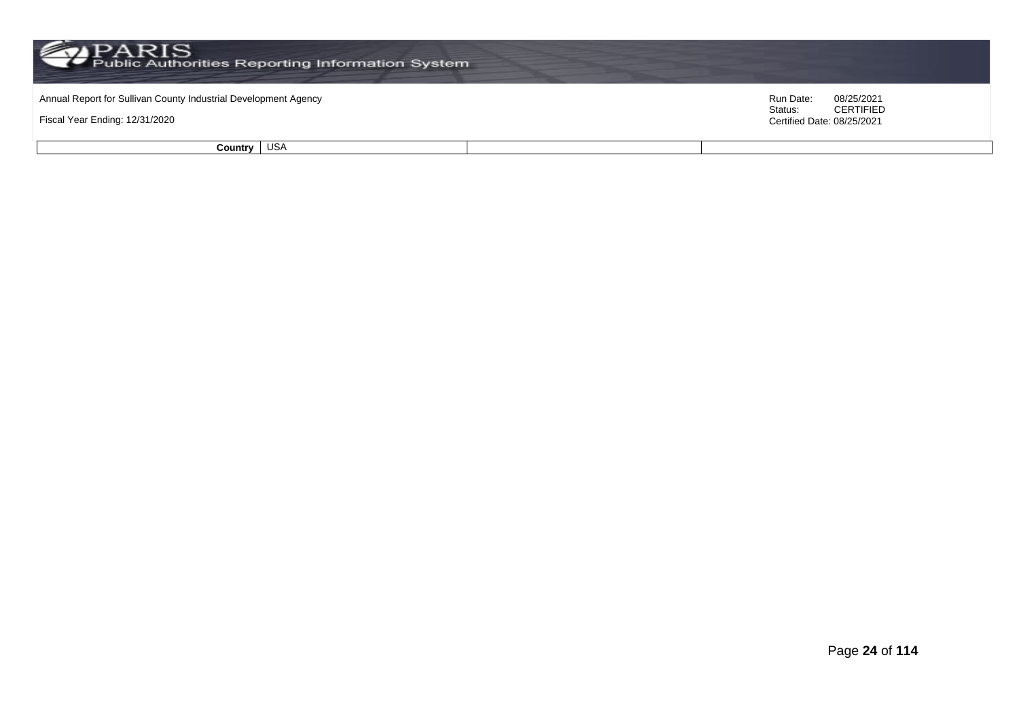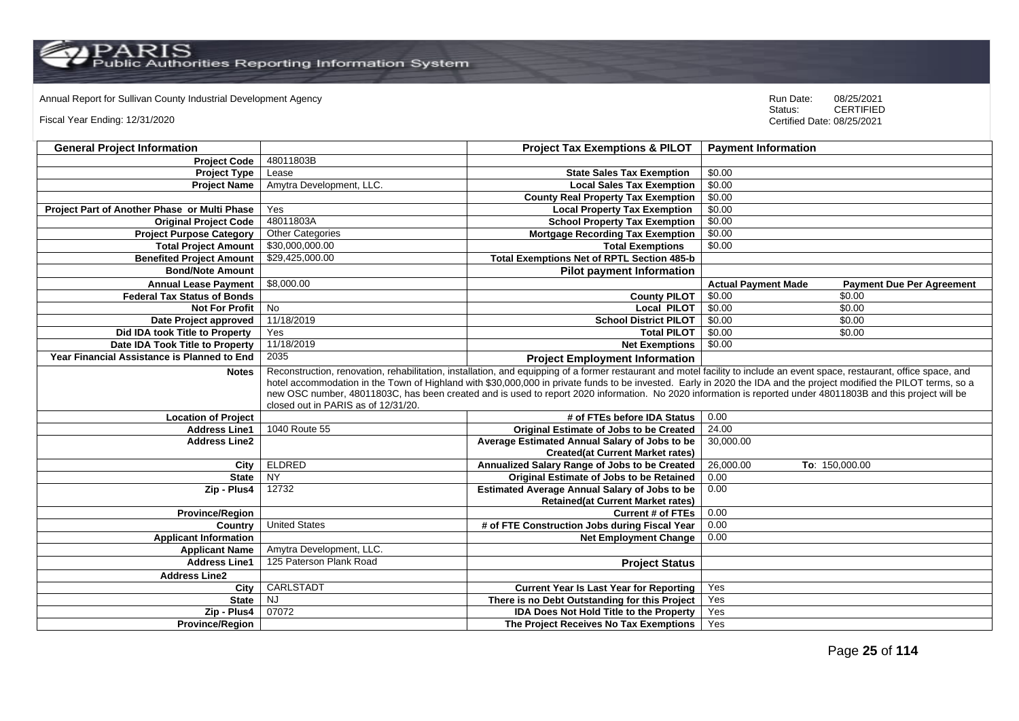# Annual Report for Sullivan County Industrial Development Agency<br>
Status: CERTIFIED

Fiscal Year Ending: 12/31/2020

| <b>General Project Information</b>                 |                                     | <b>Project Tax Exemptions &amp; PILOT</b>            | <b>Payment Information</b>                                                                                                                                                                                                                                                                                                                        |
|----------------------------------------------------|-------------------------------------|------------------------------------------------------|---------------------------------------------------------------------------------------------------------------------------------------------------------------------------------------------------------------------------------------------------------------------------------------------------------------------------------------------------|
| <b>Project Code</b>                                | 48011803B                           |                                                      |                                                                                                                                                                                                                                                                                                                                                   |
| <b>Project Type</b>                                | Lease                               | <b>State Sales Tax Exemption</b>                     | \$0.00                                                                                                                                                                                                                                                                                                                                            |
| <b>Project Name</b>                                | Amytra Development, LLC.            | <b>Local Sales Tax Exemption</b>                     | \$0.00                                                                                                                                                                                                                                                                                                                                            |
|                                                    |                                     | <b>County Real Property Tax Exemption</b>            | \$0.00                                                                                                                                                                                                                                                                                                                                            |
| Project Part of Another Phase or Multi Phase       | Yes                                 | <b>Local Property Tax Exemption</b>                  | \$0.00                                                                                                                                                                                                                                                                                                                                            |
| <b>Original Project Code</b>                       | 48011803A                           | <b>School Property Tax Exemption</b>                 | \$0.00                                                                                                                                                                                                                                                                                                                                            |
| <b>Project Purpose Category</b>                    | <b>Other Categories</b>             | <b>Mortgage Recording Tax Exemption</b>              | \$0.00                                                                                                                                                                                                                                                                                                                                            |
| <b>Total Project Amount</b>                        | \$30,000,000.00                     | <b>Total Exemptions</b>                              | \$0.00                                                                                                                                                                                                                                                                                                                                            |
| <b>Benefited Project Amount</b>                    | \$29,425,000.00                     | <b>Total Exemptions Net of RPTL Section 485-b</b>    |                                                                                                                                                                                                                                                                                                                                                   |
| <b>Bond/Note Amount</b>                            |                                     | <b>Pilot payment Information</b>                     |                                                                                                                                                                                                                                                                                                                                                   |
| <b>Annual Lease Payment</b>                        | \$8,000.00                          |                                                      | <b>Actual Payment Made</b><br><b>Payment Due Per Agreement</b>                                                                                                                                                                                                                                                                                    |
| <b>Federal Tax Status of Bonds</b>                 |                                     | <b>County PILOT</b>                                  | \$0.00<br>\$0.00                                                                                                                                                                                                                                                                                                                                  |
| <b>Not For Profit</b>                              | <b>No</b>                           | <b>Local PILOT</b>                                   | \$0.00<br>\$0.00                                                                                                                                                                                                                                                                                                                                  |
| Date Project approved                              | 11/18/2019                          | <b>School District PILOT</b>                         | \$0.00<br>\$0.00                                                                                                                                                                                                                                                                                                                                  |
| Did IDA took Title to Property                     | Yes                                 | <b>Total PILOT</b>                                   | \$0.00<br>\$0.00                                                                                                                                                                                                                                                                                                                                  |
| Date IDA Took Title to Property                    | 11/18/2019                          | <b>Net Exemptions</b>                                | \$0.00                                                                                                                                                                                                                                                                                                                                            |
| <b>Year Financial Assistance is Planned to End</b> | 2035                                | <b>Project Employment Information</b>                |                                                                                                                                                                                                                                                                                                                                                   |
| <b>Notes</b>                                       |                                     |                                                      | Reconstruction, renovation, rehabilitation, installation, and equipping of a former restaurant and motel facility to include an event space, restaurant, office space, and<br>hotel accommodation in the Town of Highland with \$30,000,000 in private funds to be invested. Early in 2020 the IDA and the project modified the PILOT terms, so a |
|                                                    |                                     |                                                      | new OSC number, 48011803C, has been created and is used to report 2020 information. No 2020 information is reported under 48011803B and this project will be                                                                                                                                                                                      |
|                                                    | closed out in PARIS as of 12/31/20. |                                                      |                                                                                                                                                                                                                                                                                                                                                   |
| <b>Location of Project</b>                         |                                     | # of FTEs before IDA Status                          | 0.00                                                                                                                                                                                                                                                                                                                                              |
| <b>Address Line1</b>                               | 1040 Route 55                       | <b>Original Estimate of Jobs to be Created</b>       | 24.00                                                                                                                                                                                                                                                                                                                                             |
| <b>Address Line2</b>                               |                                     | Average Estimated Annual Salary of Jobs to be        | 30,000.00                                                                                                                                                                                                                                                                                                                                         |
|                                                    |                                     | <b>Created(at Current Market rates)</b>              |                                                                                                                                                                                                                                                                                                                                                   |
| City                                               | <b>ELDRED</b>                       | Annualized Salary Range of Jobs to be Created        | 26,000.00<br>To: 150,000.00                                                                                                                                                                                                                                                                                                                       |
| <b>State</b>                                       | <b>NY</b>                           | <b>Original Estimate of Jobs to be Retained</b>      | 0.00                                                                                                                                                                                                                                                                                                                                              |
| Zip - Plus4                                        | 12732                               | <b>Estimated Average Annual Salary of Jobs to be</b> | 0.00                                                                                                                                                                                                                                                                                                                                              |
|                                                    |                                     | <b>Retained(at Current Market rates)</b>             |                                                                                                                                                                                                                                                                                                                                                   |
| <b>Province/Region</b>                             |                                     | <b>Current # of FTEs</b>                             | 0.00                                                                                                                                                                                                                                                                                                                                              |
| Country                                            | <b>United States</b>                | # of FTE Construction Jobs during Fiscal Year        | 0.00                                                                                                                                                                                                                                                                                                                                              |
| <b>Applicant Information</b>                       |                                     | <b>Net Employment Change</b>                         | 0.00                                                                                                                                                                                                                                                                                                                                              |
| <b>Applicant Name</b>                              | Amytra Development, LLC.            |                                                      |                                                                                                                                                                                                                                                                                                                                                   |
| <b>Address Line1</b>                               | 125 Paterson Plank Road             | <b>Project Status</b>                                |                                                                                                                                                                                                                                                                                                                                                   |
| <b>Address Line2</b>                               |                                     |                                                      |                                                                                                                                                                                                                                                                                                                                                   |
| City                                               | CARLSTADT                           | <b>Current Year Is Last Year for Reporting</b>       | Yes                                                                                                                                                                                                                                                                                                                                               |
| <b>State</b>                                       | <b>NJ</b>                           | There is no Debt Outstanding for this Project        | Yes                                                                                                                                                                                                                                                                                                                                               |
| Zip - Plus4                                        | 07072                               | <b>IDA Does Not Hold Title to the Property</b>       | Yes                                                                                                                                                                                                                                                                                                                                               |
| <b>Province/Region</b>                             |                                     | The Project Receives No Tax Exemptions               | Yes                                                                                                                                                                                                                                                                                                                                               |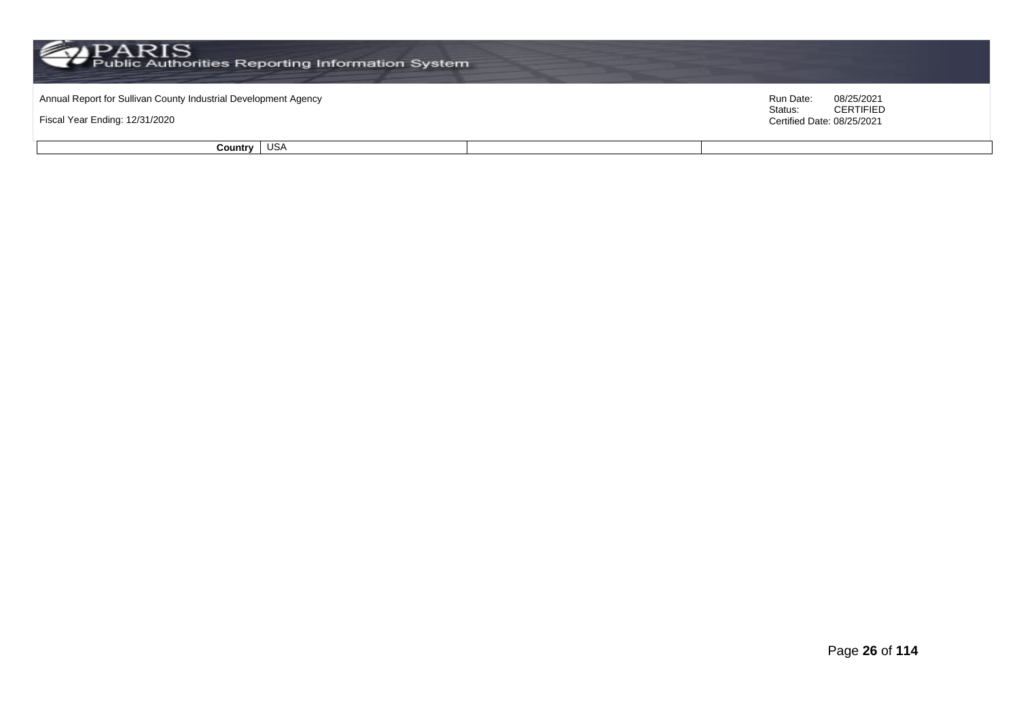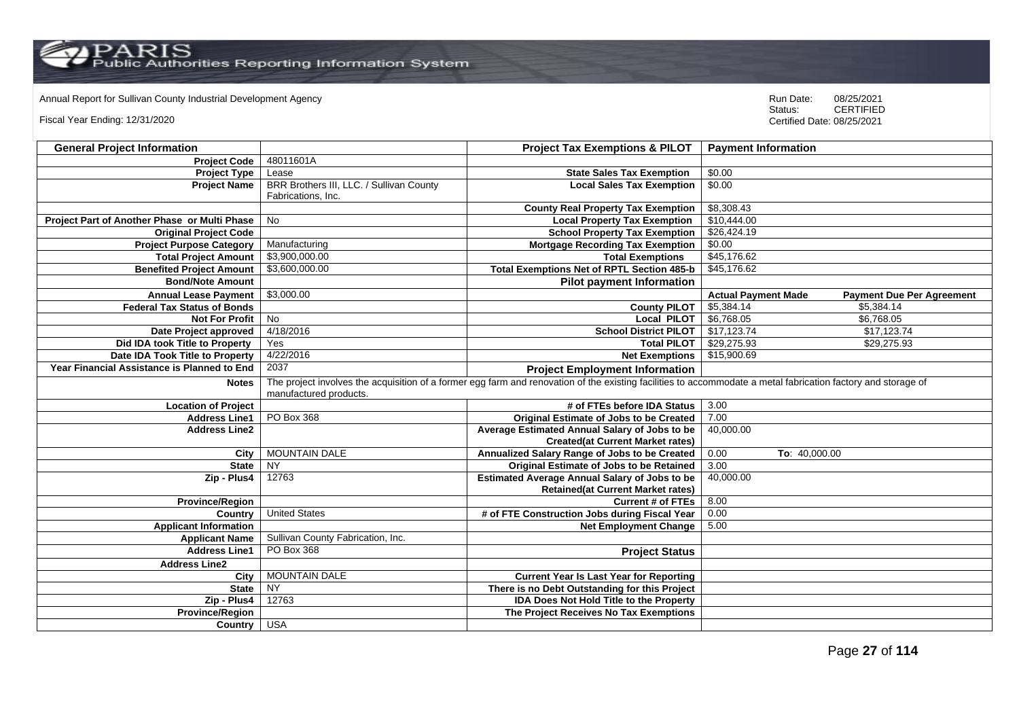# Annual Report for Sullivan County Industrial Development Agency<br>
Status: CERTIFIED

Fiscal Year Ending: 12/31/2020

| <b>General Project Information</b>           |                                                                | <b>Project Tax Exemptions &amp; PILOT</b>                                                                                                                     | <b>Payment Information</b>                                     |
|----------------------------------------------|----------------------------------------------------------------|---------------------------------------------------------------------------------------------------------------------------------------------------------------|----------------------------------------------------------------|
| <b>Project Code</b>                          | 48011601A                                                      |                                                                                                                                                               |                                                                |
| <b>Project Type</b>                          | Lease                                                          | <b>State Sales Tax Exemption</b>                                                                                                                              | \$0.00                                                         |
| <b>Project Name</b>                          | BRR Brothers III, LLC. / Sullivan County<br>Fabrications, Inc. | <b>Local Sales Tax Exemption</b>                                                                                                                              | \$0.00                                                         |
|                                              |                                                                | <b>County Real Property Tax Exemption</b>                                                                                                                     | \$8,308.43                                                     |
| Project Part of Another Phase or Multi Phase | No                                                             | <b>Local Property Tax Exemption</b>                                                                                                                           | \$10,444.00                                                    |
| <b>Original Project Code</b>                 |                                                                | <b>School Property Tax Exemption</b>                                                                                                                          | \$26,424.19                                                    |
| <b>Project Purpose Category</b>              | Manufacturing                                                  | <b>Mortgage Recording Tax Exemption</b>                                                                                                                       | \$0.00                                                         |
| <b>Total Project Amount</b>                  | \$3,900,000.00                                                 | <b>Total Exemptions</b>                                                                                                                                       | \$45,176.62                                                    |
| <b>Benefited Project Amount</b>              | \$3,600,000.00                                                 | <b>Total Exemptions Net of RPTL Section 485-b</b>                                                                                                             | \$45,176.62                                                    |
| <b>Bond/Note Amount</b>                      |                                                                | <b>Pilot payment Information</b>                                                                                                                              |                                                                |
| <b>Annual Lease Payment</b>                  | \$3,000.00                                                     |                                                                                                                                                               | <b>Actual Payment Made</b><br><b>Payment Due Per Agreement</b> |
| <b>Federal Tax Status of Bonds</b>           |                                                                | <b>County PILOT</b>                                                                                                                                           | \$5,384.14<br>\$5.384.14                                       |
| <b>Not For Profit</b>                        | <b>No</b>                                                      | <b>Local PILOT</b>                                                                                                                                            | \$6,768.05<br>\$6,768.05                                       |
| Date Project approved                        | 4/18/2016                                                      | <b>School District PILOT</b>                                                                                                                                  | \$17,123.74<br>\$17,123.74                                     |
| Did IDA took Title to Property               | Yes                                                            | <b>Total PILOT</b>                                                                                                                                            | \$29,275.93<br>\$29,275.93                                     |
| Date IDA Took Title to Property              | 4/22/2016                                                      | <b>Net Exemptions</b>                                                                                                                                         | \$15,900.69                                                    |
| Year Financial Assistance is Planned to End  | 2037                                                           | <b>Project Employment Information</b>                                                                                                                         |                                                                |
| <b>Notes</b>                                 | manufactured products.                                         | The project involves the acquisition of a former egg farm and renovation of the existing facilities to accommodate a metal fabrication factory and storage of |                                                                |
| <b>Location of Project</b>                   |                                                                | # of FTEs before IDA Status                                                                                                                                   | 3.00                                                           |
| <b>Address Line1</b>                         | PO Box 368                                                     | <b>Original Estimate of Jobs to be Created</b>                                                                                                                | 7.00                                                           |
| <b>Address Line2</b>                         |                                                                | Average Estimated Annual Salary of Jobs to be                                                                                                                 | 40,000.00                                                      |
|                                              |                                                                | <b>Created(at Current Market rates)</b>                                                                                                                       |                                                                |
| City                                         | <b>MOUNTAIN DALE</b>                                           | Annualized Salary Range of Jobs to be Created                                                                                                                 | 0.00<br>To: 40,000.00                                          |
| <b>State</b>                                 | <b>NY</b>                                                      | <b>Original Estimate of Jobs to be Retained</b>                                                                                                               | 3.00                                                           |
| Zip - Plus4                                  | 12763                                                          | <b>Estimated Average Annual Salary of Jobs to be</b>                                                                                                          | 40,000.00                                                      |
|                                              |                                                                | <b>Retained(at Current Market rates)</b>                                                                                                                      |                                                                |
| <b>Province/Region</b>                       |                                                                | <b>Current # of FTEs</b>                                                                                                                                      | 8.00                                                           |
| Country                                      | <b>United States</b>                                           | # of FTE Construction Jobs during Fiscal Year                                                                                                                 | 0.00                                                           |
| <b>Applicant Information</b>                 |                                                                | <b>Net Employment Change</b>                                                                                                                                  | 5.00                                                           |
| <b>Applicant Name</b>                        | Sullivan County Fabrication, Inc.                              |                                                                                                                                                               |                                                                |
| <b>Address Line1</b>                         | PO Box 368                                                     | <b>Project Status</b>                                                                                                                                         |                                                                |
| <b>Address Line2</b>                         |                                                                |                                                                                                                                                               |                                                                |
| City                                         | <b>MOUNTAIN DALE</b>                                           | <b>Current Year Is Last Year for Reporting</b>                                                                                                                |                                                                |
| <b>State</b>                                 | <b>NY</b>                                                      | There is no Debt Outstanding for this Project                                                                                                                 |                                                                |
| Zip - Plus4                                  | 12763                                                          | IDA Does Not Hold Title to the Property                                                                                                                       |                                                                |
| <b>Province/Region</b>                       |                                                                | The Project Receives No Tax Exemptions                                                                                                                        |                                                                |
| Country USA                                  |                                                                |                                                                                                                                                               |                                                                |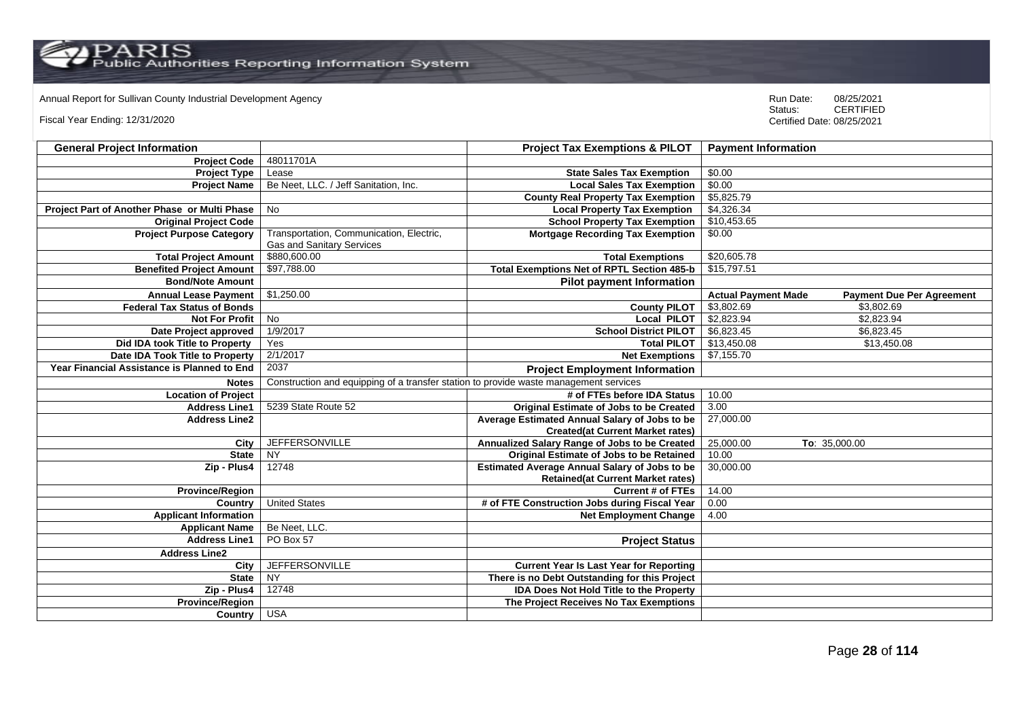# Annual Report for Sullivan County Industrial Development Agency<br>
Status: CERTIFIED

Fiscal Year Ending: 12/31/2020

| <b>General Project Information</b>           |                                                                                       | <b>Project Tax Exemptions &amp; PILOT</b>            | <b>Payment Information</b>                                     |
|----------------------------------------------|---------------------------------------------------------------------------------------|------------------------------------------------------|----------------------------------------------------------------|
| <b>Project Code</b>                          | 48011701A                                                                             |                                                      |                                                                |
| <b>Project Type</b>                          | Lease                                                                                 | <b>State Sales Tax Exemption</b>                     | \$0.00                                                         |
| <b>Project Name</b>                          | Be Neet, LLC. / Jeff Sanitation, Inc.                                                 | <b>Local Sales Tax Exemption</b>                     | \$0.00                                                         |
|                                              |                                                                                       | <b>County Real Property Tax Exemption</b>            | \$5,825.79                                                     |
| Project Part of Another Phase or Multi Phase | <b>No</b>                                                                             | <b>Local Property Tax Exemption</b>                  | \$4,326.34                                                     |
| <b>Original Project Code</b>                 |                                                                                       | <b>School Property Tax Exemption</b>                 | \$10,453.65                                                    |
| <b>Project Purpose Category</b>              | Transportation, Communication, Electric,                                              | <b>Mortgage Recording Tax Exemption</b>              | \$0.00                                                         |
|                                              | <b>Gas and Sanitary Services</b>                                                      |                                                      |                                                                |
| <b>Total Project Amount</b>                  | \$880,600.00                                                                          | <b>Total Exemptions</b>                              | \$20,605.78                                                    |
| <b>Benefited Project Amount</b>              | \$97,788.00                                                                           | <b>Total Exemptions Net of RPTL Section 485-b</b>    | \$15,797.51                                                    |
| <b>Bond/Note Amount</b>                      |                                                                                       | <b>Pilot payment Information</b>                     |                                                                |
| <b>Annual Lease Payment</b>                  | \$1,250.00                                                                            |                                                      | <b>Actual Payment Made</b><br><b>Payment Due Per Agreement</b> |
| <b>Federal Tax Status of Bonds</b>           |                                                                                       | <b>County PILOT</b>                                  | \$3,802.69<br>\$3,802.69                                       |
| <b>Not For Profit</b>                        | <b>No</b>                                                                             | <b>Local PILOT</b>                                   | \$2,823.94<br>\$2,823.94                                       |
| Date Project approved                        | 1/9/2017                                                                              | <b>School District PILOT</b>                         | \$6,823.45<br>\$6,823.45                                       |
| Did IDA took Title to Property               | Yes                                                                                   | <b>Total PILOT</b>                                   | \$13,450.08<br>\$13,450.08                                     |
| Date IDA Took Title to Property              | 2/1/2017                                                                              | <b>Net Exemptions</b>                                | \$7,155.70                                                     |
| Year Financial Assistance is Planned to End  | 2037                                                                                  | <b>Project Employment Information</b>                |                                                                |
| <b>Notes</b>                                 | Construction and equipping of a transfer station to provide waste management services |                                                      |                                                                |
| <b>Location of Project</b>                   |                                                                                       | # of FTEs before IDA Status                          | 10.00                                                          |
| <b>Address Line1</b>                         | 5239 State Route 52                                                                   | <b>Original Estimate of Jobs to be Created</b>       | 3.00                                                           |
| <b>Address Line2</b>                         |                                                                                       | Average Estimated Annual Salary of Jobs to be        | 27,000.00                                                      |
|                                              |                                                                                       | <b>Created(at Current Market rates)</b>              |                                                                |
| City                                         | <b>JEFFERSONVILLE</b>                                                                 | Annualized Salary Range of Jobs to be Created        | 25,000.00<br>To: 35,000.00                                     |
| <b>State</b>                                 | <b>NY</b>                                                                             | Original Estimate of Jobs to be Retained             | 10.00                                                          |
| Zip - Plus4                                  | 12748                                                                                 | <b>Estimated Average Annual Salary of Jobs to be</b> | 30,000.00                                                      |
|                                              |                                                                                       | <b>Retained(at Current Market rates)</b>             |                                                                |
| <b>Province/Region</b>                       |                                                                                       | <b>Current # of FTEs</b>                             | 14.00                                                          |
| Country                                      | <b>United States</b>                                                                  | # of FTE Construction Jobs during Fiscal Year        | 0.00                                                           |
| <b>Applicant Information</b>                 |                                                                                       | <b>Net Employment Change</b>                         | 4.00                                                           |
| <b>Applicant Name</b>                        | Be Neet, LLC.                                                                         |                                                      |                                                                |
| <b>Address Line1</b>                         | PO Box 57                                                                             | <b>Project Status</b>                                |                                                                |
| <b>Address Line2</b>                         |                                                                                       |                                                      |                                                                |
| City                                         | <b>JEFFERSONVILLE</b>                                                                 | <b>Current Year Is Last Year for Reporting</b>       |                                                                |
| <b>State</b>                                 | $\overline{NY}$                                                                       | There is no Debt Outstanding for this Project        |                                                                |
| Zip - Plus4                                  | 12748                                                                                 | IDA Does Not Hold Title to the Property              |                                                                |
| <b>Province/Region</b>                       |                                                                                       | The Project Receives No Tax Exemptions               |                                                                |
| Country                                      | <b>USA</b>                                                                            |                                                      |                                                                |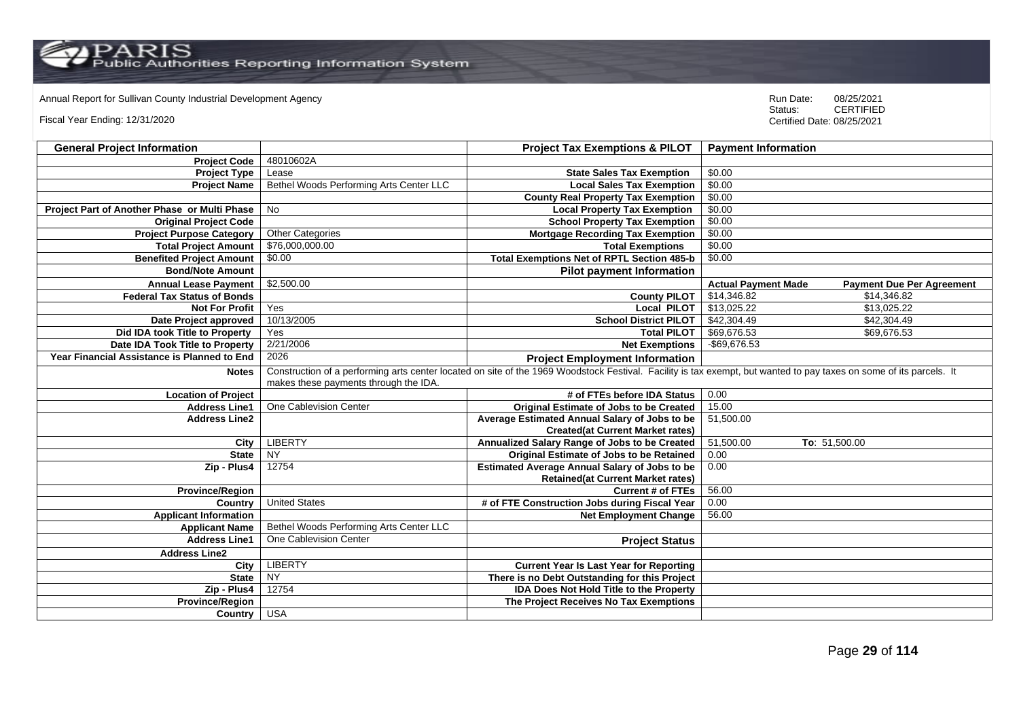# Annual Report for Sullivan County Industrial Development Agency<br>
Status: CERTIFIED

Fiscal Year Ending: 12/31/2020

| <b>General Project Information</b>           |                                         | <b>Project Tax Exemptions &amp; PILOT</b>                                                                                                                           | <b>Payment Information</b> |                                  |
|----------------------------------------------|-----------------------------------------|---------------------------------------------------------------------------------------------------------------------------------------------------------------------|----------------------------|----------------------------------|
| <b>Project Code</b>                          | 48010602A                               |                                                                                                                                                                     |                            |                                  |
| <b>Project Type</b>                          | Lease                                   | <b>State Sales Tax Exemption</b>                                                                                                                                    | \$0.00                     |                                  |
| <b>Project Name</b>                          | Bethel Woods Performing Arts Center LLC | <b>Local Sales Tax Exemption</b>                                                                                                                                    | \$0.00                     |                                  |
|                                              |                                         | <b>County Real Property Tax Exemption</b>                                                                                                                           | \$0.00                     |                                  |
| Project Part of Another Phase or Multi Phase | <b>No</b>                               | <b>Local Property Tax Exemption</b>                                                                                                                                 | \$0.00                     |                                  |
| <b>Original Project Code</b>                 |                                         | <b>School Property Tax Exemption</b>                                                                                                                                | \$0.00                     |                                  |
| <b>Project Purpose Category</b>              | <b>Other Categories</b>                 | <b>Mortgage Recording Tax Exemption</b>                                                                                                                             | \$0.00                     |                                  |
| <b>Total Project Amount</b>                  | \$76,000,000.00                         | <b>Total Exemptions</b>                                                                                                                                             | \$0.00                     |                                  |
| <b>Benefited Project Amount</b>              | \$0.00                                  | <b>Total Exemptions Net of RPTL Section 485-b</b>                                                                                                                   | \$0.00                     |                                  |
| <b>Bond/Note Amount</b>                      |                                         | <b>Pilot payment Information</b>                                                                                                                                    |                            |                                  |
| <b>Annual Lease Payment</b>                  | \$2,500.00                              |                                                                                                                                                                     | <b>Actual Payment Made</b> | <b>Payment Due Per Agreement</b> |
| <b>Federal Tax Status of Bonds</b>           |                                         | <b>County PILOT</b>                                                                                                                                                 | \$14,346.82                | \$14,346.82                      |
| <b>Not For Profit</b>                        | Yes                                     | <b>Local PILOT</b>                                                                                                                                                  | \$13,025.22                | \$13,025.22                      |
| Date Project approved                        | 10/13/2005                              | <b>School District PILOT</b>                                                                                                                                        | \$42,304.49                | \$42,304.49                      |
| Did IDA took Title to Property               | Yes                                     | <b>Total PILOT</b>                                                                                                                                                  | \$69,676.53                | \$69,676.53                      |
| Date IDA Took Title to Property              | 2/21/2006                               | <b>Net Exemptions</b>                                                                                                                                               | $-$69,676.53$              |                                  |
| Year Financial Assistance is Planned to End  | 2026                                    | <b>Project Employment Information</b>                                                                                                                               |                            |                                  |
| <b>Notes</b>                                 |                                         | Construction of a performing arts center located on site of the 1969 Woodstock Festival. Facility is tax exempt, but wanted to pay taxes on some of its parcels. It |                            |                                  |
|                                              | makes these payments through the IDA.   |                                                                                                                                                                     |                            |                                  |
| <b>Location of Project</b>                   |                                         | # of FTEs before IDA Status                                                                                                                                         | 0.00                       |                                  |
| <b>Address Line1</b>                         | One Cablevision Center                  | <b>Original Estimate of Jobs to be Created</b>                                                                                                                      | 15.00                      |                                  |
| <b>Address Line2</b>                         |                                         | Average Estimated Annual Salary of Jobs to be                                                                                                                       | 51,500.00                  |                                  |
|                                              |                                         | <b>Created(at Current Market rates)</b>                                                                                                                             |                            |                                  |
| City                                         | <b>LIBERTY</b>                          | Annualized Salary Range of Jobs to be Created                                                                                                                       | 51,500.00                  | To: 51,500.00                    |
| <b>State</b>                                 | <b>NY</b>                               | Original Estimate of Jobs to be Retained                                                                                                                            | 0.00                       |                                  |
| Zip - Plus4                                  | 12754                                   | <b>Estimated Average Annual Salary of Jobs to be</b>                                                                                                                | 0.00                       |                                  |
|                                              |                                         | <b>Retained(at Current Market rates)</b>                                                                                                                            |                            |                                  |
| <b>Province/Region</b>                       |                                         | <b>Current # of FTEs</b>                                                                                                                                            | 56.00                      |                                  |
| Country                                      | <b>United States</b>                    | # of FTE Construction Jobs during Fiscal Year                                                                                                                       | 0.00                       |                                  |
| <b>Applicant Information</b>                 |                                         | <b>Net Employment Change</b>                                                                                                                                        | 56.00                      |                                  |
| <b>Applicant Name</b>                        | Bethel Woods Performing Arts Center LLC |                                                                                                                                                                     |                            |                                  |
| <b>Address Line1</b>                         | One Cablevision Center                  | <b>Project Status</b>                                                                                                                                               |                            |                                  |
| <b>Address Line2</b>                         |                                         |                                                                                                                                                                     |                            |                                  |
| City                                         | <b>LIBERTY</b>                          | <b>Current Year Is Last Year for Reporting</b>                                                                                                                      |                            |                                  |
| <b>State</b>                                 | NY                                      | There is no Debt Outstanding for this Project                                                                                                                       |                            |                                  |
| Zip - Plus4                                  | 12754                                   | <b>IDA Does Not Hold Title to the Property</b>                                                                                                                      |                            |                                  |
| <b>Province/Region</b>                       |                                         | The Project Receives No Tax Exemptions                                                                                                                              |                            |                                  |
| Country USA                                  |                                         |                                                                                                                                                                     |                            |                                  |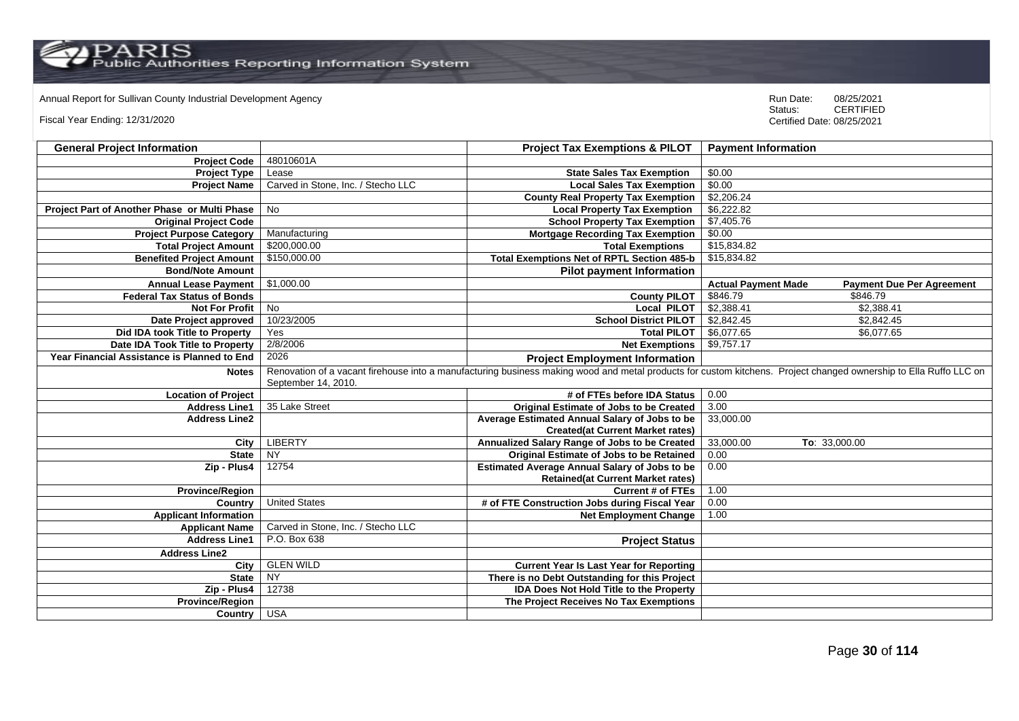# Annual Report for Sullivan County Industrial Development Agency<br>
Status: CERTIFIED

Fiscal Year Ending: 12/31/2020

| <b>General Project Information</b>           |                                    | <b>Project Tax Exemptions &amp; PILOT</b>            | <b>Payment Information</b>                                                                                                                                        |
|----------------------------------------------|------------------------------------|------------------------------------------------------|-------------------------------------------------------------------------------------------------------------------------------------------------------------------|
| <b>Project Code</b>                          | 48010601A                          |                                                      |                                                                                                                                                                   |
| <b>Project Type</b>                          | Lease                              | <b>State Sales Tax Exemption</b>                     | \$0.00                                                                                                                                                            |
| <b>Project Name</b>                          | Carved in Stone, Inc. / Stecho LLC | <b>Local Sales Tax Exemption</b>                     | \$0.00                                                                                                                                                            |
|                                              |                                    | <b>County Real Property Tax Exemption</b>            | \$2,206.24                                                                                                                                                        |
| Project Part of Another Phase or Multi Phase | No                                 | <b>Local Property Tax Exemption</b>                  | \$6,222.82                                                                                                                                                        |
| <b>Original Project Code</b>                 |                                    | <b>School Property Tax Exemption</b>                 | \$7,405.76                                                                                                                                                        |
| <b>Project Purpose Category</b>              | Manufacturing                      | <b>Mortgage Recording Tax Exemption</b>              | \$0.00                                                                                                                                                            |
| <b>Total Project Amount</b>                  | \$200,000.00                       | <b>Total Exemptions</b>                              | \$15,834.82                                                                                                                                                       |
| <b>Benefited Project Amount</b>              | \$150,000.00                       | <b>Total Exemptions Net of RPTL Section 485-b</b>    | \$15,834.82                                                                                                                                                       |
| <b>Bond/Note Amount</b>                      |                                    | <b>Pilot payment Information</b>                     |                                                                                                                                                                   |
| <b>Annual Lease Payment</b>                  | \$1,000.00                         |                                                      | <b>Actual Payment Made</b><br><b>Payment Due Per Agreement</b>                                                                                                    |
| <b>Federal Tax Status of Bonds</b>           |                                    | <b>County PILOT</b>                                  | \$846.79<br>\$846.79                                                                                                                                              |
| <b>Not For Profit</b>                        | <b>No</b>                          | <b>Local PILOT</b>                                   | \$2,388.41<br>\$2,388.41                                                                                                                                          |
| Date Project approved                        | 10/23/2005                         | <b>School District PILOT</b>                         | \$2,842.45<br>\$2,842.45                                                                                                                                          |
| Did IDA took Title to Property               | Yes                                | <b>Total PILOT</b>                                   | \$6,077.65<br>\$6,077.65                                                                                                                                          |
| Date IDA Took Title to Property              | 2/8/2006                           | <b>Net Exemptions</b>                                | \$9,757.17                                                                                                                                                        |
| Year Financial Assistance is Planned to End  | 2026                               | <b>Project Employment Information</b>                |                                                                                                                                                                   |
| <b>Notes</b>                                 | September 14, 2010.                |                                                      | Renovation of a vacant firehouse into a manufacturing business making wood and metal products for custom kitchens. Project changed ownership to Ella Ruffo LLC on |
| <b>Location of Project</b>                   |                                    | # of FTEs before IDA Status                          | 0.00                                                                                                                                                              |
| <b>Address Line1</b>                         | 35 Lake Street                     | <b>Original Estimate of Jobs to be Created</b>       | 3.00                                                                                                                                                              |
| <b>Address Line2</b>                         |                                    | Average Estimated Annual Salary of Jobs to be        | 33,000.00                                                                                                                                                         |
|                                              |                                    | <b>Created(at Current Market rates)</b>              |                                                                                                                                                                   |
| City                                         | <b>LIBERTY</b>                     | Annualized Salary Range of Jobs to be Created        | 33,000.00<br>To: 33,000.00                                                                                                                                        |
| <b>State</b>                                 | NY                                 | <b>Original Estimate of Jobs to be Retained</b>      | 0.00                                                                                                                                                              |
| Zip - Plus4                                  | 12754                              | <b>Estimated Average Annual Salary of Jobs to be</b> | 0.00                                                                                                                                                              |
|                                              |                                    | <b>Retained(at Current Market rates)</b>             |                                                                                                                                                                   |
| <b>Province/Region</b>                       |                                    | <b>Current # of FTEs</b>                             | 1.00                                                                                                                                                              |
| Country                                      | <b>United States</b>               | # of FTE Construction Jobs during Fiscal Year        | 0.00                                                                                                                                                              |
| <b>Applicant Information</b>                 |                                    | <b>Net Employment Change</b>                         | 1.00                                                                                                                                                              |
| <b>Applicant Name</b>                        | Carved in Stone, Inc. / Stecho LLC |                                                      |                                                                                                                                                                   |
| <b>Address Line1</b>                         | P.O. Box 638                       | <b>Project Status</b>                                |                                                                                                                                                                   |
| <b>Address Line2</b>                         |                                    |                                                      |                                                                                                                                                                   |
| City                                         | <b>GLEN WILD</b>                   | <b>Current Year Is Last Year for Reporting</b>       |                                                                                                                                                                   |
| <b>State</b>                                 | NY                                 | There is no Debt Outstanding for this Project        |                                                                                                                                                                   |
| Zip - Plus4                                  | 12738                              | <b>IDA Does Not Hold Title to the Property</b>       |                                                                                                                                                                   |
| <b>Province/Region</b>                       |                                    | The Project Receives No Tax Exemptions               |                                                                                                                                                                   |
| Country                                      | <b>USA</b>                         |                                                      |                                                                                                                                                                   |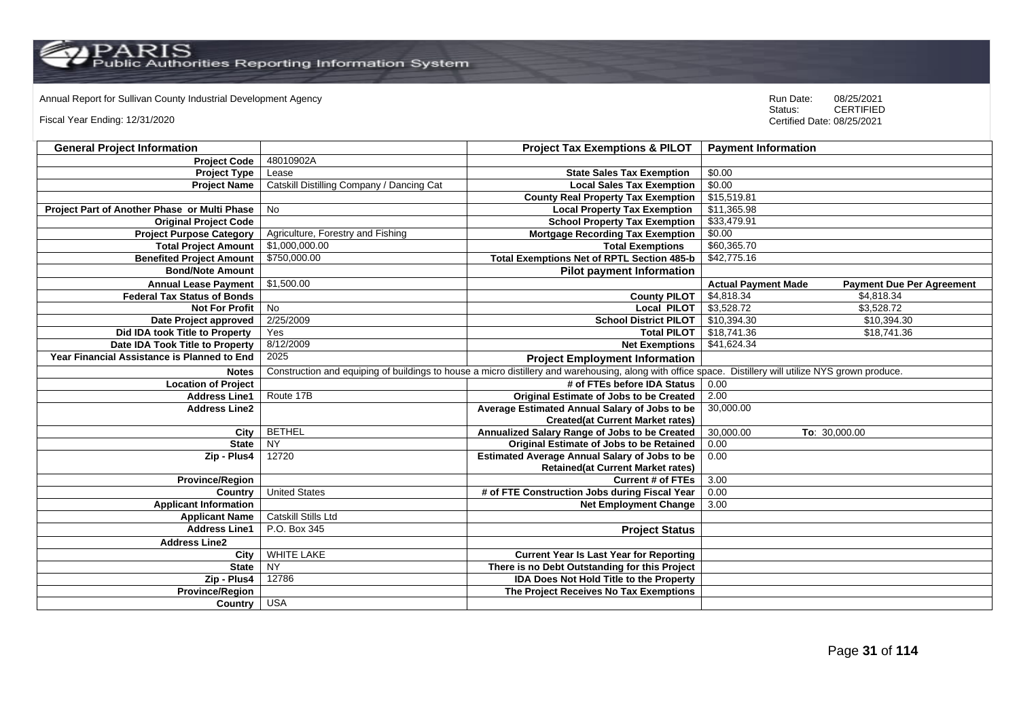$\operatorname{PARIS}_{\text{Public Authors}}$  Reporting Information System

# Annual Report for Sullivan County Industrial Development Agency<br>
Status: CERTIFIED

Fiscal Year Ending: 12/31/2020

| <b>General Project Information</b>           |                                           | <b>Project Tax Exemptions &amp; PILOT</b>                                                                                                               | <b>Payment Information</b>                                     |
|----------------------------------------------|-------------------------------------------|---------------------------------------------------------------------------------------------------------------------------------------------------------|----------------------------------------------------------------|
| <b>Project Code</b>                          | 48010902A                                 |                                                                                                                                                         |                                                                |
| <b>Project Type</b>                          | Lease                                     | <b>State Sales Tax Exemption</b>                                                                                                                        | \$0.00                                                         |
| <b>Project Name</b>                          | Catskill Distilling Company / Dancing Cat | <b>Local Sales Tax Exemption</b>                                                                                                                        | \$0.00                                                         |
|                                              |                                           | <b>County Real Property Tax Exemption</b>                                                                                                               | \$15,519.81                                                    |
| Project Part of Another Phase or Multi Phase | No                                        | <b>Local Property Tax Exemption</b>                                                                                                                     | \$11,365.98                                                    |
| <b>Original Project Code</b>                 |                                           | <b>School Property Tax Exemption</b>                                                                                                                    | \$33,479.91                                                    |
| <b>Project Purpose Category</b>              | Agriculture, Forestry and Fishing         | <b>Mortgage Recording Tax Exemption</b>                                                                                                                 | \$0.00                                                         |
| <b>Total Project Amount</b>                  | \$1,000,000.00                            | <b>Total Exemptions</b>                                                                                                                                 | \$60,365.70                                                    |
| <b>Benefited Project Amount</b>              | \$750,000.00                              | <b>Total Exemptions Net of RPTL Section 485-b</b>                                                                                                       | \$42,775.16                                                    |
| <b>Bond/Note Amount</b>                      |                                           | <b>Pilot payment Information</b>                                                                                                                        |                                                                |
| <b>Annual Lease Payment</b>                  | \$1,500.00                                |                                                                                                                                                         | <b>Actual Payment Made</b><br><b>Payment Due Per Agreement</b> |
| <b>Federal Tax Status of Bonds</b>           |                                           | <b>County PILOT</b>                                                                                                                                     | \$4,818.34<br>\$4,818.34                                       |
| <b>Not For Profit</b>                        | $\overline{N}$                            | <b>Local PILOT</b>                                                                                                                                      | \$3,528.72<br>\$3,528.72                                       |
| Date Project approved                        | 2/25/2009                                 | <b>School District PILOT</b>                                                                                                                            | \$10,394.30<br>\$10,394.30                                     |
| Did IDA took Title to Property               | Yes                                       | <b>Total PILOT</b>                                                                                                                                      | \$18,741.36<br>\$18,741.36                                     |
| Date IDA Took Title to Property              | 8/12/2009                                 | <b>Net Exemptions</b>                                                                                                                                   | \$41,624.34                                                    |
| Year Financial Assistance is Planned to End  | 2025                                      | <b>Project Employment Information</b>                                                                                                                   |                                                                |
| <b>Notes</b>                                 |                                           | Construction and equiping of buildings to house a micro distillery and warehousing, along with office space. Distillery will utilize NYS grown produce. |                                                                |
| <b>Location of Project</b>                   |                                           | # of FTEs before IDA Status                                                                                                                             | 0.00                                                           |
| <b>Address Line1</b>                         | Route 17B                                 | Original Estimate of Jobs to be Created                                                                                                                 | 2.00                                                           |
| <b>Address Line2</b>                         |                                           | Average Estimated Annual Salary of Jobs to be                                                                                                           | 30,000.00                                                      |
|                                              |                                           | <b>Created(at Current Market rates)</b>                                                                                                                 |                                                                |
| City                                         | <b>BETHEL</b>                             | Annualized Salary Range of Jobs to be Created                                                                                                           | 30,000.00<br>To: 30,000.00                                     |
| <b>State</b>                                 | <b>NY</b>                                 | <b>Original Estimate of Jobs to be Retained</b>                                                                                                         | 0.00                                                           |
| Zip - Plus4                                  | 12720                                     | <b>Estimated Average Annual Salary of Jobs to be</b>                                                                                                    | 0.00                                                           |
|                                              |                                           | <b>Retained(at Current Market rates)</b>                                                                                                                |                                                                |
| <b>Province/Region</b>                       |                                           | <b>Current # of FTEs</b>                                                                                                                                | 3.00                                                           |
| Country                                      | <b>United States</b>                      | # of FTE Construction Jobs during Fiscal Year                                                                                                           | 0.00                                                           |
| <b>Applicant Information</b>                 |                                           | <b>Net Employment Change</b>                                                                                                                            | 3.00                                                           |
| <b>Applicant Name</b>                        | <b>Catskill Stills Ltd</b>                |                                                                                                                                                         |                                                                |
| <b>Address Line1</b>                         | P.O. Box 345                              | <b>Project Status</b>                                                                                                                                   |                                                                |
| <b>Address Line2</b>                         |                                           |                                                                                                                                                         |                                                                |
| City                                         | <b>WHITE LAKE</b>                         | <b>Current Year Is Last Year for Reporting</b>                                                                                                          |                                                                |
| <b>State</b>                                 | NY                                        | There is no Debt Outstanding for this Project                                                                                                           |                                                                |
| Zip - Plus4                                  | 12786                                     | <b>IDA Does Not Hold Title to the Property</b>                                                                                                          |                                                                |
| Province/Region                              |                                           | The Project Receives No Tax Exemptions                                                                                                                  |                                                                |
| Country                                      | <b>USA</b>                                |                                                                                                                                                         |                                                                |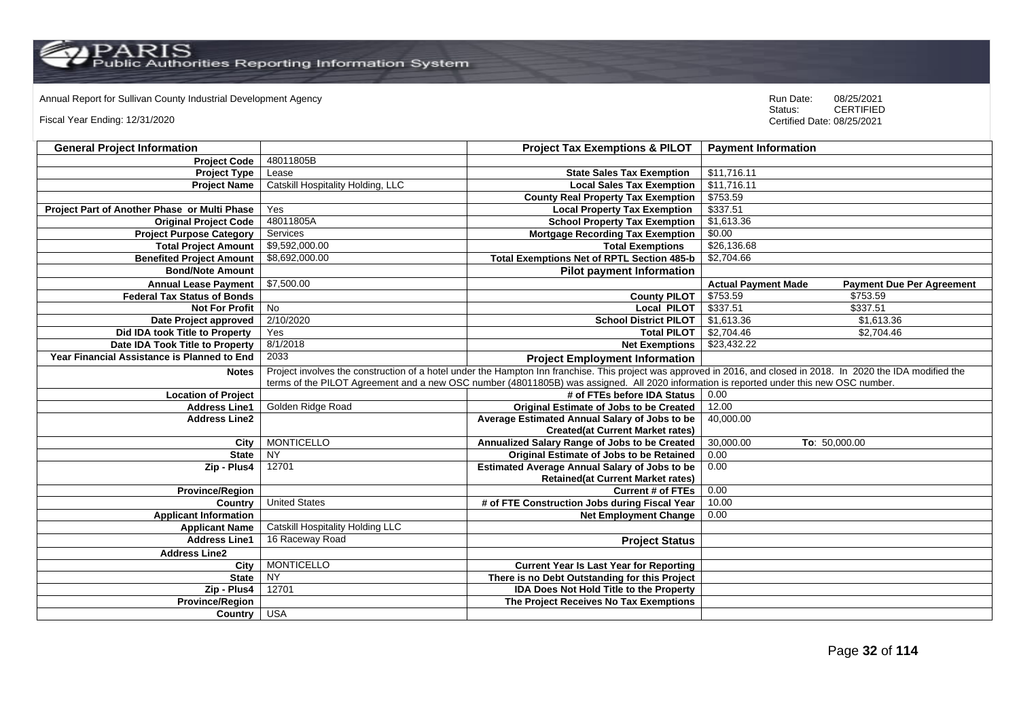# Annual Report for Sullivan County Industrial Development Agency<br>
Status: CERTIFIED

Fiscal Year Ending: 12/31/2020

| <b>General Project Information</b>                 |                                         | <b>Project Tax Exemptions &amp; PILOT</b>                                                                                               | <b>Payment Information</b>                                                                                                                                        |
|----------------------------------------------------|-----------------------------------------|-----------------------------------------------------------------------------------------------------------------------------------------|-------------------------------------------------------------------------------------------------------------------------------------------------------------------|
| <b>Project Code</b>                                | 48011805B                               |                                                                                                                                         |                                                                                                                                                                   |
| <b>Project Type</b>                                | Lease                                   | <b>State Sales Tax Exemption</b>                                                                                                        | \$11,716.11                                                                                                                                                       |
| <b>Project Name</b>                                | Catskill Hospitality Holding, LLC       | <b>Local Sales Tax Exemption</b>                                                                                                        | \$11,716.11                                                                                                                                                       |
|                                                    |                                         | <b>County Real Property Tax Exemption</b>                                                                                               | \$753.59                                                                                                                                                          |
| Project Part of Another Phase or Multi Phase       | Yes                                     | <b>Local Property Tax Exemption</b>                                                                                                     | \$337.51                                                                                                                                                          |
| <b>Original Project Code</b>                       | 48011805A                               | <b>School Property Tax Exemption</b>                                                                                                    | \$1,613.36                                                                                                                                                        |
| <b>Project Purpose Category</b>                    | Services                                | <b>Mortgage Recording Tax Exemption</b>                                                                                                 | \$0.00                                                                                                                                                            |
| <b>Total Project Amount</b>                        | \$9,592,000.00                          | <b>Total Exemptions</b>                                                                                                                 | \$26,136,68                                                                                                                                                       |
| <b>Benefited Project Amount</b>                    | \$8,692,000.00                          | Total Exemptions Net of RPTL Section 485-b                                                                                              | \$2,704.66                                                                                                                                                        |
| <b>Bond/Note Amount</b>                            |                                         | <b>Pilot payment Information</b>                                                                                                        |                                                                                                                                                                   |
| <b>Annual Lease Payment</b>                        | \$7,500.00                              |                                                                                                                                         | <b>Actual Payment Made</b><br><b>Payment Due Per Agreement</b>                                                                                                    |
| <b>Federal Tax Status of Bonds</b>                 |                                         | <b>County PILOT</b>                                                                                                                     | \$753.59<br>\$753.59                                                                                                                                              |
| <b>Not For Profit</b>                              | No                                      | <b>Local PILOT</b>                                                                                                                      | \$337.51<br>\$337.51                                                                                                                                              |
| Date Project approved                              | 2/10/2020                               | <b>School District PILOT</b>                                                                                                            | \$1,613.36<br>\$1,613.36                                                                                                                                          |
| Did IDA took Title to Property                     | Yes                                     | <b>Total PILOT</b>                                                                                                                      | \$2,704.46<br>\$2,704.46                                                                                                                                          |
| Date IDA Took Title to Property                    | 8/1/2018                                | <b>Net Exemptions</b>                                                                                                                   | \$23,432.22                                                                                                                                                       |
| <b>Year Financial Assistance is Planned to End</b> | 2033                                    | <b>Project Employment Information</b>                                                                                                   |                                                                                                                                                                   |
| <b>Notes</b>                                       |                                         |                                                                                                                                         | Project involves the construction of a hotel under the Hampton Inn franchise. This project was approved in 2016, and closed in 2018. In 2020 the IDA modified the |
|                                                    |                                         | terms of the PILOT Agreement and a new OSC number (48011805B) was assigned. All 2020 information is reported under this new OSC number. |                                                                                                                                                                   |
| <b>Location of Project</b>                         |                                         | # of FTEs before IDA Status                                                                                                             | 0.00                                                                                                                                                              |
| <b>Address Line1</b>                               | Golden Ridge Road                       | <b>Original Estimate of Jobs to be Created</b>                                                                                          | 12.00                                                                                                                                                             |
| <b>Address Line2</b>                               |                                         | Average Estimated Annual Salary of Jobs to be                                                                                           | 40,000.00                                                                                                                                                         |
|                                                    |                                         | <b>Created(at Current Market rates)</b>                                                                                                 |                                                                                                                                                                   |
| City                                               | <b>MONTICELLO</b>                       | Annualized Salary Range of Jobs to be Created                                                                                           | 30,000.00<br>To: 50,000.00                                                                                                                                        |
| <b>State</b>                                       | <b>NY</b>                               | Original Estimate of Jobs to be Retained                                                                                                | 0.00                                                                                                                                                              |
| Zip - Plus4                                        | 12701                                   | <b>Estimated Average Annual Salary of Jobs to be</b>                                                                                    | 0.00                                                                                                                                                              |
|                                                    |                                         | <b>Retained(at Current Market rates)</b>                                                                                                |                                                                                                                                                                   |
| <b>Province/Region</b>                             |                                         | <b>Current # of FTEs</b>                                                                                                                | 0.00                                                                                                                                                              |
| Country                                            | <b>United States</b>                    | # of FTE Construction Jobs during Fiscal Year                                                                                           | 10.00                                                                                                                                                             |
| <b>Applicant Information</b>                       |                                         | <b>Net Employment Change</b>                                                                                                            | 0.00                                                                                                                                                              |
| <b>Applicant Name</b>                              | <b>Catskill Hospitality Holding LLC</b> |                                                                                                                                         |                                                                                                                                                                   |
| <b>Address Line1</b>                               | 16 Raceway Road                         | <b>Project Status</b>                                                                                                                   |                                                                                                                                                                   |
| <b>Address Line2</b>                               |                                         |                                                                                                                                         |                                                                                                                                                                   |
| City                                               | <b>MONTICELLO</b>                       | <b>Current Year Is Last Year for Reporting</b>                                                                                          |                                                                                                                                                                   |
| <b>State</b>                                       | <b>NY</b>                               | There is no Debt Outstanding for this Project                                                                                           |                                                                                                                                                                   |
| Zip - Plus4                                        | 12701                                   | <b>IDA Does Not Hold Title to the Property</b>                                                                                          |                                                                                                                                                                   |
| <b>Province/Region</b>                             |                                         | The Project Receives No Tax Exemptions                                                                                                  |                                                                                                                                                                   |
| Country                                            | <b>USA</b>                              |                                                                                                                                         |                                                                                                                                                                   |
|                                                    |                                         |                                                                                                                                         |                                                                                                                                                                   |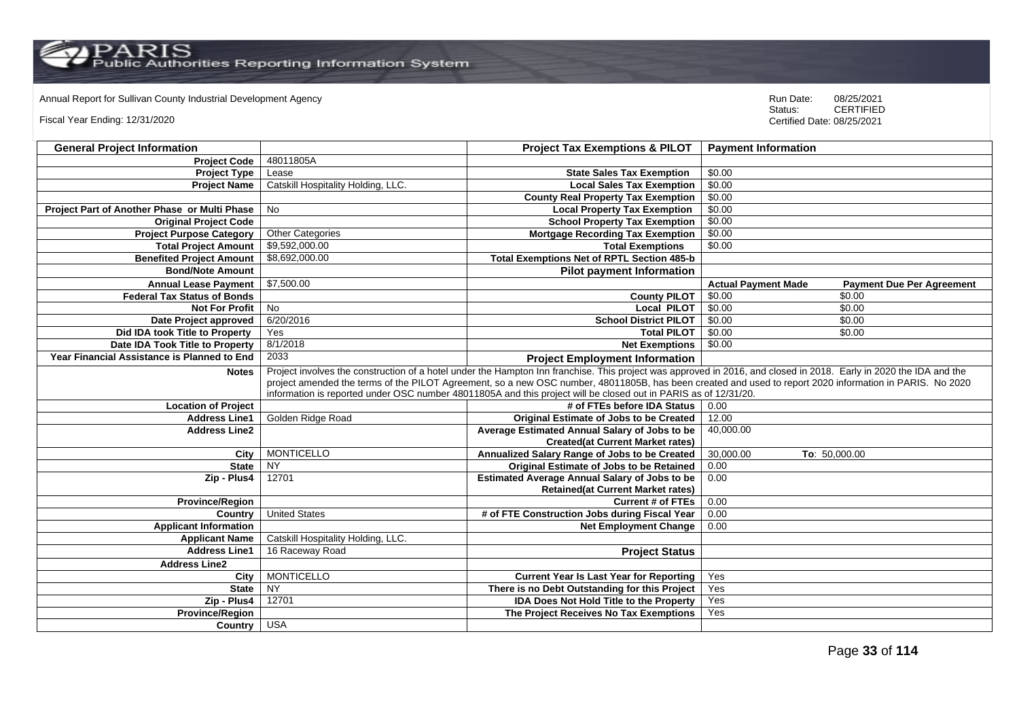# Annual Report for Sullivan County Industrial Development Agency<br>
Status: CERTIFIED

Fiscal Year Ending: 12/31/2020

| <b>General Project Information</b>           |                                    | <b>Project Tax Exemptions &amp; PILOT</b>                                                                       | <b>Payment Information</b>                                                                                                                                         |
|----------------------------------------------|------------------------------------|-----------------------------------------------------------------------------------------------------------------|--------------------------------------------------------------------------------------------------------------------------------------------------------------------|
| <b>Project Code</b>                          | 48011805A                          |                                                                                                                 |                                                                                                                                                                    |
| <b>Project Type</b>                          | Lease                              | <b>State Sales Tax Exemption</b>                                                                                | \$0.00                                                                                                                                                             |
| <b>Project Name</b>                          | Catskill Hospitality Holding, LLC. | <b>Local Sales Tax Exemption</b>                                                                                | \$0.00                                                                                                                                                             |
|                                              |                                    | <b>County Real Property Tax Exemption</b>                                                                       | \$0.00                                                                                                                                                             |
| Project Part of Another Phase or Multi Phase | No                                 | <b>Local Property Tax Exemption</b>                                                                             | \$0.00                                                                                                                                                             |
| <b>Original Project Code</b>                 |                                    | <b>School Property Tax Exemption</b>                                                                            | \$0.00                                                                                                                                                             |
| <b>Project Purpose Category</b>              | <b>Other Categories</b>            | <b>Mortgage Recording Tax Exemption</b>                                                                         | \$0.00                                                                                                                                                             |
| <b>Total Project Amount</b>                  | \$9,592,000.00                     | <b>Total Exemptions</b>                                                                                         | \$0.00                                                                                                                                                             |
| <b>Benefited Project Amount</b>              | \$8,692,000.00                     | <b>Total Exemptions Net of RPTL Section 485-b</b>                                                               |                                                                                                                                                                    |
| <b>Bond/Note Amount</b>                      |                                    | <b>Pilot payment Information</b>                                                                                |                                                                                                                                                                    |
| <b>Annual Lease Payment</b>                  | \$7,500.00                         |                                                                                                                 | <b>Actual Payment Made</b><br><b>Payment Due Per Agreement</b>                                                                                                     |
| <b>Federal Tax Status of Bonds</b>           |                                    | <b>County PILOT</b>                                                                                             | \$0.00<br>\$0.00                                                                                                                                                   |
| <b>Not For Profit</b>                        | $\overline{N}$                     | <b>Local PILOT</b>                                                                                              | \$0.00<br>\$0.00                                                                                                                                                   |
| Date Project approved                        | 6/20/2016                          | <b>School District PILOT</b>                                                                                    | \$0.00<br>\$0.00                                                                                                                                                   |
| Did IDA took Title to Property               | Yes                                | <b>Total PILOT</b>                                                                                              | \$0.00<br>\$0.00                                                                                                                                                   |
| Date IDA Took Title to Property              | 8/1/2018                           | <b>Net Exemptions</b>                                                                                           | \$0.00                                                                                                                                                             |
| Year Financial Assistance is Planned to End  | 2033                               | <b>Project Employment Information</b>                                                                           |                                                                                                                                                                    |
| <b>Notes</b>                                 |                                    |                                                                                                                 | Project involves the construction of a hotel under the Hampton Inn franchise. This project was approved in 2016, and closed in 2018. Early in 2020 the IDA and the |
|                                              |                                    |                                                                                                                 | project amended the terms of the PILOT Agreement, so a new OSC number, 48011805B, has been created and used to report 2020 information in PARIS. No 2020           |
|                                              |                                    | information is reported under OSC number 48011805A and this project will be closed out in PARIS as of 12/31/20. |                                                                                                                                                                    |
| <b>Location of Project</b>                   |                                    | # of FTEs before IDA Status                                                                                     | 0.00                                                                                                                                                               |
| <b>Address Line1</b>                         | Golden Ridge Road                  | <b>Original Estimate of Jobs to be Created</b>                                                                  | 12.00                                                                                                                                                              |
| <b>Address Line2</b>                         |                                    | Average Estimated Annual Salary of Jobs to be                                                                   | 40,000.00                                                                                                                                                          |
|                                              |                                    | <b>Created(at Current Market rates)</b>                                                                         |                                                                                                                                                                    |
| City                                         | <b>MONTICELLO</b>                  | Annualized Salary Range of Jobs to be Created                                                                   | 30,000.00<br>To: 50,000.00                                                                                                                                         |
| <b>State</b>                                 | NY                                 | Original Estimate of Jobs to be Retained                                                                        | 0.00                                                                                                                                                               |
| Zip - Plus4                                  | 12701                              | <b>Estimated Average Annual Salary of Jobs to be</b>                                                            | 0.00                                                                                                                                                               |
|                                              |                                    | <b>Retained(at Current Market rates)</b>                                                                        |                                                                                                                                                                    |
| <b>Province/Region</b>                       |                                    | <b>Current # of FTEs</b>                                                                                        | 0.00                                                                                                                                                               |
| Country                                      | <b>United States</b>               | # of FTE Construction Jobs during Fiscal Year                                                                   | 0.00                                                                                                                                                               |
| <b>Applicant Information</b>                 |                                    | <b>Net Employment Change</b>                                                                                    | 0.00                                                                                                                                                               |
| <b>Applicant Name</b>                        | Catskill Hospitality Holding, LLC. |                                                                                                                 |                                                                                                                                                                    |
| <b>Address Line1</b>                         | 16 Raceway Road                    | <b>Project Status</b>                                                                                           |                                                                                                                                                                    |
| <b>Address Line2</b>                         |                                    |                                                                                                                 |                                                                                                                                                                    |
| City                                         | <b>MONTICELLO</b>                  | <b>Current Year Is Last Year for Reporting</b>                                                                  | Yes                                                                                                                                                                |
| <b>State</b>                                 | NY                                 | There is no Debt Outstanding for this Project                                                                   | Yes                                                                                                                                                                |
| Zip - Plus4                                  | 12701                              | <b>IDA Does Not Hold Title to the Property</b>                                                                  | Yes                                                                                                                                                                |
| <b>Province/Region</b>                       |                                    | The Project Receives No Tax Exemptions                                                                          | Yes                                                                                                                                                                |
| Country                                      | <b>USA</b>                         |                                                                                                                 |                                                                                                                                                                    |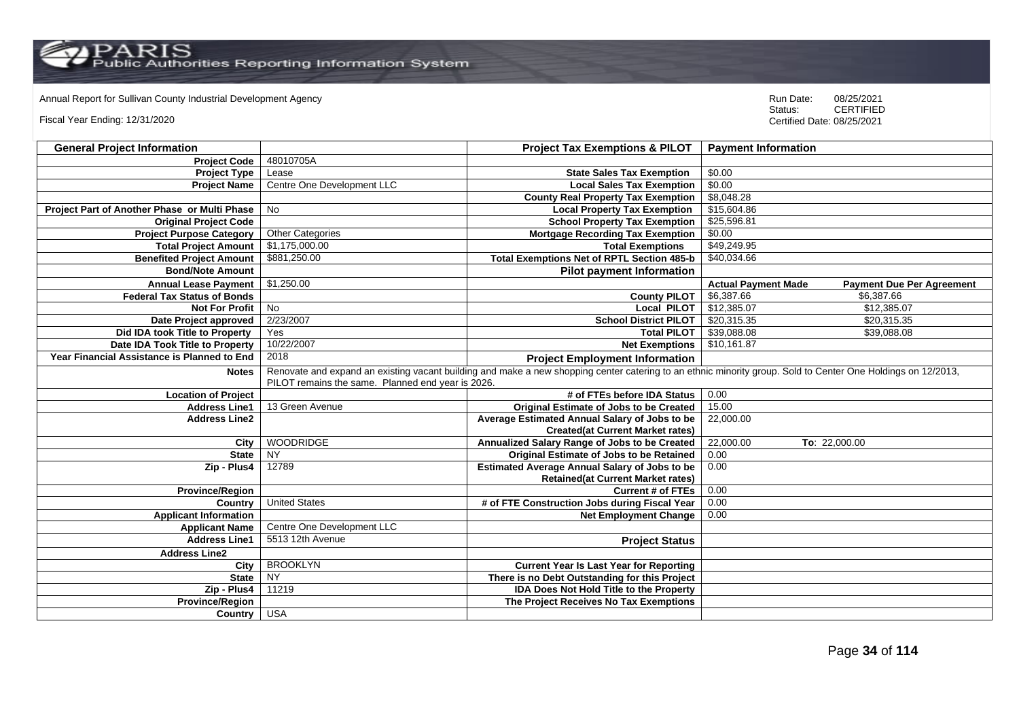# Annual Report for Sullivan County Industrial Development Agency<br>
Status: CERTIFIED

Fiscal Year Ending: 12/31/2020

| <b>General Project Information</b>           |                                                   | <b>Project Tax Exemptions &amp; PILOT</b>            | <b>Payment Information</b>                                                                                                                                   |
|----------------------------------------------|---------------------------------------------------|------------------------------------------------------|--------------------------------------------------------------------------------------------------------------------------------------------------------------|
| <b>Project Code</b>                          | 48010705A                                         |                                                      |                                                                                                                                                              |
| <b>Project Type</b>                          | Lease                                             | <b>State Sales Tax Exemption</b>                     | \$0.00                                                                                                                                                       |
| <b>Project Name</b>                          | Centre One Development LLC                        | <b>Local Sales Tax Exemption</b>                     | \$0.00                                                                                                                                                       |
|                                              |                                                   | <b>County Real Property Tax Exemption</b>            | \$8,048.28                                                                                                                                                   |
| Project Part of Another Phase or Multi Phase | No                                                | <b>Local Property Tax Exemption</b>                  | \$15,604.86                                                                                                                                                  |
| <b>Original Project Code</b>                 |                                                   | <b>School Property Tax Exemption</b>                 | \$25,596.81                                                                                                                                                  |
| <b>Project Purpose Category</b>              | Other Categories                                  | <b>Mortgage Recording Tax Exemption</b>              | \$0.00                                                                                                                                                       |
| <b>Total Project Amount</b>                  | \$1,175,000.00                                    | <b>Total Exemptions</b>                              | \$49,249.95                                                                                                                                                  |
| <b>Benefited Project Amount</b>              | \$881,250.00                                      | <b>Total Exemptions Net of RPTL Section 485-b</b>    | \$40,034.66                                                                                                                                                  |
| <b>Bond/Note Amount</b>                      |                                                   | <b>Pilot payment Information</b>                     |                                                                                                                                                              |
| <b>Annual Lease Payment</b>                  | \$1,250.00                                        |                                                      | <b>Actual Payment Made</b><br><b>Payment Due Per Agreement</b>                                                                                               |
| <b>Federal Tax Status of Bonds</b>           |                                                   | <b>County PILOT</b>                                  | \$6,387.66<br>\$6,387.66                                                                                                                                     |
| <b>Not For Profit</b>                        | <b>No</b>                                         | <b>Local PILOT</b>                                   | \$12,385.07<br>\$12,385.07                                                                                                                                   |
| Date Project approved                        | 2/23/2007                                         | <b>School District PILOT</b>                         | \$20,315.35<br>\$20,315.35                                                                                                                                   |
| Did IDA took Title to Property               | Yes                                               | <b>Total PILOT</b>                                   | \$39,088.08<br>\$39,088.08                                                                                                                                   |
| Date IDA Took Title to Property              | 10/22/2007                                        | <b>Net Exemptions</b>                                | \$10,161.87                                                                                                                                                  |
| Year Financial Assistance is Planned to End  | 2018                                              | <b>Project Employment Information</b>                |                                                                                                                                                              |
| <b>Notes</b>                                 | PILOT remains the same. Planned end year is 2026. |                                                      | Renovate and expand an existing vacant building and make a new shopping center catering to an ethnic minority group. Sold to Center One Holdings on 12/2013, |
| <b>Location of Project</b>                   |                                                   | # of FTEs before IDA Status                          | 0.00                                                                                                                                                         |
| <b>Address Line1</b>                         | 13 Green Avenue                                   | Original Estimate of Jobs to be Created              | 15.00                                                                                                                                                        |
| <b>Address Line2</b>                         |                                                   | Average Estimated Annual Salary of Jobs to be        | 22,000.00                                                                                                                                                    |
|                                              |                                                   | <b>Created(at Current Market rates)</b>              |                                                                                                                                                              |
| City                                         | <b>WOODRIDGE</b>                                  | Annualized Salary Range of Jobs to be Created        | 22,000.00<br>To: 22,000.00                                                                                                                                   |
| <b>State</b>                                 | NY                                                | Original Estimate of Jobs to be Retained             | 0.00                                                                                                                                                         |
| Zip - Plus4                                  | 12789                                             | <b>Estimated Average Annual Salary of Jobs to be</b> | 0.00                                                                                                                                                         |
|                                              |                                                   | <b>Retained(at Current Market rates)</b>             |                                                                                                                                                              |
| <b>Province/Region</b>                       |                                                   | <b>Current # of FTEs</b>                             | 0.00                                                                                                                                                         |
| Country                                      | <b>United States</b>                              | # of FTE Construction Jobs during Fiscal Year        | 0.00                                                                                                                                                         |
| <b>Applicant Information</b>                 |                                                   | <b>Net Employment Change</b>                         | 0.00                                                                                                                                                         |
| <b>Applicant Name</b>                        | Centre One Development LLC                        |                                                      |                                                                                                                                                              |
| <b>Address Line1</b>                         | 5513 12th Avenue                                  | <b>Project Status</b>                                |                                                                                                                                                              |
| <b>Address Line2</b>                         |                                                   |                                                      |                                                                                                                                                              |
| City                                         | <b>BROOKLYN</b>                                   | <b>Current Year Is Last Year for Reporting</b>       |                                                                                                                                                              |
| <b>State</b>                                 | NY                                                | There is no Debt Outstanding for this Project        |                                                                                                                                                              |
| Zip - Plus4                                  | 11219                                             | <b>IDA Does Not Hold Title to the Property</b>       |                                                                                                                                                              |
| <b>Province/Region</b>                       |                                                   | The Project Receives No Tax Exemptions               |                                                                                                                                                              |
| Country USA                                  |                                                   |                                                      |                                                                                                                                                              |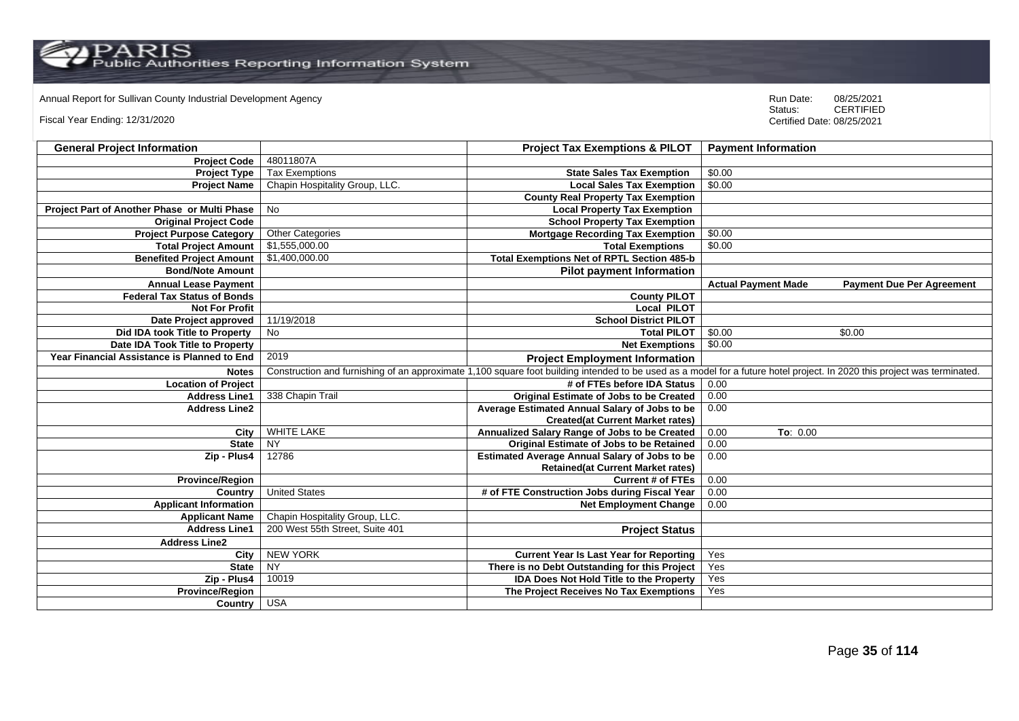$\operatorname{PARIS}_{\text{Public Authors}}$  Reporting Information System

# Annual Report for Sullivan County Industrial Development Agency<br>
Status: CERTIFIED

Fiscal Year Ending: 12/31/2020

| <b>General Project Information</b>           |                                 | <b>Project Tax Exemptions &amp; PILOT</b>            | <b>Payment Information</b>                                                                                                                                               |
|----------------------------------------------|---------------------------------|------------------------------------------------------|--------------------------------------------------------------------------------------------------------------------------------------------------------------------------|
| <b>Project Code</b>                          | 48011807A                       |                                                      |                                                                                                                                                                          |
| <b>Project Type</b>                          | <b>Tax Exemptions</b>           | <b>State Sales Tax Exemption</b>                     | \$0.00                                                                                                                                                                   |
| <b>Project Name</b>                          | Chapin Hospitality Group, LLC.  | <b>Local Sales Tax Exemption</b>                     | \$0.00                                                                                                                                                                   |
|                                              |                                 | <b>County Real Property Tax Exemption</b>            |                                                                                                                                                                          |
| Project Part of Another Phase or Multi Phase | <b>No</b>                       | <b>Local Property Tax Exemption</b>                  |                                                                                                                                                                          |
| <b>Original Project Code</b>                 |                                 | <b>School Property Tax Exemption</b>                 |                                                                                                                                                                          |
| <b>Project Purpose Category</b>              | <b>Other Categories</b>         | <b>Mortgage Recording Tax Exemption</b>              | \$0.00                                                                                                                                                                   |
| <b>Total Project Amount</b>                  | \$1,555,000.00                  | <b>Total Exemptions</b>                              | \$0.00                                                                                                                                                                   |
| <b>Benefited Project Amount</b>              | \$1,400,000.00                  | <b>Total Exemptions Net of RPTL Section 485-b</b>    |                                                                                                                                                                          |
| <b>Bond/Note Amount</b>                      |                                 | <b>Pilot payment Information</b>                     |                                                                                                                                                                          |
| <b>Annual Lease Payment</b>                  |                                 |                                                      | <b>Actual Payment Made</b><br><b>Payment Due Per Agreement</b>                                                                                                           |
| <b>Federal Tax Status of Bonds</b>           |                                 | <b>County PILOT</b>                                  |                                                                                                                                                                          |
| <b>Not For Profit</b>                        |                                 | <b>Local PILOT</b>                                   |                                                                                                                                                                          |
| Date Project approved                        | 11/19/2018                      | <b>School District PILOT</b>                         |                                                                                                                                                                          |
| Did IDA took Title to Property               | No                              | <b>Total PILOT</b>                                   | \$0.00<br>\$0.00                                                                                                                                                         |
| Date IDA Took Title to Property              |                                 | <b>Net Exemptions</b>                                | \$0.00                                                                                                                                                                   |
| Year Financial Assistance is Planned to End  | 2019                            | <b>Project Employment Information</b>                |                                                                                                                                                                          |
| <b>Notes</b>                                 |                                 |                                                      | Construction and furnishing of an approximate 1,100 square foot building intended to be used as a model for a future hotel project. In 2020 this project was terminated. |
| <b>Location of Project</b>                   |                                 | # of FTEs before IDA Status                          | 0.00                                                                                                                                                                     |
| <b>Address Line1</b>                         | 338 Chapin Trail                | Original Estimate of Jobs to be Created              | 0.00                                                                                                                                                                     |
| <b>Address Line2</b>                         |                                 | Average Estimated Annual Salary of Jobs to be        | 0.00                                                                                                                                                                     |
|                                              |                                 | <b>Created(at Current Market rates)</b>              |                                                                                                                                                                          |
| City                                         | <b>WHITE LAKE</b>               | Annualized Salary Range of Jobs to be Created        | 0.00<br>To: 0.00                                                                                                                                                         |
| <b>State</b>                                 | <b>NY</b>                       | Original Estimate of Jobs to be Retained             | 0.00                                                                                                                                                                     |
| Zip - Plus4                                  | 12786                           | <b>Estimated Average Annual Salary of Jobs to be</b> | 0.00                                                                                                                                                                     |
|                                              |                                 | <b>Retained(at Current Market rates)</b>             |                                                                                                                                                                          |
| <b>Province/Region</b>                       |                                 | <b>Current # of FTEs</b>                             | 0.00                                                                                                                                                                     |
| Country                                      | <b>United States</b>            | # of FTE Construction Jobs during Fiscal Year        | 0.00                                                                                                                                                                     |
| <b>Applicant Information</b>                 |                                 | <b>Net Employment Change</b>                         | 0.00                                                                                                                                                                     |
| <b>Applicant Name</b>                        | Chapin Hospitality Group, LLC.  |                                                      |                                                                                                                                                                          |
| <b>Address Line1</b>                         | 200 West 55th Street, Suite 401 | <b>Project Status</b>                                |                                                                                                                                                                          |
| <b>Address Line2</b>                         |                                 |                                                      |                                                                                                                                                                          |
| City                                         | <b>NEW YORK</b>                 | <b>Current Year Is Last Year for Reporting</b>       | Yes                                                                                                                                                                      |
| <b>State</b>                                 | $\overline{NY}$                 | There is no Debt Outstanding for this Project        | Yes                                                                                                                                                                      |
| Zip - Plus4                                  | 10019                           | <b>IDA Does Not Hold Title to the Property</b>       | Yes                                                                                                                                                                      |
| Province/Region                              |                                 | The Project Receives No Tax Exemptions               | Yes                                                                                                                                                                      |
| Country                                      | <b>USA</b>                      |                                                      |                                                                                                                                                                          |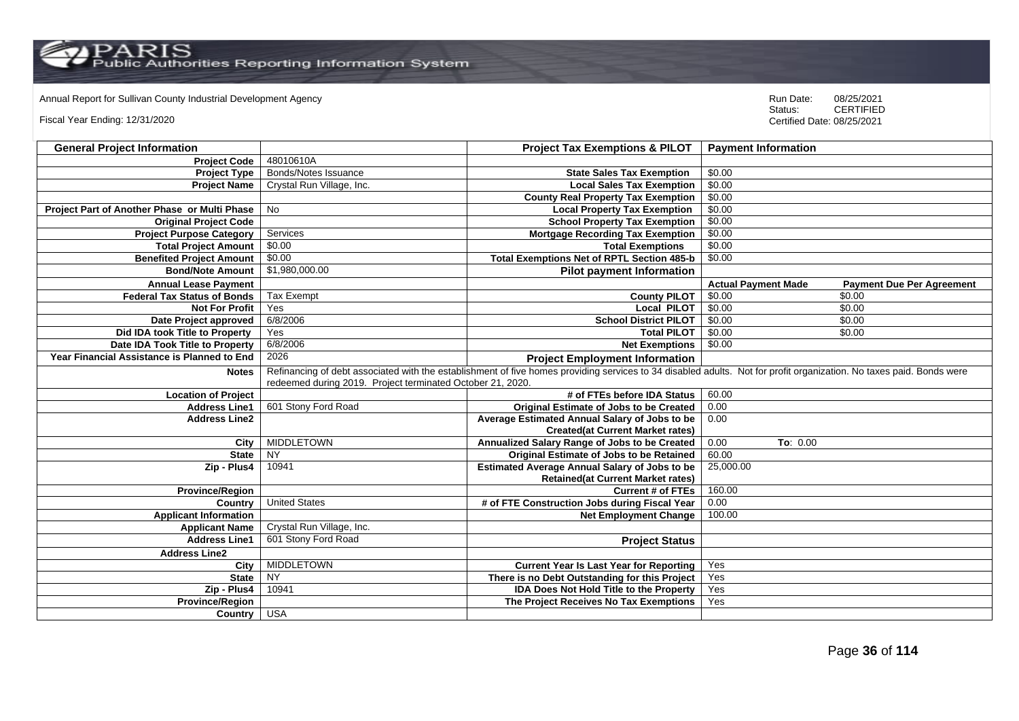# Annual Report for Sullivan County Industrial Development Agency<br>
Status: CERTIFIED

Fiscal Year Ending: 12/31/2020

| <b>General Project Information</b>           |                                                            | <b>Project Tax Exemptions &amp; PILOT</b>                                                                                                                            | <b>Payment Information</b> |                                  |
|----------------------------------------------|------------------------------------------------------------|----------------------------------------------------------------------------------------------------------------------------------------------------------------------|----------------------------|----------------------------------|
| <b>Project Code</b>                          | 48010610A                                                  |                                                                                                                                                                      |                            |                                  |
| <b>Project Type</b>                          | Bonds/Notes Issuance                                       | <b>State Sales Tax Exemption</b>                                                                                                                                     | \$0.00                     |                                  |
| <b>Project Name</b>                          | Crystal Run Village, Inc.                                  | <b>Local Sales Tax Exemption</b>                                                                                                                                     | \$0.00                     |                                  |
|                                              |                                                            | <b>County Real Property Tax Exemption</b>                                                                                                                            | \$0.00                     |                                  |
| Project Part of Another Phase or Multi Phase | <b>No</b>                                                  | <b>Local Property Tax Exemption</b>                                                                                                                                  | \$0.00                     |                                  |
| <b>Original Project Code</b>                 |                                                            | <b>School Property Tax Exemption</b>                                                                                                                                 | \$0.00                     |                                  |
| <b>Project Purpose Category</b>              | Services                                                   | <b>Mortgage Recording Tax Exemption</b>                                                                                                                              | \$0.00                     |                                  |
| <b>Total Project Amount</b>                  | \$0.00                                                     | <b>Total Exemptions</b>                                                                                                                                              | \$0.00                     |                                  |
| <b>Benefited Project Amount</b>              | \$0.00                                                     | <b>Total Exemptions Net of RPTL Section 485-b</b>                                                                                                                    | \$0.00                     |                                  |
| <b>Bond/Note Amount</b>                      | \$1.980.000.00                                             | <b>Pilot payment Information</b>                                                                                                                                     |                            |                                  |
| <b>Annual Lease Payment</b>                  |                                                            |                                                                                                                                                                      | <b>Actual Payment Made</b> | <b>Payment Due Per Agreement</b> |
| <b>Federal Tax Status of Bonds</b>           | <b>Tax Exempt</b>                                          | <b>County PILOT</b>                                                                                                                                                  | \$0.00                     | \$0.00                           |
| <b>Not For Profit</b>                        | Yes                                                        | <b>Local PILOT</b>                                                                                                                                                   | \$0.00                     | \$0.00                           |
| Date Project approved                        | 6/8/2006                                                   | <b>School District PILOT</b>                                                                                                                                         | \$0.00                     | \$0.00                           |
| Did IDA took Title to Property               | Yes                                                        | <b>Total PILOT</b>                                                                                                                                                   | \$0.00                     | \$0.00                           |
| Date IDA Took Title to Property              | 6/8/2006                                                   | <b>Net Exemptions</b>                                                                                                                                                | \$0.00                     |                                  |
| Year Financial Assistance is Planned to End  | 2026                                                       | <b>Project Employment Information</b>                                                                                                                                |                            |                                  |
| <b>Notes</b>                                 | redeemed during 2019. Project terminated October 21, 2020. | Refinancing of debt associated with the establishment of five homes providing services to 34 disabled adults. Not for profit organization. No taxes paid. Bonds were |                            |                                  |
| <b>Location of Project</b>                   |                                                            | # of FTEs before IDA Status                                                                                                                                          | 60.00                      |                                  |
| <b>Address Line1</b>                         | 601 Stony Ford Road                                        | <b>Original Estimate of Jobs to be Created</b>                                                                                                                       | 0.00                       |                                  |
| <b>Address Line2</b>                         |                                                            | Average Estimated Annual Salary of Jobs to be                                                                                                                        | 0.00                       |                                  |
|                                              |                                                            | <b>Created(at Current Market rates)</b>                                                                                                                              |                            |                                  |
| City                                         | <b>MIDDLETOWN</b>                                          | Annualized Salary Range of Jobs to be Created                                                                                                                        | 0.00<br>To: 0.00           |                                  |
| <b>State</b>                                 | <b>NY</b>                                                  | <b>Original Estimate of Jobs to be Retained</b>                                                                                                                      | 60.00                      |                                  |
| Zip - Plus4                                  | 10941                                                      | <b>Estimated Average Annual Salary of Jobs to be</b>                                                                                                                 | 25,000.00                  |                                  |
|                                              |                                                            | <b>Retained(at Current Market rates)</b>                                                                                                                             |                            |                                  |
| <b>Province/Region</b>                       |                                                            | <b>Current # of FTEs</b>                                                                                                                                             | 160.00                     |                                  |
| Country                                      | <b>United States</b>                                       | # of FTE Construction Jobs during Fiscal Year                                                                                                                        | 0.00                       |                                  |
| <b>Applicant Information</b>                 |                                                            | <b>Net Employment Change</b>                                                                                                                                         | 100.00                     |                                  |
| <b>Applicant Name</b>                        | Crystal Run Village, Inc.                                  |                                                                                                                                                                      |                            |                                  |
| <b>Address Line1</b>                         | 601 Stony Ford Road                                        | <b>Project Status</b>                                                                                                                                                |                            |                                  |
| <b>Address Line2</b>                         |                                                            |                                                                                                                                                                      |                            |                                  |
| City                                         | <b>MIDDLETOWN</b>                                          | <b>Current Year Is Last Year for Reporting</b>                                                                                                                       | Yes                        |                                  |
| <b>State</b>                                 | NY                                                         | There is no Debt Outstanding for this Project                                                                                                                        | Yes                        |                                  |
| Zip - Plus4                                  | 10941                                                      | <b>IDA Does Not Hold Title to the Property</b>                                                                                                                       | Yes                        |                                  |
| <b>Province/Region</b>                       |                                                            | The Project Receives No Tax Exemptions                                                                                                                               | Yes                        |                                  |
| Country USA                                  |                                                            |                                                                                                                                                                      |                            |                                  |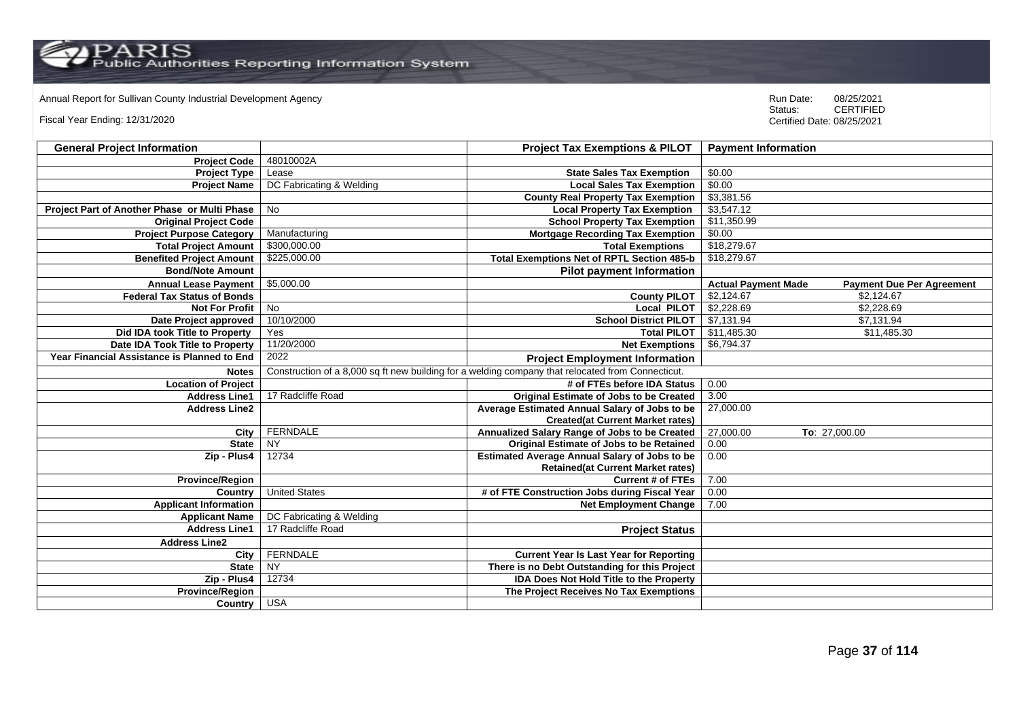# Annual Report for Sullivan County Industrial Development Agency<br>
Status: CERTIFIED

Fiscal Year Ending: 12/31/2020

| <b>General Project Information</b>           |                          | <b>Project Tax Exemptions &amp; PILOT</b>                                                         | <b>Payment Information</b>                                     |
|----------------------------------------------|--------------------------|---------------------------------------------------------------------------------------------------|----------------------------------------------------------------|
| <b>Project Code</b>                          | 48010002A                |                                                                                                   |                                                                |
| <b>Project Type</b>                          | Lease                    | <b>State Sales Tax Exemption</b>                                                                  | \$0.00                                                         |
| <b>Project Name</b>                          | DC Fabricating & Welding | <b>Local Sales Tax Exemption</b>                                                                  | \$0.00                                                         |
|                                              |                          | <b>County Real Property Tax Exemption</b>                                                         | \$3,381.56                                                     |
| Project Part of Another Phase or Multi Phase | No                       | <b>Local Property Tax Exemption</b>                                                               | \$3,547.12                                                     |
| <b>Original Project Code</b>                 |                          | <b>School Property Tax Exemption</b>                                                              | \$11,350.99                                                    |
| <b>Project Purpose Category</b>              | Manufacturing            | <b>Mortgage Recording Tax Exemption</b>                                                           | \$0.00                                                         |
| <b>Total Project Amount</b>                  | \$300,000.00             | <b>Total Exemptions</b>                                                                           | \$18,279.67                                                    |
| <b>Benefited Project Amount</b>              | \$225,000.00             | Total Exemptions Net of RPTL Section 485-b                                                        | \$18,279.67                                                    |
| <b>Bond/Note Amount</b>                      |                          | <b>Pilot payment Information</b>                                                                  |                                                                |
| <b>Annual Lease Payment</b>                  | \$5,000.00               |                                                                                                   | <b>Actual Payment Made</b><br><b>Payment Due Per Agreement</b> |
| <b>Federal Tax Status of Bonds</b>           |                          | <b>County PILOT</b>                                                                               | \$2,124.67<br>\$2,124.67                                       |
| <b>Not For Profit</b>                        | No                       | <b>Local PILOT</b>                                                                                | \$2,228.69<br>\$2,228.69                                       |
| Date Project approved                        | 10/10/2000               | <b>School District PILOT</b>                                                                      | \$7,131.94<br>\$7,131.94                                       |
| Did IDA took Title to Property               | Yes                      | <b>Total PILOT</b>                                                                                | \$11,485.30<br>\$11,485.30                                     |
| Date IDA Took Title to Property              | 11/20/2000               | <b>Net Exemptions</b>                                                                             | \$6,794.37                                                     |
| Year Financial Assistance is Planned to End  | 2022                     | <b>Project Employment Information</b>                                                             |                                                                |
| <b>Notes</b>                                 |                          | Construction of a 8,000 sq ft new building for a welding company that relocated from Connecticut. |                                                                |
| <b>Location of Project</b>                   |                          | # of FTEs before IDA Status                                                                       | 0.00                                                           |
| <b>Address Line1</b>                         | 17 Radcliffe Road        | Original Estimate of Jobs to be Created                                                           | 3.00                                                           |
| <b>Address Line2</b>                         |                          | Average Estimated Annual Salary of Jobs to be                                                     | 27,000.00                                                      |
|                                              |                          | <b>Created(at Current Market rates)</b>                                                           |                                                                |
| City                                         | <b>FERNDALE</b>          | Annualized Salary Range of Jobs to be Created                                                     | 27,000.00<br>To: 27,000.00                                     |
| <b>State</b>                                 | <b>NY</b>                | Original Estimate of Jobs to be Retained                                                          | 0.00                                                           |
| Zip - Plus4                                  | 12734                    | <b>Estimated Average Annual Salary of Jobs to be</b>                                              | 0.00                                                           |
|                                              |                          | <b>Retained(at Current Market rates)</b>                                                          |                                                                |
| <b>Province/Region</b>                       |                          | <b>Current # of FTEs</b>                                                                          | 7.00                                                           |
| Country                                      | <b>United States</b>     | # of FTE Construction Jobs during Fiscal Year                                                     | 0.00                                                           |
| <b>Applicant Information</b>                 |                          | <b>Net Employment Change</b>                                                                      | 7.00                                                           |
| <b>Applicant Name</b>                        | DC Fabricating & Welding |                                                                                                   |                                                                |
| <b>Address Line1</b>                         | 17 Radcliffe Road        | <b>Project Status</b>                                                                             |                                                                |
| <b>Address Line2</b>                         |                          |                                                                                                   |                                                                |
| City                                         | FERNDALE                 | <b>Current Year Is Last Year for Reporting</b>                                                    |                                                                |
| <b>State</b>                                 | $\overline{NY}$          | There is no Debt Outstanding for this Project                                                     |                                                                |
| Zip - Plus4                                  | 12734                    | <b>IDA Does Not Hold Title to the Property</b>                                                    |                                                                |
| Province/Region                              |                          | The Project Receives No Tax Exemptions                                                            |                                                                |
| Country                                      | <b>USA</b>               |                                                                                                   |                                                                |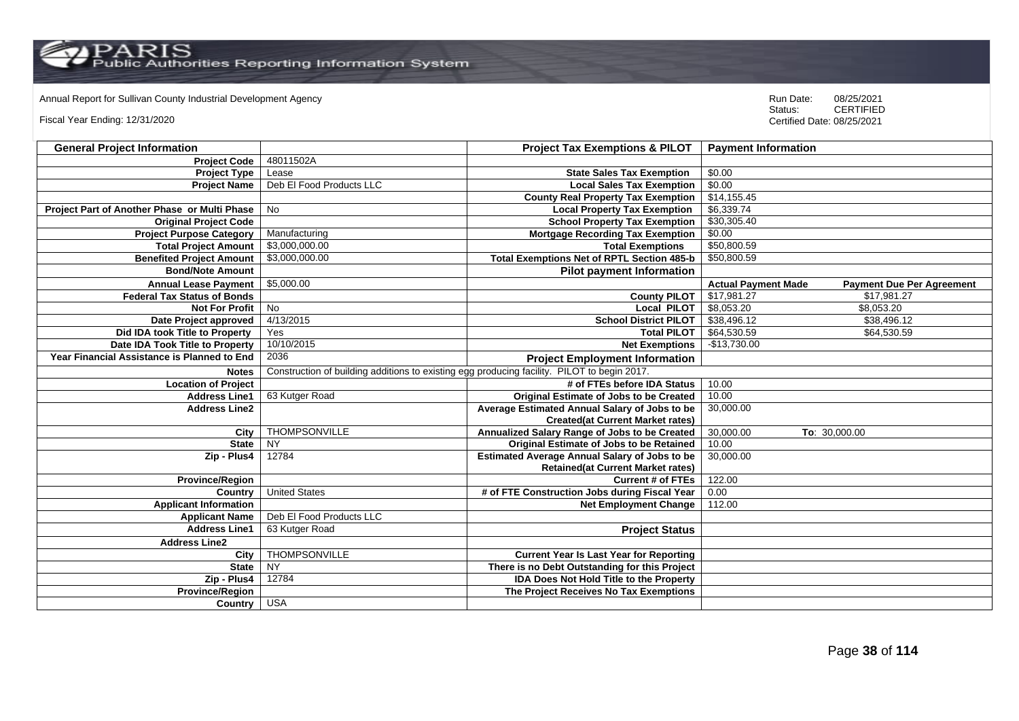$\mathrm{PARS} \ \mathrm{Fuss}$ 

# Annual Report for Sullivan County Industrial Development Agency<br>
Status: CERTIFIED

Fiscal Year Ending: 12/31/2020

| <b>General Project Information</b>           |                                                                                             | <b>Project Tax Exemptions &amp; PILOT</b>            | <b>Payment Information</b>                                     |
|----------------------------------------------|---------------------------------------------------------------------------------------------|------------------------------------------------------|----------------------------------------------------------------|
| <b>Project Code</b>                          | 48011502A                                                                                   |                                                      |                                                                |
| <b>Project Type</b>                          | Lease                                                                                       | <b>State Sales Tax Exemption</b>                     | \$0.00                                                         |
| <b>Project Name</b>                          | Deb El Food Products LLC                                                                    | <b>Local Sales Tax Exemption</b>                     | \$0.00                                                         |
|                                              |                                                                                             | <b>County Real Property Tax Exemption</b>            | \$14,155.45                                                    |
| Project Part of Another Phase or Multi Phase | No                                                                                          | <b>Local Property Tax Exemption</b>                  | \$6,339.74                                                     |
| <b>Original Project Code</b>                 |                                                                                             | <b>School Property Tax Exemption</b>                 | \$30,305.40                                                    |
| <b>Project Purpose Category</b>              | Manufacturing                                                                               | <b>Mortgage Recording Tax Exemption</b>              | \$0.00                                                         |
| <b>Total Project Amount</b>                  | \$3,000,000.00                                                                              | <b>Total Exemptions</b>                              | \$50,800.59                                                    |
| <b>Benefited Project Amount</b>              | \$3,000,000.00                                                                              | <b>Total Exemptions Net of RPTL Section 485-b</b>    | \$50,800.59                                                    |
| <b>Bond/Note Amount</b>                      |                                                                                             | <b>Pilot payment Information</b>                     |                                                                |
| <b>Annual Lease Payment</b>                  | \$5,000.00                                                                                  |                                                      | <b>Actual Payment Made</b><br><b>Payment Due Per Agreement</b> |
| <b>Federal Tax Status of Bonds</b>           |                                                                                             | <b>County PILOT</b>                                  | \$17,981.27<br>\$17,981.27                                     |
| <b>Not For Profit</b>                        | $\overline{N}$                                                                              | <b>Local PILOT</b>                                   | \$8,053.20<br>\$8,053.20                                       |
| Date Project approved                        | 4/13/2015                                                                                   | <b>School District PILOT</b>                         | \$38,496.12<br>\$38,496.12                                     |
| Did IDA took Title to Property               | Yes                                                                                         | <b>Total PILOT</b>                                   | \$64,530.59<br>\$64,530.59                                     |
| Date IDA Took Title to Property              | 10/10/2015                                                                                  | <b>Net Exemptions</b>                                | $-$13,730.00$                                                  |
| Year Financial Assistance is Planned to End  | 2036                                                                                        | <b>Project Employment Information</b>                |                                                                |
| <b>Notes</b>                                 | Construction of building additions to existing egg producing facility. PILOT to begin 2017. |                                                      |                                                                |
| <b>Location of Project</b>                   |                                                                                             | # of FTEs before IDA Status                          | 10.00                                                          |
| <b>Address Line1</b>                         | 63 Kutger Road                                                                              | Original Estimate of Jobs to be Created              | 10.00                                                          |
| <b>Address Line2</b>                         |                                                                                             | Average Estimated Annual Salary of Jobs to be        | 30,000.00                                                      |
|                                              |                                                                                             | <b>Created(at Current Market rates)</b>              |                                                                |
| City                                         | <b>THOMPSONVILLE</b>                                                                        | Annualized Salary Range of Jobs to be Created        | 30,000.00<br>To: 30,000.00                                     |
| <b>State</b>                                 | <b>NY</b>                                                                                   | <b>Original Estimate of Jobs to be Retained</b>      | 10.00                                                          |
| Zip - Plus4                                  | 12784                                                                                       | <b>Estimated Average Annual Salary of Jobs to be</b> | 30,000.00                                                      |
|                                              |                                                                                             | <b>Retained(at Current Market rates)</b>             |                                                                |
| <b>Province/Region</b>                       |                                                                                             | <b>Current # of FTEs</b>                             | 122.00                                                         |
| Country                                      | <b>United States</b>                                                                        | # of FTE Construction Jobs during Fiscal Year        | 0.00                                                           |
| <b>Applicant Information</b>                 |                                                                                             | <b>Net Employment Change</b>                         | 112.00                                                         |
| <b>Applicant Name</b>                        | Deb El Food Products LLC                                                                    |                                                      |                                                                |
| <b>Address Line1</b>                         | 63 Kutger Road                                                                              | <b>Project Status</b>                                |                                                                |
| <b>Address Line2</b>                         |                                                                                             |                                                      |                                                                |
| City                                         | THOMPSONVILLE                                                                               | <b>Current Year Is Last Year for Reporting</b>       |                                                                |
| <b>State</b>                                 | NY                                                                                          | There is no Debt Outstanding for this Project        |                                                                |
| Zip - Plus4                                  | 12784                                                                                       | <b>IDA Does Not Hold Title to the Property</b>       |                                                                |
| <b>Province/Region</b>                       |                                                                                             | The Project Receives No Tax Exemptions               |                                                                |
| Country                                      | <b>USA</b>                                                                                  |                                                      |                                                                |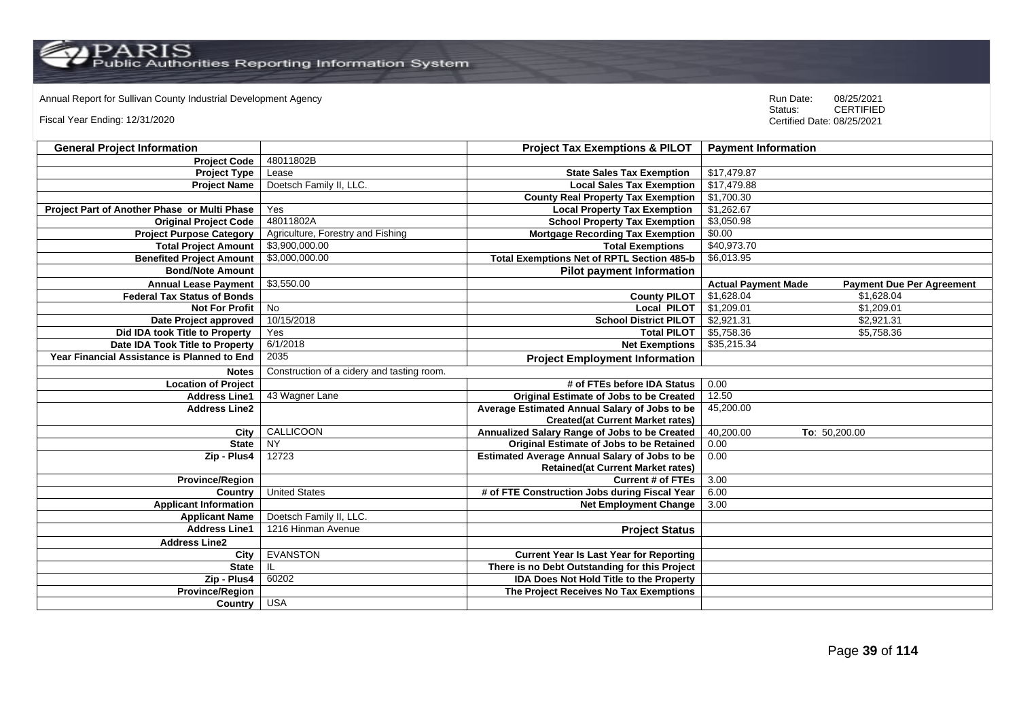$\operatorname{PARIS}_{\text{Public Authors}}$  Reporting Information System

# Annual Report for Sullivan County Industrial Development Agency<br>
Status: CERTIFIED

Fiscal Year Ending: 12/31/2020

| <b>General Project Information</b>           |                                            | <b>Project Tax Exemptions &amp; PILOT</b>            | <b>Payment Information</b>                                     |
|----------------------------------------------|--------------------------------------------|------------------------------------------------------|----------------------------------------------------------------|
| <b>Project Code</b>                          | 48011802B                                  |                                                      |                                                                |
| <b>Project Type</b>                          | Lease                                      | <b>State Sales Tax Exemption</b>                     | \$17,479.87                                                    |
| <b>Project Name</b>                          | Doetsch Family II, LLC.                    | <b>Local Sales Tax Exemption</b>                     | \$17,479.88                                                    |
|                                              |                                            | <b>County Real Property Tax Exemption</b>            | \$1,700.30                                                     |
| Project Part of Another Phase or Multi Phase | Yes                                        | <b>Local Property Tax Exemption</b>                  | \$1,262.67                                                     |
| <b>Original Project Code</b>                 | 48011802A                                  | <b>School Property Tax Exemption</b>                 | \$3,050.98                                                     |
| <b>Project Purpose Category</b>              | Agriculture, Forestry and Fishing          | <b>Mortgage Recording Tax Exemption</b>              | \$0.00                                                         |
| <b>Total Project Amount</b>                  | \$3,900,000.00                             | <b>Total Exemptions</b>                              | \$40,973.70                                                    |
| <b>Benefited Project Amount</b>              | \$3,000,000.00                             | <b>Total Exemptions Net of RPTL Section 485-b</b>    | \$6,013.95                                                     |
| <b>Bond/Note Amount</b>                      |                                            | <b>Pilot payment Information</b>                     |                                                                |
| <b>Annual Lease Payment</b>                  | \$3,550.00                                 |                                                      | <b>Actual Payment Made</b><br><b>Payment Due Per Agreement</b> |
| <b>Federal Tax Status of Bonds</b>           |                                            | <b>County PILOT</b>                                  | \$1,628.04<br>\$1,628.04                                       |
| <b>Not For Profit</b>                        | No                                         | <b>Local PILOT</b>                                   | \$1,209.01<br>\$1,209.01                                       |
| Date Project approved                        | 10/15/2018                                 | <b>School District PILOT</b>                         | \$2,921.31<br>\$2,921.31                                       |
| Did IDA took Title to Property               | Yes                                        | <b>Total PILOT</b>                                   | \$5,758.36<br>\$5,758.36                                       |
| Date IDA Took Title to Property              | 6/1/2018                                   | <b>Net Exemptions</b>                                | \$35,215.34                                                    |
| Year Financial Assistance is Planned to End  | 2035                                       | <b>Project Employment Information</b>                |                                                                |
| <b>Notes</b>                                 | Construction of a cidery and tasting room. |                                                      |                                                                |
| <b>Location of Project</b>                   |                                            | # of FTEs before IDA Status                          | 0.00                                                           |
| <b>Address Line1</b>                         | 43 Wagner Lane                             | <b>Original Estimate of Jobs to be Created</b>       | 12.50                                                          |
| <b>Address Line2</b>                         |                                            | Average Estimated Annual Salary of Jobs to be        | 45,200.00                                                      |
|                                              |                                            | <b>Created(at Current Market rates)</b>              |                                                                |
| City                                         | CALLICOON                                  | Annualized Salary Range of Jobs to be Created        | 40,200.00<br>To: 50,200.00                                     |
| <b>State</b>                                 | <b>NY</b>                                  | Original Estimate of Jobs to be Retained             | 0.00                                                           |
| Zip - Plus4                                  | 12723                                      | <b>Estimated Average Annual Salary of Jobs to be</b> | 0.00                                                           |
|                                              |                                            | <b>Retained(at Current Market rates)</b>             |                                                                |
| <b>Province/Region</b>                       |                                            | <b>Current # of FTEs</b>                             | 3.00                                                           |
| Country                                      | <b>United States</b>                       | # of FTE Construction Jobs during Fiscal Year        | 6.00                                                           |
| <b>Applicant Information</b>                 |                                            | <b>Net Employment Change</b>                         | 3.00                                                           |
| <b>Applicant Name</b>                        | Doetsch Family II, LLC.                    |                                                      |                                                                |
| <b>Address Line1</b>                         | 1216 Hinman Avenue                         | <b>Project Status</b>                                |                                                                |
| <b>Address Line2</b>                         |                                            |                                                      |                                                                |
| City                                         | <b>EVANSTON</b>                            | <b>Current Year Is Last Year for Reporting</b>       |                                                                |
| <b>State</b>                                 | IL                                         | There is no Debt Outstanding for this Project        |                                                                |
| Zip - Plus4                                  | 60202                                      | <b>IDA Does Not Hold Title to the Property</b>       |                                                                |
| <b>Province/Region</b>                       |                                            | The Project Receives No Tax Exemptions               |                                                                |
| Country                                      | <b>USA</b>                                 |                                                      |                                                                |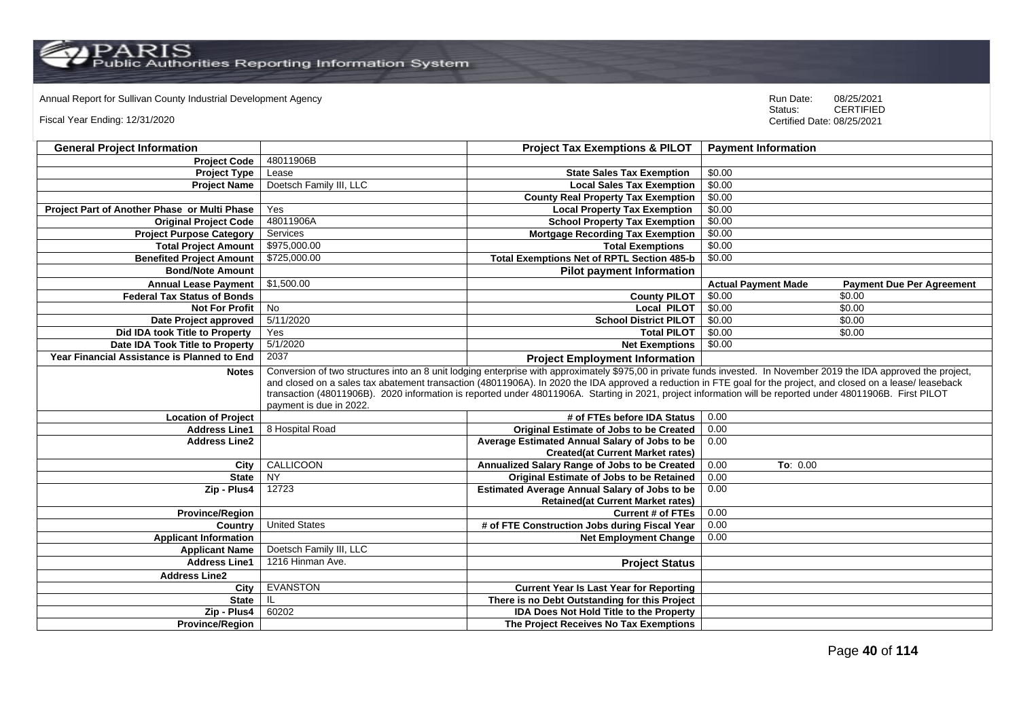# Annual Report for Sullivan County Industrial Development Agency<br>
Status: CERTIFIED

Fiscal Year Ending: 12/31/2020

| <b>General Project Information</b>           |                         | <b>Project Tax Exemptions &amp; PILOT</b>            | <b>Payment Information</b>                                                                                                                                           |
|----------------------------------------------|-------------------------|------------------------------------------------------|----------------------------------------------------------------------------------------------------------------------------------------------------------------------|
| <b>Project Code</b>                          | 48011906B               |                                                      |                                                                                                                                                                      |
| <b>Project Type</b>                          | Lease                   | <b>State Sales Tax Exemption</b>                     | \$0.00                                                                                                                                                               |
| <b>Project Name</b>                          | Doetsch Family III, LLC | <b>Local Sales Tax Exemption</b>                     | \$0.00                                                                                                                                                               |
|                                              |                         | <b>County Real Property Tax Exemption</b>            | \$0.00                                                                                                                                                               |
| Project Part of Another Phase or Multi Phase | Yes                     | <b>Local Property Tax Exemption</b>                  | \$0.00                                                                                                                                                               |
| <b>Original Project Code</b>                 | 48011906A               | <b>School Property Tax Exemption</b>                 | \$0.00                                                                                                                                                               |
| <b>Project Purpose Category</b>              | Services                | <b>Mortgage Recording Tax Exemption</b>              | \$0.00                                                                                                                                                               |
| <b>Total Project Amount</b>                  | \$975,000.00            | <b>Total Exemptions</b>                              | \$0.00                                                                                                                                                               |
| <b>Benefited Project Amount</b>              | \$725,000.00            | <b>Total Exemptions Net of RPTL Section 485-b</b>    | \$0.00                                                                                                                                                               |
| <b>Bond/Note Amount</b>                      |                         | <b>Pilot payment Information</b>                     |                                                                                                                                                                      |
| <b>Annual Lease Payment</b>                  | \$1,500.00              |                                                      | <b>Actual Payment Made</b><br><b>Payment Due Per Agreement</b>                                                                                                       |
| <b>Federal Tax Status of Bonds</b>           |                         | <b>County PILOT</b>                                  | \$0.00<br>\$0.00                                                                                                                                                     |
| <b>Not For Profit</b>                        | No                      | <b>Local PILOT</b>                                   | \$0.00<br>\$0.00                                                                                                                                                     |
| Date Project approved                        | 5/11/2020               | <b>School District PILOT</b>                         | \$0.00<br>\$0.00                                                                                                                                                     |
| Did IDA took Title to Property               | Yes                     | <b>Total PILOT</b>                                   | \$0.00<br>\$0.00                                                                                                                                                     |
| Date IDA Took Title to Property              | 5/1/2020                | <b>Net Exemptions</b>                                | \$0.00                                                                                                                                                               |
| Year Financial Assistance is Planned to End  | 2037                    | <b>Project Employment Information</b>                |                                                                                                                                                                      |
| <b>Notes</b>                                 |                         |                                                      | Conversion of two structures into an 8 unit lodging enterprise with approximately \$975,00 in private funds invested. In November 2019 the IDA approved the project, |
|                                              |                         |                                                      | and closed on a sales tax abatement transaction (48011906A). In 2020 the IDA approved a reduction in FTE goal for the project, and closed on a lease/ leaseback      |
|                                              |                         |                                                      | transaction (48011906B). 2020 information is reported under 48011906A. Starting in 2021, project information will be reported under 48011906B. First PILOT           |
|                                              | payment is due in 2022. |                                                      |                                                                                                                                                                      |
| <b>Location of Project</b>                   |                         | # of FTEs before IDA Status                          | 0.00                                                                                                                                                                 |
| <b>Address Line1</b>                         | 8 Hospital Road         | <b>Original Estimate of Jobs to be Created</b>       | 0.00                                                                                                                                                                 |
| <b>Address Line2</b>                         |                         | Average Estimated Annual Salary of Jobs to be        | 0.00                                                                                                                                                                 |
|                                              |                         | <b>Created(at Current Market rates)</b>              |                                                                                                                                                                      |
| City                                         | CALLICOON               | Annualized Salary Range of Jobs to be Created        | 0.00<br>To: 0.00                                                                                                                                                     |
| <b>State</b>                                 | <b>NY</b>               | Original Estimate of Jobs to be Retained             | 0.00                                                                                                                                                                 |
| Zip - Plus4                                  | 12723                   | <b>Estimated Average Annual Salary of Jobs to be</b> | 0.00                                                                                                                                                                 |
|                                              |                         | <b>Retained(at Current Market rates)</b>             |                                                                                                                                                                      |
| <b>Province/Region</b>                       |                         | <b>Current # of FTEs</b>                             | 0.00                                                                                                                                                                 |
| Country                                      | <b>United States</b>    | # of FTE Construction Jobs during Fiscal Year        | 0.00                                                                                                                                                                 |
| <b>Applicant Information</b>                 |                         | <b>Net Employment Change</b>                         | 0.00                                                                                                                                                                 |
| <b>Applicant Name</b>                        | Doetsch Family III, LLC |                                                      |                                                                                                                                                                      |
| <b>Address Line1</b>                         | 1216 Hinman Ave.        | <b>Project Status</b>                                |                                                                                                                                                                      |
| <b>Address Line2</b>                         |                         |                                                      |                                                                                                                                                                      |
| City                                         | <b>EVANSTON</b>         | <b>Current Year Is Last Year for Reporting</b>       |                                                                                                                                                                      |
| <b>State</b>                                 | IL.                     | There is no Debt Outstanding for this Project        |                                                                                                                                                                      |
| Zip - Plus4                                  | 60202                   | <b>IDA Does Not Hold Title to the Property</b>       |                                                                                                                                                                      |
| <b>Province/Region</b>                       |                         | The Project Receives No Tax Exemptions               |                                                                                                                                                                      |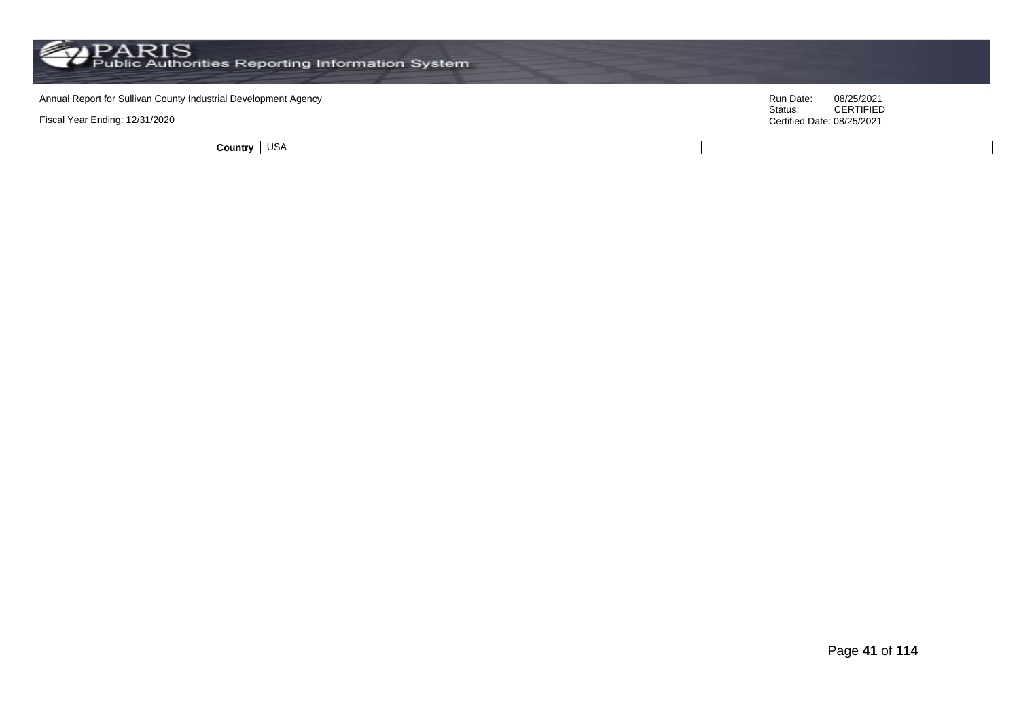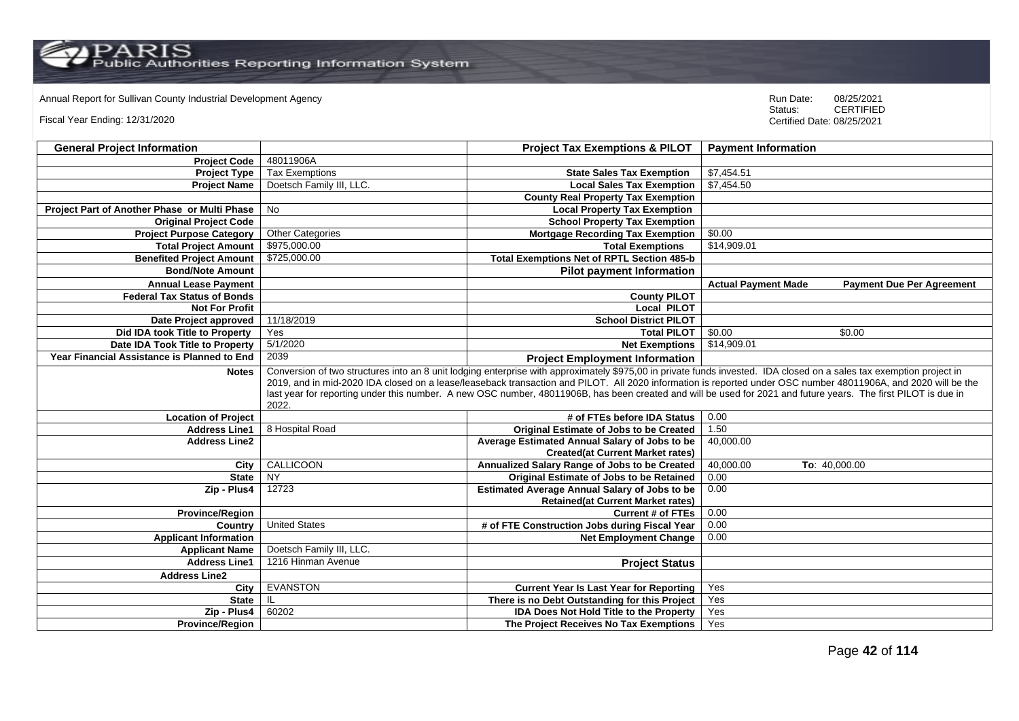# Annual Report for Sullivan County Industrial Development Agency<br>
Status: CERTIFIED

Fiscal Year Ending: 12/31/2020

| <b>General Project Information</b>                 |                          | <b>Project Tax Exemptions &amp; PILOT</b>            | <b>Payment Information</b>                                                                                                                                           |
|----------------------------------------------------|--------------------------|------------------------------------------------------|----------------------------------------------------------------------------------------------------------------------------------------------------------------------|
| <b>Project Code</b>                                | 48011906A                |                                                      |                                                                                                                                                                      |
| <b>Project Type</b>                                | <b>Tax Exemptions</b>    | <b>State Sales Tax Exemption</b>                     | \$7,454.51                                                                                                                                                           |
| <b>Project Name</b>                                | Doetsch Family III, LLC. | <b>Local Sales Tax Exemption</b>                     | \$7,454.50                                                                                                                                                           |
|                                                    |                          | <b>County Real Property Tax Exemption</b>            |                                                                                                                                                                      |
| Project Part of Another Phase or Multi Phase       | <b>No</b>                | <b>Local Property Tax Exemption</b>                  |                                                                                                                                                                      |
| <b>Original Project Code</b>                       |                          | <b>School Property Tax Exemption</b>                 |                                                                                                                                                                      |
| <b>Project Purpose Category</b>                    | <b>Other Categories</b>  | <b>Mortgage Recording Tax Exemption</b>              | \$0.00                                                                                                                                                               |
| <b>Total Project Amount</b>                        | \$975,000.00             | <b>Total Exemptions</b>                              | \$14,909.01                                                                                                                                                          |
| <b>Benefited Project Amount</b>                    | \$725,000.00             | <b>Total Exemptions Net of RPTL Section 485-b</b>    |                                                                                                                                                                      |
| <b>Bond/Note Amount</b>                            |                          | <b>Pilot payment Information</b>                     |                                                                                                                                                                      |
| <b>Annual Lease Payment</b>                        |                          |                                                      | <b>Actual Payment Made</b><br><b>Payment Due Per Agreement</b>                                                                                                       |
| <b>Federal Tax Status of Bonds</b>                 |                          | <b>County PILOT</b>                                  |                                                                                                                                                                      |
| <b>Not For Profit</b>                              |                          | <b>Local PILOT</b>                                   |                                                                                                                                                                      |
| Date Project approved                              | 11/18/2019               | <b>School District PILOT</b>                         |                                                                                                                                                                      |
| Did IDA took Title to Property                     | Yes                      | <b>Total PILOT</b>                                   | \$0.00<br>\$0.00                                                                                                                                                     |
| Date IDA Took Title to Property                    | 5/1/2020                 | <b>Net Exemptions</b>                                | \$14,909.01                                                                                                                                                          |
| <b>Year Financial Assistance is Planned to End</b> | 2039                     | <b>Project Employment Information</b>                |                                                                                                                                                                      |
| <b>Notes</b>                                       |                          |                                                      | Conversion of two structures into an 8 unit lodging enterprise with approximately \$975,00 in private funds invested. IDA closed on a sales tax exemption project in |
|                                                    |                          |                                                      | 2019, and in mid-2020 IDA closed on a lease/leaseback transaction and PILOT. All 2020 information is reported under OSC number 48011906A, and 2020 will be the       |
|                                                    | 2022.                    |                                                      | last year for reporting under this number. A new OSC number, 48011906B, has been created and will be used for 2021 and future years. The first PILOT is due in       |
| <b>Location of Project</b>                         |                          | # of FTEs before IDA Status                          | 0.00                                                                                                                                                                 |
| <b>Address Line1</b>                               | 8 Hospital Road          | Original Estimate of Jobs to be Created              | 1.50                                                                                                                                                                 |
| <b>Address Line2</b>                               |                          | Average Estimated Annual Salary of Jobs to be        | 40,000.00                                                                                                                                                            |
|                                                    |                          | <b>Created(at Current Market rates)</b>              |                                                                                                                                                                      |
| City                                               | CALLICOON                | Annualized Salary Range of Jobs to be Created        | 40,000.00<br>To: 40,000.00                                                                                                                                           |
| <b>State</b>                                       | <b>NY</b>                | Original Estimate of Jobs to be Retained             | 0.00                                                                                                                                                                 |
| Zip - Plus4                                        | 12723                    | <b>Estimated Average Annual Salary of Jobs to be</b> | 0.00                                                                                                                                                                 |
|                                                    |                          | <b>Retained(at Current Market rates)</b>             |                                                                                                                                                                      |
| <b>Province/Region</b>                             |                          | <b>Current # of FTEs</b>                             | 0.00                                                                                                                                                                 |
| Country                                            | <b>United States</b>     | # of FTE Construction Jobs during Fiscal Year        | 0.00                                                                                                                                                                 |
| <b>Applicant Information</b>                       |                          | <b>Net Employment Change</b>                         | 0.00                                                                                                                                                                 |
| <b>Applicant Name</b>                              | Doetsch Family III, LLC. |                                                      |                                                                                                                                                                      |
| <b>Address Line1</b>                               | 1216 Hinman Avenue       | <b>Project Status</b>                                |                                                                                                                                                                      |
| <b>Address Line2</b>                               |                          |                                                      |                                                                                                                                                                      |
| City                                               | <b>EVANSTON</b>          | <b>Current Year Is Last Year for Reporting</b>       | Yes                                                                                                                                                                  |
| <b>State</b>                                       | IL                       | There is no Debt Outstanding for this Project        | Yes                                                                                                                                                                  |
| Zip - Plus4                                        | 60202                    | <b>IDA Does Not Hold Title to the Property</b>       | Yes                                                                                                                                                                  |
| <b>Province/Region</b>                             |                          | The Project Receives No Tax Exemptions               | Yes                                                                                                                                                                  |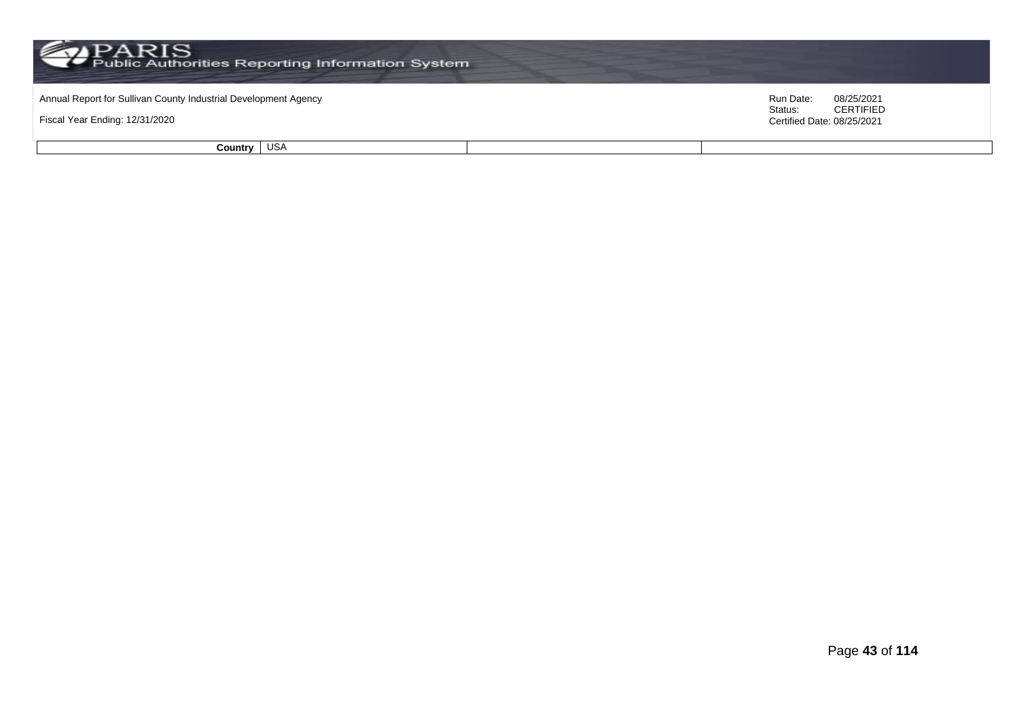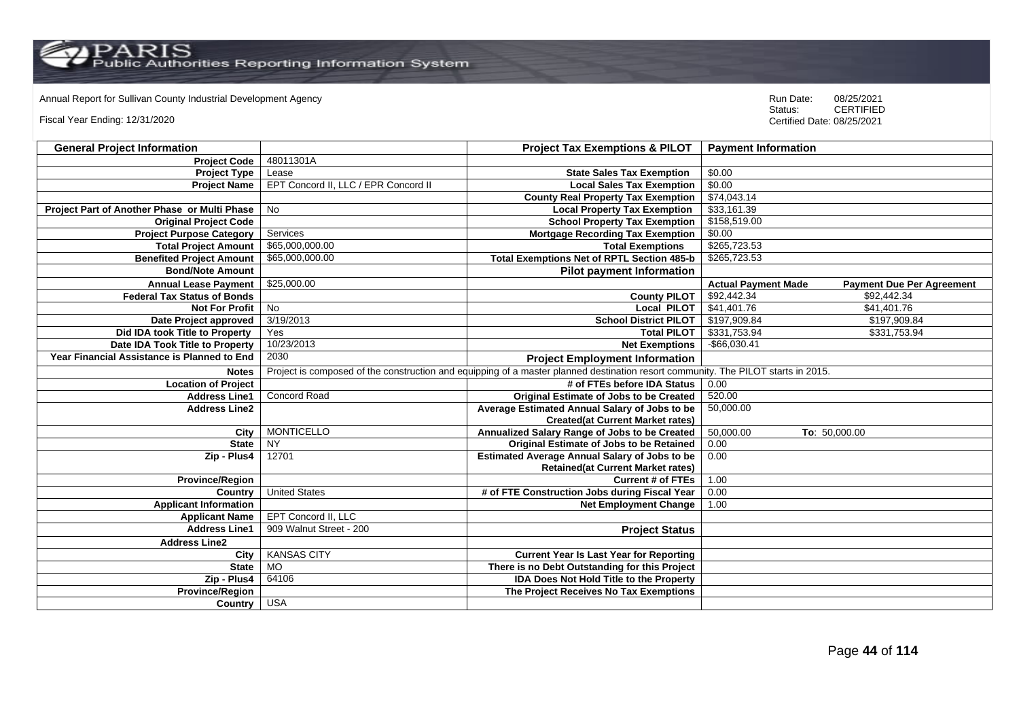$\operatorname{PARS}$  Fublic Authorities Reporting Information System

# Annual Report for Sullivan County Industrial Development Agency<br>
Status: CERTIFIED

Fiscal Year Ending: 12/31/2020

| <b>General Project Information</b>           |                                      | <b>Project Tax Exemptions &amp; PILOT</b>                                                                                         | <b>Payment Information</b>                                     |
|----------------------------------------------|--------------------------------------|-----------------------------------------------------------------------------------------------------------------------------------|----------------------------------------------------------------|
| <b>Project Code</b>                          | 48011301A                            |                                                                                                                                   |                                                                |
| <b>Project Type</b>                          | Lease                                | <b>State Sales Tax Exemption</b>                                                                                                  | \$0.00                                                         |
| <b>Project Name</b>                          | EPT Concord II, LLC / EPR Concord II | <b>Local Sales Tax Exemption</b>                                                                                                  | \$0.00                                                         |
|                                              |                                      | <b>County Real Property Tax Exemption</b>                                                                                         | \$74,043.14                                                    |
| Project Part of Another Phase or Multi Phase | <b>No</b>                            | <b>Local Property Tax Exemption</b>                                                                                               | \$33,161.39                                                    |
| <b>Original Project Code</b>                 |                                      | <b>School Property Tax Exemption</b>                                                                                              | \$158,519.00                                                   |
| <b>Project Purpose Category</b>              | Services                             | <b>Mortgage Recording Tax Exemption</b>                                                                                           | \$0.00                                                         |
| <b>Total Project Amount</b>                  | \$65,000,000.00                      | <b>Total Exemptions</b>                                                                                                           | \$265,723.53                                                   |
| <b>Benefited Project Amount</b>              | \$65,000,000.00                      | <b>Total Exemptions Net of RPTL Section 485-b</b>                                                                                 | \$265,723.53                                                   |
| <b>Bond/Note Amount</b>                      |                                      | <b>Pilot payment Information</b>                                                                                                  |                                                                |
| <b>Annual Lease Payment</b>                  | \$25,000.00                          |                                                                                                                                   | <b>Actual Payment Made</b><br><b>Payment Due Per Agreement</b> |
| <b>Federal Tax Status of Bonds</b>           |                                      | <b>County PILOT</b>                                                                                                               | \$92,442.34<br>\$92,442.34                                     |
| <b>Not For Profit</b>                        | <b>No</b>                            | <b>Local PILOT</b>                                                                                                                | \$41,401.76<br>\$41,401.76                                     |
| Date Project approved                        | 3/19/2013                            | <b>School District PILOT</b>                                                                                                      | \$197,909.84<br>\$197,909.84                                   |
| Did IDA took Title to Property               | Yes                                  | <b>Total PILOT</b>                                                                                                                | \$331,753.94<br>\$331,753.94                                   |
| <b>Date IDA Took Title to Property</b>       | 10/23/2013                           | <b>Net Exemptions</b>                                                                                                             | $-$66,030.41$                                                  |
| Year Financial Assistance is Planned to End  | 2030                                 | <b>Project Employment Information</b>                                                                                             |                                                                |
| <b>Notes</b>                                 |                                      | Project is composed of the construction and equipping of a master planned destination resort community. The PILOT starts in 2015. |                                                                |
| <b>Location of Project</b>                   |                                      | # of FTEs before IDA Status                                                                                                       | 0.00                                                           |
| <b>Address Line1</b>                         | <b>Concord Road</b>                  | Original Estimate of Jobs to be Created                                                                                           | 520.00                                                         |
| <b>Address Line2</b>                         |                                      | Average Estimated Annual Salary of Jobs to be                                                                                     | 50,000.00                                                      |
|                                              |                                      | <b>Created(at Current Market rates)</b>                                                                                           |                                                                |
| City                                         | <b>MONTICELLO</b>                    | Annualized Salary Range of Jobs to be Created                                                                                     | 50,000.00<br>To: 50,000.00                                     |
| <b>State</b>                                 | <b>NY</b>                            | <b>Original Estimate of Jobs to be Retained</b>                                                                                   | 0.00                                                           |
| Zip - Plus4                                  | 12701                                | <b>Estimated Average Annual Salary of Jobs to be</b>                                                                              | 0.00                                                           |
|                                              |                                      | <b>Retained(at Current Market rates)</b>                                                                                          |                                                                |
| <b>Province/Region</b>                       |                                      | <b>Current # of FTEs</b>                                                                                                          | 1.00                                                           |
| Country                                      | <b>United States</b>                 | # of FTE Construction Jobs during Fiscal Year                                                                                     | 0.00                                                           |
| <b>Applicant Information</b>                 |                                      | <b>Net Employment Change</b>                                                                                                      | 1.00                                                           |
| <b>Applicant Name</b>                        | EPT Concord II, LLC                  |                                                                                                                                   |                                                                |
| <b>Address Line1</b>                         | 909 Walnut Street - 200              | <b>Project Status</b>                                                                                                             |                                                                |
| <b>Address Line2</b>                         |                                      |                                                                                                                                   |                                                                |
| City                                         | <b>KANSAS CITY</b>                   | <b>Current Year Is Last Year for Reporting</b>                                                                                    |                                                                |
| <b>State</b>                                 | $\overline{MO}$                      | There is no Debt Outstanding for this Project                                                                                     |                                                                |
| Zip - Plus4                                  | 64106                                | <b>IDA Does Not Hold Title to the Property</b>                                                                                    |                                                                |
| <b>Province/Region</b>                       |                                      | The Project Receives No Tax Exemptions                                                                                            |                                                                |
| Country                                      | <b>USA</b>                           |                                                                                                                                   |                                                                |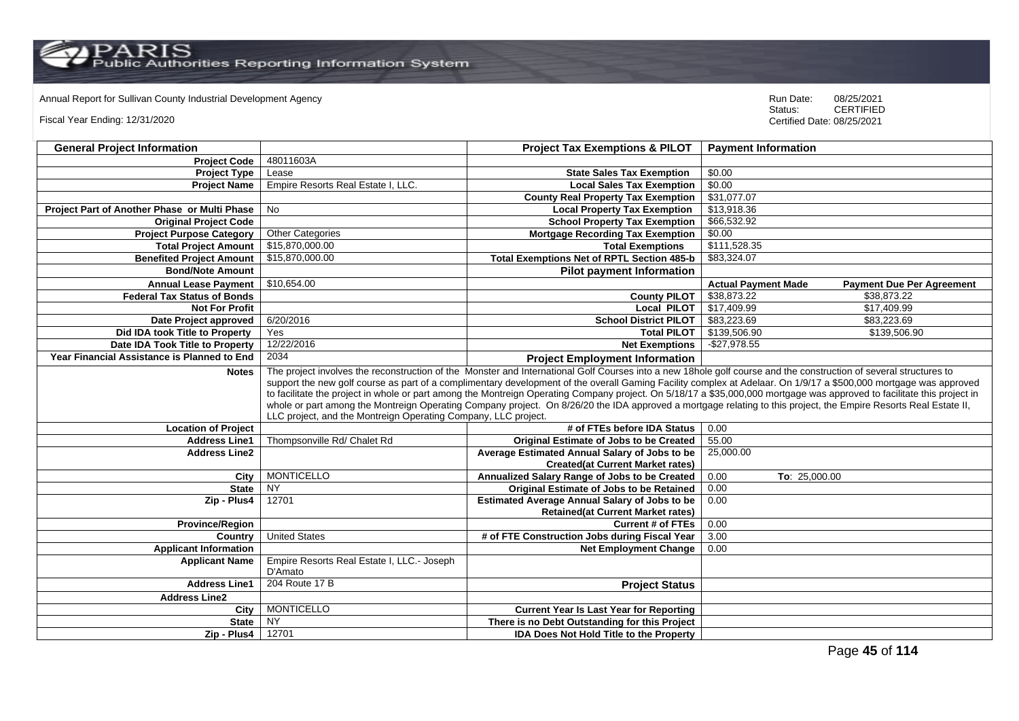# Annual Report for Sullivan County Industrial Development Agency<br>
Status: CERTIFIED

Fiscal Year Ending: 12/31/2020

| <b>General Project Information</b>           |                                                                                                                                                                                                                                                                                                                                                                                                                                                                                                                                                                                                                                                                                                                                                         | <b>Project Tax Exemptions &amp; PILOT</b>                                                        | <b>Payment Information</b>                                     |
|----------------------------------------------|---------------------------------------------------------------------------------------------------------------------------------------------------------------------------------------------------------------------------------------------------------------------------------------------------------------------------------------------------------------------------------------------------------------------------------------------------------------------------------------------------------------------------------------------------------------------------------------------------------------------------------------------------------------------------------------------------------------------------------------------------------|--------------------------------------------------------------------------------------------------|----------------------------------------------------------------|
| <b>Project Code</b>                          | 48011603A                                                                                                                                                                                                                                                                                                                                                                                                                                                                                                                                                                                                                                                                                                                                               |                                                                                                  |                                                                |
| <b>Project Type</b>                          | Lease                                                                                                                                                                                                                                                                                                                                                                                                                                                                                                                                                                                                                                                                                                                                                   | <b>State Sales Tax Exemption</b>                                                                 | \$0.00                                                         |
| <b>Project Name</b>                          | Empire Resorts Real Estate I, LLC.                                                                                                                                                                                                                                                                                                                                                                                                                                                                                                                                                                                                                                                                                                                      | <b>Local Sales Tax Exemption</b>                                                                 | \$0.00                                                         |
|                                              |                                                                                                                                                                                                                                                                                                                                                                                                                                                                                                                                                                                                                                                                                                                                                         | <b>County Real Property Tax Exemption</b>                                                        | \$31,077,07                                                    |
| Project Part of Another Phase or Multi Phase | <b>No</b>                                                                                                                                                                                                                                                                                                                                                                                                                                                                                                                                                                                                                                                                                                                                               | <b>Local Property Tax Exemption</b>                                                              | \$13.918.36                                                    |
| <b>Original Project Code</b>                 |                                                                                                                                                                                                                                                                                                                                                                                                                                                                                                                                                                                                                                                                                                                                                         | <b>School Property Tax Exemption</b>                                                             | \$66,532.92                                                    |
| <b>Project Purpose Category</b>              | <b>Other Categories</b>                                                                                                                                                                                                                                                                                                                                                                                                                                                                                                                                                                                                                                                                                                                                 | <b>Mortgage Recording Tax Exemption</b>                                                          | \$0.00                                                         |
| <b>Total Project Amount</b>                  | \$15,870,000.00                                                                                                                                                                                                                                                                                                                                                                                                                                                                                                                                                                                                                                                                                                                                         | <b>Total Exemptions</b>                                                                          | \$111,528.35                                                   |
| <b>Benefited Project Amount</b>              | \$15,870,000.00                                                                                                                                                                                                                                                                                                                                                                                                                                                                                                                                                                                                                                                                                                                                         | <b>Total Exemptions Net of RPTL Section 485-b</b>                                                | \$83,324.07                                                    |
| <b>Bond/Note Amount</b>                      |                                                                                                                                                                                                                                                                                                                                                                                                                                                                                                                                                                                                                                                                                                                                                         | <b>Pilot payment Information</b>                                                                 |                                                                |
| <b>Annual Lease Payment</b>                  | \$10,654.00                                                                                                                                                                                                                                                                                                                                                                                                                                                                                                                                                                                                                                                                                                                                             |                                                                                                  | <b>Actual Payment Made</b><br><b>Payment Due Per Agreement</b> |
| <b>Federal Tax Status of Bonds</b>           |                                                                                                                                                                                                                                                                                                                                                                                                                                                                                                                                                                                                                                                                                                                                                         | <b>County PILOT</b>                                                                              | \$38,873,22<br>\$38.873.22                                     |
| <b>Not For Profit</b>                        |                                                                                                                                                                                                                                                                                                                                                                                                                                                                                                                                                                                                                                                                                                                                                         | <b>Local PILOT</b>                                                                               | \$17,409.99<br>\$17,409.99                                     |
| Date Project approved                        | 6/20/2016                                                                                                                                                                                                                                                                                                                                                                                                                                                                                                                                                                                                                                                                                                                                               | <b>School District PILOT</b>                                                                     | \$83,223.69<br>\$83,223.69                                     |
| Did IDA took Title to Property               | Yes                                                                                                                                                                                                                                                                                                                                                                                                                                                                                                                                                                                                                                                                                                                                                     | <b>Total PILOT</b>                                                                               | \$139,506.90<br>\$139,506.90                                   |
| Date IDA Took Title to Property              | 12/22/2016                                                                                                                                                                                                                                                                                                                                                                                                                                                                                                                                                                                                                                                                                                                                              | <b>Net Exemptions</b>                                                                            | $-$27,978.55$                                                  |
| Year Financial Assistance is Planned to End  | 2034                                                                                                                                                                                                                                                                                                                                                                                                                                                                                                                                                                                                                                                                                                                                                    | <b>Project Employment Information</b>                                                            |                                                                |
| <b>Notes</b>                                 | The project involves the reconstruction of the Monster and International Golf Courses into a new 18hole golf course and the construction of several structures to<br>support the new golf course as part of a complimentary development of the overall Gaming Facility complex at Adelaar. On 1/9/17 a \$500,000 mortgage was approved<br>to facilitate the project in whole or part among the Montreign Operating Company project. On 5/18/17 a \$35,000,000 mortgage was approved to facilitate this project in<br>whole or part among the Montreign Operating Company project. On 8/26/20 the IDA approved a mortgage relating to this project, the Empire Resorts Real Estate II,<br>LLC project, and the Montreign Operating Company, LLC project. |                                                                                                  |                                                                |
| <b>Location of Project</b>                   |                                                                                                                                                                                                                                                                                                                                                                                                                                                                                                                                                                                                                                                                                                                                                         | # of FTEs before IDA Status                                                                      | 0.00                                                           |
| <b>Address Line1</b>                         | Thompsonville Rd/ Chalet Rd                                                                                                                                                                                                                                                                                                                                                                                                                                                                                                                                                                                                                                                                                                                             | <b>Original Estimate of Jobs to be Created</b>                                                   | 55.00                                                          |
| <b>Address Line2</b>                         |                                                                                                                                                                                                                                                                                                                                                                                                                                                                                                                                                                                                                                                                                                                                                         | Average Estimated Annual Salary of Jobs to be<br><b>Created(at Current Market rates)</b>         | 25,000.00                                                      |
| City                                         | <b>MONTICELLO</b>                                                                                                                                                                                                                                                                                                                                                                                                                                                                                                                                                                                                                                                                                                                                       | Annualized Salary Range of Jobs to be Created                                                    | 0.00<br>To: 25,000.00                                          |
| <b>State</b>                                 | <b>NY</b>                                                                                                                                                                                                                                                                                                                                                                                                                                                                                                                                                                                                                                                                                                                                               | <b>Original Estimate of Jobs to be Retained</b>                                                  | 0.00                                                           |
| Zip - Plus4                                  | 12701                                                                                                                                                                                                                                                                                                                                                                                                                                                                                                                                                                                                                                                                                                                                                   | <b>Estimated Average Annual Salary of Jobs to be</b><br><b>Retained(at Current Market rates)</b> | 0.00                                                           |
| <b>Province/Region</b>                       |                                                                                                                                                                                                                                                                                                                                                                                                                                                                                                                                                                                                                                                                                                                                                         | <b>Current # of FTEs</b>                                                                         | 0.00                                                           |
| Country                                      | <b>United States</b>                                                                                                                                                                                                                                                                                                                                                                                                                                                                                                                                                                                                                                                                                                                                    | # of FTE Construction Jobs during Fiscal Year                                                    | 3.00                                                           |
| <b>Applicant Information</b>                 |                                                                                                                                                                                                                                                                                                                                                                                                                                                                                                                                                                                                                                                                                                                                                         | <b>Net Employment Change</b>                                                                     | 0.00                                                           |
| <b>Applicant Name</b>                        | Empire Resorts Real Estate I, LLC.- Joseph<br>D'Amato                                                                                                                                                                                                                                                                                                                                                                                                                                                                                                                                                                                                                                                                                                   |                                                                                                  |                                                                |
| <b>Address Line1</b>                         | 204 Route 17 B                                                                                                                                                                                                                                                                                                                                                                                                                                                                                                                                                                                                                                                                                                                                          | <b>Project Status</b>                                                                            |                                                                |
| <b>Address Line2</b>                         |                                                                                                                                                                                                                                                                                                                                                                                                                                                                                                                                                                                                                                                                                                                                                         |                                                                                                  |                                                                |
| City                                         | <b>MONTICELLO</b>                                                                                                                                                                                                                                                                                                                                                                                                                                                                                                                                                                                                                                                                                                                                       | <b>Current Year Is Last Year for Reporting</b>                                                   |                                                                |
| <b>State</b>                                 | <b>NY</b>                                                                                                                                                                                                                                                                                                                                                                                                                                                                                                                                                                                                                                                                                                                                               | There is no Debt Outstanding for this Project                                                    |                                                                |
| Zip - Plus4                                  | 12701                                                                                                                                                                                                                                                                                                                                                                                                                                                                                                                                                                                                                                                                                                                                                   | <b>IDA Does Not Hold Title to the Property</b>                                                   |                                                                |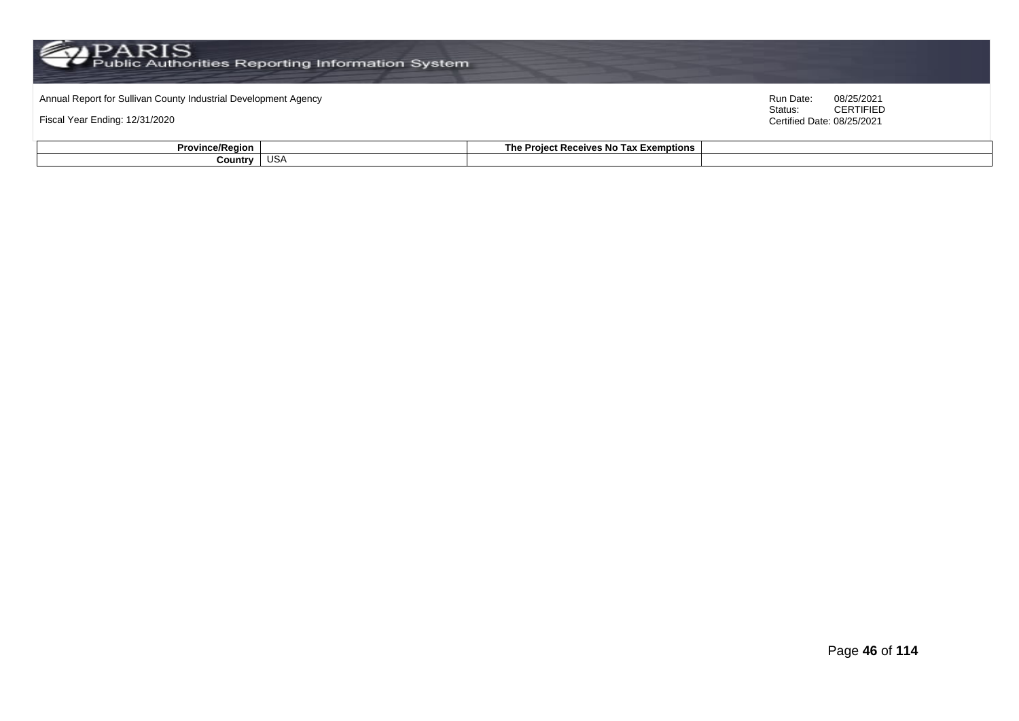# Annual Report for Sullivan County Industrial Development Agency<br>
Status: CERTIFIED

Fiscal Year Ending: 12/31/2020

| าce/Reaion<br>Provir |      | e Proiect Receives No i<br>т<br>∍ Tax Exemptions<br>пе |  |
|----------------------|------|--------------------------------------------------------|--|
| Country              | -USA |                                                        |  |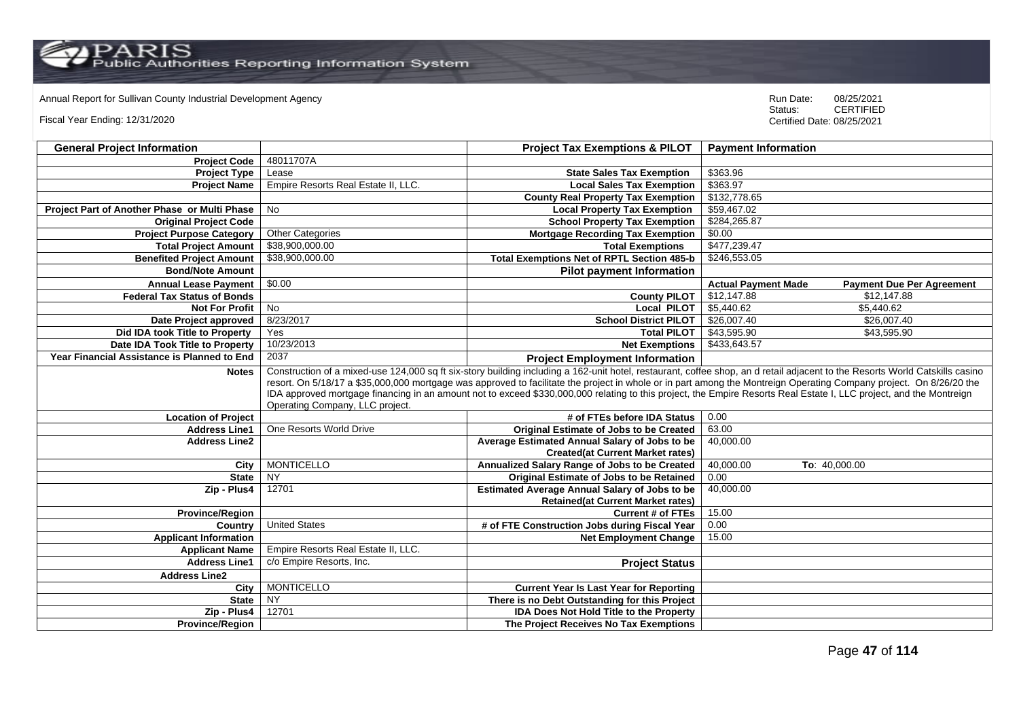# Annual Report for Sullivan County Industrial Development Agency<br>
Status: CERTIFIED

Fiscal Year Ending: 12/31/2020

| <b>General Project Information</b>           |                                     | <b>Project Tax Exemptions &amp; PILOT</b>            | <b>Payment Information</b>                                                                                                                                                                                                                                                                                                                 |
|----------------------------------------------|-------------------------------------|------------------------------------------------------|--------------------------------------------------------------------------------------------------------------------------------------------------------------------------------------------------------------------------------------------------------------------------------------------------------------------------------------------|
| <b>Project Code</b>                          | 48011707A                           |                                                      |                                                                                                                                                                                                                                                                                                                                            |
| <b>Project Type</b>                          | Lease                               | <b>State Sales Tax Exemption</b>                     | \$363.96                                                                                                                                                                                                                                                                                                                                   |
| <b>Project Name</b>                          | Empire Resorts Real Estate II, LLC. | <b>Local Sales Tax Exemption</b>                     | \$363.97                                                                                                                                                                                                                                                                                                                                   |
|                                              |                                     | <b>County Real Property Tax Exemption</b>            | \$132,778.65                                                                                                                                                                                                                                                                                                                               |
| Project Part of Another Phase or Multi Phase | No                                  | <b>Local Property Tax Exemption</b>                  | \$59.467.02                                                                                                                                                                                                                                                                                                                                |
| <b>Original Project Code</b>                 |                                     | <b>School Property Tax Exemption</b>                 | \$284,265.87                                                                                                                                                                                                                                                                                                                               |
| <b>Project Purpose Category</b>              | <b>Other Categories</b>             | <b>Mortgage Recording Tax Exemption</b>              | \$0.00                                                                                                                                                                                                                                                                                                                                     |
| <b>Total Project Amount</b>                  | \$38,900,000.00                     | <b>Total Exemptions</b>                              | \$477,239.47                                                                                                                                                                                                                                                                                                                               |
| <b>Benefited Project Amount</b>              | \$38,900,000.00                     | <b>Total Exemptions Net of RPTL Section 485-b</b>    | \$246,553.05                                                                                                                                                                                                                                                                                                                               |
| <b>Bond/Note Amount</b>                      |                                     | <b>Pilot payment Information</b>                     |                                                                                                                                                                                                                                                                                                                                            |
| <b>Annual Lease Payment</b>                  | \$0.00                              |                                                      | <b>Actual Payment Made</b><br><b>Payment Due Per Agreement</b>                                                                                                                                                                                                                                                                             |
| <b>Federal Tax Status of Bonds</b>           |                                     | <b>County PILOT</b>                                  | \$12,147.88<br>\$12,147.88                                                                                                                                                                                                                                                                                                                 |
| <b>Not For Profit</b>                        | No                                  | <b>Local PILOT</b>                                   | \$5,440.62<br>\$5,440.62                                                                                                                                                                                                                                                                                                                   |
| Date Project approved                        | 8/23/2017                           | <b>School District PILOT</b>                         | \$26,007.40<br>\$26,007.40                                                                                                                                                                                                                                                                                                                 |
| Did IDA took Title to Property               | Yes                                 | <b>Total PILOT</b>                                   | \$43,595.90<br>\$43,595.90                                                                                                                                                                                                                                                                                                                 |
| Date IDA Took Title to Property              | 10/23/2013                          | <b>Net Exemptions</b>                                | \$433,643.57                                                                                                                                                                                                                                                                                                                               |
| Year Financial Assistance is Planned to End  | 2037                                | <b>Project Employment Information</b>                |                                                                                                                                                                                                                                                                                                                                            |
|                                              | Operating Company, LLC project.     |                                                      | resort. On 5/18/17 a \$35,000,000 mortgage was approved to facilitate the project in whole or in part among the Montreign Operating Company project. On 8/26/20 the<br>IDA approved mortgage financing in an amount not to exceed \$330,000,000 relating to this project, the Empire Resorts Real Estate I, LLC project, and the Montreign |
| <b>Location of Project</b>                   |                                     | # of FTEs before IDA Status                          | 0.00                                                                                                                                                                                                                                                                                                                                       |
| <b>Address Line1</b>                         | One Resorts World Drive             | <b>Original Estimate of Jobs to be Created</b>       | 63.00                                                                                                                                                                                                                                                                                                                                      |
| <b>Address Line2</b>                         |                                     | Average Estimated Annual Salary of Jobs to be        | 40,000.00                                                                                                                                                                                                                                                                                                                                  |
|                                              |                                     | <b>Created(at Current Market rates)</b>              |                                                                                                                                                                                                                                                                                                                                            |
| City                                         | <b>MONTICELLO</b>                   | Annualized Salary Range of Jobs to be Created        | 40,000.00<br>To: 40,000.00                                                                                                                                                                                                                                                                                                                 |
| <b>State</b>                                 | <b>NY</b>                           | Original Estimate of Jobs to be Retained             | 0.00                                                                                                                                                                                                                                                                                                                                       |
| Zip - Plus4                                  | 12701                               | <b>Estimated Average Annual Salary of Jobs to be</b> | 40,000.00                                                                                                                                                                                                                                                                                                                                  |
|                                              |                                     | <b>Retained(at Current Market rates)</b>             |                                                                                                                                                                                                                                                                                                                                            |
| <b>Province/Region</b>                       |                                     | <b>Current # of FTEs</b>                             | 15.00                                                                                                                                                                                                                                                                                                                                      |
| Country                                      | <b>United States</b>                | # of FTE Construction Jobs during Fiscal Year        | 0.00                                                                                                                                                                                                                                                                                                                                       |
| <b>Applicant Information</b>                 |                                     | <b>Net Employment Change</b>                         | 15.00                                                                                                                                                                                                                                                                                                                                      |
| <b>Applicant Name</b>                        | Empire Resorts Real Estate II, LLC. |                                                      |                                                                                                                                                                                                                                                                                                                                            |
| <b>Address Line1</b>                         | c/o Empire Resorts, Inc.            | <b>Project Status</b>                                |                                                                                                                                                                                                                                                                                                                                            |
| <b>Address Line2</b>                         |                                     |                                                      |                                                                                                                                                                                                                                                                                                                                            |
| City                                         | <b>MONTICELLO</b>                   | <b>Current Year Is Last Year for Reporting</b>       |                                                                                                                                                                                                                                                                                                                                            |
| <b>State</b>                                 | <b>NY</b>                           | There is no Debt Outstanding for this Project        |                                                                                                                                                                                                                                                                                                                                            |
| Zip - Plus4                                  | 12701                               | <b>IDA Does Not Hold Title to the Property</b>       |                                                                                                                                                                                                                                                                                                                                            |
| <b>Province/Region</b>                       |                                     | The Project Receives No Tax Exemptions               |                                                                                                                                                                                                                                                                                                                                            |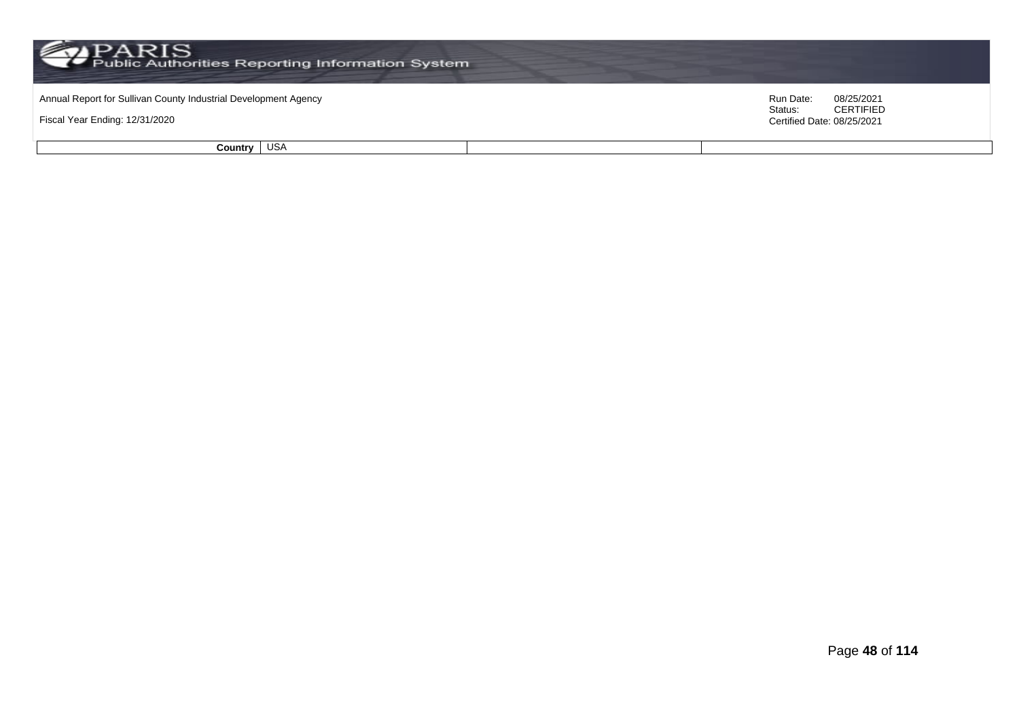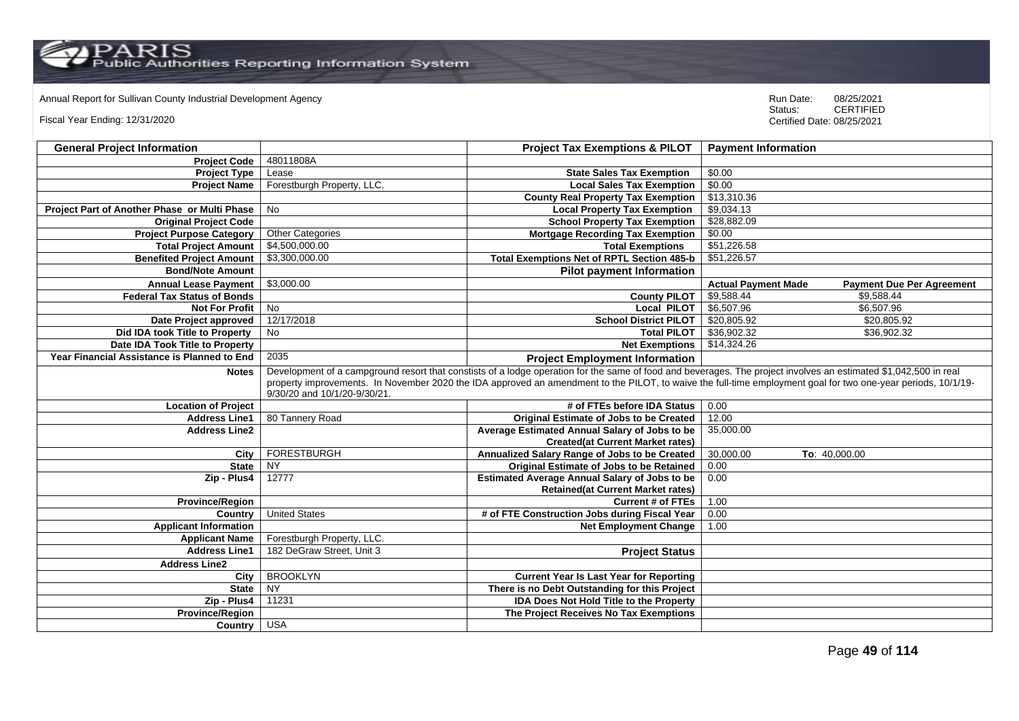# Annual Report for Sullivan County Industrial Development Agency<br>
Status: CERTIFIED

Fiscal Year Ending: 12/31/2020

| <b>General Project Information</b>           |                              | <b>Project Tax Exemptions &amp; PILOT</b>            | <b>Payment Information</b>                                                                                                                                       |
|----------------------------------------------|------------------------------|------------------------------------------------------|------------------------------------------------------------------------------------------------------------------------------------------------------------------|
| <b>Project Code</b>                          | 48011808A                    |                                                      |                                                                                                                                                                  |
| <b>Project Type</b>                          | Lease                        | <b>State Sales Tax Exemption</b>                     | \$0.00                                                                                                                                                           |
| <b>Project Name</b>                          | Forestburgh Property, LLC.   | <b>Local Sales Tax Exemption</b>                     | \$0.00                                                                                                                                                           |
|                                              |                              | <b>County Real Property Tax Exemption</b>            | \$13,310.36                                                                                                                                                      |
| Project Part of Another Phase or Multi Phase | <b>No</b>                    | <b>Local Property Tax Exemption</b>                  | \$9,034.13                                                                                                                                                       |
| <b>Original Project Code</b>                 |                              | <b>School Property Tax Exemption</b>                 | \$28,882.09                                                                                                                                                      |
| <b>Project Purpose Category</b>              | Other Categories             | <b>Mortgage Recording Tax Exemption</b>              | \$0.00                                                                                                                                                           |
| <b>Total Project Amount</b>                  | \$4,500,000.00               | <b>Total Exemptions</b>                              | \$51,226.58                                                                                                                                                      |
| <b>Benefited Project Amount</b>              | \$3,300,000.00               | <b>Total Exemptions Net of RPTL Section 485-b</b>    | \$51,226.57                                                                                                                                                      |
| <b>Bond/Note Amount</b>                      |                              | <b>Pilot payment Information</b>                     |                                                                                                                                                                  |
| <b>Annual Lease Payment</b>                  | \$3,000.00                   |                                                      | <b>Actual Payment Made</b><br><b>Payment Due Per Agreement</b>                                                                                                   |
| <b>Federal Tax Status of Bonds</b>           |                              | <b>County PILOT</b>                                  | \$9,588.44<br>\$9.588.44                                                                                                                                         |
| <b>Not For Profit</b>                        | No                           | Local PILOT                                          | \$6,507.96<br>\$6,507.96                                                                                                                                         |
| Date Project approved                        | 12/17/2018                   | <b>School District PILOT</b>                         | \$20,805.92<br>\$20,805.92                                                                                                                                       |
| Did IDA took Title to Property               | <b>No</b>                    | <b>Total PILOT</b>                                   | \$36,902.32<br>\$36,902.32                                                                                                                                       |
| Date IDA Took Title to Property              |                              | <b>Net Exemptions</b>                                | \$14,324.26                                                                                                                                                      |
| Year Financial Assistance is Planned to End  | 2035                         | <b>Project Employment Information</b>                |                                                                                                                                                                  |
| <b>Notes</b>                                 |                              |                                                      | Development of a campground resort that constists of a lodge operation for the same of food and beverages. The project involves an estimated \$1,042,500 in real |
|                                              | 9/30/20 and 10/1/20-9/30/21. |                                                      | property improvements. In November 2020 the IDA approved an amendment to the PILOT, to waive the full-time employment goal for two one-year periods, 10/1/19-    |
| <b>Location of Project</b>                   |                              | # of FTEs before IDA Status                          | 0.00                                                                                                                                                             |
| <b>Address Line1</b>                         | 80 Tannery Road              | Original Estimate of Jobs to be Created              | 12.00                                                                                                                                                            |
| <b>Address Line2</b>                         |                              | Average Estimated Annual Salary of Jobs to be        | 35,000.00                                                                                                                                                        |
|                                              |                              | <b>Created(at Current Market rates)</b>              |                                                                                                                                                                  |
| City                                         | <b>FORESTBURGH</b>           | Annualized Salary Range of Jobs to be Created        | 30,000.00<br>To: 40,000.00                                                                                                                                       |
| <b>State</b>                                 | <b>NY</b>                    | Original Estimate of Jobs to be Retained             | 0.00                                                                                                                                                             |
| Zip - Plus4                                  | 12777                        | <b>Estimated Average Annual Salary of Jobs to be</b> | 0.00                                                                                                                                                             |
|                                              |                              | <b>Retained(at Current Market rates)</b>             |                                                                                                                                                                  |
| <b>Province/Region</b>                       |                              | <b>Current # of FTEs</b>                             | 1.00                                                                                                                                                             |
| Country                                      | <b>United States</b>         | # of FTE Construction Jobs during Fiscal Year        | 0.00                                                                                                                                                             |
| <b>Applicant Information</b>                 |                              | <b>Net Employment Change</b>                         | 1.00                                                                                                                                                             |
| <b>Applicant Name</b>                        | Forestburgh Property, LLC.   |                                                      |                                                                                                                                                                  |
| <b>Address Line1</b>                         | 182 DeGraw Street, Unit 3    | <b>Project Status</b>                                |                                                                                                                                                                  |
| <b>Address Line2</b>                         |                              |                                                      |                                                                                                                                                                  |
| City                                         | <b>BROOKLYN</b>              | <b>Current Year Is Last Year for Reporting</b>       |                                                                                                                                                                  |
| <b>State</b>                                 | $\overline{NY}$              | There is no Debt Outstanding for this Project        |                                                                                                                                                                  |
| Zip - Plus4                                  | 11231                        | <b>IDA Does Not Hold Title to the Property</b>       |                                                                                                                                                                  |
| <b>Province/Region</b>                       |                              | The Project Receives No Tax Exemptions               |                                                                                                                                                                  |
| Country                                      | <b>USA</b>                   |                                                      |                                                                                                                                                                  |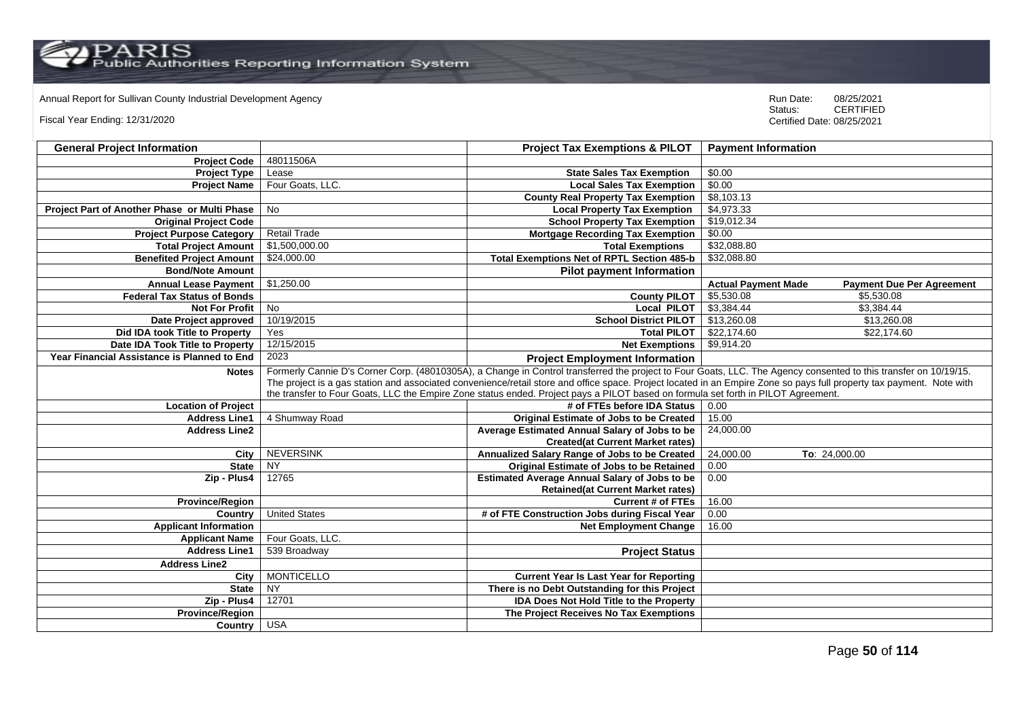# Annual Report for Sullivan County Industrial Development Agency<br>
Status: CERTIFIED

Fiscal Year Ending: 12/31/2020

| <b>General Project Information</b>           |                                                                                                                                                                       | <b>Project Tax Exemptions &amp; PILOT</b>            | <b>Payment Information</b>                                                                                                                                       |
|----------------------------------------------|-----------------------------------------------------------------------------------------------------------------------------------------------------------------------|------------------------------------------------------|------------------------------------------------------------------------------------------------------------------------------------------------------------------|
| <b>Project Code</b>                          | 48011506A                                                                                                                                                             |                                                      |                                                                                                                                                                  |
| <b>Project Type</b>                          | Lease                                                                                                                                                                 | <b>State Sales Tax Exemption</b>                     | \$0.00                                                                                                                                                           |
| <b>Project Name</b>                          | Four Goats, LLC.                                                                                                                                                      | <b>Local Sales Tax Exemption</b>                     | \$0.00                                                                                                                                                           |
|                                              |                                                                                                                                                                       | <b>County Real Property Tax Exemption</b>            | \$8,103.13                                                                                                                                                       |
| Project Part of Another Phase or Multi Phase | No                                                                                                                                                                    | <b>Local Property Tax Exemption</b>                  | \$4,973.33                                                                                                                                                       |
| <b>Original Project Code</b>                 |                                                                                                                                                                       | <b>School Property Tax Exemption</b>                 | \$19,012.34                                                                                                                                                      |
| <b>Project Purpose Category</b>              | <b>Retail Trade</b>                                                                                                                                                   | <b>Mortgage Recording Tax Exemption</b>              | \$0.00                                                                                                                                                           |
| <b>Total Project Amount</b>                  | \$1,500,000.00                                                                                                                                                        | <b>Total Exemptions</b>                              | \$32,088.80                                                                                                                                                      |
| <b>Benefited Project Amount</b>              | \$24,000.00                                                                                                                                                           | <b>Total Exemptions Net of RPTL Section 485-b</b>    | \$32,088.80                                                                                                                                                      |
| <b>Bond/Note Amount</b>                      |                                                                                                                                                                       | <b>Pilot payment Information</b>                     |                                                                                                                                                                  |
| <b>Annual Lease Payment</b>                  | \$1,250.00                                                                                                                                                            |                                                      | <b>Actual Payment Made</b><br><b>Payment Due Per Agreement</b>                                                                                                   |
| <b>Federal Tax Status of Bonds</b>           |                                                                                                                                                                       | <b>County PILOT</b>                                  | \$5,530.08<br>\$5,530.08                                                                                                                                         |
| <b>Not For Profit</b>                        | $\overline{N}$                                                                                                                                                        | <b>Local PILOT</b>                                   | \$3,384.44<br>\$3,384.44                                                                                                                                         |
| Date Project approved                        | 10/19/2015                                                                                                                                                            | <b>School District PILOT</b>                         | \$13,260.08<br>\$13,260.08                                                                                                                                       |
| Did IDA took Title to Property               | Yes                                                                                                                                                                   | <b>Total PILOT</b>                                   | \$22,174.60<br>\$22,174.60                                                                                                                                       |
| Date IDA Took Title to Property              | 12/15/2015                                                                                                                                                            | <b>Net Exemptions</b>                                | \$9,914.20                                                                                                                                                       |
| Year Financial Assistance is Planned to End  | 2023                                                                                                                                                                  | <b>Project Employment Information</b>                |                                                                                                                                                                  |
| <b>Notes</b>                                 |                                                                                                                                                                       |                                                      | Formerly Cannie D's Corner Corp. (48010305A), a Change in Control transferred the project to Four Goats, LLC. The Agency consented to this transfer on 10/19/15. |
|                                              | The project is a gas station and associated convenience/retail store and office space. Project located in an Empire Zone so pays full property tax payment. Note with |                                                      |                                                                                                                                                                  |
|                                              | the transfer to Four Goats, LLC the Empire Zone status ended. Project pays a PILOT based on formula set forth in PILOT Agreement.                                     |                                                      |                                                                                                                                                                  |
| <b>Location of Project</b>                   |                                                                                                                                                                       | # of FTEs before IDA Status                          | 0.00                                                                                                                                                             |
| <b>Address Line1</b>                         | 4 Shumway Road                                                                                                                                                        | <b>Original Estimate of Jobs to be Created</b>       | 15.00                                                                                                                                                            |
| <b>Address Line2</b>                         |                                                                                                                                                                       | Average Estimated Annual Salary of Jobs to be        | 24,000.00                                                                                                                                                        |
|                                              |                                                                                                                                                                       | <b>Created(at Current Market rates)</b>              |                                                                                                                                                                  |
| City                                         | <b>NEVERSINK</b>                                                                                                                                                      | Annualized Salary Range of Jobs to be Created        | 24,000.00<br>To: 24,000.00                                                                                                                                       |
| <b>State</b>                                 | NY                                                                                                                                                                    | Original Estimate of Jobs to be Retained             | 0.00                                                                                                                                                             |
| Zip - Plus4                                  | 12765                                                                                                                                                                 | <b>Estimated Average Annual Salary of Jobs to be</b> | 0.00                                                                                                                                                             |
|                                              |                                                                                                                                                                       | <b>Retained(at Current Market rates)</b>             |                                                                                                                                                                  |
| <b>Province/Region</b>                       |                                                                                                                                                                       | <b>Current # of FTEs</b>                             | 16.00                                                                                                                                                            |
| Country                                      | <b>United States</b>                                                                                                                                                  | # of FTE Construction Jobs during Fiscal Year        | 0.00                                                                                                                                                             |
| <b>Applicant Information</b>                 |                                                                                                                                                                       | <b>Net Employment Change</b>                         | 16.00                                                                                                                                                            |
| <b>Applicant Name</b>                        | Four Goats, LLC.                                                                                                                                                      |                                                      |                                                                                                                                                                  |
| <b>Address Line1</b>                         | 539 Broadway                                                                                                                                                          | <b>Project Status</b>                                |                                                                                                                                                                  |
| <b>Address Line2</b>                         |                                                                                                                                                                       |                                                      |                                                                                                                                                                  |
| City                                         | <b>MONTICELLO</b>                                                                                                                                                     | <b>Current Year Is Last Year for Reporting</b>       |                                                                                                                                                                  |
| <b>State</b>                                 | NY                                                                                                                                                                    | There is no Debt Outstanding for this Project        |                                                                                                                                                                  |
| Zip - Plus4                                  | 12701                                                                                                                                                                 | <b>IDA Does Not Hold Title to the Property</b>       |                                                                                                                                                                  |
| <b>Province/Region</b>                       |                                                                                                                                                                       | The Project Receives No Tax Exemptions               |                                                                                                                                                                  |
| Country                                      | <b>USA</b>                                                                                                                                                            |                                                      |                                                                                                                                                                  |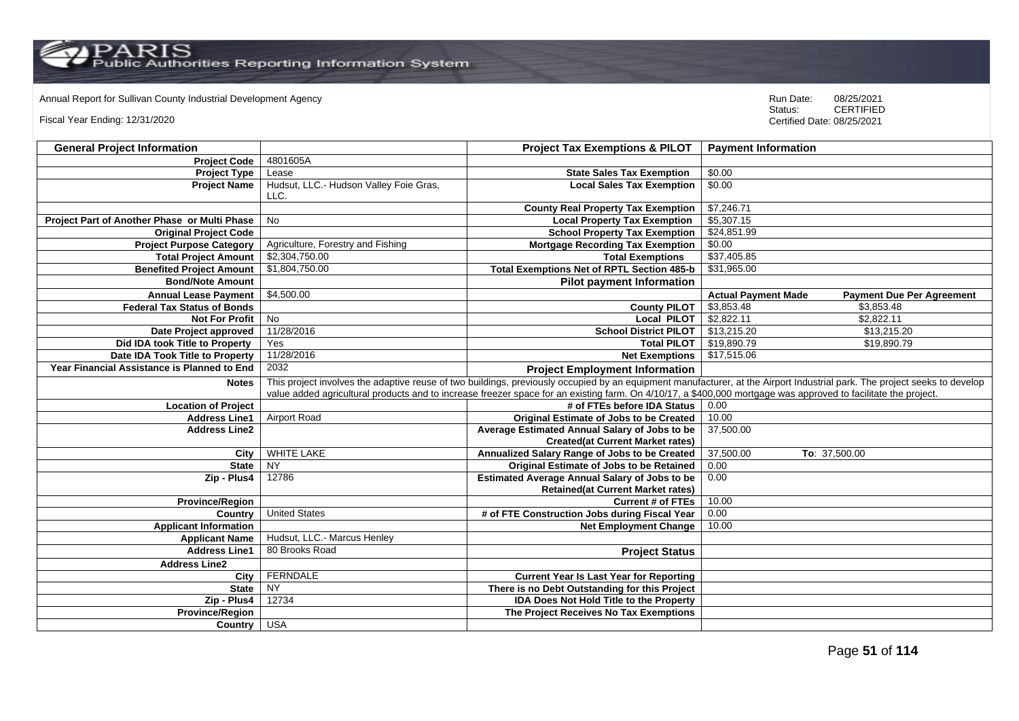# Annual Report for Sullivan County Industrial Development Agency<br>
Status: CERTIFIED

Fiscal Year Ending: 12/31/2020

| <b>General Project Information</b>           |                                        | <b>Project Tax Exemptions &amp; PILOT</b>            | <b>Payment Information</b>                                                                                                                                                |
|----------------------------------------------|----------------------------------------|------------------------------------------------------|---------------------------------------------------------------------------------------------------------------------------------------------------------------------------|
| <b>Project Code</b>                          | 4801605A                               |                                                      |                                                                                                                                                                           |
| <b>Project Type</b>                          | Lease                                  | <b>State Sales Tax Exemption</b>                     | \$0.00                                                                                                                                                                    |
| <b>Project Name</b>                          | Hudsut, LLC.- Hudson Valley Foie Gras, | <b>Local Sales Tax Exemption</b>                     | \$0.00                                                                                                                                                                    |
|                                              | LLC.                                   |                                                      |                                                                                                                                                                           |
|                                              |                                        | <b>County Real Property Tax Exemption</b>            | \$7,246.71                                                                                                                                                                |
| Project Part of Another Phase or Multi Phase | No                                     | <b>Local Property Tax Exemption</b>                  | \$5,307.15                                                                                                                                                                |
| <b>Original Project Code</b>                 |                                        | <b>School Property Tax Exemption</b>                 | \$24,851.99                                                                                                                                                               |
| <b>Project Purpose Category</b>              | Agriculture, Forestry and Fishing      | <b>Mortgage Recording Tax Exemption</b>              | \$0.00                                                                                                                                                                    |
| <b>Total Project Amount</b>                  | \$2,304,750.00                         | <b>Total Exemptions</b>                              | \$37,405.85                                                                                                                                                               |
| <b>Benefited Project Amount</b>              | \$1,804,750.00                         | <b>Total Exemptions Net of RPTL Section 485-b</b>    | \$31,965.00                                                                                                                                                               |
| <b>Bond/Note Amount</b>                      |                                        | <b>Pilot payment Information</b>                     |                                                                                                                                                                           |
| <b>Annual Lease Payment</b>                  | \$4,500.00                             |                                                      | <b>Actual Payment Made</b><br><b>Payment Due Per Agreement</b>                                                                                                            |
| <b>Federal Tax Status of Bonds</b>           |                                        | <b>County PILOT</b>                                  | \$3,853.48<br>\$3,853.48                                                                                                                                                  |
| <b>Not For Profit</b>                        | <b>No</b>                              | Local PILOT                                          | \$2,822.11<br>\$2,822.11                                                                                                                                                  |
| Date Project approved                        | 11/28/2016                             | <b>School District PILOT</b>                         | \$13,215.20<br>\$13,215.20                                                                                                                                                |
| Did IDA took Title to Property               | Yes                                    | <b>Total PILOT</b>                                   | \$19,890.79<br>\$19,890.79                                                                                                                                                |
| Date IDA Took Title to Property              | 11/28/2016                             | <b>Net Exemptions</b>                                | \$17,515.06                                                                                                                                                               |
| Year Financial Assistance is Planned to End  | 2032                                   | <b>Project Employment Information</b>                |                                                                                                                                                                           |
| <b>Notes</b>                                 |                                        |                                                      | This project involves the adaptive reuse of two buildings, previously occupied by an equipment manufacturer, at the Airport Industrial park. The project seeks to develop |
|                                              |                                        |                                                      | value added agricultural products and to increase freezer space for an existing farm. On 4/10/17, a \$400,000 mortgage was approved to facilitate the project.            |
| <b>Location of Project</b>                   |                                        | # of FTEs before IDA Status                          | 0.00                                                                                                                                                                      |
| <b>Address Line1</b>                         | <b>Airport Road</b>                    | <b>Original Estimate of Jobs to be Created</b>       | 10.00                                                                                                                                                                     |
| <b>Address Line2</b>                         |                                        | Average Estimated Annual Salary of Jobs to be        | 37,500.00                                                                                                                                                                 |
|                                              |                                        | <b>Created(at Current Market rates)</b>              |                                                                                                                                                                           |
| City                                         | <b>WHITE LAKE</b>                      | Annualized Salary Range of Jobs to be Created        | 37,500.00<br>To: 37,500.00                                                                                                                                                |
| <b>State</b>                                 | NY                                     | <b>Original Estimate of Jobs to be Retained</b>      | 0.00                                                                                                                                                                      |
| Zip - Plus4                                  | 12786                                  | <b>Estimated Average Annual Salary of Jobs to be</b> | 0.00                                                                                                                                                                      |
|                                              |                                        | <b>Retained(at Current Market rates)</b>             |                                                                                                                                                                           |
| <b>Province/Region</b>                       |                                        | <b>Current # of FTEs</b>                             | 10.00                                                                                                                                                                     |
| Country                                      | <b>United States</b>                   | # of FTE Construction Jobs during Fiscal Year        | 0.00                                                                                                                                                                      |
| <b>Applicant Information</b>                 |                                        | <b>Net Employment Change</b>                         | 10.00                                                                                                                                                                     |
| <b>Applicant Name</b>                        | Hudsut, LLC.- Marcus Henley            |                                                      |                                                                                                                                                                           |
| <b>Address Line1</b>                         | 80 Brooks Road                         | <b>Project Status</b>                                |                                                                                                                                                                           |
| <b>Address Line2</b>                         |                                        |                                                      |                                                                                                                                                                           |
| City                                         | FERNDALE                               | <b>Current Year Is Last Year for Reporting</b>       |                                                                                                                                                                           |
| <b>State</b>                                 | <b>NY</b>                              | There is no Debt Outstanding for this Project        |                                                                                                                                                                           |
| Zip - Plus4                                  | 12734                                  | IDA Does Not Hold Title to the Property              |                                                                                                                                                                           |
| <b>Province/Region</b>                       |                                        | The Project Receives No Tax Exemptions               |                                                                                                                                                                           |
| Country USA                                  |                                        |                                                      |                                                                                                                                                                           |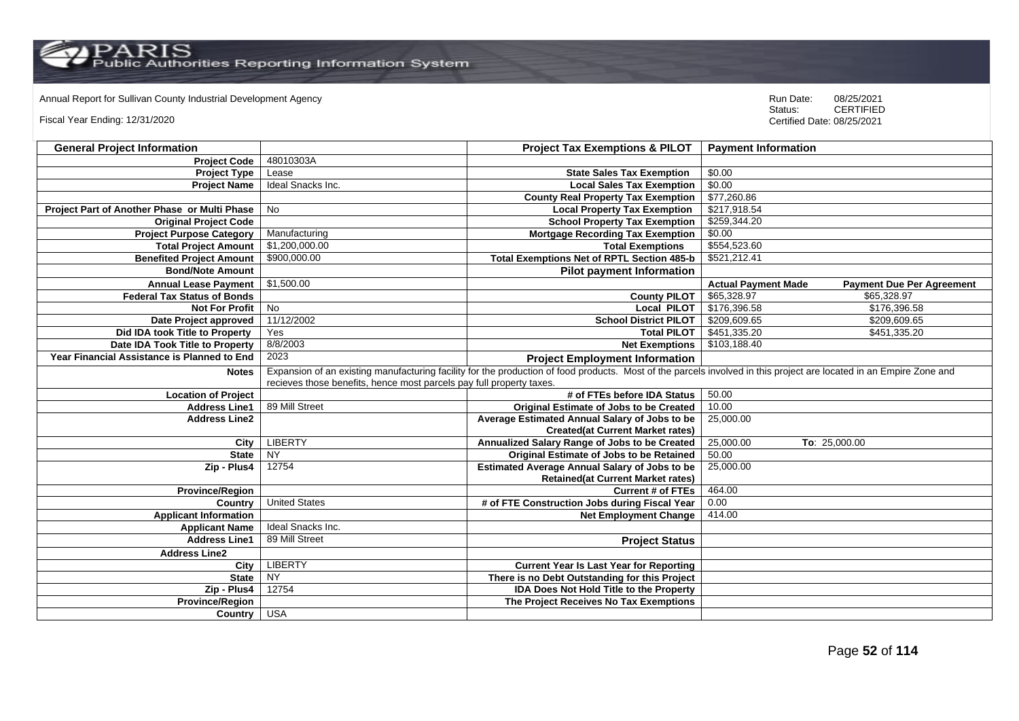# Annual Report for Sullivan County Industrial Development Agency<br>
Status: CERTIFIED

Fiscal Year Ending: 12/31/2020

| <b>General Project Information</b>           |                                                                      | <b>Project Tax Exemptions &amp; PILOT</b>                                                                                                                           | <b>Payment Information</b> |                                  |
|----------------------------------------------|----------------------------------------------------------------------|---------------------------------------------------------------------------------------------------------------------------------------------------------------------|----------------------------|----------------------------------|
| <b>Project Code</b>                          | 48010303A                                                            |                                                                                                                                                                     |                            |                                  |
| <b>Project Type</b>                          | Lease                                                                | <b>State Sales Tax Exemption</b>                                                                                                                                    | \$0.00                     |                                  |
| <b>Project Name</b>                          | Ideal Snacks Inc.                                                    | <b>Local Sales Tax Exemption</b>                                                                                                                                    | \$0.00                     |                                  |
|                                              |                                                                      | <b>County Real Property Tax Exemption</b>                                                                                                                           | \$77,260.86                |                                  |
| Project Part of Another Phase or Multi Phase | No                                                                   | <b>Local Property Tax Exemption</b>                                                                                                                                 | \$217,918.54               |                                  |
| <b>Original Project Code</b>                 |                                                                      | <b>School Property Tax Exemption</b>                                                                                                                                | \$259,344.20               |                                  |
| <b>Project Purpose Category</b>              | Manufacturing                                                        | <b>Mortgage Recording Tax Exemption</b>                                                                                                                             | \$0.00                     |                                  |
| <b>Total Project Amount</b>                  | \$1,200,000.00                                                       | <b>Total Exemptions</b>                                                                                                                                             | \$554,523.60               |                                  |
| <b>Benefited Project Amount</b>              | \$900,000.00                                                         | <b>Total Exemptions Net of RPTL Section 485-b</b>                                                                                                                   | \$521,212.41               |                                  |
| <b>Bond/Note Amount</b>                      |                                                                      | <b>Pilot payment Information</b>                                                                                                                                    |                            |                                  |
| <b>Annual Lease Payment</b>                  | \$1,500.00                                                           |                                                                                                                                                                     | <b>Actual Payment Made</b> | <b>Payment Due Per Agreement</b> |
| <b>Federal Tax Status of Bonds</b>           |                                                                      | <b>County PILOT</b>                                                                                                                                                 | \$65,328.97                | \$65,328.97                      |
| <b>Not For Profit</b>                        | No                                                                   | <b>Local PILOT</b>                                                                                                                                                  | \$176,396.58               | \$176,396.58                     |
| Date Project approved                        | 11/12/2002                                                           | <b>School District PILOT</b>                                                                                                                                        | \$209,609.65               | \$209,609.65                     |
| Did IDA took Title to Property               | Yes                                                                  | <b>Total PILOT</b>                                                                                                                                                  | \$451,335.20               | \$451,335.20                     |
| Date IDA Took Title to Property              | 8/8/2003                                                             | <b>Net Exemptions</b>                                                                                                                                               | \$103,188.40               |                                  |
| Year Financial Assistance is Planned to End  | 2023                                                                 | <b>Project Employment Information</b>                                                                                                                               |                            |                                  |
| <b>Notes</b>                                 |                                                                      | Expansion of an existing manufacturing facility for the production of food products. Most of the parcels involved in this project are located in an Empire Zone and |                            |                                  |
|                                              | recieves those benefits, hence most parcels pay full property taxes. |                                                                                                                                                                     |                            |                                  |
| <b>Location of Project</b>                   |                                                                      | # of FTEs before IDA Status                                                                                                                                         | 50.00                      |                                  |
| <b>Address Line1</b>                         | 89 Mill Street                                                       | <b>Original Estimate of Jobs to be Created</b>                                                                                                                      | 10.00                      |                                  |
| <b>Address Line2</b>                         |                                                                      | Average Estimated Annual Salary of Jobs to be                                                                                                                       | 25,000.00                  |                                  |
|                                              |                                                                      | <b>Created(at Current Market rates)</b>                                                                                                                             |                            |                                  |
| City<br><b>State</b>                         | <b>LIBERTY</b><br><b>NY</b>                                          | Annualized Salary Range of Jobs to be Created<br>Original Estimate of Jobs to be Retained                                                                           | 25,000.00<br>50.00         | To: 25,000.00                    |
| Zip - Plus4                                  | 12754                                                                |                                                                                                                                                                     | 25,000.00                  |                                  |
|                                              |                                                                      | <b>Estimated Average Annual Salary of Jobs to be</b><br><b>Retained(at Current Market rates)</b>                                                                    |                            |                                  |
| <b>Province/Region</b>                       |                                                                      | <b>Current # of FTEs</b>                                                                                                                                            | 464.00                     |                                  |
| Country                                      | <b>United States</b>                                                 | # of FTE Construction Jobs during Fiscal Year                                                                                                                       | 0.00                       |                                  |
| <b>Applicant Information</b>                 |                                                                      | <b>Net Employment Change</b>                                                                                                                                        | 414.00                     |                                  |
| <b>Applicant Name</b>                        | Ideal Snacks Inc.                                                    |                                                                                                                                                                     |                            |                                  |
| <b>Address Line1</b>                         | 89 Mill Street                                                       | <b>Project Status</b>                                                                                                                                               |                            |                                  |
| <b>Address Line2</b>                         |                                                                      |                                                                                                                                                                     |                            |                                  |
| City                                         | <b>LIBERTY</b>                                                       | <b>Current Year Is Last Year for Reporting</b>                                                                                                                      |                            |                                  |
| <b>State</b>                                 | NY                                                                   | There is no Debt Outstanding for this Project                                                                                                                       |                            |                                  |
| Zip - Plus4                                  | 12754                                                                | <b>IDA Does Not Hold Title to the Property</b>                                                                                                                      |                            |                                  |
| <b>Province/Region</b>                       |                                                                      | The Project Receives No Tax Exemptions                                                                                                                              |                            |                                  |
| Country USA                                  |                                                                      |                                                                                                                                                                     |                            |                                  |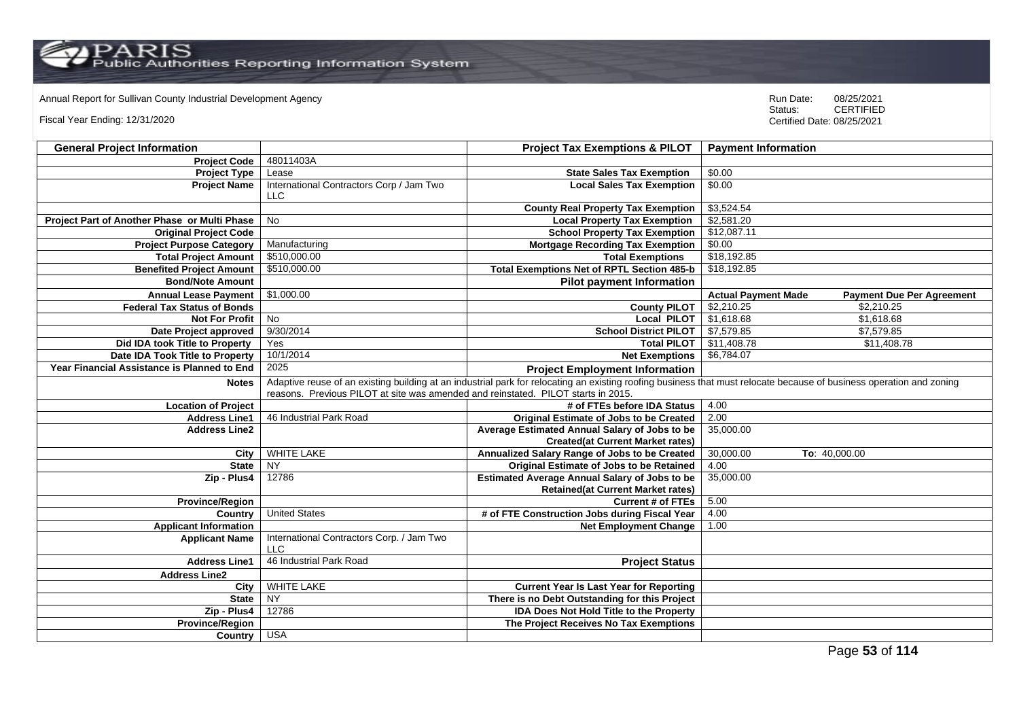$\operatorname{PARS}$  PARIS<br>Public Authorities Reporting Information System

# Annual Report for Sullivan County Industrial Development Agency<br>
Status: CERTIFIED

Fiscal Year Ending: 12/31/2020

| <b>General Project Information</b>           |                                                                                                                                                                                                                                                           | <b>Project Tax Exemptions &amp; PILOT</b>                                                        | <b>Payment Information</b>                                     |
|----------------------------------------------|-----------------------------------------------------------------------------------------------------------------------------------------------------------------------------------------------------------------------------------------------------------|--------------------------------------------------------------------------------------------------|----------------------------------------------------------------|
| <b>Project Code</b>                          | 48011403A                                                                                                                                                                                                                                                 |                                                                                                  |                                                                |
| <b>Project Type</b>                          | Lease                                                                                                                                                                                                                                                     | <b>State Sales Tax Exemption</b>                                                                 | \$0.00                                                         |
| <b>Project Name</b>                          | International Contractors Corp / Jam Two<br><b>LLC</b>                                                                                                                                                                                                    | <b>Local Sales Tax Exemption</b>                                                                 | \$0.00                                                         |
|                                              |                                                                                                                                                                                                                                                           | <b>County Real Property Tax Exemption</b>                                                        | \$3,524.54                                                     |
| Project Part of Another Phase or Multi Phase | <b>No</b>                                                                                                                                                                                                                                                 | <b>Local Property Tax Exemption</b>                                                              | \$2,581.20                                                     |
| <b>Original Project Code</b>                 |                                                                                                                                                                                                                                                           | <b>School Property Tax Exemption</b>                                                             | \$12,087.11                                                    |
| <b>Project Purpose Category</b>              | Manufacturing                                                                                                                                                                                                                                             | <b>Mortgage Recording Tax Exemption</b>                                                          | \$0.00                                                         |
| <b>Total Project Amount</b>                  | \$510,000.00                                                                                                                                                                                                                                              | <b>Total Exemptions</b>                                                                          | \$18,192.85                                                    |
| <b>Benefited Project Amount</b>              | \$510,000.00                                                                                                                                                                                                                                              | <b>Total Exemptions Net of RPTL Section 485-b</b>                                                | \$18,192.85                                                    |
| <b>Bond/Note Amount</b>                      |                                                                                                                                                                                                                                                           | <b>Pilot payment Information</b>                                                                 |                                                                |
| <b>Annual Lease Payment</b>                  | \$1,000.00                                                                                                                                                                                                                                                |                                                                                                  | <b>Actual Payment Made</b><br><b>Payment Due Per Agreement</b> |
| <b>Federal Tax Status of Bonds</b>           |                                                                                                                                                                                                                                                           | <b>County PILOT</b>                                                                              | \$2,210.25<br>\$2,210.25                                       |
| <b>Not For Profit</b>                        | $\overline{N}$                                                                                                                                                                                                                                            | <b>Local PILOT</b>                                                                               | \$1,618.68<br>\$1,618.68                                       |
| Date Project approved                        | 9/30/2014                                                                                                                                                                                                                                                 | <b>School District PILOT</b>                                                                     | \$7,579.85<br>\$7,579.85                                       |
| Did IDA took Title to Property               | Yes                                                                                                                                                                                                                                                       | <b>Total PILOT</b>                                                                               | \$11,408.78<br>\$11,408.78                                     |
| Date IDA Took Title to Property              | 10/1/2014                                                                                                                                                                                                                                                 | <b>Net Exemptions</b>                                                                            | \$6,784.07                                                     |
| Year Financial Assistance is Planned to End  | 2025                                                                                                                                                                                                                                                      | <b>Project Employment Information</b>                                                            |                                                                |
| <b>Notes</b>                                 | Adaptive reuse of an existing building at an industrial park for relocating an existing roofing business that must relocate because of business operation and zoning<br>reasons. Previous PILOT at site was amended and reinstated. PILOT starts in 2015. |                                                                                                  |                                                                |
| <b>Location of Project</b>                   |                                                                                                                                                                                                                                                           | # of FTEs before IDA Status                                                                      | 4.00                                                           |
| <b>Address Line1</b>                         | 46 Industrial Park Road                                                                                                                                                                                                                                   | Original Estimate of Jobs to be Created                                                          | 2.00                                                           |
| <b>Address Line2</b>                         |                                                                                                                                                                                                                                                           | Average Estimated Annual Salary of Jobs to be                                                    | 35,000.00                                                      |
|                                              |                                                                                                                                                                                                                                                           | <b>Created(at Current Market rates)</b>                                                          |                                                                |
| City                                         | <b>WHITE LAKE</b>                                                                                                                                                                                                                                         | Annualized Salary Range of Jobs to be Created                                                    | 30,000.00<br>To: 40,000.00                                     |
| <b>State</b>                                 | <b>NY</b>                                                                                                                                                                                                                                                 | <b>Original Estimate of Jobs to be Retained</b>                                                  | 4.00                                                           |
| Zip - Plus4                                  | 12786                                                                                                                                                                                                                                                     | <b>Estimated Average Annual Salary of Jobs to be</b><br><b>Retained(at Current Market rates)</b> | 35,000.00                                                      |
| <b>Province/Region</b>                       |                                                                                                                                                                                                                                                           | <b>Current # of FTEs</b>                                                                         | 5.00                                                           |
| Country                                      | <b>United States</b>                                                                                                                                                                                                                                      | # of FTE Construction Jobs during Fiscal Year                                                    | 4.00                                                           |
| <b>Applicant Information</b>                 |                                                                                                                                                                                                                                                           | <b>Net Employment Change</b>                                                                     | 1.00                                                           |
| <b>Applicant Name</b>                        | International Contractors Corp. / Jam Two<br><b>LLC</b>                                                                                                                                                                                                   |                                                                                                  |                                                                |
| <b>Address Line1</b>                         | 46 Industrial Park Road                                                                                                                                                                                                                                   | <b>Project Status</b>                                                                            |                                                                |
| <b>Address Line2</b>                         |                                                                                                                                                                                                                                                           |                                                                                                  |                                                                |
| City                                         | <b>WHITE LAKE</b>                                                                                                                                                                                                                                         | <b>Current Year Is Last Year for Reporting</b>                                                   |                                                                |
| <b>State</b>                                 | <b>NY</b>                                                                                                                                                                                                                                                 | There is no Debt Outstanding for this Project                                                    |                                                                |
| Zip - Plus4                                  | 12786                                                                                                                                                                                                                                                     | IDA Does Not Hold Title to the Property                                                          |                                                                |
| <b>Province/Region</b>                       |                                                                                                                                                                                                                                                           | The Project Receives No Tax Exemptions                                                           |                                                                |
| Country                                      | <b>USA</b>                                                                                                                                                                                                                                                |                                                                                                  |                                                                |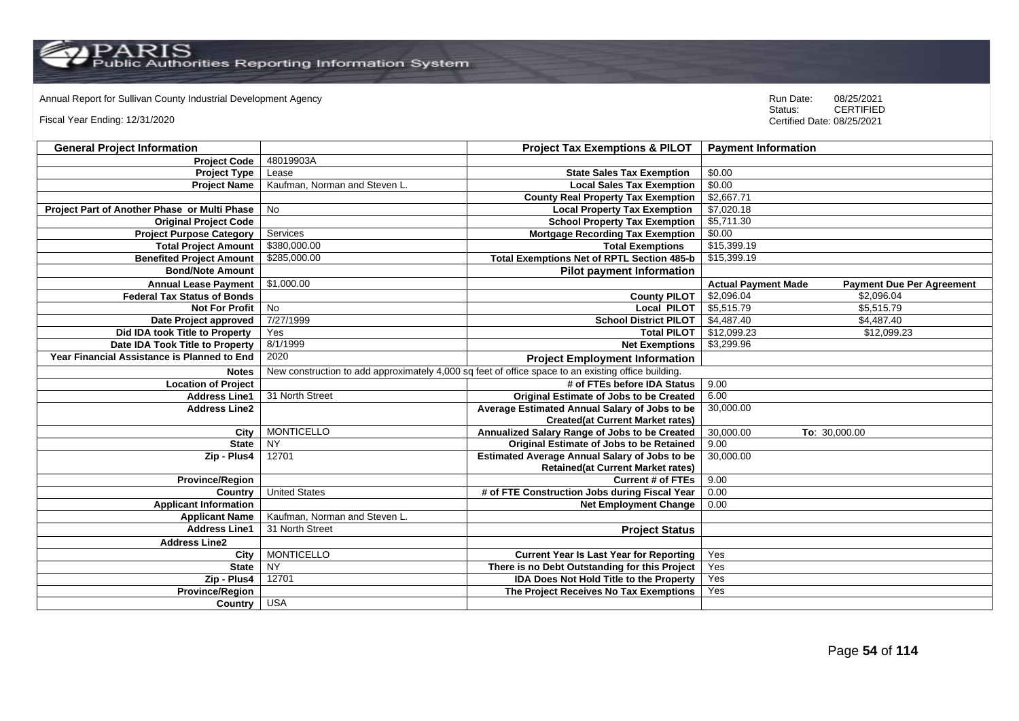$\mathrm{PARS} \ \mathrm{Fuss}$ 

# Annual Report for Sullivan County Industrial Development Agency<br>
Status: CERTIFIED

Fiscal Year Ending: 12/31/2020

| <b>General Project Information</b>           |                               | <b>Project Tax Exemptions &amp; PILOT</b>                                                           | <b>Payment Information</b>                                     |
|----------------------------------------------|-------------------------------|-----------------------------------------------------------------------------------------------------|----------------------------------------------------------------|
| <b>Project Code</b>                          | 48019903A                     |                                                                                                     |                                                                |
| <b>Project Type</b>                          | Lease                         | <b>State Sales Tax Exemption</b>                                                                    | \$0.00                                                         |
| <b>Project Name</b>                          | Kaufman, Norman and Steven L. | <b>Local Sales Tax Exemption</b>                                                                    | \$0.00                                                         |
|                                              |                               | <b>County Real Property Tax Exemption</b>                                                           | \$2,667.71                                                     |
| Project Part of Another Phase or Multi Phase | No                            | <b>Local Property Tax Exemption</b>                                                                 | \$7,020.18                                                     |
| <b>Original Project Code</b>                 |                               | <b>School Property Tax Exemption</b>                                                                | \$5,711.30                                                     |
| <b>Project Purpose Category</b>              | Services                      | <b>Mortgage Recording Tax Exemption</b>                                                             | \$0.00                                                         |
| <b>Total Project Amount</b>                  | \$380,000.00                  | <b>Total Exemptions</b>                                                                             | \$15,399.19                                                    |
| <b>Benefited Project Amount</b>              | \$285,000.00                  | <b>Total Exemptions Net of RPTL Section 485-b</b>                                                   | \$15,399.19                                                    |
| <b>Bond/Note Amount</b>                      |                               | <b>Pilot payment Information</b>                                                                    |                                                                |
| <b>Annual Lease Payment</b>                  | \$1,000.00                    |                                                                                                     | <b>Actual Payment Made</b><br><b>Payment Due Per Agreement</b> |
| <b>Federal Tax Status of Bonds</b>           |                               | <b>County PILOT</b>                                                                                 | \$2,096.04<br>\$2,096.04                                       |
| <b>Not For Profit</b>                        | No                            | <b>Local PILOT</b>                                                                                  | \$5,515.79<br>\$5,515.79                                       |
| Date Project approved                        | 7/27/1999                     | <b>School District PILOT</b>                                                                        | \$4,487.40<br>\$4,487.40                                       |
| <b>Did IDA took Title to Property</b>        | Yes                           | <b>Total PILOT</b>                                                                                  | \$12,099.23<br>\$12,099.23                                     |
| Date IDA Took Title to Property              | 8/1/1999                      | <b>Net Exemptions</b>                                                                               | \$3,299.96                                                     |
| Year Financial Assistance is Planned to End  | 2020                          | <b>Project Employment Information</b>                                                               |                                                                |
| <b>Notes</b>                                 |                               | New construction to add approximately 4,000 sq feet of office space to an existing office building. |                                                                |
| <b>Location of Project</b>                   |                               | # of FTEs before IDA Status                                                                         | 9.00                                                           |
| <b>Address Line1</b>                         | 31 North Street               | Original Estimate of Jobs to be Created                                                             | 6.00                                                           |
| <b>Address Line2</b>                         |                               | Average Estimated Annual Salary of Jobs to be                                                       | 30,000.00                                                      |
|                                              |                               | <b>Created(at Current Market rates)</b>                                                             |                                                                |
| City                                         | <b>MONTICELLO</b>             | Annualized Salary Range of Jobs to be Created                                                       | 30,000.00<br>To: 30,000.00                                     |
| <b>State</b>                                 | <b>NY</b>                     | <b>Original Estimate of Jobs to be Retained</b>                                                     | 9.00                                                           |
| Zip - Plus4                                  | 12701                         | <b>Estimated Average Annual Salary of Jobs to be</b>                                                | 30,000.00                                                      |
|                                              |                               | <b>Retained(at Current Market rates)</b>                                                            |                                                                |
| <b>Province/Region</b>                       |                               | <b>Current # of FTEs</b>                                                                            | 9.00                                                           |
| Country                                      | <b>United States</b>          | # of FTE Construction Jobs during Fiscal Year                                                       | 0.00                                                           |
| <b>Applicant Information</b>                 |                               | <b>Net Employment Change</b>                                                                        | 0.00                                                           |
| <b>Applicant Name</b>                        | Kaufman, Norman and Steven L. |                                                                                                     |                                                                |
| <b>Address Line1</b>                         | 31 North Street               | <b>Project Status</b>                                                                               |                                                                |
| <b>Address Line2</b>                         |                               |                                                                                                     |                                                                |
| City                                         | <b>MONTICELLO</b>             | <b>Current Year Is Last Year for Reporting</b>                                                      | Yes                                                            |
| <b>State</b>                                 | <b>NY</b>                     | There is no Debt Outstanding for this Project                                                       | Yes                                                            |
| Zip - Plus4                                  | 12701                         | <b>IDA Does Not Hold Title to the Property</b>                                                      | Yes                                                            |
| <b>Province/Region</b>                       |                               | The Project Receives No Tax Exemptions                                                              | Yes                                                            |
| Country USA                                  |                               |                                                                                                     |                                                                |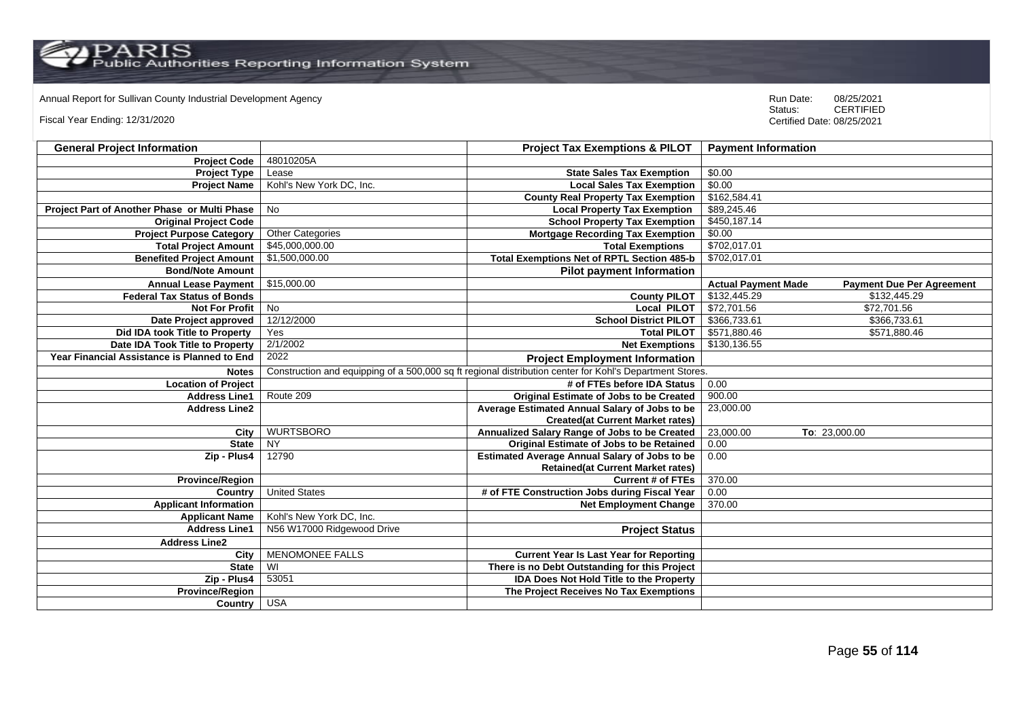$\operatorname{PARIS}_{\text{Public Authors}}$  Reporting Information System

# Annual Report for Sullivan County Industrial Development Agency<br>
Status: CERTIFIED

Fiscal Year Ending: 12/31/2020

| <b>General Project Information</b>           |                            | <b>Project Tax Exemptions &amp; PILOT</b>                                                                | <b>Payment Information</b>                                     |
|----------------------------------------------|----------------------------|----------------------------------------------------------------------------------------------------------|----------------------------------------------------------------|
| <b>Project Code</b>                          | 48010205A                  |                                                                                                          |                                                                |
| <b>Project Type</b>                          | Lease                      | <b>State Sales Tax Exemption</b>                                                                         | \$0.00                                                         |
| <b>Project Name</b>                          | Kohl's New York DC, Inc.   | <b>Local Sales Tax Exemption</b>                                                                         | \$0.00                                                         |
|                                              |                            | <b>County Real Property Tax Exemption</b>                                                                | \$162,584.41                                                   |
| Project Part of Another Phase or Multi Phase | <b>No</b>                  | <b>Local Property Tax Exemption</b>                                                                      | \$89,245.46                                                    |
| <b>Original Project Code</b>                 |                            | <b>School Property Tax Exemption</b>                                                                     | \$450,187.14                                                   |
| <b>Project Purpose Category</b>              | <b>Other Categories</b>    | <b>Mortgage Recording Tax Exemption</b>                                                                  | \$0.00                                                         |
| <b>Total Project Amount</b>                  | \$45,000,000.00            | <b>Total Exemptions</b>                                                                                  | \$702,017.01                                                   |
| <b>Benefited Project Amount</b>              | \$1,500,000.00             | <b>Total Exemptions Net of RPTL Section 485-b</b>                                                        | \$702,017.01                                                   |
| <b>Bond/Note Amount</b>                      |                            | <b>Pilot payment Information</b>                                                                         |                                                                |
| <b>Annual Lease Payment</b>                  | \$15,000.00                |                                                                                                          | <b>Actual Payment Made</b><br><b>Payment Due Per Agreement</b> |
| <b>Federal Tax Status of Bonds</b>           |                            | <b>County PILOT</b>                                                                                      | \$132,445.29<br>$\overline{$132,445.29}$                       |
| <b>Not For Profit</b>                        | $\overline{N}$             | <b>Local PILOT</b>                                                                                       | \$72,701.56<br>\$72,701.56                                     |
| Date Project approved                        | 12/12/2000                 | <b>School District PILOT</b>                                                                             | \$366,733.61<br>\$366,733.61                                   |
| Did IDA took Title to Property               | Yes                        | <b>Total PILOT</b>                                                                                       | \$571,880.46<br>\$571,880.46                                   |
| Date IDA Took Title to Property              | 2/1/2002                   | <b>Net Exemptions</b>                                                                                    | \$130,136.55                                                   |
| Year Financial Assistance is Planned to End  | 2022                       | <b>Project Employment Information</b>                                                                    |                                                                |
| <b>Notes</b>                                 |                            | Construction and equipping of a 500,000 sq ft regional distribution center for Kohl's Department Stores. |                                                                |
| <b>Location of Project</b>                   |                            | # of FTEs before IDA Status                                                                              | 0.00                                                           |
| <b>Address Line1</b>                         | Route 209                  | Original Estimate of Jobs to be Created                                                                  | 900.00                                                         |
| <b>Address Line2</b>                         |                            | Average Estimated Annual Salary of Jobs to be                                                            | 23,000.00                                                      |
|                                              |                            | <b>Created(at Current Market rates)</b>                                                                  |                                                                |
| City                                         | <b>WURTSBORO</b>           | Annualized Salary Range of Jobs to be Created                                                            | 23,000.00<br>To: 23,000.00                                     |
| <b>State</b>                                 | NY                         | <b>Original Estimate of Jobs to be Retained</b>                                                          | 0.00                                                           |
| Zip - Plus4                                  | 12790                      | <b>Estimated Average Annual Salary of Jobs to be</b>                                                     | 0.00                                                           |
|                                              |                            | <b>Retained(at Current Market rates)</b>                                                                 |                                                                |
| <b>Province/Region</b>                       |                            | <b>Current # of FTEs</b>                                                                                 | 370.00                                                         |
| Country                                      | <b>United States</b>       | # of FTE Construction Jobs during Fiscal Year                                                            | 0.00                                                           |
| <b>Applicant Information</b>                 |                            | <b>Net Employment Change</b>                                                                             | 370.00                                                         |
| <b>Applicant Name</b>                        | Kohl's New York DC, Inc.   |                                                                                                          |                                                                |
| <b>Address Line1</b>                         | N56 W17000 Ridgewood Drive | <b>Project Status</b>                                                                                    |                                                                |
| <b>Address Line2</b>                         |                            |                                                                                                          |                                                                |
| City                                         | <b>MENOMONEE FALLS</b>     | <b>Current Year Is Last Year for Reporting</b>                                                           |                                                                |
| <b>State</b>                                 | $\overline{\mathsf{W}}$    | There is no Debt Outstanding for this Project                                                            |                                                                |
| Zip - Plus4                                  | 53051                      | <b>IDA Does Not Hold Title to the Property</b>                                                           |                                                                |
| Province/Region                              |                            | The Project Receives No Tax Exemptions                                                                   |                                                                |
| <b>Country</b>                               | USA                        |                                                                                                          |                                                                |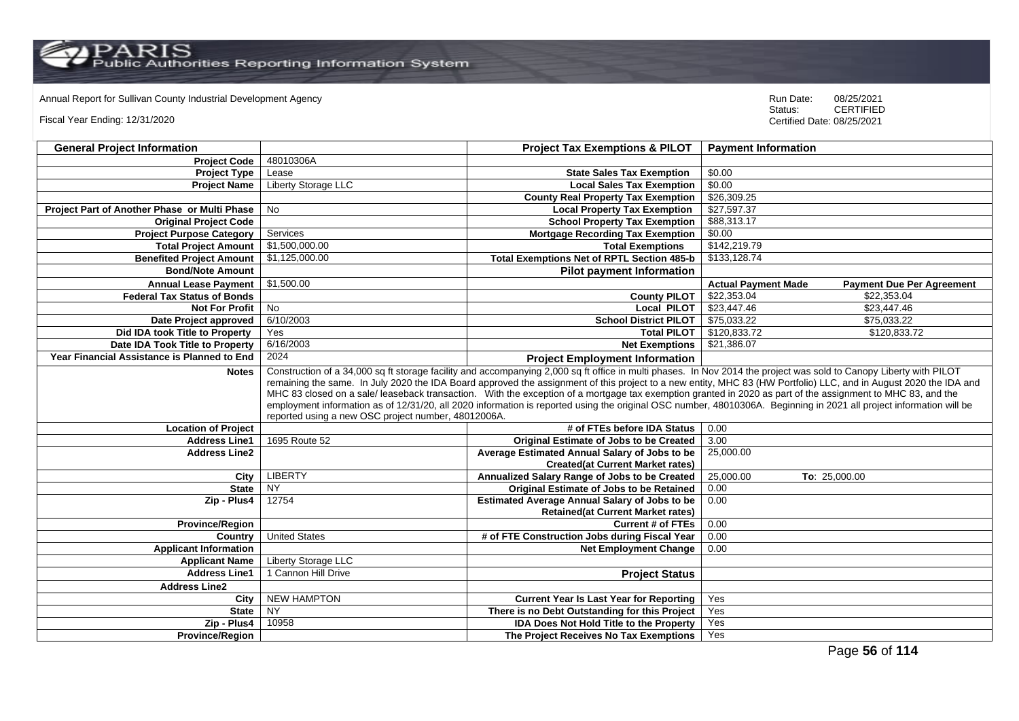# Annual Report for Sullivan County Industrial Development Agency<br>
Status: CERTIFIED

Fiscal Year Ending: 12/31/2020

| <b>General Project Information</b>           |                                                     | <b>Project Tax Exemptions &amp; PILOT</b>            | <b>Payment Information</b>                                                                                                                                                                                                                                                                                                                                                                                                                                                                              |
|----------------------------------------------|-----------------------------------------------------|------------------------------------------------------|---------------------------------------------------------------------------------------------------------------------------------------------------------------------------------------------------------------------------------------------------------------------------------------------------------------------------------------------------------------------------------------------------------------------------------------------------------------------------------------------------------|
| <b>Project Code</b>                          | 48010306A                                           |                                                      |                                                                                                                                                                                                                                                                                                                                                                                                                                                                                                         |
| <b>Project Type</b>                          | Lease                                               | <b>State Sales Tax Exemption</b>                     | \$0.00                                                                                                                                                                                                                                                                                                                                                                                                                                                                                                  |
| <b>Project Name</b>                          | <b>Liberty Storage LLC</b>                          | <b>Local Sales Tax Exemption</b>                     | \$0.00                                                                                                                                                                                                                                                                                                                                                                                                                                                                                                  |
|                                              |                                                     | <b>County Real Property Tax Exemption</b>            | \$26,309.25                                                                                                                                                                                                                                                                                                                                                                                                                                                                                             |
| Project Part of Another Phase or Multi Phase | No                                                  | <b>Local Property Tax Exemption</b>                  | \$27,597.37                                                                                                                                                                                                                                                                                                                                                                                                                                                                                             |
| <b>Original Project Code</b>                 |                                                     | <b>School Property Tax Exemption</b>                 | \$88,313.17                                                                                                                                                                                                                                                                                                                                                                                                                                                                                             |
| <b>Project Purpose Category</b>              | Services                                            | <b>Mortgage Recording Tax Exemption</b>              | \$0.00                                                                                                                                                                                                                                                                                                                                                                                                                                                                                                  |
| <b>Total Project Amount</b>                  | \$1,500,000.00                                      | <b>Total Exemptions</b>                              | \$142,219.79                                                                                                                                                                                                                                                                                                                                                                                                                                                                                            |
| <b>Benefited Project Amount</b>              | \$1,125,000.00                                      | Total Exemptions Net of RPTL Section 485-b           | \$133,128.74                                                                                                                                                                                                                                                                                                                                                                                                                                                                                            |
| <b>Bond/Note Amount</b>                      |                                                     | <b>Pilot payment Information</b>                     |                                                                                                                                                                                                                                                                                                                                                                                                                                                                                                         |
| <b>Annual Lease Payment</b>                  | \$1,500.00                                          |                                                      | <b>Actual Payment Made</b><br><b>Payment Due Per Agreement</b>                                                                                                                                                                                                                                                                                                                                                                                                                                          |
| <b>Federal Tax Status of Bonds</b>           |                                                     | <b>County PILOT</b>                                  | \$22,353.04<br>\$22,353.04                                                                                                                                                                                                                                                                                                                                                                                                                                                                              |
| <b>Not For Profit</b>                        | No                                                  | <b>Local PILOT</b>                                   | \$23,447.46<br>\$23,447.46                                                                                                                                                                                                                                                                                                                                                                                                                                                                              |
| Date Project approved                        | 6/10/2003                                           | <b>School District PILOT</b>                         | \$75,033.22<br>\$75,033.22                                                                                                                                                                                                                                                                                                                                                                                                                                                                              |
| Did IDA took Title to Property               | Yes                                                 | <b>Total PILOT</b>                                   | \$120,833.72<br>\$120,833.72                                                                                                                                                                                                                                                                                                                                                                                                                                                                            |
| Date IDA Took Title to Property              | 6/16/2003                                           | <b>Net Exemptions</b>                                | \$21,386.07                                                                                                                                                                                                                                                                                                                                                                                                                                                                                             |
| Year Financial Assistance is Planned to End  | 2024                                                | <b>Project Employment Information</b>                | Construction of a 34,000 sq ft storage facility and accompanying 2,000 sq ft office in multi phases. In Nov 2014 the project was sold to Canopy Liberty with PILOT                                                                                                                                                                                                                                                                                                                                      |
|                                              | reported using a new OSC project number, 48012006A. |                                                      | remaining the same. In July 2020 the IDA Board approved the assignment of this project to a new entity, MHC 83 (HW Portfolio) LLC, and in August 2020 the IDA and<br>MHC 83 closed on a sale/ leaseback transaction. With the exception of a mortgage tax exemption granted in 2020 as part of the assignment to MHC 83, and the<br>employment information as of 12/31/20, all 2020 information is reported using the original OSC number, 48010306A. Beginning in 2021 all project information will be |
| <b>Location of Project</b>                   |                                                     | # of FTEs before IDA Status                          | 0.00                                                                                                                                                                                                                                                                                                                                                                                                                                                                                                    |
| <b>Address Line1</b>                         | 1695 Route 52                                       | <b>Original Estimate of Jobs to be Created</b>       | 3.00                                                                                                                                                                                                                                                                                                                                                                                                                                                                                                    |
| <b>Address Line2</b>                         |                                                     | Average Estimated Annual Salary of Jobs to be        | 25,000.00                                                                                                                                                                                                                                                                                                                                                                                                                                                                                               |
|                                              |                                                     | <b>Created(at Current Market rates)</b>              |                                                                                                                                                                                                                                                                                                                                                                                                                                                                                                         |
| City                                         | <b>LIBERTY</b>                                      | Annualized Salary Range of Jobs to be Created        | 25,000.00<br>To: 25,000.00                                                                                                                                                                                                                                                                                                                                                                                                                                                                              |
| <b>State</b>                                 | <b>NY</b>                                           | Original Estimate of Jobs to be Retained             | 0.00                                                                                                                                                                                                                                                                                                                                                                                                                                                                                                    |
| Zip - Plus4                                  | 12754                                               | <b>Estimated Average Annual Salary of Jobs to be</b> | 0.00                                                                                                                                                                                                                                                                                                                                                                                                                                                                                                    |
|                                              |                                                     | <b>Retained(at Current Market rates)</b>             |                                                                                                                                                                                                                                                                                                                                                                                                                                                                                                         |
| <b>Province/Region</b>                       |                                                     | <b>Current # of FTEs</b>                             | 0.00                                                                                                                                                                                                                                                                                                                                                                                                                                                                                                    |
| Country                                      | <b>United States</b>                                | # of FTE Construction Jobs during Fiscal Year        | 0.00                                                                                                                                                                                                                                                                                                                                                                                                                                                                                                    |
| <b>Applicant Information</b>                 |                                                     | <b>Net Employment Change</b>                         | 0.00                                                                                                                                                                                                                                                                                                                                                                                                                                                                                                    |
| <b>Applicant Name</b>                        | Liberty Storage LLC                                 |                                                      |                                                                                                                                                                                                                                                                                                                                                                                                                                                                                                         |
| <b>Address Line1</b>                         | 1 Cannon Hill Drive                                 | <b>Project Status</b>                                |                                                                                                                                                                                                                                                                                                                                                                                                                                                                                                         |
| <b>Address Line2</b>                         |                                                     |                                                      |                                                                                                                                                                                                                                                                                                                                                                                                                                                                                                         |
| City                                         | <b>NEW HAMPTON</b>                                  | <b>Current Year Is Last Year for Reporting</b>       | Yes                                                                                                                                                                                                                                                                                                                                                                                                                                                                                                     |
| <b>State</b>                                 | <b>NY</b>                                           | There is no Debt Outstanding for this Project        | Yes                                                                                                                                                                                                                                                                                                                                                                                                                                                                                                     |
| Zip - Plus4                                  | 10958                                               | <b>IDA Does Not Hold Title to the Property</b>       | Yes                                                                                                                                                                                                                                                                                                                                                                                                                                                                                                     |
| <b>Province/Region</b>                       |                                                     | The Project Receives No Tax Exemptions               | Yes                                                                                                                                                                                                                                                                                                                                                                                                                                                                                                     |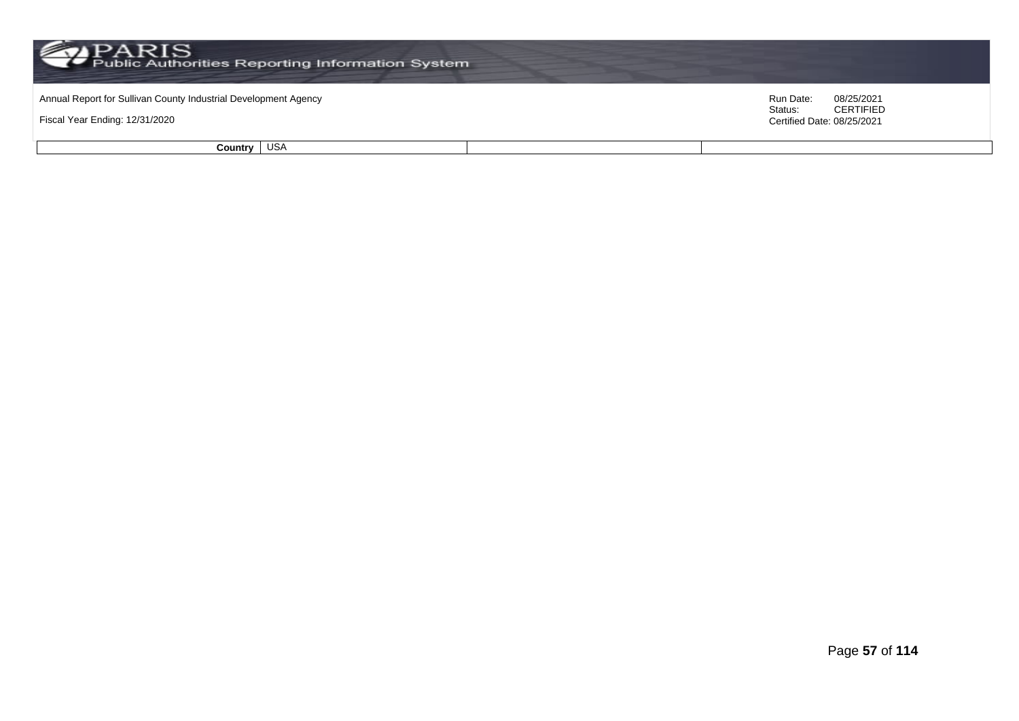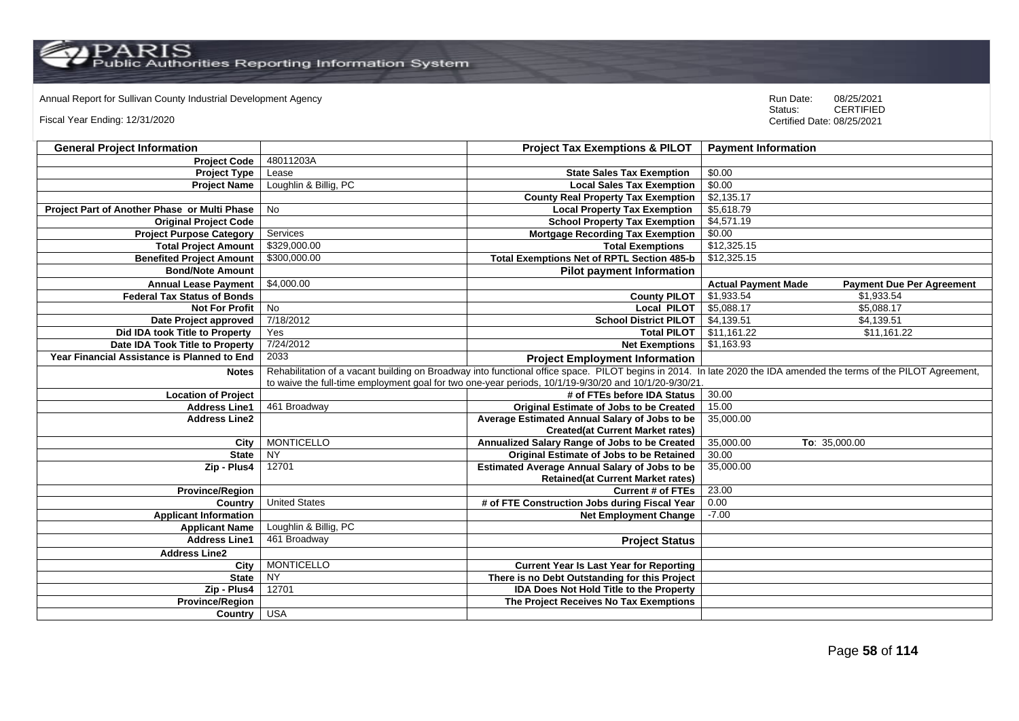# Annual Report for Sullivan County Industrial Development Agency<br>
Status: CERTIFIED

Fiscal Year Ending: 12/31/2020

| <b>General Project Information</b>           |                       | <b>Project Tax Exemptions &amp; PILOT</b>                                                            | <b>Payment Information</b>                                                                                                                                         |
|----------------------------------------------|-----------------------|------------------------------------------------------------------------------------------------------|--------------------------------------------------------------------------------------------------------------------------------------------------------------------|
| <b>Project Code</b>                          | 48011203A             |                                                                                                      |                                                                                                                                                                    |
| <b>Project Type</b>                          | Lease                 | <b>State Sales Tax Exemption</b>                                                                     | \$0.00                                                                                                                                                             |
| <b>Project Name</b>                          | Loughlin & Billig, PC | <b>Local Sales Tax Exemption</b>                                                                     | \$0.00                                                                                                                                                             |
|                                              |                       | <b>County Real Property Tax Exemption</b>                                                            | \$2,135.17                                                                                                                                                         |
| Project Part of Another Phase or Multi Phase | No                    | <b>Local Property Tax Exemption</b>                                                                  | \$5,618.79                                                                                                                                                         |
| <b>Original Project Code</b>                 |                       | <b>School Property Tax Exemption</b>                                                                 | \$4,571.19                                                                                                                                                         |
| <b>Project Purpose Category</b>              | Services              | <b>Mortgage Recording Tax Exemption</b>                                                              | \$0.00                                                                                                                                                             |
| <b>Total Project Amount</b>                  | \$329,000.00          | <b>Total Exemptions</b>                                                                              | \$12,325.15                                                                                                                                                        |
| <b>Benefited Project Amount</b>              | \$300,000.00          | <b>Total Exemptions Net of RPTL Section 485-b</b>                                                    | \$12,325.15                                                                                                                                                        |
| <b>Bond/Note Amount</b>                      |                       | <b>Pilot payment Information</b>                                                                     |                                                                                                                                                                    |
| <b>Annual Lease Payment</b>                  | \$4,000.00            |                                                                                                      | <b>Actual Payment Made</b><br><b>Payment Due Per Agreement</b>                                                                                                     |
| <b>Federal Tax Status of Bonds</b>           |                       | <b>County PILOT</b>                                                                                  | \$1,933.54<br>\$1,933.54                                                                                                                                           |
| <b>Not For Profit</b>                        | <b>No</b>             | <b>Local PILOT</b>                                                                                   | \$5,088.17<br>\$5,088.17                                                                                                                                           |
| Date Project approved                        | 7/18/2012             | <b>School District PILOT</b>                                                                         | \$4,139.51<br>\$4,139.51                                                                                                                                           |
| Did IDA took Title to Property               | Yes                   | <b>Total PILOT</b>                                                                                   | \$11,161.22<br>\$11,161.22                                                                                                                                         |
| Date IDA Took Title to Property              | 7/24/2012             | <b>Net Exemptions</b>                                                                                | \$1,163.93                                                                                                                                                         |
| Year Financial Assistance is Planned to End  | 2033                  | <b>Project Employment Information</b>                                                                |                                                                                                                                                                    |
| <b>Notes</b>                                 |                       |                                                                                                      | Rehabilitation of a vacant building on Broadway into functional office space. PILOT begins in 2014. In late 2020 the IDA amended the terms of the PILOT Agreement, |
|                                              |                       | to waive the full-time employment goal for two one-year periods, 10/1/19-9/30/20 and 10/1/20-9/30/21 |                                                                                                                                                                    |
| <b>Location of Project</b>                   |                       | # of FTEs before IDA Status                                                                          | 30.00                                                                                                                                                              |
| <b>Address Line1</b>                         | 461 Broadway          | Original Estimate of Jobs to be Created                                                              | 15.00                                                                                                                                                              |
| <b>Address Line2</b>                         |                       | Average Estimated Annual Salary of Jobs to be                                                        | 35,000.00                                                                                                                                                          |
|                                              |                       | <b>Created(at Current Market rates)</b>                                                              |                                                                                                                                                                    |
| City                                         | <b>MONTICELLO</b>     | Annualized Salary Range of Jobs to be Created                                                        | 35,000.00<br>To: $35,000.00$                                                                                                                                       |
| <b>State</b>                                 | <b>NY</b>             | Original Estimate of Jobs to be Retained                                                             | 30.00                                                                                                                                                              |
| Zip - Plus4                                  | 12701                 | <b>Estimated Average Annual Salary of Jobs to be</b>                                                 | 35,000.00                                                                                                                                                          |
|                                              |                       | <b>Retained(at Current Market rates)</b>                                                             |                                                                                                                                                                    |
| <b>Province/Region</b>                       |                       | <b>Current # of FTEs</b>                                                                             | 23.00                                                                                                                                                              |
| Country                                      | <b>United States</b>  | # of FTE Construction Jobs during Fiscal Year                                                        | 0.00                                                                                                                                                               |
| <b>Applicant Information</b>                 |                       | <b>Net Employment Change</b>                                                                         | $-7.00$                                                                                                                                                            |
| <b>Applicant Name</b>                        | Loughlin & Billig, PC |                                                                                                      |                                                                                                                                                                    |
| <b>Address Line1</b>                         | 461 Broadway          | <b>Project Status</b>                                                                                |                                                                                                                                                                    |
| <b>Address Line2</b>                         |                       |                                                                                                      |                                                                                                                                                                    |
| City                                         | <b>MONTICELLO</b>     | <b>Current Year Is Last Year for Reporting</b>                                                       |                                                                                                                                                                    |
| <b>State</b>                                 | <b>NY</b>             | There is no Debt Outstanding for this Project                                                        |                                                                                                                                                                    |
| Zip - Plus4                                  | 12701                 | <b>IDA Does Not Hold Title to the Property</b>                                                       |                                                                                                                                                                    |
| <b>Province/Region</b>                       |                       | The Project Receives No Tax Exemptions                                                               |                                                                                                                                                                    |
| Country                                      | <b>USA</b>            |                                                                                                      |                                                                                                                                                                    |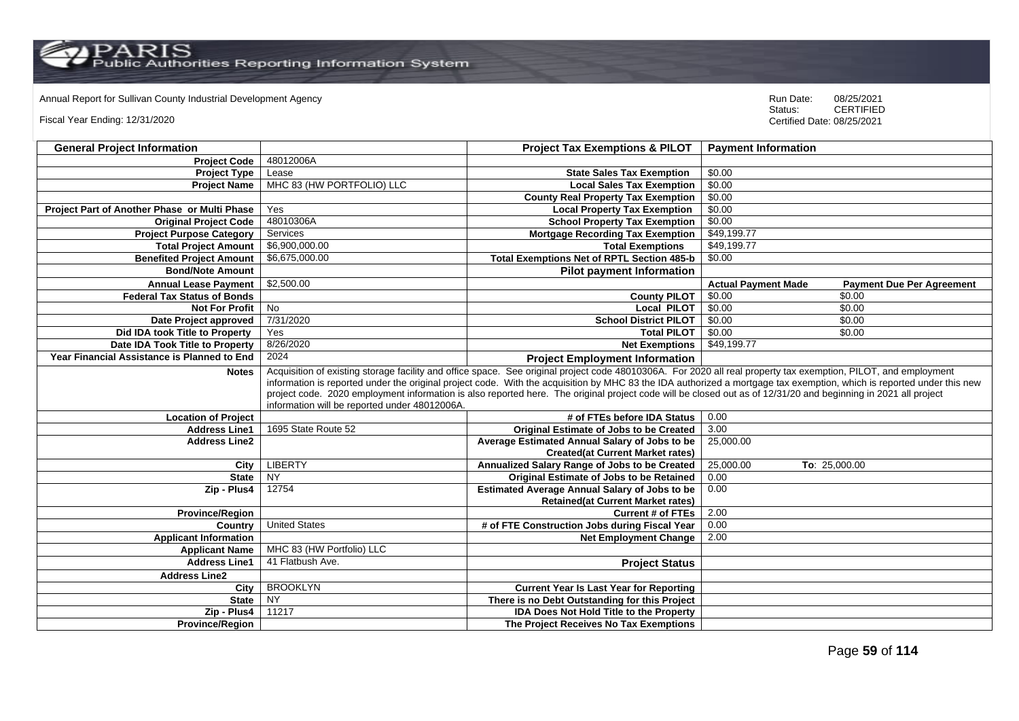$\operatorname{PARS}$  PARIS<br>Public Authorities Reporting Information System

# Annual Report for Sullivan County Industrial Development Agency<br>
Status: CERTIFIED

Fiscal Year Ending: 12/31/2020

| <b>General Project Information</b>           |                                               | <b>Project Tax Exemptions &amp; PILOT</b>            | <b>Payment Information</b>                                                                                                                                            |
|----------------------------------------------|-----------------------------------------------|------------------------------------------------------|-----------------------------------------------------------------------------------------------------------------------------------------------------------------------|
| <b>Project Code</b>                          | 48012006A                                     |                                                      |                                                                                                                                                                       |
| <b>Project Type</b>                          | Lease                                         | <b>State Sales Tax Exemption</b>                     | \$0.00                                                                                                                                                                |
| <b>Project Name</b>                          | MHC 83 (HW PORTFOLIO) LLC                     | <b>Local Sales Tax Exemption</b>                     | \$0.00                                                                                                                                                                |
|                                              |                                               | <b>County Real Property Tax Exemption</b>            | \$0.00                                                                                                                                                                |
| Project Part of Another Phase or Multi Phase | Yes                                           | <b>Local Property Tax Exemption</b>                  | \$0.00                                                                                                                                                                |
| <b>Original Project Code</b>                 | 48010306A                                     | <b>School Property Tax Exemption</b>                 | \$0.00                                                                                                                                                                |
| <b>Project Purpose Category</b>              | Services                                      | <b>Mortgage Recording Tax Exemption</b>              | \$49,199.77                                                                                                                                                           |
| <b>Total Project Amount</b>                  | \$6,900,000.00                                | <b>Total Exemptions</b>                              | \$49,199.77                                                                                                                                                           |
| <b>Benefited Project Amount</b>              | \$6,675,000.00                                | <b>Total Exemptions Net of RPTL Section 485-b</b>    | \$0.00                                                                                                                                                                |
| <b>Bond/Note Amount</b>                      |                                               | <b>Pilot payment Information</b>                     |                                                                                                                                                                       |
| <b>Annual Lease Payment</b>                  | \$2,500.00                                    |                                                      | <b>Actual Payment Made</b><br><b>Payment Due Per Agreement</b>                                                                                                        |
| <b>Federal Tax Status of Bonds</b>           |                                               | <b>County PILOT</b>                                  | \$0.00<br>\$0.00                                                                                                                                                      |
| <b>Not For Profit</b>                        | -<br>No                                       | <b>Local PILOT</b>                                   | \$0.00<br>\$0.00                                                                                                                                                      |
| Date Project approved                        | 7/31/2020                                     | <b>School District PILOT</b>                         | \$0.00<br>\$0.00                                                                                                                                                      |
| Did IDA took Title to Property               | Yes                                           | <b>Total PILOT</b>                                   | \$0.00<br>\$0.00                                                                                                                                                      |
| Date IDA Took Title to Property              | 8/26/2020                                     | <b>Net Exemptions</b>                                | \$49,199.77                                                                                                                                                           |
| Year Financial Assistance is Planned to End  | 2024                                          | <b>Project Employment Information</b>                |                                                                                                                                                                       |
| <b>Notes</b>                                 |                                               |                                                      | Acquisition of existing storage facility and office space. See original project code 48010306A. For 2020 all real property tax exemption, PILOT, and employment       |
|                                              |                                               |                                                      | information is reported under the original project code. With the acquisition by MHC 83 the IDA authorized a mortgage tax exemption, which is reported under this new |
|                                              |                                               |                                                      | project code. 2020 employment information is also reported here. The original project code will be closed out as of 12/31/20 and beginning in 2021 all project        |
|                                              | information will be reported under 48012006A. |                                                      |                                                                                                                                                                       |
| <b>Location of Project</b>                   |                                               | # of FTEs before IDA Status                          | 0.00                                                                                                                                                                  |
| <b>Address Line1</b>                         | 1695 State Route 52                           | <b>Original Estimate of Jobs to be Created</b>       | 3.00                                                                                                                                                                  |
| <b>Address Line2</b>                         |                                               | Average Estimated Annual Salary of Jobs to be        | 25,000.00                                                                                                                                                             |
|                                              |                                               | <b>Created(at Current Market rates)</b>              |                                                                                                                                                                       |
| City                                         | <b>LIBERTY</b>                                | Annualized Salary Range of Jobs to be Created        | 25,000.00<br>To: 25,000.00                                                                                                                                            |
| <b>State</b>                                 | NY                                            | Original Estimate of Jobs to be Retained             | 0.00                                                                                                                                                                  |
| Zip - Plus4                                  | 12754                                         | <b>Estimated Average Annual Salary of Jobs to be</b> | 0.00                                                                                                                                                                  |
|                                              |                                               | <b>Retained(at Current Market rates)</b>             |                                                                                                                                                                       |
| <b>Province/Region</b>                       |                                               | <b>Current # of FTEs</b>                             | 2.00                                                                                                                                                                  |
| Country                                      |                                               |                                                      |                                                                                                                                                                       |
| <b>Applicant Information</b>                 | <b>United States</b>                          | # of FTE Construction Jobs during Fiscal Year        | 0.00                                                                                                                                                                  |
|                                              |                                               | <b>Net Employment Change</b>                         | 2.00                                                                                                                                                                  |
| <b>Applicant Name</b>                        | MHC 83 (HW Portfolio) LLC                     |                                                      |                                                                                                                                                                       |
| <b>Address Line1</b>                         | 41 Flatbush Ave.                              | <b>Project Status</b>                                |                                                                                                                                                                       |
| <b>Address Line2</b>                         |                                               |                                                      |                                                                                                                                                                       |
| City                                         | <b>BROOKLYN</b>                               | <b>Current Year Is Last Year for Reporting</b>       |                                                                                                                                                                       |
| <b>State</b>                                 | <b>NY</b>                                     | There is no Debt Outstanding for this Project        |                                                                                                                                                                       |
| Zip - Plus4                                  | 11217                                         | <b>IDA Does Not Hold Title to the Property</b>       |                                                                                                                                                                       |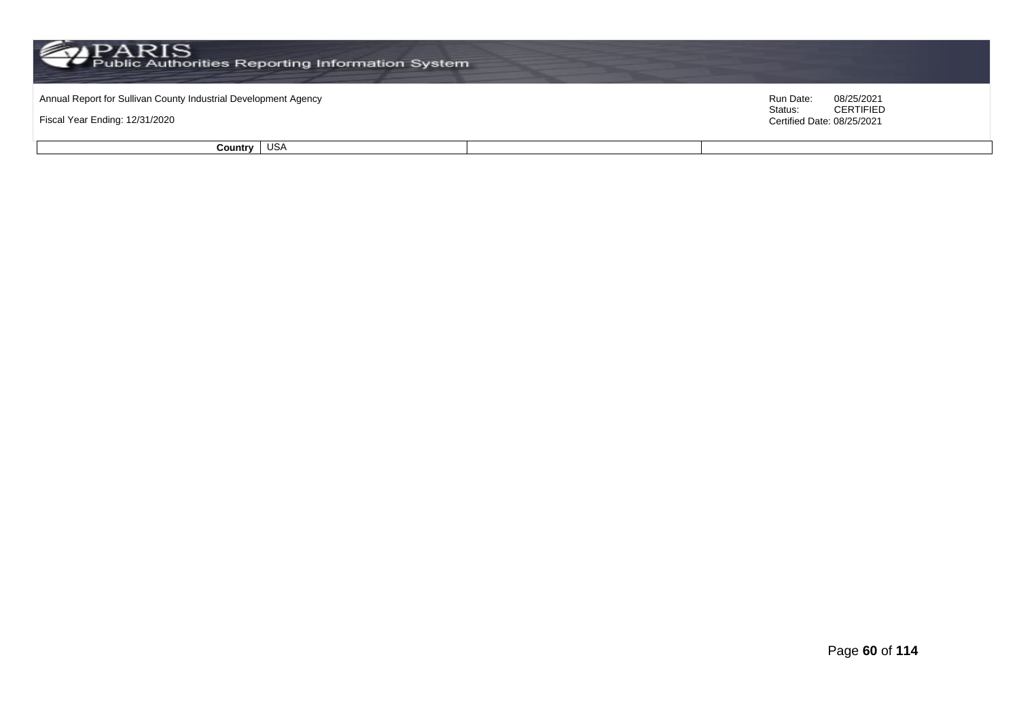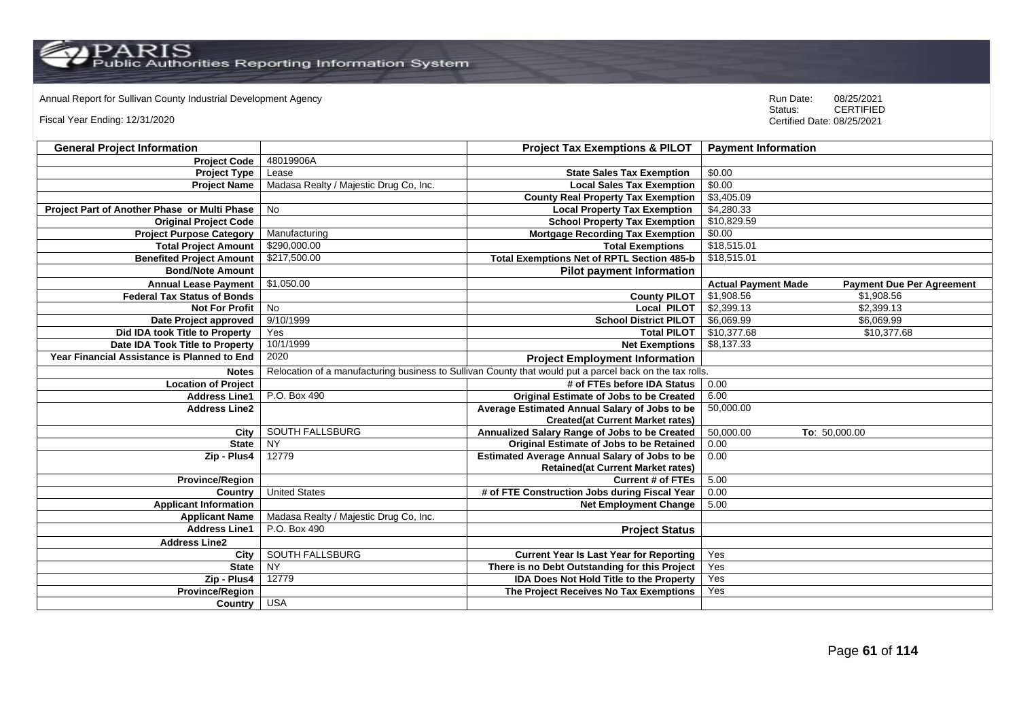$\operatorname{PARIS}_{\text{Public Authors}}$  Reporting Information System

# Annual Report for Sullivan County Industrial Development Agency<br>
Status: CERTIFIED

Fiscal Year Ending: 12/31/2020

| <b>General Project Information</b>           |                                        | <b>Project Tax Exemptions &amp; PILOT</b>                                                                | <b>Payment Information</b>                                     |
|----------------------------------------------|----------------------------------------|----------------------------------------------------------------------------------------------------------|----------------------------------------------------------------|
| <b>Project Code</b>                          | 48019906A                              |                                                                                                          |                                                                |
| <b>Project Type</b>                          | Lease                                  | <b>State Sales Tax Exemption</b>                                                                         | \$0.00                                                         |
| <b>Project Name</b>                          | Madasa Realty / Majestic Drug Co, Inc. | <b>Local Sales Tax Exemption</b>                                                                         | \$0.00                                                         |
|                                              |                                        | <b>County Real Property Tax Exemption</b>                                                                | \$3,405.09                                                     |
| Project Part of Another Phase or Multi Phase | <b>No</b>                              | <b>Local Property Tax Exemption</b>                                                                      | \$4,280.33                                                     |
| <b>Original Project Code</b>                 |                                        | <b>School Property Tax Exemption</b>                                                                     | \$10,829.59                                                    |
| <b>Project Purpose Category</b>              | Manufacturing                          | <b>Mortgage Recording Tax Exemption</b>                                                                  | \$0.00                                                         |
| <b>Total Project Amount</b>                  | \$290,000,00                           | <b>Total Exemptions</b>                                                                                  | \$18,515.01                                                    |
| <b>Benefited Project Amount</b>              | \$217,500.00                           | <b>Total Exemptions Net of RPTL Section 485-b</b>                                                        | \$18,515.01                                                    |
| <b>Bond/Note Amount</b>                      |                                        | <b>Pilot payment Information</b>                                                                         |                                                                |
| <b>Annual Lease Payment</b>                  | \$1,050.00                             |                                                                                                          | <b>Actual Payment Made</b><br><b>Payment Due Per Agreement</b> |
| <b>Federal Tax Status of Bonds</b>           |                                        | <b>County PILOT</b>                                                                                      | \$1,908.56<br>\$1,908.56                                       |
| <b>Not For Profit</b>                        | <b>No</b>                              | <b>Local PILOT</b>                                                                                       | \$2,399.13<br>\$2,399.13                                       |
| Date Project approved                        | 9/10/1999                              | <b>School District PILOT</b>                                                                             | \$6,069.99<br>\$6,069.99                                       |
| Did IDA took Title to Property               | Yes                                    | <b>Total PILOT</b>                                                                                       | \$10,377.68<br>\$10,377.68                                     |
| Date IDA Took Title to Property              | 10/1/1999                              | <b>Net Exemptions</b>                                                                                    | \$8,137.33                                                     |
| Year Financial Assistance is Planned to End  | 2020                                   | <b>Project Employment Information</b>                                                                    |                                                                |
| <b>Notes</b>                                 |                                        | Relocation of a manufacturing business to Sullivan County that would put a parcel back on the tax rolls. |                                                                |
| <b>Location of Project</b>                   |                                        | # of FTEs before IDA Status                                                                              | 0.00                                                           |
| <b>Address Line1</b>                         | P.O. Box 490                           | Original Estimate of Jobs to be Created                                                                  | 6.00                                                           |
| <b>Address Line2</b>                         |                                        | Average Estimated Annual Salary of Jobs to be                                                            | 50,000.00                                                      |
|                                              |                                        | <b>Created(at Current Market rates)</b>                                                                  |                                                                |
| City                                         | <b>SOUTH FALLSBURG</b>                 | Annualized Salary Range of Jobs to be Created                                                            | 50,000.00<br>To: 50,000.00                                     |
| <b>State</b>                                 | <b>NY</b>                              | <b>Original Estimate of Jobs to be Retained</b>                                                          | 0.00                                                           |
| Zip - Plus4                                  | 12779                                  | <b>Estimated Average Annual Salary of Jobs to be</b>                                                     | 0.00                                                           |
|                                              |                                        | <b>Retained(at Current Market rates)</b>                                                                 |                                                                |
| <b>Province/Region</b>                       |                                        | <b>Current # of FTEs</b>                                                                                 | 5.00                                                           |
| Country                                      | <b>United States</b>                   | # of FTE Construction Jobs during Fiscal Year                                                            | 0.00                                                           |
| <b>Applicant Information</b>                 |                                        | <b>Net Employment Change</b>                                                                             | 5.00                                                           |
| <b>Applicant Name</b>                        | Madasa Realty / Majestic Drug Co, Inc. |                                                                                                          |                                                                |
| <b>Address Line1</b>                         | P.O. Box 490                           | <b>Project Status</b>                                                                                    |                                                                |
| <b>Address Line2</b>                         |                                        |                                                                                                          |                                                                |
| City                                         | <b>SOUTH FALLSBURG</b>                 | <b>Current Year Is Last Year for Reporting</b>                                                           | Yes                                                            |
| <b>State</b>                                 | NY                                     | There is no Debt Outstanding for this Project                                                            | Yes                                                            |
| Zip - Plus4                                  | 12779                                  | <b>IDA Does Not Hold Title to the Property</b>                                                           | Yes                                                            |
| <b>Province/Region</b>                       |                                        | The Project Receives No Tax Exemptions                                                                   | Yes                                                            |
| Country                                      | <b>USA</b>                             |                                                                                                          |                                                                |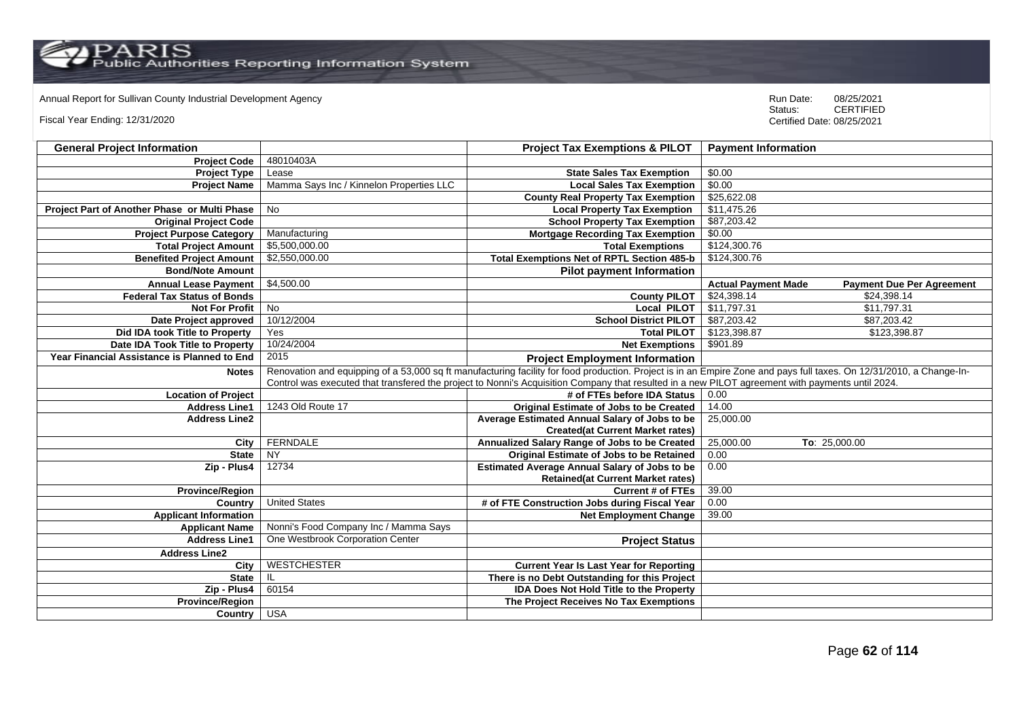# Annual Report for Sullivan County Industrial Development Agency<br>
Status: CERTIFIED

Fiscal Year Ending: 12/31/2020

| <b>General Project Information</b>            |                                                                           | <b>Project Tax Exemptions &amp; PILOT</b>                                                                                                        | <b>Payment Information</b>                                                                                                                                           |
|-----------------------------------------------|---------------------------------------------------------------------------|--------------------------------------------------------------------------------------------------------------------------------------------------|----------------------------------------------------------------------------------------------------------------------------------------------------------------------|
| <b>Project Code</b>                           | 48010403A                                                                 |                                                                                                                                                  |                                                                                                                                                                      |
| <b>Project Type</b>                           | Lease                                                                     | <b>State Sales Tax Exemption</b>                                                                                                                 | \$0.00                                                                                                                                                               |
| <b>Project Name</b>                           | Mamma Says Inc / Kinnelon Properties LLC                                  | <b>Local Sales Tax Exemption</b>                                                                                                                 | \$0.00                                                                                                                                                               |
|                                               |                                                                           | <b>County Real Property Tax Exemption</b>                                                                                                        | \$25,622.08                                                                                                                                                          |
| Project Part of Another Phase or Multi Phase  | No                                                                        | <b>Local Property Tax Exemption</b>                                                                                                              | \$11,475.26                                                                                                                                                          |
| <b>Original Project Code</b>                  |                                                                           | <b>School Property Tax Exemption</b>                                                                                                             | \$87,203.42                                                                                                                                                          |
| <b>Project Purpose Category</b>               | Manufacturing                                                             | <b>Mortgage Recording Tax Exemption</b>                                                                                                          | \$0.00                                                                                                                                                               |
| <b>Total Project Amount</b>                   | \$5,500,000.00                                                            | <b>Total Exemptions</b>                                                                                                                          | \$124,300.76                                                                                                                                                         |
| <b>Benefited Project Amount</b>               | \$2,550,000.00                                                            | <b>Total Exemptions Net of RPTL Section 485-b</b>                                                                                                | \$124,300.76                                                                                                                                                         |
| <b>Bond/Note Amount</b>                       |                                                                           | <b>Pilot payment Information</b>                                                                                                                 |                                                                                                                                                                      |
| <b>Annual Lease Payment</b>                   | \$4,500.00                                                                |                                                                                                                                                  | <b>Actual Payment Made</b><br><b>Payment Due Per Agreement</b>                                                                                                       |
| <b>Federal Tax Status of Bonds</b>            |                                                                           | <b>County PILOT</b>                                                                                                                              | \$24,398.14<br>\$24,398.14                                                                                                                                           |
| <b>Not For Profit</b>                         | No                                                                        | <b>Local PILOT</b>                                                                                                                               | \$11,797.31<br>\$11,797.31                                                                                                                                           |
| Date Project approved                         | 10/12/2004                                                                | <b>School District PILOT</b>                                                                                                                     | \$87,203.42<br>\$87,203.42                                                                                                                                           |
| Did IDA took Title to Property                | Yes                                                                       | <b>Total PILOT</b>                                                                                                                               | \$123,398.87<br>\$123,398.87                                                                                                                                         |
| Date IDA Took Title to Property               | 10/24/2004                                                                | <b>Net Exemptions</b>                                                                                                                            | \$901.89                                                                                                                                                             |
| Year Financial Assistance is Planned to End   | 2015                                                                      | <b>Project Employment Information</b>                                                                                                            |                                                                                                                                                                      |
| <b>Notes</b>                                  |                                                                           |                                                                                                                                                  | Renovation and equipping of a 53,000 sq ft manufacturing facility for food production. Project is in an Empire Zone and pays full taxes. On 12/31/2010, a Change-In- |
|                                               |                                                                           | Control was executed that transfered the project to Nonni's Acquisition Company that resulted in a new PILOT agreement with payments until 2024. |                                                                                                                                                                      |
| <b>Location of Project</b>                    |                                                                           | # of FTEs before IDA Status                                                                                                                      | 0.00                                                                                                                                                                 |
| <b>Address Line1</b>                          | 1243 Old Route 17                                                         | <b>Original Estimate of Jobs to be Created</b>                                                                                                   | 14.00                                                                                                                                                                |
| <b>Address Line2</b>                          |                                                                           | Average Estimated Annual Salary of Jobs to be                                                                                                    | 25,000.00                                                                                                                                                            |
|                                               |                                                                           | <b>Created(at Current Market rates)</b>                                                                                                          |                                                                                                                                                                      |
| City                                          | <b>FERNDALE</b>                                                           | Annualized Salary Range of Jobs to be Created                                                                                                    | 25,000.00<br>To: 25,000.00                                                                                                                                           |
| <b>State</b>                                  | <b>NY</b>                                                                 | <b>Original Estimate of Jobs to be Retained</b>                                                                                                  | 0.00                                                                                                                                                                 |
| Zip - Plus4                                   | 12734                                                                     | <b>Estimated Average Annual Salary of Jobs to be</b>                                                                                             | 0.00                                                                                                                                                                 |
|                                               |                                                                           | <b>Retained(at Current Market rates)</b>                                                                                                         |                                                                                                                                                                      |
| <b>Province/Region</b>                        |                                                                           | <b>Current # of FTEs</b>                                                                                                                         | 39.00                                                                                                                                                                |
| Country                                       | <b>United States</b>                                                      | # of FTE Construction Jobs during Fiscal Year                                                                                                    | 0.00                                                                                                                                                                 |
| <b>Applicant Information</b>                  |                                                                           | <b>Net Employment Change</b>                                                                                                                     | 39.00                                                                                                                                                                |
| <b>Applicant Name</b><br><b>Address Line1</b> | Nonni's Food Company Inc / Mamma Says<br>One Westbrook Corporation Center |                                                                                                                                                  |                                                                                                                                                                      |
|                                               |                                                                           | <b>Project Status</b>                                                                                                                            |                                                                                                                                                                      |
| <b>Address Line2</b>                          |                                                                           |                                                                                                                                                  |                                                                                                                                                                      |
| City                                          | <b>WESTCHESTER</b>                                                        | <b>Current Year Is Last Year for Reporting</b>                                                                                                   |                                                                                                                                                                      |
| <b>State</b>                                  | IL<br>60154                                                               | There is no Debt Outstanding for this Project                                                                                                    |                                                                                                                                                                      |
| Zip - Plus4                                   |                                                                           | <b>IDA Does Not Hold Title to the Property</b>                                                                                                   |                                                                                                                                                                      |
| <b>Province/Region</b>                        |                                                                           | The Project Receives No Tax Exemptions                                                                                                           |                                                                                                                                                                      |
| Country   USA                                 |                                                                           |                                                                                                                                                  |                                                                                                                                                                      |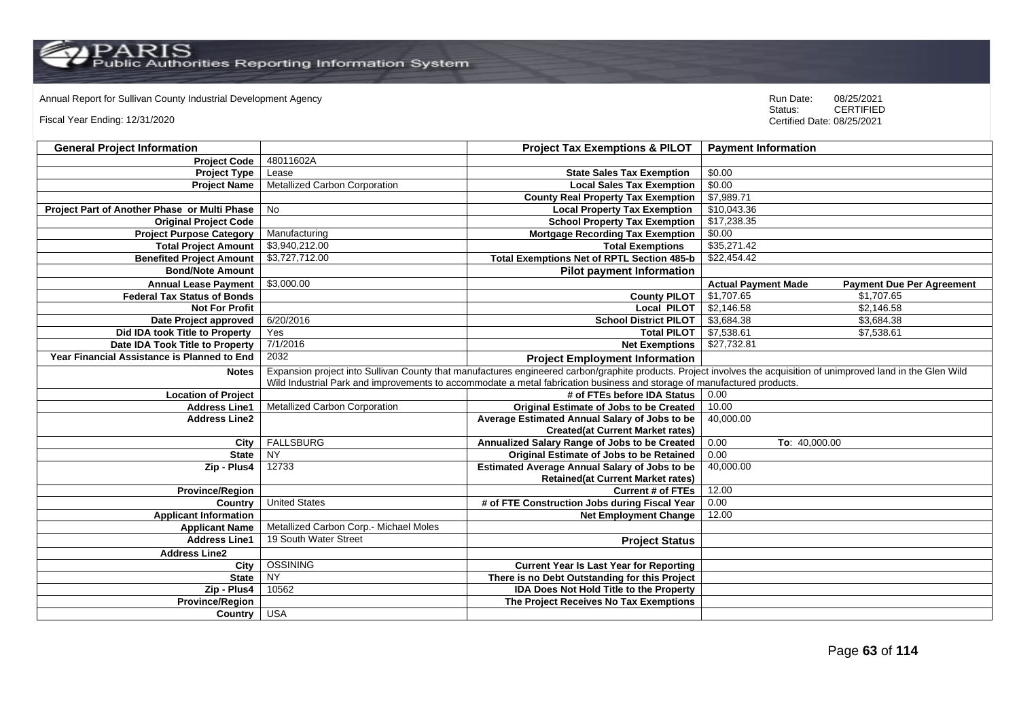# Annual Report for Sullivan County Industrial Development Agency<br>
Status: CERTIFIED

Fiscal Year Ending: 12/31/2020

| <b>General Project Information</b>           |                                        | <b>Project Tax Exemptions &amp; PILOT</b>                                                                               | <b>Payment Information</b>                                                                                                                                         |
|----------------------------------------------|----------------------------------------|-------------------------------------------------------------------------------------------------------------------------|--------------------------------------------------------------------------------------------------------------------------------------------------------------------|
| <b>Project Code</b>                          | 48011602A                              |                                                                                                                         |                                                                                                                                                                    |
| <b>Project Type</b>                          | Lease                                  | <b>State Sales Tax Exemption</b>                                                                                        | \$0.00                                                                                                                                                             |
| <b>Project Name</b>                          | <b>Metallized Carbon Corporation</b>   | <b>Local Sales Tax Exemption</b>                                                                                        | \$0.00                                                                                                                                                             |
|                                              |                                        | <b>County Real Property Tax Exemption</b>                                                                               | \$7,989.71                                                                                                                                                         |
| Project Part of Another Phase or Multi Phase | No                                     | <b>Local Property Tax Exemption</b>                                                                                     | \$10,043.36                                                                                                                                                        |
| <b>Original Project Code</b>                 |                                        | <b>School Property Tax Exemption</b>                                                                                    | \$17,238.35                                                                                                                                                        |
| <b>Project Purpose Category</b>              | Manufacturing                          | <b>Mortgage Recording Tax Exemption</b>                                                                                 | \$0.00                                                                                                                                                             |
| <b>Total Project Amount</b>                  | \$3,940,212.00                         | <b>Total Exemptions</b>                                                                                                 | \$35,271.42                                                                                                                                                        |
| <b>Benefited Project Amount</b>              | \$3,727,712.00                         | <b>Total Exemptions Net of RPTL Section 485-b</b>                                                                       | \$22,454.42                                                                                                                                                        |
| <b>Bond/Note Amount</b>                      |                                        | <b>Pilot payment Information</b>                                                                                        |                                                                                                                                                                    |
| <b>Annual Lease Payment</b>                  | \$3,000.00                             |                                                                                                                         | <b>Actual Payment Made</b><br><b>Payment Due Per Agreement</b>                                                                                                     |
| <b>Federal Tax Status of Bonds</b>           |                                        | <b>County PILOT</b>                                                                                                     | \$1,707.65<br>\$1,707.65                                                                                                                                           |
| <b>Not For Profit</b>                        |                                        | <b>Local PILOT</b>                                                                                                      | \$2,146.58<br>\$2,146.58                                                                                                                                           |
| Date Project approved                        | 6/20/2016                              | <b>School District PILOT</b>                                                                                            | \$3,684.38<br>\$3,684.38                                                                                                                                           |
| Did IDA took Title to Property               | Yes                                    | <b>Total PILOT</b>                                                                                                      | \$7,538.61<br>\$7,538.61                                                                                                                                           |
| Date IDA Took Title to Property              | 7/1/2016                               | <b>Net Exemptions</b>                                                                                                   | \$27,732.81                                                                                                                                                        |
| Year Financial Assistance is Planned to End  | 2032                                   | <b>Project Employment Information</b>                                                                                   |                                                                                                                                                                    |
| <b>Notes</b>                                 |                                        |                                                                                                                         | Expansion project into Sullivan County that manufactures engineered carbon/graphite products. Project involves the acquisition of unimproved land in the Glen Wild |
|                                              |                                        | Wild Industrial Park and improvements to accommodate a metal fabrication business and storage of manufactured products. |                                                                                                                                                                    |
| <b>Location of Project</b>                   |                                        | # of FTEs before IDA Status                                                                                             | 0.00                                                                                                                                                               |
| <b>Address Line1</b>                         | <b>Metallized Carbon Corporation</b>   | <b>Original Estimate of Jobs to be Created</b>                                                                          | 10.00                                                                                                                                                              |
| <b>Address Line2</b>                         |                                        | Average Estimated Annual Salary of Jobs to be                                                                           | 40,000.00                                                                                                                                                          |
|                                              |                                        | <b>Created(at Current Market rates)</b>                                                                                 |                                                                                                                                                                    |
| City                                         | <b>FALLSBURG</b>                       | Annualized Salary Range of Jobs to be Created                                                                           | 0.00<br>To: 40,000.00                                                                                                                                              |
| <b>State</b>                                 | $\overline{NY}$                        | Original Estimate of Jobs to be Retained                                                                                | 0.00                                                                                                                                                               |
| Zip - Plus4                                  | 12733                                  | <b>Estimated Average Annual Salary of Jobs to be</b>                                                                    | 40,000.00                                                                                                                                                          |
|                                              |                                        | <b>Retained(at Current Market rates)</b>                                                                                |                                                                                                                                                                    |
| <b>Province/Region</b>                       |                                        | <b>Current # of FTEs</b>                                                                                                | 12.00                                                                                                                                                              |
| Country                                      | <b>United States</b>                   | # of FTE Construction Jobs during Fiscal Year                                                                           | 0.00                                                                                                                                                               |
| <b>Applicant Information</b>                 |                                        | <b>Net Employment Change</b>                                                                                            | 12.00                                                                                                                                                              |
| <b>Applicant Name</b>                        | Metallized Carbon Corp.- Michael Moles |                                                                                                                         |                                                                                                                                                                    |
| <b>Address Line1</b>                         | 19 South Water Street                  | <b>Project Status</b>                                                                                                   |                                                                                                                                                                    |
| <b>Address Line2</b>                         |                                        |                                                                                                                         |                                                                                                                                                                    |
| City                                         | <b>OSSINING</b>                        | <b>Current Year Is Last Year for Reporting</b>                                                                          |                                                                                                                                                                    |
| <b>State</b>                                 | NY                                     | There is no Debt Outstanding for this Project                                                                           |                                                                                                                                                                    |
| Zip - Plus4                                  | 10562                                  | <b>IDA Does Not Hold Title to the Property</b>                                                                          |                                                                                                                                                                    |
| <b>Province/Region</b>                       |                                        | The Project Receives No Tax Exemptions                                                                                  |                                                                                                                                                                    |
| Country USA                                  |                                        |                                                                                                                         |                                                                                                                                                                    |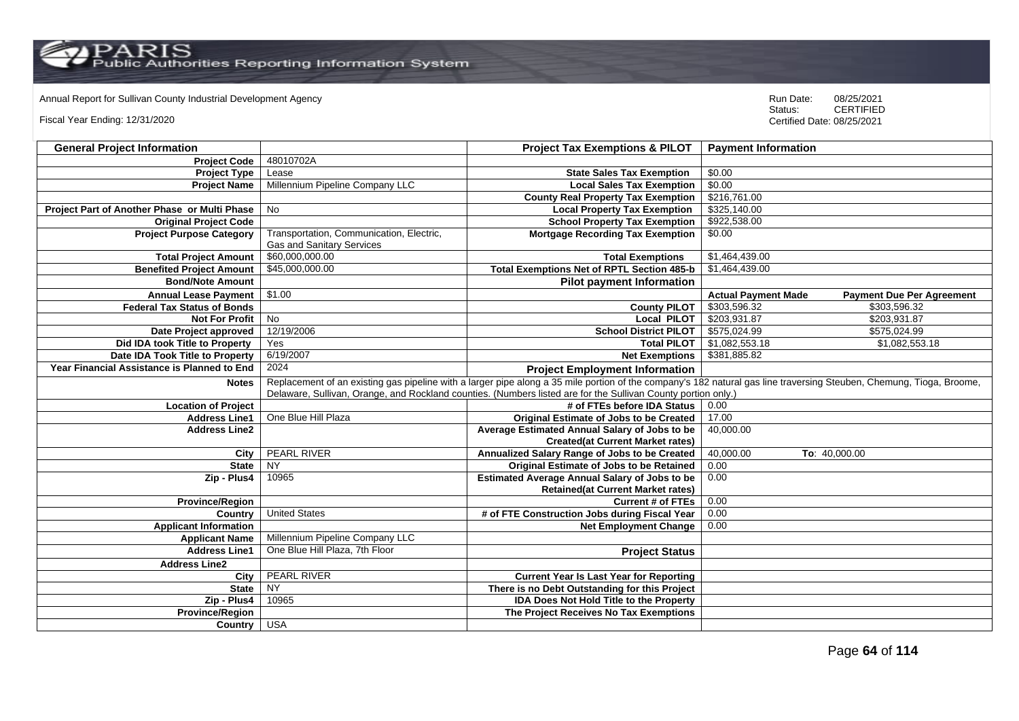$\operatorname{PARS}$  PARIS<br>Public Authorities Reporting Information System

# Annual Report for Sullivan County Industrial Development Agency<br>
Status: CERTIFIED

Fiscal Year Ending: 12/31/2020

| <b>General Project Information</b>           |                                                                              | <b>Project Tax Exemptions &amp; PILOT</b>                                                                     | <b>Payment Information</b>                                                                                                                                           |
|----------------------------------------------|------------------------------------------------------------------------------|---------------------------------------------------------------------------------------------------------------|----------------------------------------------------------------------------------------------------------------------------------------------------------------------|
| <b>Project Code</b>                          | 48010702A                                                                    |                                                                                                               |                                                                                                                                                                      |
| <b>Project Type</b>                          | Lease                                                                        | <b>State Sales Tax Exemption</b>                                                                              | \$0.00                                                                                                                                                               |
| <b>Project Name</b>                          | Millennium Pipeline Company LLC                                              | <b>Local Sales Tax Exemption</b>                                                                              | \$0.00                                                                                                                                                               |
|                                              |                                                                              | <b>County Real Property Tax Exemption</b>                                                                     | \$216,761.00                                                                                                                                                         |
| Project Part of Another Phase or Multi Phase | No                                                                           | <b>Local Property Tax Exemption</b>                                                                           | \$325,140.00                                                                                                                                                         |
| <b>Original Project Code</b>                 |                                                                              | <b>School Property Tax Exemption</b>                                                                          | \$922,538.00                                                                                                                                                         |
| <b>Project Purpose Category</b>              | Transportation, Communication, Electric,<br><b>Gas and Sanitary Services</b> | <b>Mortgage Recording Tax Exemption</b>                                                                       | \$0.00                                                                                                                                                               |
| <b>Total Project Amount</b>                  | \$60,000,000.00                                                              | <b>Total Exemptions</b>                                                                                       | \$1,464,439.00                                                                                                                                                       |
| <b>Benefited Project Amount</b>              | \$45,000,000.00                                                              | <b>Total Exemptions Net of RPTL Section 485-b</b>                                                             | \$1,464,439.00                                                                                                                                                       |
| <b>Bond/Note Amount</b>                      |                                                                              | <b>Pilot payment Information</b>                                                                              |                                                                                                                                                                      |
| <b>Annual Lease Payment</b>                  | \$1.00                                                                       |                                                                                                               | <b>Actual Payment Made</b><br><b>Payment Due Per Agreement</b>                                                                                                       |
| <b>Federal Tax Status of Bonds</b>           |                                                                              | <b>County PILOT</b>                                                                                           | \$303,596.32<br>\$303,596.32                                                                                                                                         |
| <b>Not For Profit</b>                        | <b>No</b>                                                                    | <b>Local PILOT</b>                                                                                            | \$203,931.87<br>\$203,931.87                                                                                                                                         |
| Date Project approved                        | 12/19/2006                                                                   | <b>School District PILOT</b>                                                                                  | \$575,024.99<br>\$575,024.99                                                                                                                                         |
| Did IDA took Title to Property               | Yes                                                                          | <b>Total PILOT</b>                                                                                            | \$1,082,553.18<br>\$1,082,553.18                                                                                                                                     |
| Date IDA Took Title to Property              | 6/19/2007                                                                    | <b>Net Exemptions</b>                                                                                         | \$381,885.82                                                                                                                                                         |
| Year Financial Assistance is Planned to End  | 2024                                                                         | <b>Project Employment Information</b>                                                                         |                                                                                                                                                                      |
| <b>Notes</b>                                 |                                                                              | Delaware, Sullivan, Orange, and Rockland counties. (Numbers listed are for the Sullivan County portion only.) | Replacement of an existing gas pipeline with a larger pipe along a 35 mile portion of the company's 182 natural gas line traversing Steuben, Chemung, Tioga, Broome, |
| <b>Location of Project</b>                   |                                                                              | # of FTEs before IDA Status                                                                                   | 0.00                                                                                                                                                                 |
| <b>Address Line1</b>                         | One Blue Hill Plaza                                                          | <b>Original Estimate of Jobs to be Created</b>                                                                | 17.00                                                                                                                                                                |
| <b>Address Line2</b>                         |                                                                              | Average Estimated Annual Salary of Jobs to be                                                                 | 40,000.00                                                                                                                                                            |
|                                              |                                                                              | <b>Created(at Current Market rates)</b>                                                                       |                                                                                                                                                                      |
| City                                         | <b>PEARL RIVER</b>                                                           | Annualized Salary Range of Jobs to be Created                                                                 | 40,000.00<br>To: 40,000.00                                                                                                                                           |
| <b>State</b>                                 | NY                                                                           | <b>Original Estimate of Jobs to be Retained</b>                                                               | 0.00                                                                                                                                                                 |
| Zip - Plus4                                  | 10965                                                                        | <b>Estimated Average Annual Salary of Jobs to be</b>                                                          | 0.00                                                                                                                                                                 |
|                                              |                                                                              | <b>Retained(at Current Market rates)</b>                                                                      |                                                                                                                                                                      |
| <b>Province/Region</b>                       |                                                                              | <b>Current # of FTEs</b>                                                                                      | 0.00                                                                                                                                                                 |
| Country                                      | <b>United States</b>                                                         | # of FTE Construction Jobs during Fiscal Year                                                                 | 0.00                                                                                                                                                                 |
| <b>Applicant Information</b>                 |                                                                              | <b>Net Employment Change</b>                                                                                  | 0.00                                                                                                                                                                 |
| <b>Applicant Name</b>                        | Millennium Pipeline Company LLC                                              |                                                                                                               |                                                                                                                                                                      |
| <b>Address Line1</b>                         | One Blue Hill Plaza, 7th Floor                                               | <b>Project Status</b>                                                                                         |                                                                                                                                                                      |
| <b>Address Line2</b>                         |                                                                              |                                                                                                               |                                                                                                                                                                      |
| City                                         | <b>PEARL RIVER</b>                                                           | <b>Current Year Is Last Year for Reporting</b>                                                                |                                                                                                                                                                      |
| <b>State</b>                                 | <b>NY</b>                                                                    | There is no Debt Outstanding for this Project                                                                 |                                                                                                                                                                      |
| Zip - Plus4                                  | 10965                                                                        | IDA Does Not Hold Title to the Property                                                                       |                                                                                                                                                                      |
| <b>Province/Region</b>                       |                                                                              | The Project Receives No Tax Exemptions                                                                        |                                                                                                                                                                      |
| Country                                      | <b>USA</b>                                                                   |                                                                                                               |                                                                                                                                                                      |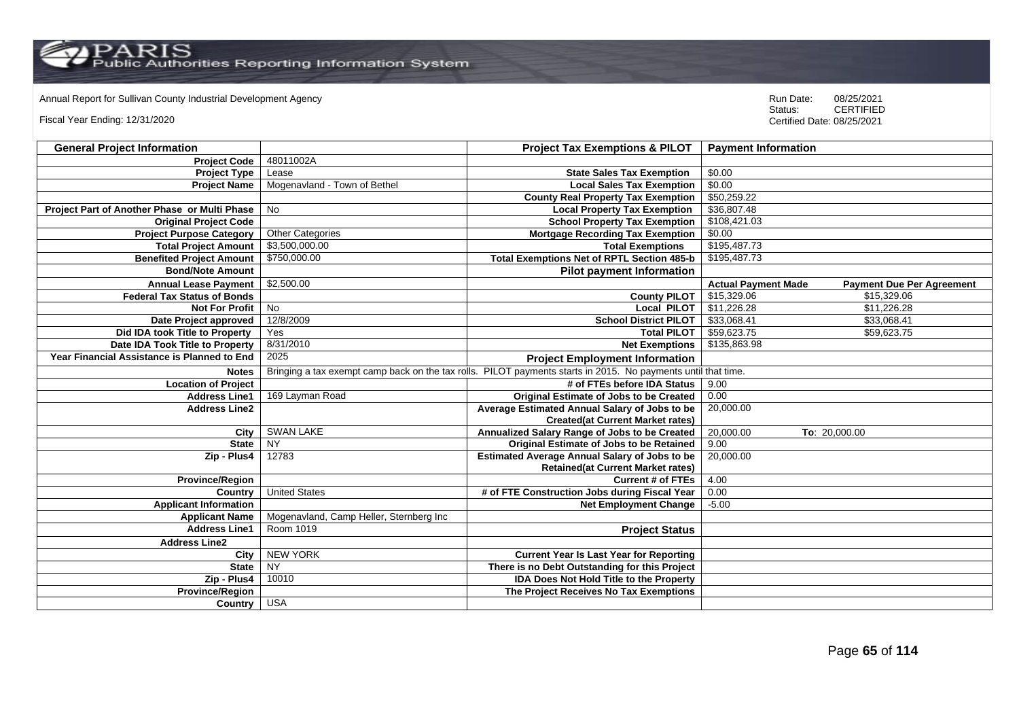# Annual Report for Sullivan County Industrial Development Agency<br>
Status: CERTIFIED

Fiscal Year Ending: 12/31/2020

| <b>General Project Information</b>           |                                         | <b>Project Tax Exemptions &amp; PILOT</b>                                                                     | <b>Payment Information</b>                                     |
|----------------------------------------------|-----------------------------------------|---------------------------------------------------------------------------------------------------------------|----------------------------------------------------------------|
| <b>Project Code</b>                          | 48011002A                               |                                                                                                               |                                                                |
| <b>Project Type</b>                          | Lease                                   | <b>State Sales Tax Exemption</b>                                                                              | \$0.00                                                         |
| <b>Project Name</b>                          | Mogenavland - Town of Bethel            | <b>Local Sales Tax Exemption</b>                                                                              | \$0.00                                                         |
|                                              |                                         | <b>County Real Property Tax Exemption</b>                                                                     | \$50,259.22                                                    |
| Project Part of Another Phase or Multi Phase | <b>No</b>                               | <b>Local Property Tax Exemption</b>                                                                           | \$36,807.48                                                    |
| <b>Original Project Code</b>                 |                                         | <b>School Property Tax Exemption</b>                                                                          | \$108,421.03                                                   |
| <b>Project Purpose Category</b>              | <b>Other Categories</b>                 | <b>Mortgage Recording Tax Exemption</b>                                                                       | \$0.00                                                         |
| <b>Total Project Amount</b>                  | \$3,500,000.00                          | <b>Total Exemptions</b>                                                                                       | \$195,487.73                                                   |
| <b>Benefited Project Amount</b>              | \$750,000.00                            | <b>Total Exemptions Net of RPTL Section 485-b</b>                                                             | \$195,487.73                                                   |
| <b>Bond/Note Amount</b>                      |                                         | <b>Pilot payment Information</b>                                                                              |                                                                |
| <b>Annual Lease Payment</b>                  | \$2,500.00                              |                                                                                                               | <b>Actual Payment Made</b><br><b>Payment Due Per Agreement</b> |
| <b>Federal Tax Status of Bonds</b>           |                                         | <b>County PILOT</b>                                                                                           | \$15,329.06<br>\$15,329.06                                     |
| <b>Not For Profit</b>                        | <b>No</b>                               | <b>Local PILOT</b>                                                                                            | \$11,226.28<br>\$11,226.28                                     |
| Date Project approved                        | 12/8/2009                               | <b>School District PILOT</b>                                                                                  | \$33,068.41<br>\$33,068.41                                     |
| <b>Did IDA took Title to Property</b>        | Yes                                     | <b>Total PILOT</b>                                                                                            | \$59,623.75<br>\$59,623.75                                     |
| Date IDA Took Title to Property              | 8/31/2010                               | <b>Net Exemptions</b>                                                                                         | \$135,863.98                                                   |
| Year Financial Assistance is Planned to End  | 2025                                    | <b>Project Employment Information</b>                                                                         |                                                                |
| <b>Notes</b>                                 |                                         | Bringing a tax exempt camp back on the tax rolls. PILOT payments starts in 2015. No payments until that time. |                                                                |
| <b>Location of Project</b>                   |                                         | # of FTEs before IDA Status                                                                                   | 9.00                                                           |
| <b>Address Line1</b>                         | 169 Layman Road                         | Original Estimate of Jobs to be Created                                                                       | 0.00                                                           |
| <b>Address Line2</b>                         |                                         | Average Estimated Annual Salary of Jobs to be                                                                 | 20,000.00                                                      |
|                                              |                                         | <b>Created(at Current Market rates)</b>                                                                       |                                                                |
| City                                         | <b>SWAN LAKE</b>                        | Annualized Salary Range of Jobs to be Created                                                                 | 20,000.00<br>To: 20,000.00                                     |
| <b>State</b>                                 | <b>NY</b>                               | <b>Original Estimate of Jobs to be Retained</b>                                                               | 9.00                                                           |
| Zip - Plus4                                  | 12783                                   | <b>Estimated Average Annual Salary of Jobs to be</b>                                                          | 20,000.00                                                      |
|                                              |                                         | <b>Retained(at Current Market rates)</b>                                                                      |                                                                |
| <b>Province/Region</b>                       |                                         | <b>Current # of FTEs</b>                                                                                      | 4.00                                                           |
| Country                                      | <b>United States</b>                    | # of FTE Construction Jobs during Fiscal Year                                                                 | 0.00                                                           |
| <b>Applicant Information</b>                 |                                         | <b>Net Employment Change</b>                                                                                  | $-5.00$                                                        |
| <b>Applicant Name</b>                        | Mogenavland, Camp Heller, Sternberg Inc |                                                                                                               |                                                                |
| <b>Address Line1</b>                         | Room 1019                               | <b>Project Status</b>                                                                                         |                                                                |
| <b>Address Line2</b>                         |                                         |                                                                                                               |                                                                |
| City                                         | <b>NEW YORK</b>                         | <b>Current Year Is Last Year for Reporting</b>                                                                |                                                                |
| <b>State</b>                                 | <b>NY</b>                               | There is no Debt Outstanding for this Project                                                                 |                                                                |
| Zip - Plus4                                  | 10010                                   | <b>IDA Does Not Hold Title to the Property</b>                                                                |                                                                |
| <b>Province/Region</b>                       |                                         | The Project Receives No Tax Exemptions                                                                        |                                                                |
| Country                                      | <b>USA</b>                              |                                                                                                               |                                                                |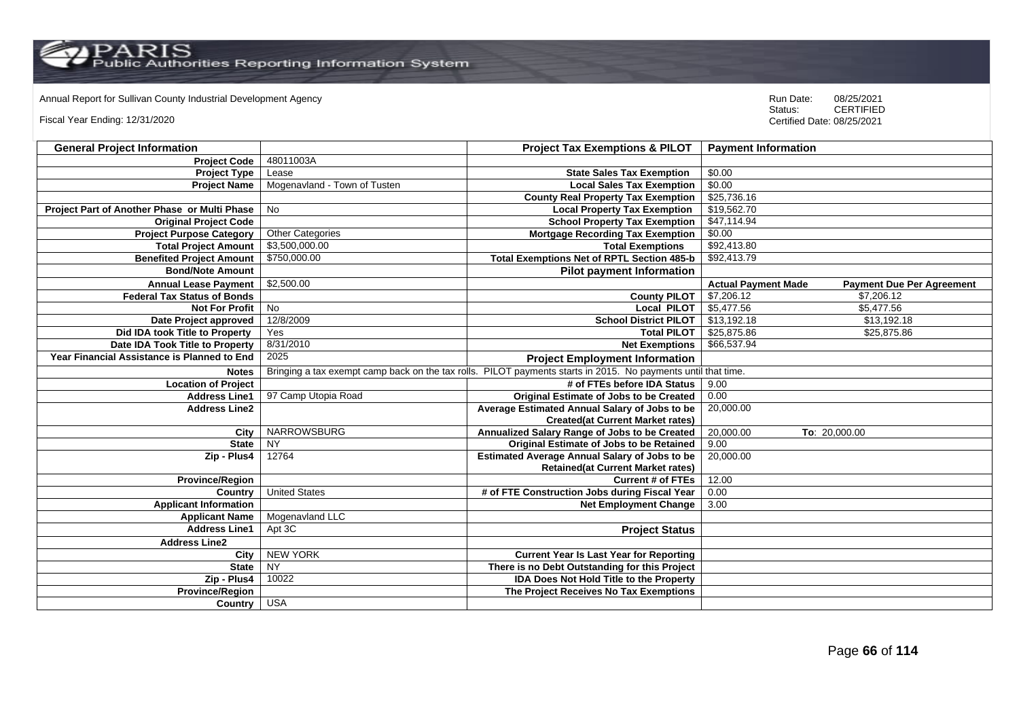# Annual Report for Sullivan County Industrial Development Agency<br>
Status: CERTIFIED

Fiscal Year Ending: 12/31/2020

| <b>General Project Information</b>           |                              | <b>Project Tax Exemptions &amp; PILOT</b>                                                                     | <b>Payment Information</b>                                     |
|----------------------------------------------|------------------------------|---------------------------------------------------------------------------------------------------------------|----------------------------------------------------------------|
| <b>Project Code</b>                          | 48011003A                    |                                                                                                               |                                                                |
| <b>Project Type</b>                          | Lease                        | <b>State Sales Tax Exemption</b>                                                                              | \$0.00                                                         |
| <b>Project Name</b>                          | Mogenavland - Town of Tusten | <b>Local Sales Tax Exemption</b>                                                                              | \$0.00                                                         |
|                                              |                              | <b>County Real Property Tax Exemption</b>                                                                     | \$25,736.16                                                    |
| Project Part of Another Phase or Multi Phase | No                           | <b>Local Property Tax Exemption</b>                                                                           | \$19,562.70                                                    |
| <b>Original Project Code</b>                 |                              | <b>School Property Tax Exemption</b>                                                                          | \$47,114.94                                                    |
| <b>Project Purpose Category</b>              | <b>Other Categories</b>      | <b>Mortgage Recording Tax Exemption</b>                                                                       | \$0.00                                                         |
| <b>Total Project Amount</b>                  | \$3,500,000.00               | <b>Total Exemptions</b>                                                                                       | \$92,413.80                                                    |
| <b>Benefited Project Amount</b>              | \$750,000.00                 | <b>Total Exemptions Net of RPTL Section 485-b</b>                                                             | \$92,413.79                                                    |
| <b>Bond/Note Amount</b>                      |                              | <b>Pilot payment Information</b>                                                                              |                                                                |
| <b>Annual Lease Payment</b>                  | \$2,500.00                   |                                                                                                               | <b>Actual Payment Made</b><br><b>Payment Due Per Agreement</b> |
| <b>Federal Tax Status of Bonds</b>           |                              | <b>County PILOT</b>                                                                                           | \$7,206.12<br>\$7,206.12                                       |
| <b>Not For Profit</b>                        | No                           | <b>Local PILOT</b>                                                                                            | \$5,477.56<br>\$5,477.56                                       |
| Date Project approved                        | 12/8/2009                    | <b>School District PILOT</b>                                                                                  | \$13,192.18<br>\$13,192.18                                     |
| Did IDA took Title to Property               | Yes                          | <b>Total PILOT</b>                                                                                            | \$25,875.86<br>\$25,875.86                                     |
| Date IDA Took Title to Property              | 8/31/2010                    | <b>Net Exemptions</b>                                                                                         | \$66,537.94                                                    |
| Year Financial Assistance is Planned to End  | 2025                         | <b>Project Employment Information</b>                                                                         |                                                                |
| <b>Notes</b>                                 |                              | Bringing a tax exempt camp back on the tax rolls. PILOT payments starts in 2015. No payments until that time. |                                                                |
| <b>Location of Project</b>                   |                              | # of FTEs before IDA Status                                                                                   | 9.00                                                           |
| <b>Address Line1</b>                         | 97 Camp Utopia Road          | Original Estimate of Jobs to be Created                                                                       | 0.00                                                           |
| <b>Address Line2</b>                         |                              | Average Estimated Annual Salary of Jobs to be                                                                 | 20,000.00                                                      |
|                                              |                              | <b>Created(at Current Market rates)</b>                                                                       |                                                                |
| City                                         | <b>NARROWSBURG</b>           | Annualized Salary Range of Jobs to be Created                                                                 | 20,000.00<br>To: 20,000.00                                     |
| <b>State</b>                                 | <b>NY</b>                    | Original Estimate of Jobs to be Retained                                                                      | 9.00                                                           |
| Zip - Plus4                                  | 12764                        | <b>Estimated Average Annual Salary of Jobs to be</b>                                                          | 20,000.00                                                      |
|                                              |                              | <b>Retained(at Current Market rates)</b>                                                                      |                                                                |
| <b>Province/Region</b>                       |                              | <b>Current # of FTEs</b>                                                                                      | 12.00                                                          |
| Country                                      | <b>United States</b>         | # of FTE Construction Jobs during Fiscal Year                                                                 | 0.00                                                           |
| <b>Applicant Information</b>                 |                              | <b>Net Employment Change</b>                                                                                  | 3.00                                                           |
| <b>Applicant Name</b>                        | Mogenavland LLC              |                                                                                                               |                                                                |
| <b>Address Line1</b>                         | Apt $3\overline{C}$          | <b>Project Status</b>                                                                                         |                                                                |
| <b>Address Line2</b>                         |                              |                                                                                                               |                                                                |
| City                                         | <b>NEW YORK</b>              | <b>Current Year Is Last Year for Reporting</b>                                                                |                                                                |
| <b>State</b>                                 | NY                           | There is no Debt Outstanding for this Project                                                                 |                                                                |
| Zip - Plus4                                  | 10022                        | <b>IDA Does Not Hold Title to the Property</b>                                                                |                                                                |
| <b>Province/Region</b>                       |                              | The Project Receives No Tax Exemptions                                                                        |                                                                |
| Country                                      | <b>USA</b>                   |                                                                                                               |                                                                |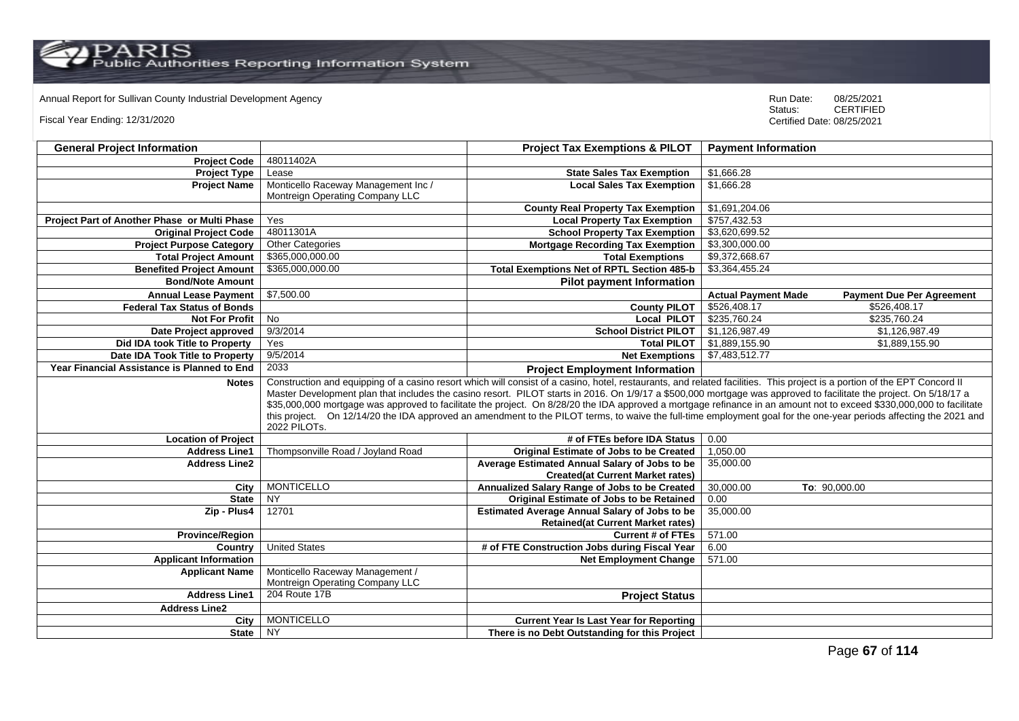# Annual Report for Sullivan County Industrial Development Agency<br>
Status: CERTIFIED

Fiscal Year Ending: 12/31/2020

| <b>General Project Information</b>           |                                     | <b>Project Tax Exemptions &amp; PILOT</b>                                                                                                                                 | <b>Payment Information</b>                                     |  |
|----------------------------------------------|-------------------------------------|---------------------------------------------------------------------------------------------------------------------------------------------------------------------------|----------------------------------------------------------------|--|
| <b>Project Code</b>                          | 48011402A                           |                                                                                                                                                                           |                                                                |  |
| <b>Project Type</b>                          | Lease                               | <b>State Sales Tax Exemption</b>                                                                                                                                          | \$1,666.28                                                     |  |
| <b>Project Name</b>                          | Monticello Raceway Management Inc / | <b>Local Sales Tax Exemption</b>                                                                                                                                          | \$1,666.28                                                     |  |
|                                              | Montreign Operating Company LLC     |                                                                                                                                                                           |                                                                |  |
|                                              |                                     | <b>County Real Property Tax Exemption</b>                                                                                                                                 | \$1,691,204.06                                                 |  |
| Project Part of Another Phase or Multi Phase | Yes                                 | <b>Local Property Tax Exemption</b>                                                                                                                                       | \$757,432.53                                                   |  |
| <b>Original Project Code</b>                 | 48011301A                           | <b>School Property Tax Exemption</b>                                                                                                                                      | \$3,620,699.52                                                 |  |
| <b>Project Purpose Category</b>              | <b>Other Categories</b>             | <b>Mortgage Recording Tax Exemption</b>                                                                                                                                   | \$3,300,000.00                                                 |  |
| <b>Total Project Amount</b>                  | \$365,000,000.00                    | <b>Total Exemptions</b>                                                                                                                                                   | \$9,372,668.67                                                 |  |
| <b>Benefited Project Amount</b>              | \$365,000,000.00                    | Total Exemptions Net of RPTL Section 485-b                                                                                                                                | \$3,364,455.24                                                 |  |
| <b>Bond/Note Amount</b>                      |                                     | <b>Pilot payment Information</b>                                                                                                                                          |                                                                |  |
| <b>Annual Lease Payment</b>                  | \$7,500.00                          |                                                                                                                                                                           | <b>Actual Payment Made</b><br><b>Payment Due Per Agreement</b> |  |
| <b>Federal Tax Status of Bonds</b>           |                                     | <b>County PILOT</b>                                                                                                                                                       | \$526,408.17<br>$\overline{$}526,408.17$                       |  |
| <b>Not For Profit</b>                        | No                                  | <b>Local PILOT</b>                                                                                                                                                        | \$235,760.24<br>\$235,760.24                                   |  |
| Date Project approved                        | 9/3/2014                            | <b>School District PILOT</b>                                                                                                                                              | \$1,126,987.49<br>\$1,126,987.49                               |  |
| Did IDA took Title to Property               | Yes                                 |                                                                                                                                                                           | Total PILOT   \$1,889,155.90<br>\$1,889,155.90                 |  |
| Date IDA Took Title to Property              | 9/5/2014                            | <b>Net Exemptions</b>                                                                                                                                                     | \$7,483,512.77                                                 |  |
| Year Financial Assistance is Planned to End  | 2033                                | <b>Project Employment Information</b>                                                                                                                                     |                                                                |  |
| <b>Notes</b>                                 |                                     | Construction and equipping of a casino resort which will consist of a casino, hotel, restaurants, and related facilities. This project is a portion of the EPT Concord II |                                                                |  |
|                                              |                                     | Master Development plan that includes the casino resort. PILOT starts in 2016. On 1/9/17 a \$500,000 mortgage was approved to facilitate the project. On 5/18/17 a        |                                                                |  |
|                                              |                                     | \$35,000,000 mortgage was approved to facilitate the project. On 8/28/20 the IDA approved a mortgage refinance in an amount not to exceed \$330,000,000 to facilitate     |                                                                |  |
|                                              | 2022 PILOTs.                        | this project. On 12/14/20 the IDA approved an amendment to the PILOT terms, to waive the full-time employment goal for the one-year periods affecting the 2021 and        |                                                                |  |
| <b>Location of Project</b>                   |                                     | # of FTEs before IDA Status                                                                                                                                               | 0.00                                                           |  |
| <b>Address Line1</b>                         | Thompsonville Road / Joyland Road   | Original Estimate of Jobs to be Created                                                                                                                                   | 1,050.00                                                       |  |
| <b>Address Line2</b>                         |                                     | Average Estimated Annual Salary of Jobs to be                                                                                                                             | 35,000.00                                                      |  |
|                                              |                                     | <b>Created(at Current Market rates)</b>                                                                                                                                   |                                                                |  |
| City                                         | <b>MONTICELLO</b>                   | Annualized Salary Range of Jobs to be Created                                                                                                                             | 30,000.00<br>To: 90,000.00                                     |  |
| <b>State</b>                                 | NY                                  | Original Estimate of Jobs to be Retained                                                                                                                                  | 0.00                                                           |  |
| Zip - Plus4                                  | 12701                               | <b>Estimated Average Annual Salary of Jobs to be</b>                                                                                                                      | 35,000.00                                                      |  |
|                                              |                                     | <b>Retained(at Current Market rates)</b>                                                                                                                                  |                                                                |  |
| <b>Province/Region</b>                       |                                     | <b>Current # of FTEs</b>                                                                                                                                                  | 571.00                                                         |  |
| Country                                      | <b>United States</b>                | # of FTE Construction Jobs during Fiscal Year                                                                                                                             | 6.00                                                           |  |
| <b>Applicant Information</b>                 |                                     | <b>Net Employment Change</b>                                                                                                                                              | 571.00                                                         |  |
| <b>Applicant Name</b>                        | Monticello Raceway Management /     |                                                                                                                                                                           |                                                                |  |
|                                              | Montreign Operating Company LLC     |                                                                                                                                                                           |                                                                |  |
| <b>Address Line1</b>                         | 204 Route 17B                       | <b>Project Status</b>                                                                                                                                                     |                                                                |  |
| <b>Address Line2</b>                         |                                     |                                                                                                                                                                           |                                                                |  |
| City                                         | <b>MONTICELLO</b>                   | <b>Current Year Is Last Year for Reporting</b>                                                                                                                            |                                                                |  |
| <b>State</b>                                 | <b>NY</b>                           | There is no Debt Outstanding for this Project                                                                                                                             |                                                                |  |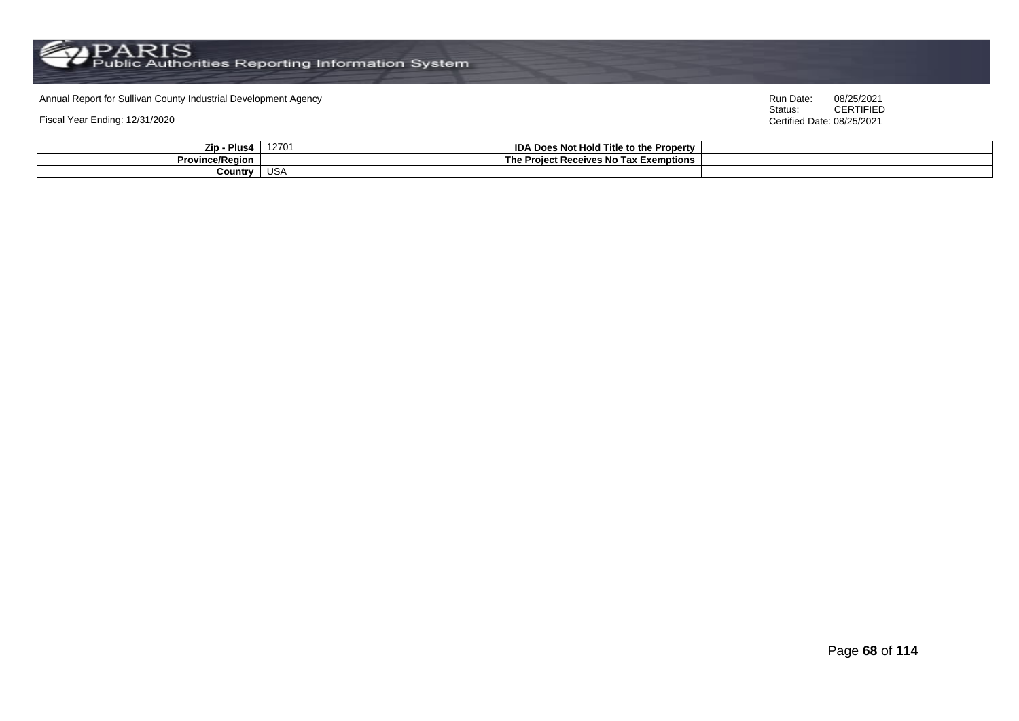# Annual Report for Sullivan County Industrial Development Agency<br>
Status: CERTIFIED

Fiscal Year Ending: 12/31/2020

| - Plus4<br>– ∠in        | 1270' | IDA Does Not Hold Title to the Property       |  |
|-------------------------|-------|-----------------------------------------------|--|
| $-$<br>Province/Region_ |       | e Project Receives No Tax Exemptions<br>The ' |  |
| Country                 | US/   |                                               |  |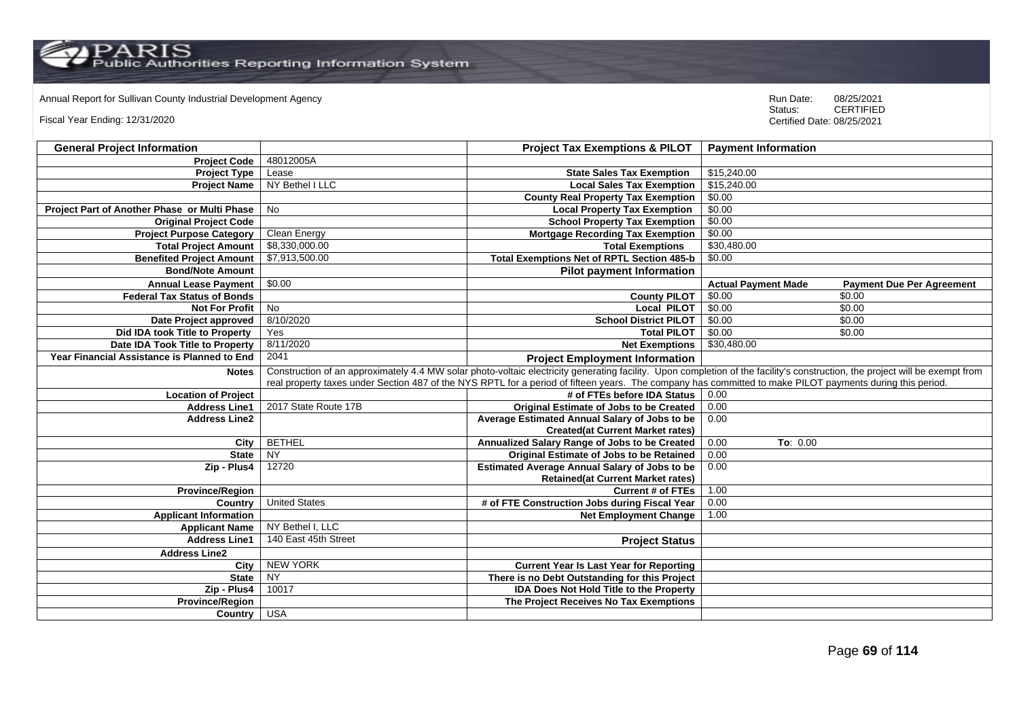# Annual Report for Sullivan County Industrial Development Agency<br>
Status: CERTIFIED

Fiscal Year Ending: 12/31/2020

| <b>General Project Information</b>                 |                      | <b>Project Tax Exemptions &amp; PILOT</b>                                                                                                                                    | <b>Payment Information</b> |                                  |
|----------------------------------------------------|----------------------|------------------------------------------------------------------------------------------------------------------------------------------------------------------------------|----------------------------|----------------------------------|
| <b>Project Code</b>                                | 48012005A            |                                                                                                                                                                              |                            |                                  |
| <b>Project Type</b>                                | Lease                | <b>State Sales Tax Exemption</b>                                                                                                                                             | \$15,240.00                |                                  |
| <b>Project Name</b>                                | NY Bethel I LLC      | <b>Local Sales Tax Exemption</b>                                                                                                                                             | \$15,240.00                |                                  |
|                                                    |                      | <b>County Real Property Tax Exemption</b>                                                                                                                                    | \$0.00                     |                                  |
| Project Part of Another Phase or Multi Phase       | No                   | <b>Local Property Tax Exemption</b>                                                                                                                                          | \$0.00                     |                                  |
| <b>Original Project Code</b>                       |                      | <b>School Property Tax Exemption</b>                                                                                                                                         | \$0.00                     |                                  |
| <b>Project Purpose Category</b>                    | Clean Energy         | <b>Mortgage Recording Tax Exemption</b>                                                                                                                                      | \$0.00                     |                                  |
| <b>Total Project Amount</b>                        | \$8,330,000.00       | <b>Total Exemptions</b>                                                                                                                                                      | $\overline{$30,480.00}$    |                                  |
| <b>Benefited Project Amount</b>                    | \$7,913,500.00       | Total Exemptions Net of RPTL Section 485-b                                                                                                                                   | \$0.00                     |                                  |
| <b>Bond/Note Amount</b>                            |                      | <b>Pilot payment Information</b>                                                                                                                                             |                            |                                  |
| <b>Annual Lease Payment</b>                        | \$0.00               |                                                                                                                                                                              | <b>Actual Payment Made</b> | <b>Payment Due Per Agreement</b> |
| <b>Federal Tax Status of Bonds</b>                 |                      | <b>County PILOT</b>                                                                                                                                                          | \$0.00                     | \$0.00                           |
| <b>Not For Profit</b>                              | No                   | <b>Local PILOT</b>                                                                                                                                                           | \$0.00                     | \$0.00                           |
| Date Project approved                              | 8/10/2020            | <b>School District PILOT</b>                                                                                                                                                 | \$0.00                     | \$0.00                           |
| Did IDA took Title to Property                     | Yes                  | <b>Total PILOT</b>                                                                                                                                                           | \$0.00                     | \$0.00                           |
| Date IDA Took Title to Property                    | 8/11/2020            | <b>Net Exemptions</b>                                                                                                                                                        | \$30,480.00                |                                  |
| <b>Year Financial Assistance is Planned to End</b> | 2041                 | <b>Project Employment Information</b>                                                                                                                                        |                            |                                  |
| <b>Notes</b>                                       |                      | Construction of an approximately 4.4 MW solar photo-voltaic electricity generating facility. Upon completion of the facility's construction, the project will be exempt from |                            |                                  |
|                                                    |                      | real property taxes under Section 487 of the NYS RPTL for a period of fifteen years. The company has committed to make PILOT payments during this period.                    |                            |                                  |
| <b>Location of Project</b>                         |                      | # of FTEs before IDA Status                                                                                                                                                  | 0.00                       |                                  |
| <b>Address Line1</b>                               | 2017 State Route 17B | <b>Original Estimate of Jobs to be Created</b>                                                                                                                               | 0.00                       |                                  |
| <b>Address Line2</b>                               |                      | Average Estimated Annual Salary of Jobs to be                                                                                                                                | 0.00                       |                                  |
|                                                    |                      | <b>Created(at Current Market rates)</b>                                                                                                                                      |                            |                                  |
| City                                               | <b>BETHEL</b>        | Annualized Salary Range of Jobs to be Created                                                                                                                                | 0.00<br>To: 0.00           |                                  |
| <b>State</b>                                       | <b>NY</b>            | Original Estimate of Jobs to be Retained                                                                                                                                     | 0.00                       |                                  |
| Zip - Plus4                                        | 12720                | <b>Estimated Average Annual Salary of Jobs to be</b>                                                                                                                         | 0.00                       |                                  |
|                                                    |                      | <b>Retained(at Current Market rates)</b>                                                                                                                                     |                            |                                  |
| <b>Province/Region</b>                             |                      | <b>Current # of FTEs</b>                                                                                                                                                     | 1.00                       |                                  |
| Country                                            | <b>United States</b> | # of FTE Construction Jobs during Fiscal Year                                                                                                                                | 0.00                       |                                  |
| <b>Applicant Information</b>                       |                      | <b>Net Employment Change</b>                                                                                                                                                 | 1.00                       |                                  |
| <b>Applicant Name</b>                              | NY Bethel I, LLC     |                                                                                                                                                                              |                            |                                  |
| <b>Address Line1</b>                               | 140 East 45th Street | <b>Project Status</b>                                                                                                                                                        |                            |                                  |
| <b>Address Line2</b>                               |                      |                                                                                                                                                                              |                            |                                  |
| City                                               | <b>NEW YORK</b>      | <b>Current Year Is Last Year for Reporting</b>                                                                                                                               |                            |                                  |
| <b>State</b>                                       | <b>NY</b>            | There is no Debt Outstanding for this Project                                                                                                                                |                            |                                  |
| Zip - Plus4                                        | 10017                | <b>IDA Does Not Hold Title to the Property</b>                                                                                                                               |                            |                                  |
| <b>Province/Region</b>                             |                      | The Project Receives No Tax Exemptions                                                                                                                                       |                            |                                  |
| Country USA                                        |                      |                                                                                                                                                                              |                            |                                  |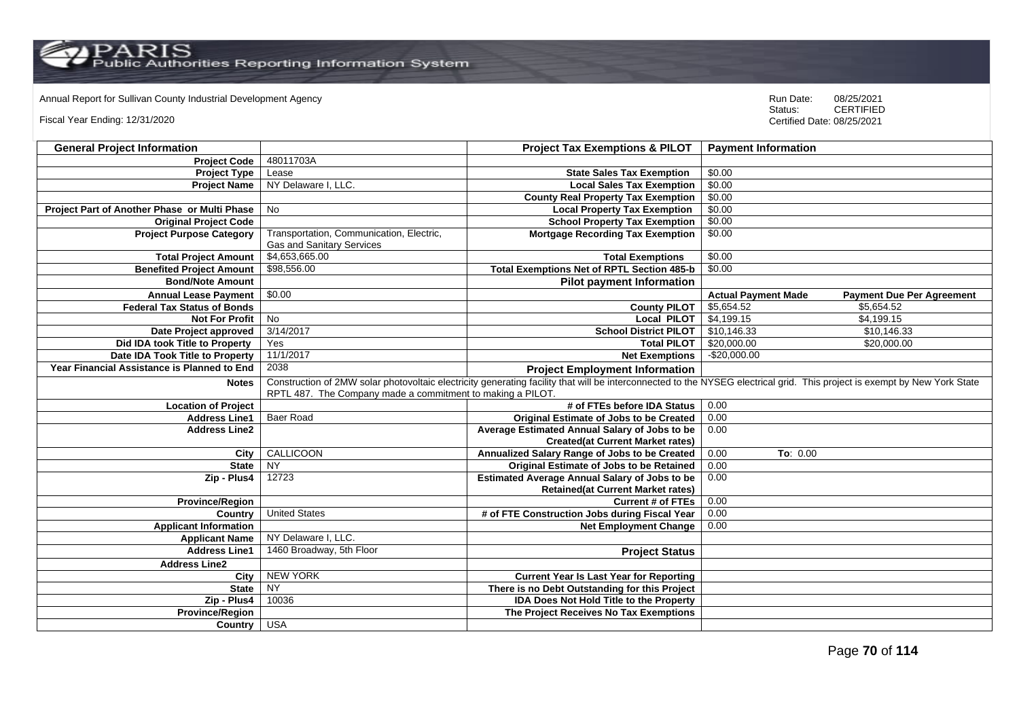# Annual Report for Sullivan County Industrial Development Agency<br>
Status: CERTIFIED

Fiscal Year Ending: 12/31/2020

| <b>General Project Information</b>           |                                                                              | <b>Project Tax Exemptions &amp; PILOT</b>                                                        | <b>Payment Information</b>                                                                                                                                                |
|----------------------------------------------|------------------------------------------------------------------------------|--------------------------------------------------------------------------------------------------|---------------------------------------------------------------------------------------------------------------------------------------------------------------------------|
| <b>Project Code</b>                          | 48011703A                                                                    |                                                                                                  |                                                                                                                                                                           |
| <b>Project Type</b>                          | Lease                                                                        | <b>State Sales Tax Exemption</b>                                                                 | \$0.00                                                                                                                                                                    |
| <b>Project Name</b>                          | NY Delaware I, LLC.                                                          | <b>Local Sales Tax Exemption</b>                                                                 | \$0.00                                                                                                                                                                    |
|                                              |                                                                              | <b>County Real Property Tax Exemption</b>                                                        | \$0.00                                                                                                                                                                    |
| Project Part of Another Phase or Multi Phase | No                                                                           | <b>Local Property Tax Exemption</b>                                                              | \$0.00                                                                                                                                                                    |
| <b>Original Project Code</b>                 |                                                                              | <b>School Property Tax Exemption</b>                                                             | \$0.00                                                                                                                                                                    |
| <b>Project Purpose Category</b>              | Transportation, Communication, Electric,<br><b>Gas and Sanitary Services</b> | <b>Mortgage Recording Tax Exemption</b>                                                          | \$0.00                                                                                                                                                                    |
| <b>Total Project Amount</b>                  | \$4,653,665.00                                                               | <b>Total Exemptions</b>                                                                          | \$0.00                                                                                                                                                                    |
| <b>Benefited Project Amount</b>              | \$98,556.00                                                                  | <b>Total Exemptions Net of RPTL Section 485-b</b>                                                | \$0.00                                                                                                                                                                    |
| <b>Bond/Note Amount</b>                      |                                                                              | <b>Pilot payment Information</b>                                                                 |                                                                                                                                                                           |
| <b>Annual Lease Payment</b>                  | \$0.00                                                                       |                                                                                                  | <b>Actual Payment Made</b><br><b>Payment Due Per Agreement</b>                                                                                                            |
| <b>Federal Tax Status of Bonds</b>           |                                                                              | <b>County PILOT</b>                                                                              | \$5,654.52<br>\$5.654.52                                                                                                                                                  |
| <b>Not For Profit</b>                        | No                                                                           | <b>Local PILOT</b>                                                                               | \$4,199.15<br>\$4,199.15                                                                                                                                                  |
| Date Project approved                        | 3/14/2017                                                                    | <b>School District PILOT</b>                                                                     | \$10,146.33<br>\$10,146.33                                                                                                                                                |
| Did IDA took Title to Property               | Yes                                                                          | <b>Total PILOT</b>                                                                               | \$20,000.00<br>\$20,000.00                                                                                                                                                |
| Date IDA Took Title to Property              | 11/1/2017                                                                    | <b>Net Exemptions</b>                                                                            | $-$20,000.00$                                                                                                                                                             |
| Year Financial Assistance is Planned to End  | 2038                                                                         | <b>Project Employment Information</b>                                                            |                                                                                                                                                                           |
| <b>Notes</b>                                 | RPTL 487. The Company made a commitment to making a PILOT.                   |                                                                                                  | Construction of 2MW solar photovoltaic electricity generating facility that will be interconnected to the NYSEG electrical grid. This project is exempt by New York State |
| <b>Location of Project</b>                   |                                                                              | # of FTEs before IDA Status                                                                      | 0.00                                                                                                                                                                      |
| <b>Address Line1</b>                         | Baer Road                                                                    | <b>Original Estimate of Jobs to be Created</b>                                                   | 0.00                                                                                                                                                                      |
| <b>Address Line2</b>                         |                                                                              | Average Estimated Annual Salary of Jobs to be<br><b>Created(at Current Market rates)</b>         | 0.00                                                                                                                                                                      |
| City                                         | CALLICOON                                                                    | Annualized Salary Range of Jobs to be Created                                                    | 0.00<br>To: 0.00                                                                                                                                                          |
| <b>State</b>                                 | $\overline{NY}$                                                              | <b>Original Estimate of Jobs to be Retained</b>                                                  | 0.00                                                                                                                                                                      |
| Zip - Plus4                                  | 12723                                                                        | <b>Estimated Average Annual Salary of Jobs to be</b><br><b>Retained(at Current Market rates)</b> | 0.00                                                                                                                                                                      |
| <b>Province/Region</b>                       |                                                                              | <b>Current # of FTEs</b>                                                                         | 0.00                                                                                                                                                                      |
| Country                                      | <b>United States</b>                                                         | # of FTE Construction Jobs during Fiscal Year                                                    | 0.00                                                                                                                                                                      |
| <b>Applicant Information</b>                 |                                                                              | <b>Net Employment Change</b>                                                                     | 0.00                                                                                                                                                                      |
| <b>Applicant Name</b>                        | NY Delaware I, LLC.                                                          |                                                                                                  |                                                                                                                                                                           |
| <b>Address Line1</b>                         | 1460 Broadway, 5th Floor                                                     | <b>Project Status</b>                                                                            |                                                                                                                                                                           |
| <b>Address Line2</b>                         |                                                                              |                                                                                                  |                                                                                                                                                                           |
| City                                         | <b>NEW YORK</b>                                                              | <b>Current Year Is Last Year for Reporting</b>                                                   |                                                                                                                                                                           |
| <b>State</b>                                 | <b>NY</b>                                                                    | There is no Debt Outstanding for this Project                                                    |                                                                                                                                                                           |
| Zip - Plus4                                  | 10036                                                                        | IDA Does Not Hold Title to the Property                                                          |                                                                                                                                                                           |
| <b>Province/Region</b>                       |                                                                              | The Project Receives No Tax Exemptions                                                           |                                                                                                                                                                           |
| Country USA                                  |                                                                              |                                                                                                  |                                                                                                                                                                           |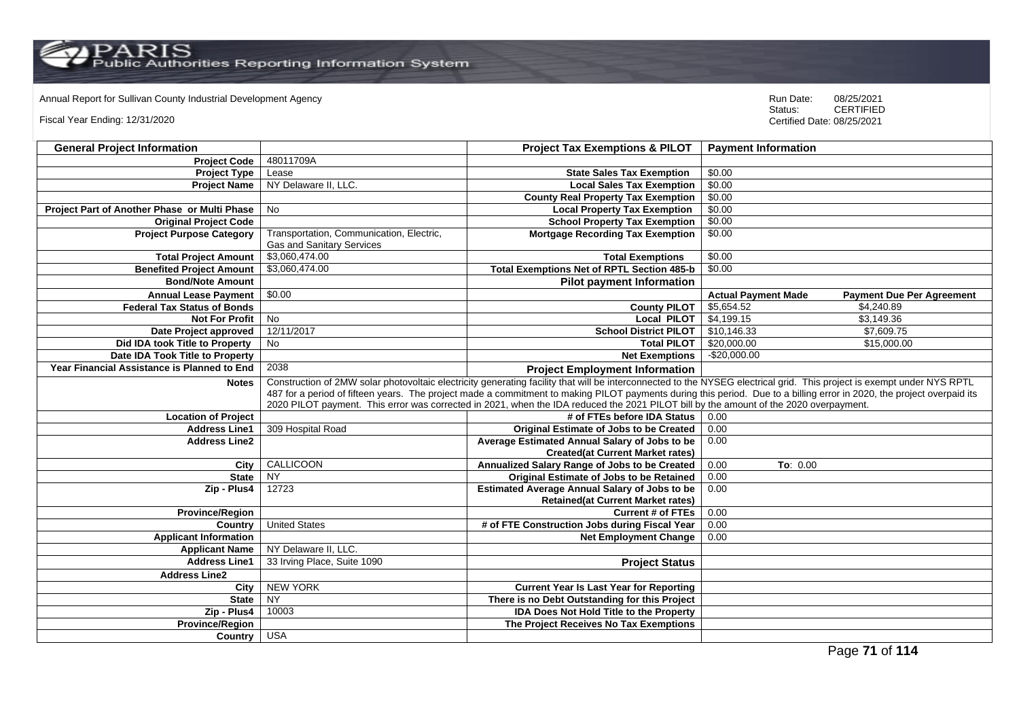# Annual Report for Sullivan County Industrial Development Agency<br>
Status: CERTIFIED

Fiscal Year Ending: 12/31/2020

| <b>General Project Information</b>           |                                          | <b>Project Tax Exemptions &amp; PILOT</b>                                                                                             | <b>Payment Information</b>                                                                                                                                             |
|----------------------------------------------|------------------------------------------|---------------------------------------------------------------------------------------------------------------------------------------|------------------------------------------------------------------------------------------------------------------------------------------------------------------------|
| <b>Project Code</b>                          | 48011709A                                |                                                                                                                                       |                                                                                                                                                                        |
| <b>Project Type</b>                          | Lease                                    | <b>State Sales Tax Exemption</b>                                                                                                      | \$0.00                                                                                                                                                                 |
| <b>Project Name</b>                          | NY Delaware II. LLC.                     | <b>Local Sales Tax Exemption</b>                                                                                                      | \$0.00                                                                                                                                                                 |
|                                              |                                          | <b>County Real Property Tax Exemption</b>                                                                                             | \$0.00                                                                                                                                                                 |
| Project Part of Another Phase or Multi Phase | <b>No</b>                                | <b>Local Property Tax Exemption</b>                                                                                                   | \$0.00                                                                                                                                                                 |
| <b>Original Project Code</b>                 |                                          | <b>School Property Tax Exemption</b>                                                                                                  | \$0.00                                                                                                                                                                 |
| <b>Project Purpose Category</b>              | Transportation, Communication, Electric, | <b>Mortgage Recording Tax Exemption</b>                                                                                               | \$0.00                                                                                                                                                                 |
|                                              | <b>Gas and Sanitary Services</b>         |                                                                                                                                       |                                                                                                                                                                        |
| <b>Total Project Amount</b>                  | \$3,060,474.00                           | <b>Total Exemptions</b>                                                                                                               | \$0.00                                                                                                                                                                 |
| <b>Benefited Project Amount</b>              | \$3,060,474.00                           | <b>Total Exemptions Net of RPTL Section 485-b</b>                                                                                     | \$0.00                                                                                                                                                                 |
| <b>Bond/Note Amount</b>                      |                                          | <b>Pilot payment Information</b>                                                                                                      |                                                                                                                                                                        |
| <b>Annual Lease Payment</b>                  | \$0.00                                   |                                                                                                                                       | <b>Actual Payment Made</b><br><b>Payment Due Per Agreement</b>                                                                                                         |
| <b>Federal Tax Status of Bonds</b>           |                                          | <b>County PILOT</b>                                                                                                                   | \$5,654.52<br>\$4,240.89                                                                                                                                               |
| <b>Not For Profit</b>                        | No                                       | <b>Local PILOT</b>                                                                                                                    | \$4,199.15<br>\$3,149.36                                                                                                                                               |
| Date Project approved                        | 12/11/2017                               | <b>School District PILOT</b>                                                                                                          | \$10,146.33<br>\$7,609.75                                                                                                                                              |
| Did IDA took Title to Property               | No                                       | <b>Total PILOT</b>                                                                                                                    | \$20,000.00<br>\$15,000.00                                                                                                                                             |
| Date IDA Took Title to Property              |                                          | <b>Net Exemptions</b>                                                                                                                 | $-$20,000.00$                                                                                                                                                          |
| Year Financial Assistance is Planned to End  | 2038                                     | <b>Project Employment Information</b>                                                                                                 |                                                                                                                                                                        |
| <b>Notes</b>                                 |                                          |                                                                                                                                       | Construction of 2MW solar photovoltaic electricity generating facility that will be interconnected to the NYSEG electrical grid. This project is exempt under NYS RPTL |
|                                              |                                          |                                                                                                                                       | 487 for a period of fifteen years. The project made a commitment to making PILOT payments during this period. Due to a billing error in 2020, the project overpaid its |
|                                              |                                          | 2020 PILOT payment. This error was corrected in 2021, when the IDA reduced the 2021 PILOT bill by the amount of the 2020 overpayment. |                                                                                                                                                                        |
| <b>Location of Project</b>                   |                                          | # of FTEs before IDA Status                                                                                                           | 0.00                                                                                                                                                                   |
| <b>Address Line1</b>                         | 309 Hospital Road                        | Original Estimate of Jobs to be Created                                                                                               | 0.00                                                                                                                                                                   |
| <b>Address Line2</b>                         |                                          | Average Estimated Annual Salary of Jobs to be                                                                                         | 0.00                                                                                                                                                                   |
|                                              |                                          | <b>Created(at Current Market rates)</b>                                                                                               |                                                                                                                                                                        |
| City                                         | CALLICOON                                | Annualized Salary Range of Jobs to be Created                                                                                         | 0.00<br>To: 0.00                                                                                                                                                       |
| <b>State</b>                                 | <b>NY</b>                                | Original Estimate of Jobs to be Retained                                                                                              | 0.00                                                                                                                                                                   |
| Zip - Plus4                                  | 12723                                    | <b>Estimated Average Annual Salary of Jobs to be</b>                                                                                  | 0.00                                                                                                                                                                   |
|                                              |                                          | <b>Retained(at Current Market rates)</b>                                                                                              |                                                                                                                                                                        |
| <b>Province/Region</b>                       |                                          | <b>Current # of FTEs</b>                                                                                                              | 0.00                                                                                                                                                                   |
| Country                                      | <b>United States</b>                     | # of FTE Construction Jobs during Fiscal Year                                                                                         | 0.00                                                                                                                                                                   |
| <b>Applicant Information</b>                 |                                          | <b>Net Employment Change</b>                                                                                                          | 0.00                                                                                                                                                                   |
| <b>Applicant Name</b>                        | NY Delaware II, LLC.                     |                                                                                                                                       |                                                                                                                                                                        |
| <b>Address Line1</b>                         | 33 Irving Place, Suite 1090              | <b>Project Status</b>                                                                                                                 |                                                                                                                                                                        |
| <b>Address Line2</b>                         |                                          |                                                                                                                                       |                                                                                                                                                                        |
| City                                         | <b>NEW YORK</b>                          | <b>Current Year Is Last Year for Reporting</b>                                                                                        |                                                                                                                                                                        |
| <b>State</b>                                 | <b>NY</b>                                | There is no Debt Outstanding for this Project                                                                                         |                                                                                                                                                                        |
| Zip - Plus4                                  | 10003                                    | <b>IDA Does Not Hold Title to the Property</b>                                                                                        |                                                                                                                                                                        |
| <b>Province/Region</b>                       |                                          | The Project Receives No Tax Exemptions                                                                                                |                                                                                                                                                                        |
| Country USA                                  |                                          |                                                                                                                                       |                                                                                                                                                                        |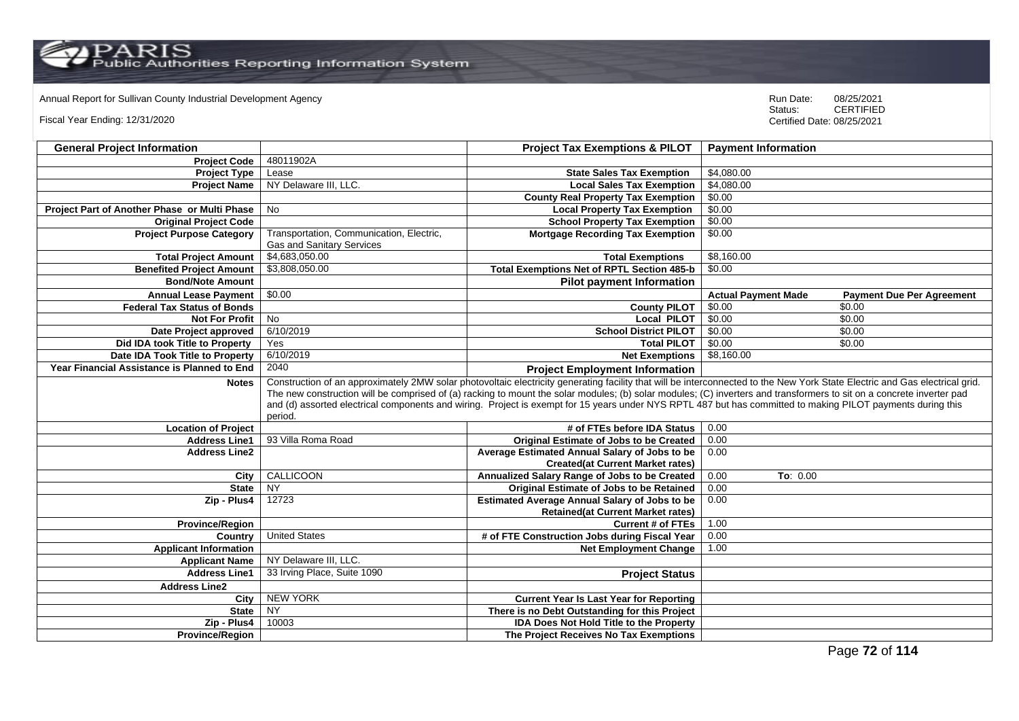# Annual Report for Sullivan County Industrial Development Agency<br>
Status: CERTIFIED

Fiscal Year Ending: 12/31/2020

| <b>General Project Information</b>           |                                          | <b>Project Tax Exemptions &amp; PILOT</b>            | <b>Payment Information</b>                                                                                                                                                  |
|----------------------------------------------|------------------------------------------|------------------------------------------------------|-----------------------------------------------------------------------------------------------------------------------------------------------------------------------------|
| <b>Project Code</b>                          | 48011902A                                |                                                      |                                                                                                                                                                             |
| <b>Project Type</b>                          | Lease                                    | <b>State Sales Tax Exemption</b>                     | \$4.080.00                                                                                                                                                                  |
| <b>Project Name</b>                          | NY Delaware III. LLC.                    | <b>Local Sales Tax Exemption</b>                     | \$4,080.00                                                                                                                                                                  |
|                                              |                                          | <b>County Real Property Tax Exemption</b>            | \$0.00                                                                                                                                                                      |
| Project Part of Another Phase or Multi Phase | <b>No</b>                                | <b>Local Property Tax Exemption</b>                  | \$0.00                                                                                                                                                                      |
| <b>Original Project Code</b>                 |                                          | <b>School Property Tax Exemption</b>                 | \$0.00                                                                                                                                                                      |
| <b>Project Purpose Category</b>              | Transportation, Communication, Electric, | <b>Mortgage Recording Tax Exemption</b>              | \$0.00                                                                                                                                                                      |
|                                              | <b>Gas and Sanitary Services</b>         |                                                      |                                                                                                                                                                             |
| <b>Total Project Amount</b>                  | \$4,683,050.00                           | <b>Total Exemptions</b>                              | \$8,160.00                                                                                                                                                                  |
| <b>Benefited Project Amount</b>              | \$3,808,050.00                           | <b>Total Exemptions Net of RPTL Section 485-b</b>    | \$0.00                                                                                                                                                                      |
| <b>Bond/Note Amount</b>                      |                                          | <b>Pilot payment Information</b>                     |                                                                                                                                                                             |
| <b>Annual Lease Payment</b>                  | \$0.00                                   |                                                      | <b>Actual Payment Made</b><br><b>Payment Due Per Agreement</b>                                                                                                              |
| <b>Federal Tax Status of Bonds</b>           |                                          | <b>County PILOT</b>                                  | \$0.00<br>\$0.00                                                                                                                                                            |
| <b>Not For Profit</b>                        | <b>No</b>                                | <b>Local PILOT</b>                                   | \$0.00<br>\$0.00                                                                                                                                                            |
| Date Project approved                        | 6/10/2019                                | <b>School District PILOT</b>                         | \$0.00<br>\$0.00                                                                                                                                                            |
| Did IDA took Title to Property               | Yes                                      | <b>Total PILOT</b>                                   | \$0.00<br>\$0.00                                                                                                                                                            |
| Date IDA Took Title to Property              | 6/10/2019                                | <b>Net Exemptions</b>                                | \$8,160.00                                                                                                                                                                  |
| Year Financial Assistance is Planned to End  | 2040                                     | <b>Project Employment Information</b>                |                                                                                                                                                                             |
| <b>Notes</b>                                 |                                          |                                                      | Construction of an approximately 2MW solar photovoltaic electricity generating facility that will be interconnected to the New York State Electric and Gas electrical grid. |
|                                              |                                          |                                                      | The new construction will be comprised of (a) racking to mount the solar modules; (b) solar modules; (C) inverters and transformers to sit on a concrete inverter pad       |
|                                              |                                          |                                                      | and (d) assorted electrical components and wiring. Project is exempt for 15 years under NYS RPTL 487 but has committed to making PILOT payments during this                 |
|                                              | period.                                  |                                                      |                                                                                                                                                                             |
| <b>Location of Project</b>                   |                                          | # of FTEs before IDA Status                          | 0.00                                                                                                                                                                        |
| <b>Address Line1</b>                         | 93 Villa Roma Road                       | Original Estimate of Jobs to be Created              | 0.00                                                                                                                                                                        |
| <b>Address Line2</b>                         |                                          | Average Estimated Annual Salary of Jobs to be        | 0.00                                                                                                                                                                        |
|                                              |                                          | <b>Created(at Current Market rates)</b>              |                                                                                                                                                                             |
| City                                         | CALLICOON                                | Annualized Salary Range of Jobs to be Created        | 0.00<br>To: 0.00                                                                                                                                                            |
| <b>State</b>                                 | <b>NY</b>                                | Original Estimate of Jobs to be Retained             | 0.00                                                                                                                                                                        |
| Zip - Plus4                                  | 12723                                    | <b>Estimated Average Annual Salary of Jobs to be</b> | 0.00                                                                                                                                                                        |
|                                              |                                          | <b>Retained(at Current Market rates)</b>             |                                                                                                                                                                             |
| <b>Province/Region</b>                       |                                          | <b>Current # of FTEs</b>                             | 1.00                                                                                                                                                                        |
| Country                                      | <b>United States</b>                     | # of FTE Construction Jobs during Fiscal Year        | 0.00                                                                                                                                                                        |
| <b>Applicant Information</b>                 |                                          | <b>Net Employment Change</b>                         | 1.00                                                                                                                                                                        |
| <b>Applicant Name</b>                        | NY Delaware III, LLC.                    |                                                      |                                                                                                                                                                             |
| <b>Address Line1</b>                         | 33 Irving Place, Suite 1090              | <b>Project Status</b>                                |                                                                                                                                                                             |
| <b>Address Line2</b>                         |                                          |                                                      |                                                                                                                                                                             |
| City                                         | <b>NEW YORK</b>                          | <b>Current Year Is Last Year for Reporting</b>       |                                                                                                                                                                             |
| <b>State</b>                                 |                                          |                                                      |                                                                                                                                                                             |
|                                              | <b>NY</b>                                | There is no Debt Outstanding for this Project        |                                                                                                                                                                             |
| Zip - Plus4<br><b>Province/Region</b>        | 10003                                    | <b>IDA Does Not Hold Title to the Property</b>       |                                                                                                                                                                             |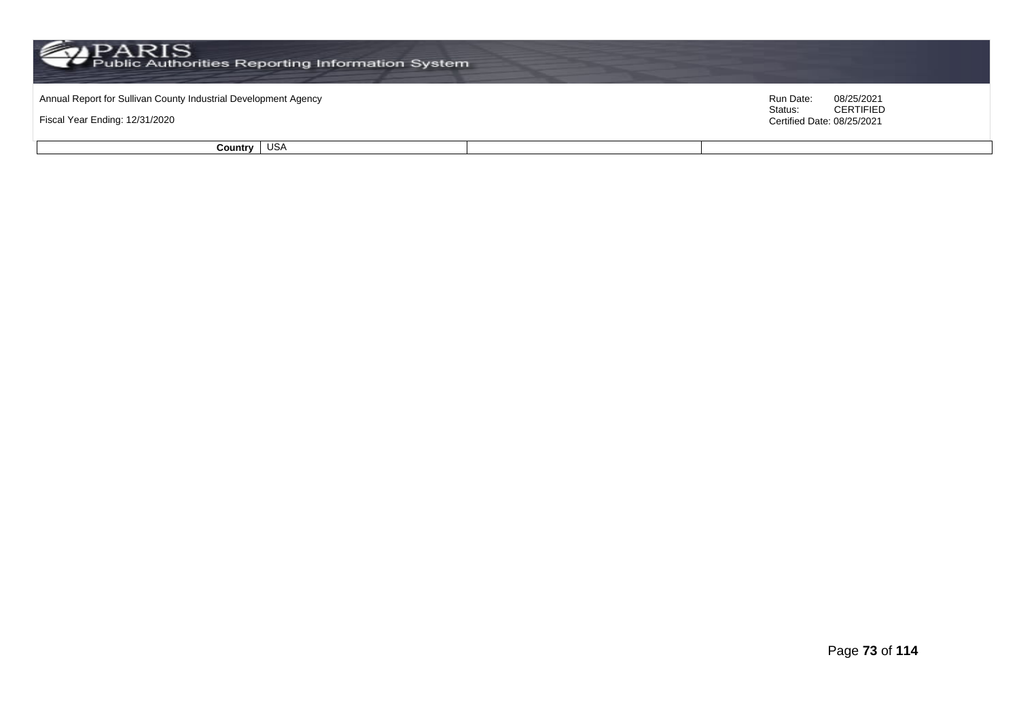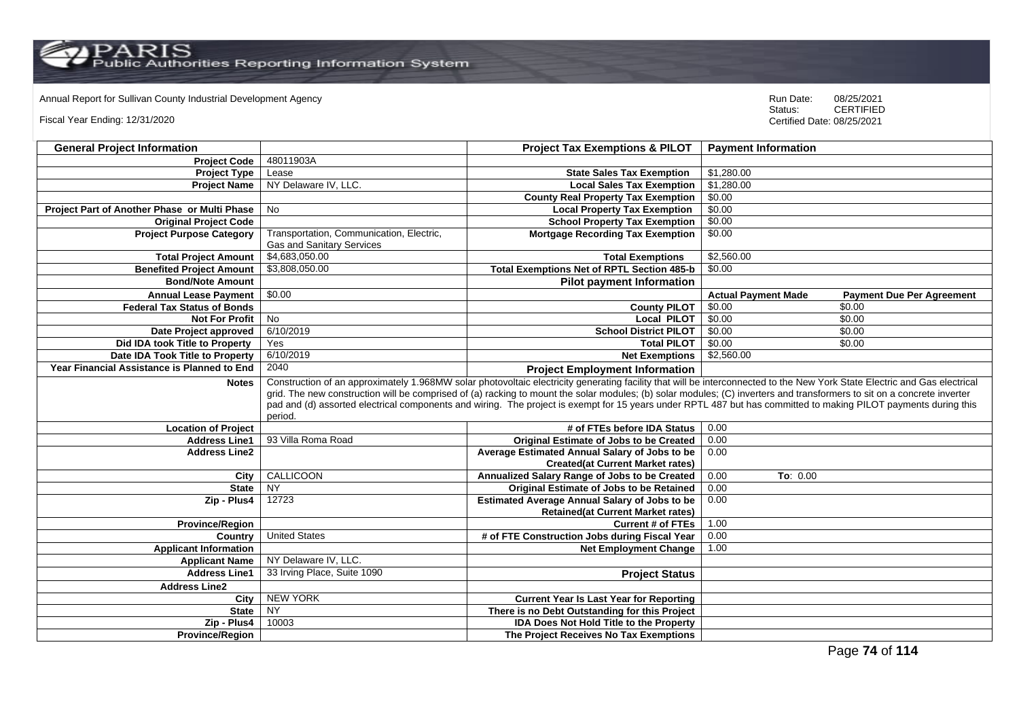# Annual Report for Sullivan County Industrial Development Agency<br>
Status: CERTIFIED

Fiscal Year Ending: 12/31/2020

| <b>General Project Information</b>           |                                          | <b>Project Tax Exemptions &amp; PILOT</b>            | <b>Payment Information</b>                                                                                                                                                |
|----------------------------------------------|------------------------------------------|------------------------------------------------------|---------------------------------------------------------------------------------------------------------------------------------------------------------------------------|
| <b>Project Code</b>                          | 48011903A                                |                                                      |                                                                                                                                                                           |
| <b>Project Type</b>                          | Lease                                    | <b>State Sales Tax Exemption</b>                     | \$1,280.00                                                                                                                                                                |
| <b>Project Name</b>                          | NY Delaware IV, LLC.                     | <b>Local Sales Tax Exemption</b>                     | \$1,280.00                                                                                                                                                                |
|                                              |                                          | <b>County Real Property Tax Exemption</b>            | \$0.00                                                                                                                                                                    |
| Project Part of Another Phase or Multi Phase | No                                       | <b>Local Property Tax Exemption</b>                  | \$0.00                                                                                                                                                                    |
| <b>Original Project Code</b>                 |                                          | <b>School Property Tax Exemption</b>                 | \$0.00                                                                                                                                                                    |
| <b>Project Purpose Category</b>              | Transportation, Communication, Electric, | <b>Mortgage Recording Tax Exemption</b>              | \$0.00                                                                                                                                                                    |
|                                              | <b>Gas and Sanitary Services</b>         |                                                      |                                                                                                                                                                           |
| <b>Total Project Amount</b>                  | \$4,683,050.00                           | <b>Total Exemptions</b>                              | \$2,560.00                                                                                                                                                                |
| <b>Benefited Project Amount</b>              | \$3,808,050.00                           | <b>Total Exemptions Net of RPTL Section 485-b</b>    | \$0.00                                                                                                                                                                    |
| <b>Bond/Note Amount</b>                      |                                          | <b>Pilot payment Information</b>                     |                                                                                                                                                                           |
| <b>Annual Lease Payment</b>                  | \$0.00                                   |                                                      | <b>Actual Payment Made</b><br><b>Payment Due Per Agreement</b>                                                                                                            |
| <b>Federal Tax Status of Bonds</b>           |                                          | <b>County PILOT</b>                                  | \$0.00<br>\$0.00                                                                                                                                                          |
| <b>Not For Profit</b>                        | <b>No</b>                                | <b>Local PILOT</b>                                   | \$0.00<br>\$0.00                                                                                                                                                          |
| Date Project approved                        | 6/10/2019                                | <b>School District PILOT</b>                         | \$0.00<br>\$0.00                                                                                                                                                          |
| Did IDA took Title to Property               | Yes                                      | <b>Total PILOT</b>                                   | \$0.00<br>\$0.00                                                                                                                                                          |
| Date IDA Took Title to Property              | 6/10/2019                                | <b>Net Exemptions</b>                                | \$2,560.00                                                                                                                                                                |
| Year Financial Assistance is Planned to End  | 2040                                     | <b>Project Employment Information</b>                |                                                                                                                                                                           |
| <b>Notes</b>                                 |                                          |                                                      | Construction of an approximately 1.968MW solar photovoltaic electricity generating facility that will be interconnected to the New York State Electric and Gas electrical |
|                                              |                                          |                                                      | grid. The new construction will be comprised of (a) racking to mount the solar modules; (b) solar modules; (C) inverters and transformers to sit on a concrete inverter   |
|                                              |                                          |                                                      | pad and (d) assorted electrical components and wiring. The project is exempt for 15 years under RPTL 487 but has committed to making PILOT payments during this           |
|                                              | period.                                  |                                                      |                                                                                                                                                                           |
| <b>Location of Project</b>                   |                                          | # of FTEs before IDA Status                          | 0.00                                                                                                                                                                      |
| <b>Address Line1</b>                         | 93 Villa Roma Road                       | Original Estimate of Jobs to be Created              | 0.00                                                                                                                                                                      |
| <b>Address Line2</b>                         |                                          | Average Estimated Annual Salary of Jobs to be        | 0.00                                                                                                                                                                      |
|                                              |                                          | <b>Created(at Current Market rates)</b>              |                                                                                                                                                                           |
| City                                         | CALLICOON                                | Annualized Salary Range of Jobs to be Created        | 0.00<br>To: 0.00                                                                                                                                                          |
| <b>State</b>                                 | <b>NY</b>                                | Original Estimate of Jobs to be Retained             | 0.00                                                                                                                                                                      |
| Zip - Plus4                                  | 12723                                    | <b>Estimated Average Annual Salary of Jobs to be</b> | 0.00                                                                                                                                                                      |
|                                              |                                          | <b>Retained(at Current Market rates)</b>             |                                                                                                                                                                           |
| <b>Province/Region</b>                       |                                          | <b>Current # of FTEs</b>                             | 1.00                                                                                                                                                                      |
| <b>Country</b>                               | <b>United States</b>                     | # of FTE Construction Jobs during Fiscal Year        | 0.00                                                                                                                                                                      |
| <b>Applicant Information</b>                 |                                          | <b>Net Employment Change</b>                         | 1.00                                                                                                                                                                      |
| <b>Applicant Name</b>                        | NY Delaware IV, LLC.                     |                                                      |                                                                                                                                                                           |
| <b>Address Line1</b>                         | 33 Irving Place, Suite 1090              | <b>Project Status</b>                                |                                                                                                                                                                           |
| <b>Address Line2</b>                         |                                          |                                                      |                                                                                                                                                                           |
| City                                         | <b>NEW YORK</b>                          | <b>Current Year Is Last Year for Reporting</b>       |                                                                                                                                                                           |
| <b>State</b>                                 | <b>NY</b>                                | There is no Debt Outstanding for this Project        |                                                                                                                                                                           |
| Zip - Plus4                                  | 10003                                    | <b>IDA Does Not Hold Title to the Property</b>       |                                                                                                                                                                           |
|                                              |                                          |                                                      |                                                                                                                                                                           |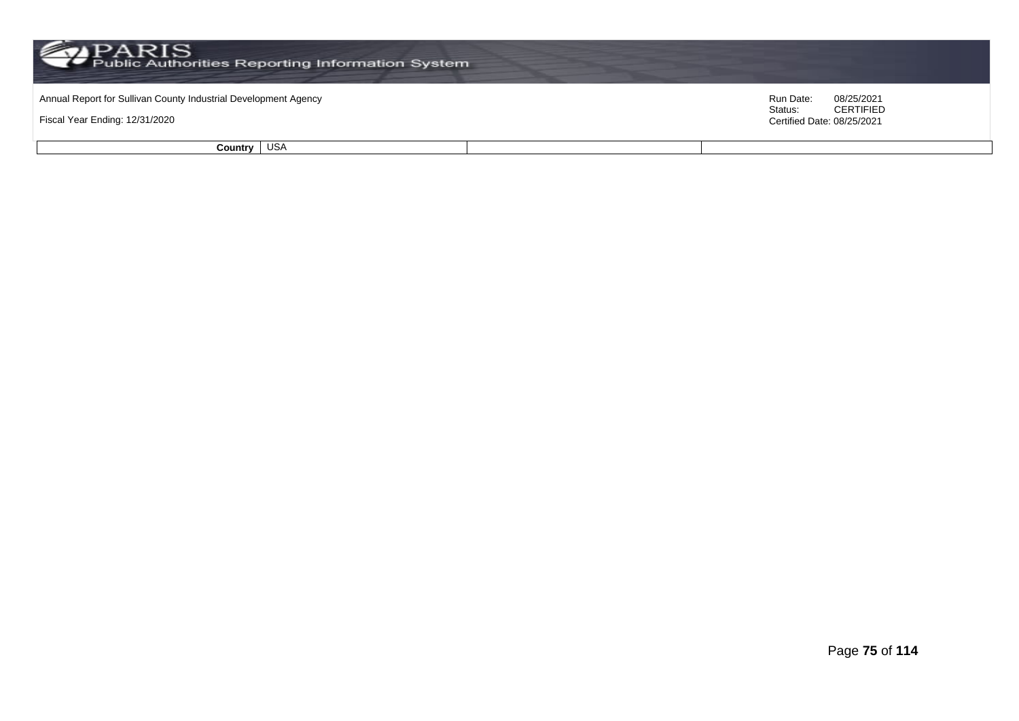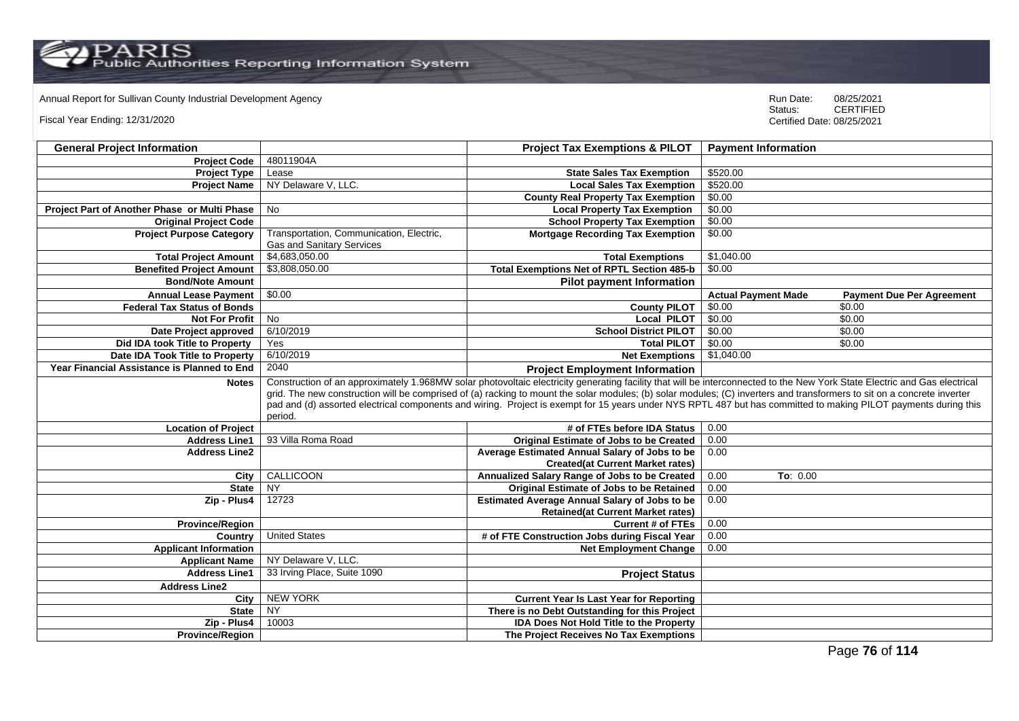# Annual Report for Sullivan County Industrial Development Agency<br>
Status: CERTIFIED

Fiscal Year Ending: 12/31/2020

| <b>General Project Information</b>                    |                                          | <b>Project Tax Exemptions &amp; PILOT</b>                                                       | <b>Payment Information</b>                                                                                                                                                |
|-------------------------------------------------------|------------------------------------------|-------------------------------------------------------------------------------------------------|---------------------------------------------------------------------------------------------------------------------------------------------------------------------------|
| <b>Project Code</b>                                   | 48011904A                                |                                                                                                 |                                                                                                                                                                           |
| <b>Project Type</b>                                   | Lease                                    | <b>State Sales Tax Exemption</b>                                                                | \$520.00                                                                                                                                                                  |
| <b>Project Name</b>                                   | NY Delaware V, LLC.                      | <b>Local Sales Tax Exemption</b>                                                                | \$520.00                                                                                                                                                                  |
|                                                       |                                          | <b>County Real Property Tax Exemption</b>                                                       | \$0.00                                                                                                                                                                    |
| Project Part of Another Phase or Multi Phase          | No                                       | <b>Local Property Tax Exemption</b>                                                             | \$0.00                                                                                                                                                                    |
| <b>Original Project Code</b>                          |                                          | <b>School Property Tax Exemption</b>                                                            | \$0.00                                                                                                                                                                    |
| <b>Project Purpose Category</b>                       | Transportation, Communication, Electric, | <b>Mortgage Recording Tax Exemption</b>                                                         | \$0.00                                                                                                                                                                    |
|                                                       | <b>Gas and Sanitary Services</b>         |                                                                                                 |                                                                                                                                                                           |
| <b>Total Project Amount</b>                           | \$4,683,050.00                           | <b>Total Exemptions</b>                                                                         | \$1,040.00                                                                                                                                                                |
| <b>Benefited Project Amount</b>                       | \$3,808,050.00                           | <b>Total Exemptions Net of RPTL Section 485-b</b>                                               | \$0.00                                                                                                                                                                    |
| <b>Bond/Note Amount</b>                               |                                          | <b>Pilot payment Information</b>                                                                |                                                                                                                                                                           |
| <b>Annual Lease Payment</b>                           | \$0.00                                   |                                                                                                 | <b>Actual Payment Made</b><br><b>Payment Due Per Agreement</b>                                                                                                            |
| <b>Federal Tax Status of Bonds</b>                    |                                          | <b>County PILOT</b>                                                                             | \$0.00<br>\$0.00                                                                                                                                                          |
| <b>Not For Profit</b>                                 | <b>No</b>                                | <b>Local PILOT</b>                                                                              | \$0.00<br>\$0.00                                                                                                                                                          |
| Date Project approved                                 | 6/10/2019                                | <b>School District PILOT</b>                                                                    | \$0.00<br>\$0.00                                                                                                                                                          |
| Did IDA took Title to Property                        | Yes                                      | <b>Total PILOT</b>                                                                              | \$0.00<br>\$0.00                                                                                                                                                          |
| Date IDA Took Title to Property                       | 6/10/2019                                | <b>Net Exemptions</b>                                                                           | \$1,040.00                                                                                                                                                                |
| Year Financial Assistance is Planned to End           | 2040                                     | <b>Project Employment Information</b>                                                           |                                                                                                                                                                           |
| <b>Notes</b>                                          |                                          |                                                                                                 | Construction of an approximately 1.968MW solar photovoltaic electricity generating facility that will be interconnected to the New York State Electric and Gas electrical |
|                                                       |                                          |                                                                                                 | grid. The new construction will be comprised of (a) racking to mount the solar modules; (b) solar modules; (C) inverters and transformers to sit on a concrete inverter   |
|                                                       |                                          |                                                                                                 | pad and (d) assorted electrical components and wiring. Project is exempt for 15 years under NYS RPTL 487 but has committed to making PILOT payments during this           |
|                                                       | period.                                  |                                                                                                 |                                                                                                                                                                           |
| <b>Location of Project</b>                            |                                          | # of FTEs before IDA Status                                                                     | 0.00                                                                                                                                                                      |
| <b>Address Line1</b>                                  | 93 Villa Roma Road                       | Original Estimate of Jobs to be Created                                                         | 0.00                                                                                                                                                                      |
| <b>Address Line2</b>                                  |                                          | Average Estimated Annual Salary of Jobs to be                                                   | 0.00                                                                                                                                                                      |
|                                                       |                                          | <b>Created(at Current Market rates)</b>                                                         |                                                                                                                                                                           |
| City                                                  | CALLICOON                                | Annualized Salary Range of Jobs to be Created                                                   | 0.00<br>To: 0.00                                                                                                                                                          |
| <b>State</b>                                          | <b>NY</b>                                | Original Estimate of Jobs to be Retained                                                        | 0.00                                                                                                                                                                      |
| Zip - Plus4                                           | 12723                                    | <b>Estimated Average Annual Salary of Jobs to be</b>                                            | 0.00                                                                                                                                                                      |
|                                                       |                                          | <b>Retained(at Current Market rates)</b>                                                        |                                                                                                                                                                           |
| <b>Province/Region</b>                                | <b>United States</b>                     | <b>Current # of FTEs</b>                                                                        | 0.00                                                                                                                                                                      |
| Country                                               |                                          | # of FTE Construction Jobs during Fiscal Year                                                   | 0.00<br>0.00                                                                                                                                                              |
| <b>Applicant Information</b><br><b>Applicant Name</b> | NY Delaware V, LLC.                      | <b>Net Employment Change</b>                                                                    |                                                                                                                                                                           |
| <b>Address Line1</b>                                  | 33 Irving Place, Suite 1090              |                                                                                                 |                                                                                                                                                                           |
|                                                       |                                          | <b>Project Status</b>                                                                           |                                                                                                                                                                           |
| <b>Address Line2</b>                                  | <b>NEW YORK</b>                          |                                                                                                 |                                                                                                                                                                           |
| City<br><b>State</b>                                  | <b>NY</b>                                | <b>Current Year Is Last Year for Reporting</b><br>There is no Debt Outstanding for this Project |                                                                                                                                                                           |
| Zip - Plus4                                           | 10003                                    | <b>IDA Does Not Hold Title to the Property</b>                                                  |                                                                                                                                                                           |
| <b>Province/Region</b>                                |                                          | The Project Receives No Tax Exemptions                                                          |                                                                                                                                                                           |
|                                                       |                                          |                                                                                                 |                                                                                                                                                                           |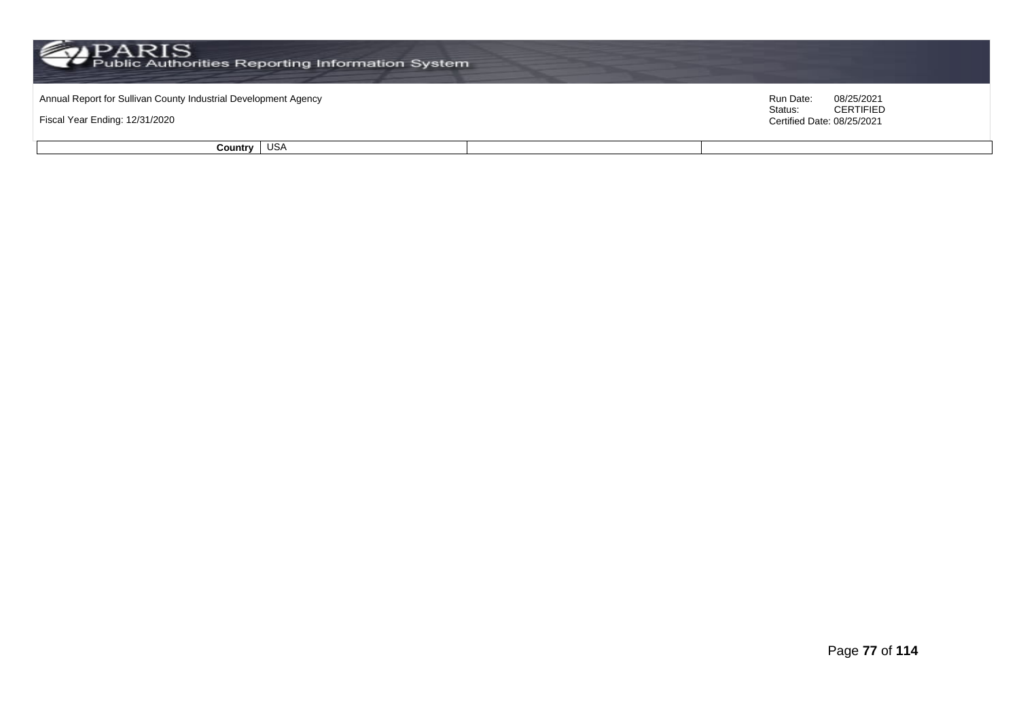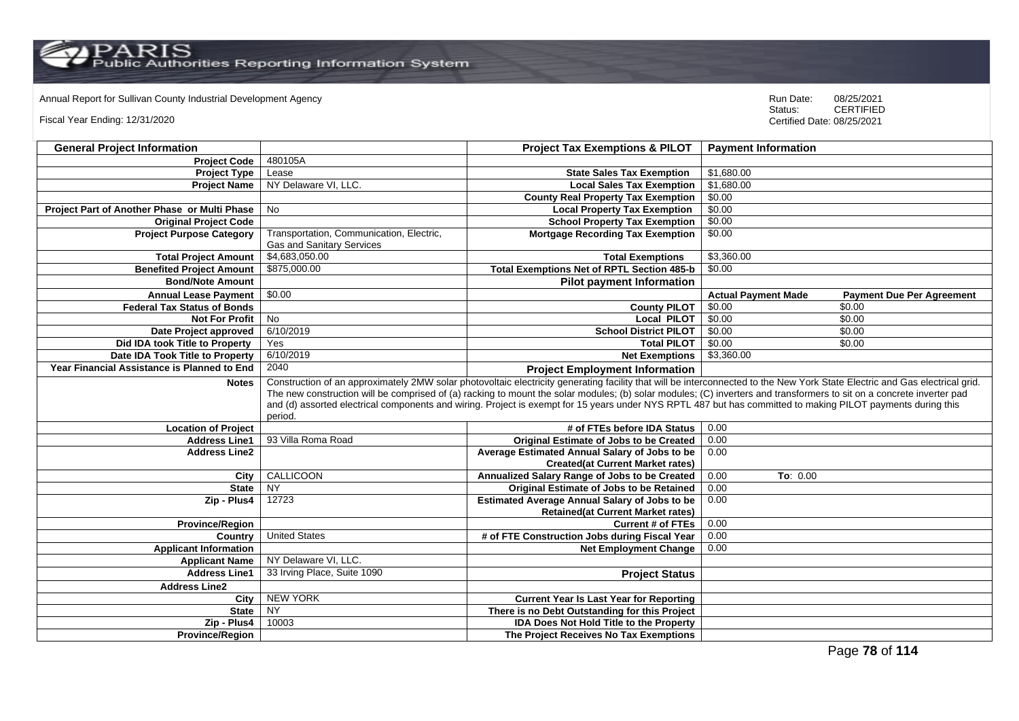# Annual Report for Sullivan County Industrial Development Agency<br>
Status: CERTIFIED

Fiscal Year Ending: 12/31/2020

| <b>General Project Information</b>           |                                          | <b>Project Tax Exemptions &amp; PILOT</b>            | <b>Payment Information</b>                                                                                                                                                  |
|----------------------------------------------|------------------------------------------|------------------------------------------------------|-----------------------------------------------------------------------------------------------------------------------------------------------------------------------------|
| <b>Project Code</b>                          | 480105A                                  |                                                      |                                                                                                                                                                             |
| <b>Project Type</b>                          | Lease                                    | <b>State Sales Tax Exemption</b>                     | \$1,680.00                                                                                                                                                                  |
| <b>Project Name</b>                          | NY Delaware VI. LLC.                     | <b>Local Sales Tax Exemption</b>                     | \$1,680.00                                                                                                                                                                  |
|                                              |                                          | <b>County Real Property Tax Exemption</b>            | \$0.00                                                                                                                                                                      |
| Project Part of Another Phase or Multi Phase | <b>No</b>                                | <b>Local Property Tax Exemption</b>                  | \$0.00                                                                                                                                                                      |
| <b>Original Project Code</b>                 |                                          | <b>School Property Tax Exemption</b>                 | \$0.00                                                                                                                                                                      |
| <b>Project Purpose Category</b>              | Transportation, Communication, Electric, | <b>Mortgage Recording Tax Exemption</b>              | \$0.00                                                                                                                                                                      |
|                                              | <b>Gas and Sanitary Services</b>         |                                                      |                                                                                                                                                                             |
| <b>Total Project Amount</b>                  | \$4,683,050.00                           | <b>Total Exemptions</b>                              | \$3.360.00                                                                                                                                                                  |
| <b>Benefited Project Amount</b>              | \$875,000.00                             | <b>Total Exemptions Net of RPTL Section 485-b</b>    | \$0.00                                                                                                                                                                      |
| <b>Bond/Note Amount</b>                      |                                          | <b>Pilot payment Information</b>                     |                                                                                                                                                                             |
| <b>Annual Lease Payment</b>                  | \$0.00                                   |                                                      | <b>Actual Payment Made</b><br><b>Payment Due Per Agreement</b>                                                                                                              |
| <b>Federal Tax Status of Bonds</b>           |                                          | <b>County PILOT</b>                                  | \$0.00<br>\$0.00                                                                                                                                                            |
| <b>Not For Profit</b>                        | <b>No</b>                                | <b>Local PILOT</b>                                   | \$0.00<br>\$0.00                                                                                                                                                            |
| Date Project approved                        | 6/10/2019                                | <b>School District PILOT</b>                         | \$0.00<br>\$0.00                                                                                                                                                            |
| Did IDA took Title to Property               | Yes                                      | <b>Total PILOT</b>                                   | \$0.00<br>\$0.00                                                                                                                                                            |
| Date IDA Took Title to Property              | 6/10/2019                                | <b>Net Exemptions</b>                                | \$3,360.00                                                                                                                                                                  |
| Year Financial Assistance is Planned to End  | 2040                                     | <b>Project Employment Information</b>                |                                                                                                                                                                             |
| <b>Notes</b>                                 |                                          |                                                      | Construction of an approximately 2MW solar photovoltaic electricity generating facility that will be interconnected to the New York State Electric and Gas electrical grid. |
|                                              |                                          |                                                      | The new construction will be comprised of (a) racking to mount the solar modules; (b) solar modules; (C) inverters and transformers to sit on a concrete inverter pad       |
|                                              |                                          |                                                      | and (d) assorted electrical components and wiring. Project is exempt for 15 years under NYS RPTL 487 but has committed to making PILOT payments during this                 |
|                                              | period.                                  |                                                      |                                                                                                                                                                             |
| <b>Location of Project</b>                   |                                          | # of FTEs before IDA Status                          | 0.00                                                                                                                                                                        |
| <b>Address Line1</b>                         | 93 Villa Roma Road                       | Original Estimate of Jobs to be Created              | 0.00                                                                                                                                                                        |
| <b>Address Line2</b>                         |                                          | Average Estimated Annual Salary of Jobs to be        | 0.00                                                                                                                                                                        |
|                                              |                                          | <b>Created(at Current Market rates)</b>              |                                                                                                                                                                             |
| City                                         | CALLICOON                                | Annualized Salary Range of Jobs to be Created        | 0.00<br>To: 0.00                                                                                                                                                            |
| <b>State</b>                                 | <b>NY</b>                                | Original Estimate of Jobs to be Retained             | 0.00                                                                                                                                                                        |
| Zip - Plus4                                  | 12723                                    | <b>Estimated Average Annual Salary of Jobs to be</b> | 0.00                                                                                                                                                                        |
|                                              |                                          | <b>Retained(at Current Market rates)</b>             |                                                                                                                                                                             |
| <b>Province/Region</b>                       |                                          | <b>Current # of FTEs</b>                             | 0.00                                                                                                                                                                        |
| Country                                      | <b>United States</b>                     | # of FTE Construction Jobs during Fiscal Year        | 0.00                                                                                                                                                                        |
| <b>Applicant Information</b>                 |                                          | <b>Net Employment Change</b>                         | 0.00                                                                                                                                                                        |
| <b>Applicant Name</b>                        | NY Delaware VI, LLC.                     |                                                      |                                                                                                                                                                             |
| <b>Address Line1</b>                         | 33 Irving Place, Suite 1090              | <b>Project Status</b>                                |                                                                                                                                                                             |
| <b>Address Line2</b>                         |                                          |                                                      |                                                                                                                                                                             |
| City                                         | <b>NEW YORK</b>                          | <b>Current Year Is Last Year for Reporting</b>       |                                                                                                                                                                             |
| <b>State</b>                                 |                                          |                                                      |                                                                                                                                                                             |
|                                              | <b>NY</b>                                | There is no Debt Outstanding for this Project        |                                                                                                                                                                             |
| Zip - Plus4                                  | 10003                                    | <b>IDA Does Not Hold Title to the Property</b>       |                                                                                                                                                                             |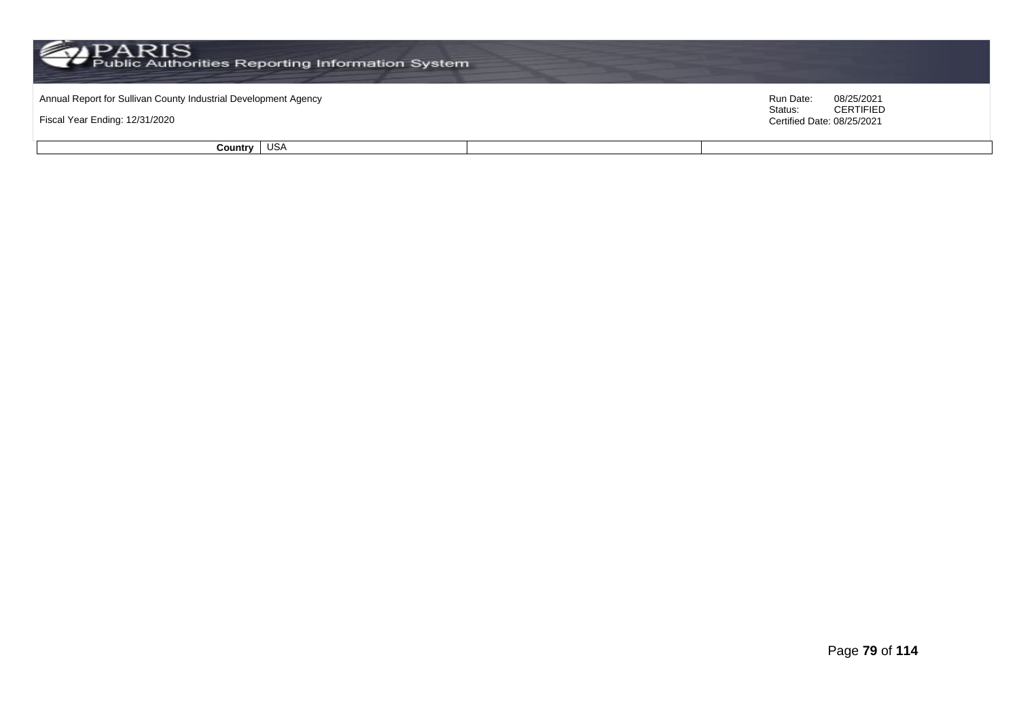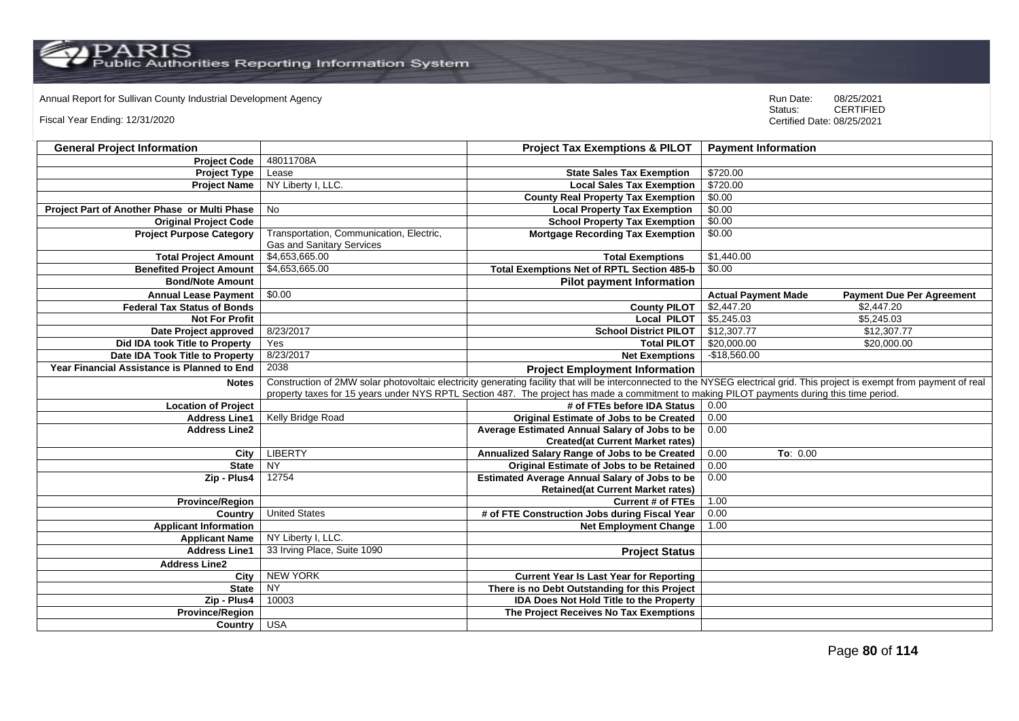# Annual Report for Sullivan County Industrial Development Agency<br>
Status: CERTIFIED

Fiscal Year Ending: 12/31/2020

| <b>General Project Information</b>           |                                                                              | <b>Project Tax Exemptions &amp; PILOT</b>                                                                                                   | <b>Payment Information</b>                                                                                                                                                   |
|----------------------------------------------|------------------------------------------------------------------------------|---------------------------------------------------------------------------------------------------------------------------------------------|------------------------------------------------------------------------------------------------------------------------------------------------------------------------------|
| <b>Project Code</b>                          | 48011708A                                                                    |                                                                                                                                             |                                                                                                                                                                              |
| <b>Project Type</b>                          | Lease                                                                        | <b>State Sales Tax Exemption</b>                                                                                                            | \$720.00                                                                                                                                                                     |
| <b>Project Name</b>                          | NY Liberty I, LLC.                                                           | <b>Local Sales Tax Exemption</b>                                                                                                            | \$720.00                                                                                                                                                                     |
|                                              |                                                                              | <b>County Real Property Tax Exemption</b>                                                                                                   | \$0.00                                                                                                                                                                       |
| Project Part of Another Phase or Multi Phase | <b>No</b>                                                                    | <b>Local Property Tax Exemption</b>                                                                                                         | \$0.00                                                                                                                                                                       |
| <b>Original Project Code</b>                 |                                                                              | <b>School Property Tax Exemption</b>                                                                                                        | \$0.00                                                                                                                                                                       |
| <b>Project Purpose Category</b>              | Transportation, Communication, Electric,<br><b>Gas and Sanitary Services</b> | <b>Mortgage Recording Tax Exemption</b>                                                                                                     | \$0.00                                                                                                                                                                       |
| <b>Total Project Amount</b>                  | \$4,653,665.00                                                               | <b>Total Exemptions</b>                                                                                                                     | \$1,440.00                                                                                                                                                                   |
| <b>Benefited Project Amount</b>              | \$4,653,665.00                                                               | <b>Total Exemptions Net of RPTL Section 485-b</b>                                                                                           | \$0.00                                                                                                                                                                       |
| <b>Bond/Note Amount</b>                      |                                                                              | <b>Pilot payment Information</b>                                                                                                            |                                                                                                                                                                              |
| <b>Annual Lease Payment</b>                  | \$0.00                                                                       |                                                                                                                                             | <b>Actual Payment Made</b><br><b>Payment Due Per Agreement</b>                                                                                                               |
| <b>Federal Tax Status of Bonds</b>           |                                                                              | <b>County PILOT</b>                                                                                                                         | \$2,447.20<br>\$2,447.20                                                                                                                                                     |
| <b>Not For Profit</b>                        |                                                                              | <b>Local PILOT</b>                                                                                                                          | \$5,245.03<br>\$5,245.03                                                                                                                                                     |
| Date Project approved                        | 8/23/2017                                                                    | <b>School District PILOT</b>                                                                                                                | \$12,307.77<br>\$12,307.77                                                                                                                                                   |
| Did IDA took Title to Property               | Yes                                                                          | <b>Total PILOT</b>                                                                                                                          | \$20,000.00<br>\$20,000.00                                                                                                                                                   |
| Date IDA Took Title to Property              | 8/23/2017                                                                    | <b>Net Exemptions</b>                                                                                                                       | $-$18,560.00$                                                                                                                                                                |
| Year Financial Assistance is Planned to End  | 2038                                                                         | <b>Project Employment Information</b>                                                                                                       |                                                                                                                                                                              |
| <b>Notes</b>                                 |                                                                              | property taxes for 15 years under NYS RPTL Section 487. The project has made a commitment to making PILOT payments during this time period. | Construction of 2MW solar photovoltaic electricity generating facility that will be interconnected to the NYSEG electrical grid. This project is exempt from payment of real |
| <b>Location of Project</b>                   |                                                                              | # of FTEs before IDA Status                                                                                                                 | 0.00                                                                                                                                                                         |
| <b>Address Line1</b>                         | Kelly Bridge Road                                                            | Original Estimate of Jobs to be Created                                                                                                     | 0.00                                                                                                                                                                         |
| <b>Address Line2</b>                         |                                                                              | Average Estimated Annual Salary of Jobs to be                                                                                               | 0.00                                                                                                                                                                         |
|                                              |                                                                              | <b>Created(at Current Market rates)</b>                                                                                                     |                                                                                                                                                                              |
| City                                         | <b>LIBERTY</b>                                                               | Annualized Salary Range of Jobs to be Created                                                                                               | 0.00<br>To: 0.00                                                                                                                                                             |
| <b>State</b>                                 | NY                                                                           | <b>Original Estimate of Jobs to be Retained</b>                                                                                             | 0.00                                                                                                                                                                         |
| Zip - Plus4                                  | 12754                                                                        | <b>Estimated Average Annual Salary of Jobs to be</b>                                                                                        | 0.00                                                                                                                                                                         |
|                                              |                                                                              | <b>Retained(at Current Market rates)</b>                                                                                                    |                                                                                                                                                                              |
| <b>Province/Region</b>                       |                                                                              | <b>Current # of FTEs</b>                                                                                                                    | 1.00                                                                                                                                                                         |
| Country                                      | <b>United States</b>                                                         | # of FTE Construction Jobs during Fiscal Year                                                                                               | 0.00                                                                                                                                                                         |
| <b>Applicant Information</b>                 |                                                                              | <b>Net Employment Change</b>                                                                                                                | 1.00                                                                                                                                                                         |
| <b>Applicant Name</b>                        | NY Liberty I, LLC.                                                           |                                                                                                                                             |                                                                                                                                                                              |
| <b>Address Line1</b>                         | 33 Irving Place, Suite 1090                                                  | <b>Project Status</b>                                                                                                                       |                                                                                                                                                                              |
| <b>Address Line2</b>                         |                                                                              |                                                                                                                                             |                                                                                                                                                                              |
| City                                         | <b>NEW YORK</b>                                                              | <b>Current Year Is Last Year for Reporting</b>                                                                                              |                                                                                                                                                                              |
| <b>State</b>                                 | <b>NY</b>                                                                    | There is no Debt Outstanding for this Project                                                                                               |                                                                                                                                                                              |
| Zip - Plus4                                  | 10003                                                                        | IDA Does Not Hold Title to the Property                                                                                                     |                                                                                                                                                                              |
| <b>Province/Region</b>                       |                                                                              | The Project Receives No Tax Exemptions                                                                                                      |                                                                                                                                                                              |
| Country USA                                  |                                                                              |                                                                                                                                             |                                                                                                                                                                              |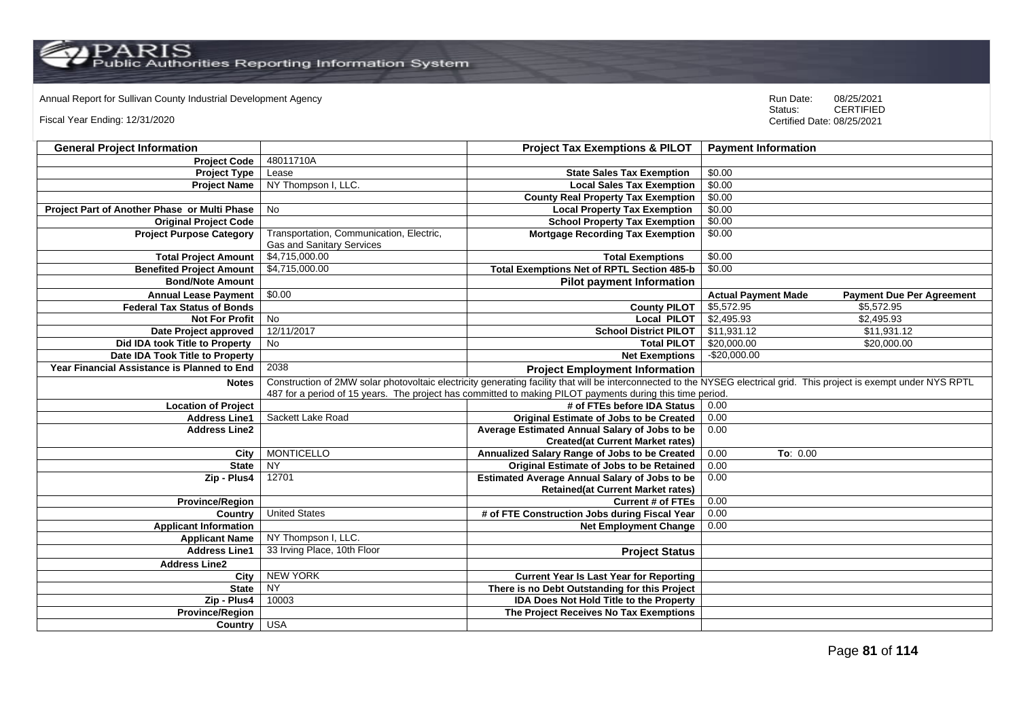# Annual Report for Sullivan County Industrial Development Agency<br>
Status: CERTIFIED

Fiscal Year Ending: 12/31/2020

| <b>General Project Information</b>           |                                                                              | <b>Project Tax Exemptions &amp; PILOT</b>                                                                 | <b>Payment Information</b>                                                                                                                                             |
|----------------------------------------------|------------------------------------------------------------------------------|-----------------------------------------------------------------------------------------------------------|------------------------------------------------------------------------------------------------------------------------------------------------------------------------|
| <b>Project Code</b>                          | 48011710A                                                                    |                                                                                                           |                                                                                                                                                                        |
| <b>Project Type</b>                          | Lease                                                                        | <b>State Sales Tax Exemption</b>                                                                          | \$0.00                                                                                                                                                                 |
| <b>Project Name</b>                          | NY Thompson I, LLC.                                                          | <b>Local Sales Tax Exemption</b>                                                                          | \$0.00                                                                                                                                                                 |
|                                              |                                                                              | <b>County Real Property Tax Exemption</b>                                                                 | \$0.00                                                                                                                                                                 |
| Project Part of Another Phase or Multi Phase | <b>No</b>                                                                    | <b>Local Property Tax Exemption</b>                                                                       | \$0.00                                                                                                                                                                 |
| <b>Original Project Code</b>                 |                                                                              | <b>School Property Tax Exemption</b>                                                                      | \$0.00                                                                                                                                                                 |
| <b>Project Purpose Category</b>              | Transportation, Communication, Electric,<br><b>Gas and Sanitary Services</b> | <b>Mortgage Recording Tax Exemption</b>                                                                   | \$0.00                                                                                                                                                                 |
| <b>Total Project Amount</b>                  | \$4,715,000.00                                                               | <b>Total Exemptions</b>                                                                                   | \$0.00                                                                                                                                                                 |
| <b>Benefited Project Amount</b>              | \$4,715,000.00                                                               | <b>Total Exemptions Net of RPTL Section 485-b</b>                                                         | \$0.00                                                                                                                                                                 |
| <b>Bond/Note Amount</b>                      |                                                                              | <b>Pilot payment Information</b>                                                                          |                                                                                                                                                                        |
| <b>Annual Lease Payment</b>                  | \$0.00                                                                       |                                                                                                           | <b>Actual Payment Made</b><br><b>Payment Due Per Agreement</b>                                                                                                         |
| <b>Federal Tax Status of Bonds</b>           |                                                                              | <b>County PILOT</b>                                                                                       | \$5,572.95<br>\$5.572.95                                                                                                                                               |
| <b>Not For Profit</b>                        | <b>No</b>                                                                    | <b>Local PILOT</b>                                                                                        | \$2,495.93<br>\$2,495.93                                                                                                                                               |
| Date Project approved                        | 12/11/2017                                                                   | <b>School District PILOT</b>                                                                              | \$11,931.12<br>\$11,931.12                                                                                                                                             |
| Did IDA took Title to Property               | <b>No</b>                                                                    | <b>Total PILOT</b>                                                                                        | \$20,000.00<br>\$20,000.00                                                                                                                                             |
| Date IDA Took Title to Property              |                                                                              | <b>Net Exemptions</b>                                                                                     | $-$20,000.00$                                                                                                                                                          |
| Year Financial Assistance is Planned to End  | 2038                                                                         | <b>Project Employment Information</b>                                                                     |                                                                                                                                                                        |
| <b>Notes</b>                                 |                                                                              |                                                                                                           | Construction of 2MW solar photovoltaic electricity generating facility that will be interconnected to the NYSEG electrical grid. This project is exempt under NYS RPTL |
|                                              |                                                                              | 487 for a period of 15 years. The project has committed to making PILOT payments during this time period. |                                                                                                                                                                        |
| <b>Location of Project</b>                   |                                                                              | # of FTEs before IDA Status                                                                               | 0.00                                                                                                                                                                   |
| <b>Address Line1</b>                         | Sackett Lake Road                                                            | Original Estimate of Jobs to be Created                                                                   | 0.00                                                                                                                                                                   |
| <b>Address Line2</b>                         |                                                                              | Average Estimated Annual Salary of Jobs to be                                                             | 0.00                                                                                                                                                                   |
|                                              |                                                                              | <b>Created(at Current Market rates)</b>                                                                   |                                                                                                                                                                        |
| City                                         | <b>MONTICELLO</b>                                                            | Annualized Salary Range of Jobs to be Created                                                             | 0.00<br>To: 0.00                                                                                                                                                       |
| <b>State</b>                                 | <b>NY</b>                                                                    | <b>Original Estimate of Jobs to be Retained</b>                                                           | 0.00                                                                                                                                                                   |
| Zip - Plus4                                  | 12701                                                                        | <b>Estimated Average Annual Salary of Jobs to be</b>                                                      | 0.00                                                                                                                                                                   |
|                                              |                                                                              | <b>Retained(at Current Market rates)</b>                                                                  |                                                                                                                                                                        |
| <b>Province/Region</b>                       |                                                                              | <b>Current # of FTEs</b>                                                                                  | 0.00                                                                                                                                                                   |
| Country                                      | <b>United States</b>                                                         | # of FTE Construction Jobs during Fiscal Year                                                             | 0.00                                                                                                                                                                   |
| <b>Applicant Information</b>                 |                                                                              | <b>Net Employment Change</b>                                                                              | 0.00                                                                                                                                                                   |
| <b>Applicant Name</b>                        | NY Thompson I, LLC.                                                          |                                                                                                           |                                                                                                                                                                        |
| <b>Address Line1</b>                         | 33 Irving Place, 10th Floor                                                  | <b>Project Status</b>                                                                                     |                                                                                                                                                                        |
| <b>Address Line2</b>                         |                                                                              |                                                                                                           |                                                                                                                                                                        |
| City                                         | <b>NEW YORK</b>                                                              | <b>Current Year Is Last Year for Reporting</b>                                                            |                                                                                                                                                                        |
| <b>State</b>                                 | <b>NY</b>                                                                    | There is no Debt Outstanding for this Project                                                             |                                                                                                                                                                        |
| Zip - Plus4                                  | 10003                                                                        | IDA Does Not Hold Title to the Property                                                                   |                                                                                                                                                                        |
| <b>Province/Region</b>                       |                                                                              | The Project Receives No Tax Exemptions                                                                    |                                                                                                                                                                        |
| Country USA                                  |                                                                              |                                                                                                           |                                                                                                                                                                        |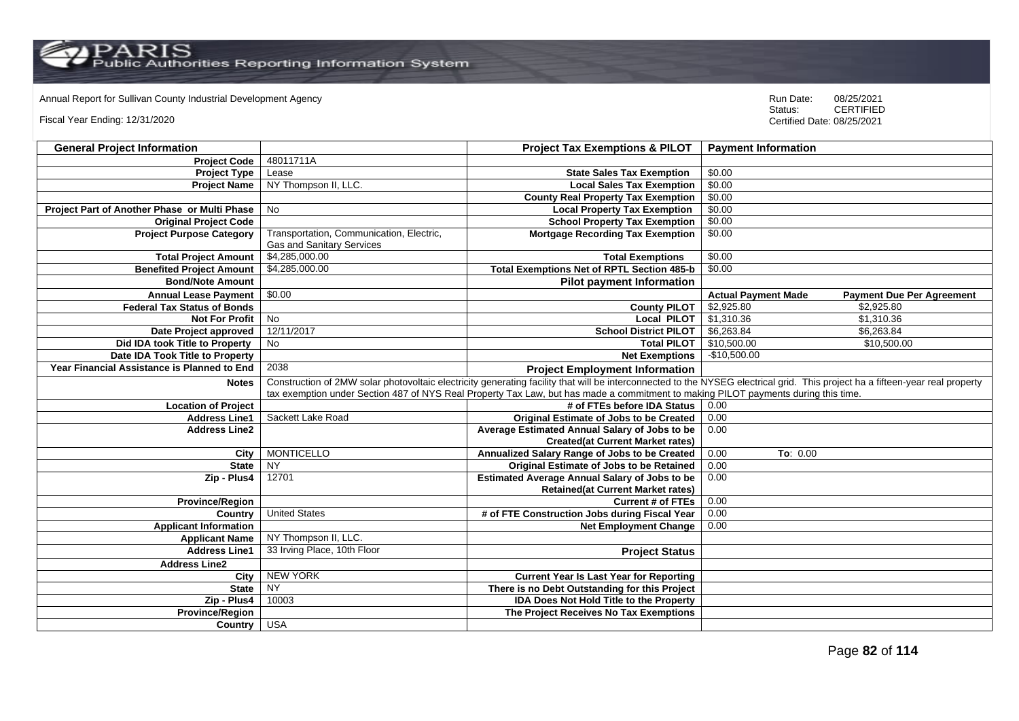# Annual Report for Sullivan County Industrial Development Agency<br>
Status: CERTIFIED

Fiscal Year Ending: 12/31/2020

| <b>General Project Information</b>           |                                                                              | <b>Project Tax Exemptions &amp; PILOT</b>                                                                                          | <b>Payment Information</b>                                                                                                                                                    |
|----------------------------------------------|------------------------------------------------------------------------------|------------------------------------------------------------------------------------------------------------------------------------|-------------------------------------------------------------------------------------------------------------------------------------------------------------------------------|
| <b>Project Code</b>                          | 48011711A                                                                    |                                                                                                                                    |                                                                                                                                                                               |
| <b>Project Type</b>                          | Lease                                                                        | <b>State Sales Tax Exemption</b>                                                                                                   | \$0.00                                                                                                                                                                        |
| <b>Project Name</b>                          | NY Thompson II, LLC.                                                         | <b>Local Sales Tax Exemption</b>                                                                                                   | \$0.00                                                                                                                                                                        |
|                                              |                                                                              | <b>County Real Property Tax Exemption</b>                                                                                          | \$0.00                                                                                                                                                                        |
| Project Part of Another Phase or Multi Phase | <b>No</b>                                                                    | <b>Local Property Tax Exemption</b>                                                                                                | \$0.00                                                                                                                                                                        |
| <b>Original Project Code</b>                 |                                                                              | <b>School Property Tax Exemption</b>                                                                                               | \$0.00                                                                                                                                                                        |
| <b>Project Purpose Category</b>              | Transportation, Communication, Electric,<br><b>Gas and Sanitary Services</b> | <b>Mortgage Recording Tax Exemption</b>                                                                                            | \$0.00                                                                                                                                                                        |
| <b>Total Project Amount</b>                  | \$4,285,000.00                                                               | <b>Total Exemptions</b>                                                                                                            | \$0.00                                                                                                                                                                        |
| <b>Benefited Project Amount</b>              | \$4,285,000.00                                                               | <b>Total Exemptions Net of RPTL Section 485-b</b>                                                                                  | \$0.00                                                                                                                                                                        |
| <b>Bond/Note Amount</b>                      |                                                                              | <b>Pilot payment Information</b>                                                                                                   |                                                                                                                                                                               |
| <b>Annual Lease Payment</b>                  | \$0.00                                                                       |                                                                                                                                    | <b>Actual Payment Made</b><br><b>Payment Due Per Agreement</b>                                                                                                                |
| <b>Federal Tax Status of Bonds</b>           |                                                                              | <b>County PILOT</b>                                                                                                                | \$2,925.80<br>\$2,925.80                                                                                                                                                      |
| <b>Not For Profit</b>                        | <b>No</b>                                                                    | <b>Local PILOT</b>                                                                                                                 | \$1,310.36<br>\$1,310.36                                                                                                                                                      |
| Date Project approved                        | 12/11/2017                                                                   | <b>School District PILOT</b>                                                                                                       | \$6,263.84<br>\$6,263.84                                                                                                                                                      |
| Did IDA took Title to Property               | <b>No</b>                                                                    | <b>Total PILOT</b>                                                                                                                 | \$10,500.00<br>\$10,500.00                                                                                                                                                    |
| Date IDA Took Title to Property              |                                                                              | <b>Net Exemptions</b>                                                                                                              | $-$10,500.00$                                                                                                                                                                 |
| Year Financial Assistance is Planned to End  | 2038                                                                         | <b>Project Employment Information</b>                                                                                              |                                                                                                                                                                               |
| <b>Notes</b>                                 |                                                                              | tax exemption under Section 487 of NYS Real Property Tax Law, but has made a commitment to making PILOT payments during this time. | Construction of 2MW solar photovoltaic electricity generating facility that will be interconnected to the NYSEG electrical grid. This project ha a fifteen-year real property |
| <b>Location of Project</b>                   |                                                                              | # of FTEs before IDA Status                                                                                                        | 0.00                                                                                                                                                                          |
| <b>Address Line1</b>                         | Sackett Lake Road                                                            | Original Estimate of Jobs to be Created                                                                                            | 0.00                                                                                                                                                                          |
| <b>Address Line2</b>                         |                                                                              | Average Estimated Annual Salary of Jobs to be                                                                                      | 0.00                                                                                                                                                                          |
|                                              |                                                                              | <b>Created(at Current Market rates)</b>                                                                                            |                                                                                                                                                                               |
| City                                         | <b>MONTICELLO</b>                                                            | Annualized Salary Range of Jobs to be Created                                                                                      | 0.00<br>To: 0.00                                                                                                                                                              |
| <b>State</b>                                 | <b>NY</b>                                                                    | <b>Original Estimate of Jobs to be Retained</b>                                                                                    | 0.00                                                                                                                                                                          |
| Zip - Plus4                                  | 12701                                                                        | <b>Estimated Average Annual Salary of Jobs to be</b>                                                                               | 0.00                                                                                                                                                                          |
|                                              |                                                                              | <b>Retained(at Current Market rates)</b>                                                                                           |                                                                                                                                                                               |
| <b>Province/Region</b>                       |                                                                              | <b>Current # of FTEs</b>                                                                                                           | 0.00                                                                                                                                                                          |
| Country                                      | <b>United States</b>                                                         | # of FTE Construction Jobs during Fiscal Year                                                                                      | 0.00                                                                                                                                                                          |
| <b>Applicant Information</b>                 |                                                                              | <b>Net Employment Change</b>                                                                                                       | 0.00                                                                                                                                                                          |
| <b>Applicant Name</b>                        | NY Thompson II, LLC.                                                         |                                                                                                                                    |                                                                                                                                                                               |
| <b>Address Line1</b>                         | 33 Irving Place, 10th Floor                                                  | <b>Project Status</b>                                                                                                              |                                                                                                                                                                               |
| <b>Address Line2</b>                         |                                                                              |                                                                                                                                    |                                                                                                                                                                               |
| City                                         | <b>NEW YORK</b>                                                              | <b>Current Year Is Last Year for Reporting</b>                                                                                     |                                                                                                                                                                               |
| <b>State</b>                                 | <b>NY</b>                                                                    | There is no Debt Outstanding for this Project                                                                                      |                                                                                                                                                                               |
| Zip - Plus4                                  | 10003                                                                        | IDA Does Not Hold Title to the Property                                                                                            |                                                                                                                                                                               |
| <b>Province/Region</b>                       |                                                                              | The Project Receives No Tax Exemptions                                                                                             |                                                                                                                                                                               |
| Country USA                                  |                                                                              |                                                                                                                                    |                                                                                                                                                                               |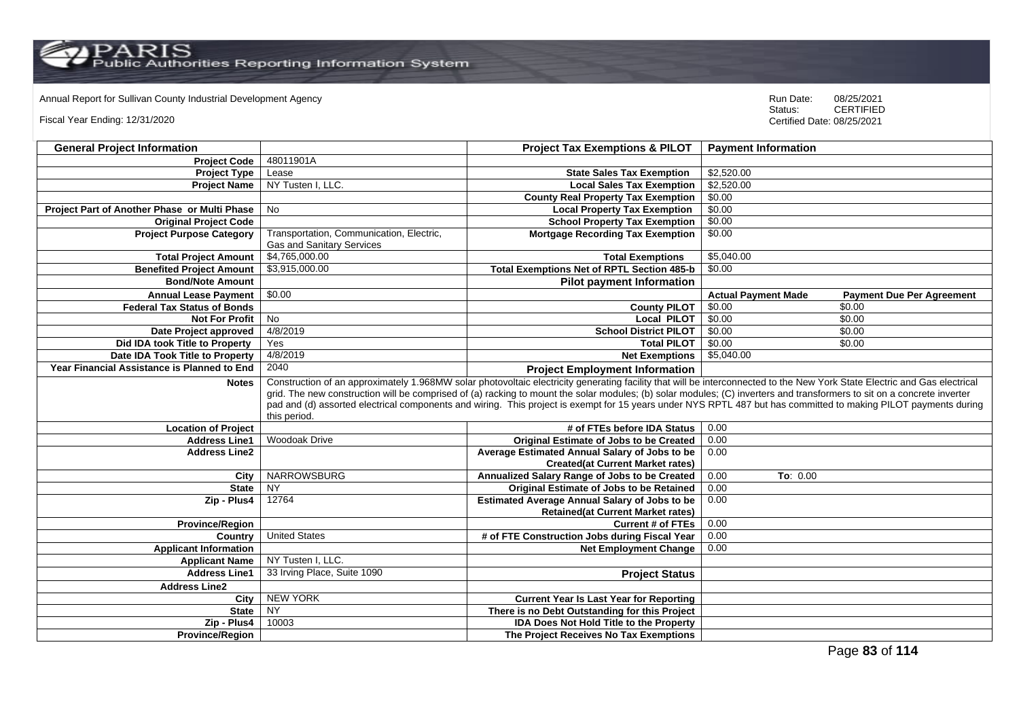# Annual Report for Sullivan County Industrial Development Agency<br>
Status: CERTIFIED

Fiscal Year Ending: 12/31/2020

| <b>General Project Information</b>           |                                          | <b>Project Tax Exemptions &amp; PILOT</b>            | <b>Payment Information</b>                                                                                                                                                |
|----------------------------------------------|------------------------------------------|------------------------------------------------------|---------------------------------------------------------------------------------------------------------------------------------------------------------------------------|
| <b>Project Code</b>                          | 48011901A                                |                                                      |                                                                                                                                                                           |
| <b>Project Type</b>                          | Lease                                    | <b>State Sales Tax Exemption</b>                     | \$2,520.00                                                                                                                                                                |
| <b>Project Name</b>                          | NY Tusten I, LLC.                        | <b>Local Sales Tax Exemption</b>                     | \$2,520.00                                                                                                                                                                |
|                                              |                                          | <b>County Real Property Tax Exemption</b>            | \$0.00                                                                                                                                                                    |
| Project Part of Another Phase or Multi Phase | No                                       | <b>Local Property Tax Exemption</b>                  | \$0.00                                                                                                                                                                    |
| <b>Original Project Code</b>                 |                                          | <b>School Property Tax Exemption</b>                 | \$0.00                                                                                                                                                                    |
| <b>Project Purpose Category</b>              | Transportation, Communication, Electric, | <b>Mortgage Recording Tax Exemption</b>              | \$0.00                                                                                                                                                                    |
|                                              | <b>Gas and Sanitary Services</b>         |                                                      |                                                                                                                                                                           |
| <b>Total Project Amount</b>                  | \$4,765,000.00                           | <b>Total Exemptions</b>                              | \$5,040.00                                                                                                                                                                |
| <b>Benefited Project Amount</b>              | \$3,915,000.00                           | <b>Total Exemptions Net of RPTL Section 485-b</b>    | \$0.00                                                                                                                                                                    |
| <b>Bond/Note Amount</b>                      |                                          | <b>Pilot payment Information</b>                     |                                                                                                                                                                           |
| <b>Annual Lease Payment</b>                  | \$0.00                                   |                                                      | <b>Actual Payment Made</b><br><b>Payment Due Per Agreement</b>                                                                                                            |
| <b>Federal Tax Status of Bonds</b>           |                                          | <b>County PILOT</b>                                  | \$0.00<br>\$0.00                                                                                                                                                          |
| <b>Not For Profit</b>                        | <b>No</b>                                | <b>Local PILOT</b>                                   | \$0.00<br>\$0.00                                                                                                                                                          |
| Date Project approved                        | 4/8/2019                                 | <b>School District PILOT</b>                         | \$0.00<br>\$0.00                                                                                                                                                          |
| Did IDA took Title to Property               | Yes                                      | <b>Total PILOT</b>                                   | \$0.00<br>\$0.00                                                                                                                                                          |
| Date IDA Took Title to Property              | 4/8/2019                                 | <b>Net Exemptions</b>                                | \$5,040.00                                                                                                                                                                |
| Year Financial Assistance is Planned to End  | 2040                                     | <b>Project Employment Information</b>                |                                                                                                                                                                           |
| <b>Notes</b>                                 |                                          |                                                      | Construction of an approximately 1.968MW solar photovoltaic electricity generating facility that will be interconnected to the New York State Electric and Gas electrical |
|                                              |                                          |                                                      | grid. The new construction will be comprised of (a) racking to mount the solar modules; (b) solar modules; (C) inverters and transformers to sit on a concrete inverter   |
|                                              |                                          |                                                      | pad and (d) assorted electrical components and wiring. This project is exempt for 15 years under NYS RPTL 487 but has committed to making PILOT payments during           |
|                                              | this period.                             |                                                      |                                                                                                                                                                           |
| <b>Location of Project</b>                   |                                          | # of FTEs before IDA Status                          | 0.00                                                                                                                                                                      |
| <b>Address Line1</b>                         | <b>Woodoak Drive</b>                     | Original Estimate of Jobs to be Created              | 0.00                                                                                                                                                                      |
| <b>Address Line2</b>                         |                                          | Average Estimated Annual Salary of Jobs to be        | 0.00                                                                                                                                                                      |
|                                              |                                          | <b>Created(at Current Market rates)</b>              |                                                                                                                                                                           |
| City                                         | NARROWSBURG                              | Annualized Salary Range of Jobs to be Created        | 0.00<br>To: 0.00                                                                                                                                                          |
| <b>State</b>                                 | <b>NY</b>                                | Original Estimate of Jobs to be Retained             | 0.00                                                                                                                                                                      |
| Zip - Plus4                                  | 12764                                    | <b>Estimated Average Annual Salary of Jobs to be</b> | 0.00                                                                                                                                                                      |
|                                              |                                          | <b>Retained(at Current Market rates)</b>             |                                                                                                                                                                           |
| <b>Province/Region</b>                       |                                          | <b>Current # of FTEs</b>                             | 0.00                                                                                                                                                                      |
| Country                                      | <b>United States</b>                     | # of FTE Construction Jobs during Fiscal Year        | 0.00                                                                                                                                                                      |
| <b>Applicant Information</b>                 | NY Tusten I, LLC.                        | <b>Net Employment Change</b>                         | 0.00                                                                                                                                                                      |
| <b>Applicant Name</b>                        |                                          |                                                      |                                                                                                                                                                           |
| <b>Address Line1</b>                         | 33 Irving Place, Suite 1090              | <b>Project Status</b>                                |                                                                                                                                                                           |
| <b>Address Line2</b>                         |                                          |                                                      |                                                                                                                                                                           |
| City                                         | <b>NEW YORK</b>                          | <b>Current Year Is Last Year for Reporting</b>       |                                                                                                                                                                           |
| <b>State</b>                                 | <b>NY</b>                                | There is no Debt Outstanding for this Project        |                                                                                                                                                                           |
| Zip - Plus4                                  | 10003                                    | <b>IDA Does Not Hold Title to the Property</b>       |                                                                                                                                                                           |
| <b>Province/Region</b>                       |                                          | The Project Receives No Tax Exemptions               |                                                                                                                                                                           |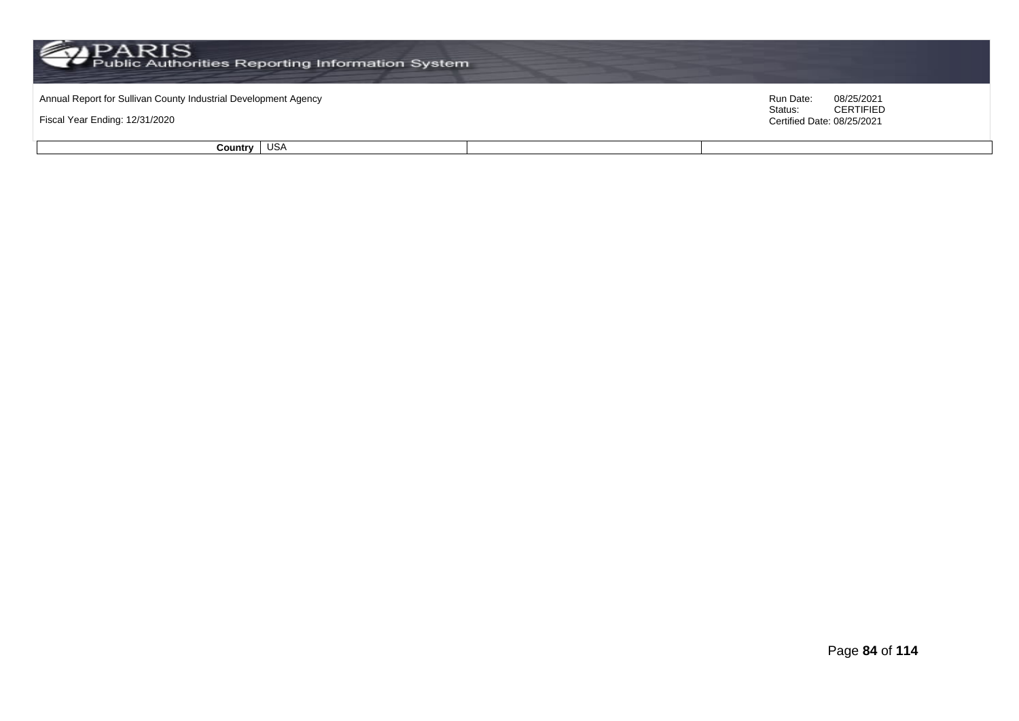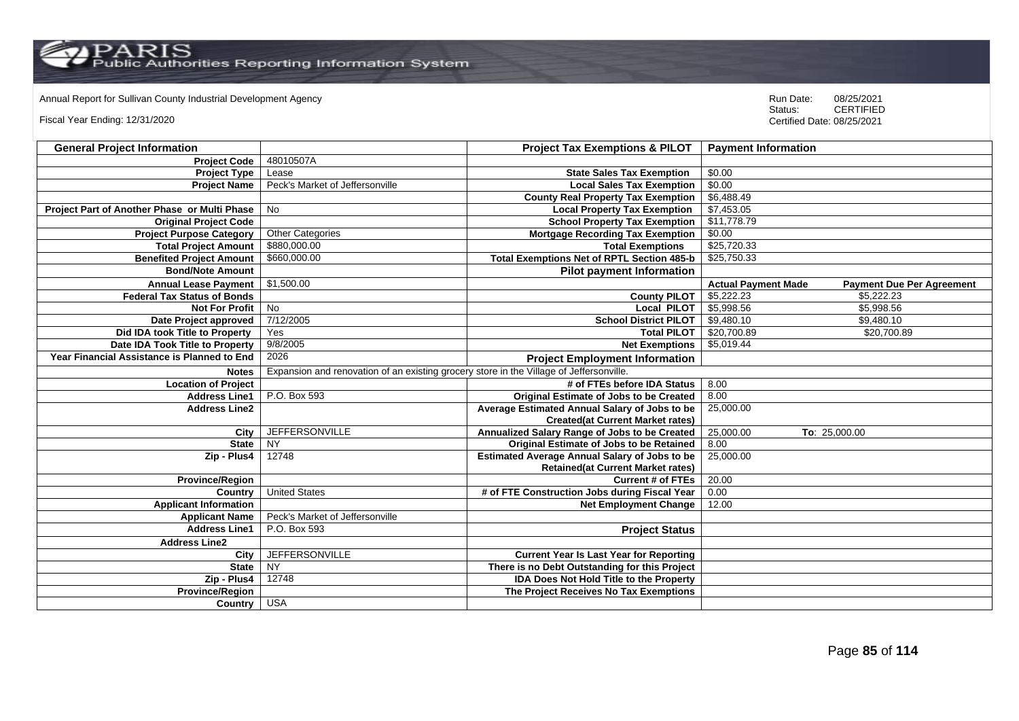$\operatorname{PARIS}_{\text{Public Authors}}$  Reporting Information System

# Annual Report for Sullivan County Industrial Development Agency<br>
Status: CERTIFIED

Fiscal Year Ending: 12/31/2020

| <b>General Project Information</b>           |                                                                                         | <b>Project Tax Exemptions &amp; PILOT</b>            | <b>Payment Information</b>                                     |
|----------------------------------------------|-----------------------------------------------------------------------------------------|------------------------------------------------------|----------------------------------------------------------------|
| <b>Project Code</b>                          | 48010507A                                                                               |                                                      |                                                                |
| <b>Project Type</b>                          | Lease                                                                                   | <b>State Sales Tax Exemption</b>                     | \$0.00                                                         |
| <b>Project Name</b>                          | Peck's Market of Jeffersonville                                                         | <b>Local Sales Tax Exemption</b>                     | \$0.00                                                         |
|                                              |                                                                                         | <b>County Real Property Tax Exemption</b>            | \$6,488.49                                                     |
| Project Part of Another Phase or Multi Phase | No                                                                                      | <b>Local Property Tax Exemption</b>                  | \$7,453.05                                                     |
| <b>Original Project Code</b>                 |                                                                                         | <b>School Property Tax Exemption</b>                 | \$11,778.79                                                    |
| <b>Project Purpose Category</b>              | Other Categories                                                                        | <b>Mortgage Recording Tax Exemption</b>              | \$0.00                                                         |
| <b>Total Project Amount</b>                  | \$880,000.00                                                                            | <b>Total Exemptions</b>                              | \$25,720.33                                                    |
| <b>Benefited Project Amount</b>              | \$660,000.00                                                                            | <b>Total Exemptions Net of RPTL Section 485-b</b>    | \$25,750.33                                                    |
| <b>Bond/Note Amount</b>                      |                                                                                         | <b>Pilot payment Information</b>                     |                                                                |
| <b>Annual Lease Payment</b>                  | \$1,500.00                                                                              |                                                      | <b>Actual Payment Made</b><br><b>Payment Due Per Agreement</b> |
| <b>Federal Tax Status of Bonds</b>           |                                                                                         | <b>County PILOT</b>                                  | \$5,222.23<br>\$5,222.23                                       |
| <b>Not For Profit</b>                        | No                                                                                      | <b>Local PILOT</b>                                   | \$5,998.56<br>\$5,998.56                                       |
| Date Project approved                        | 7/12/2005                                                                               | <b>School District PILOT</b>                         | \$9,480.10<br>\$9,480.10                                       |
| Did IDA took Title to Property               | Yes                                                                                     | <b>Total PILOT</b>                                   | \$20,700.89<br>\$20,700.89                                     |
| Date IDA Took Title to Property              | 9/8/2005                                                                                | <b>Net Exemptions</b>                                | \$5,019.44                                                     |
| Year Financial Assistance is Planned to End  | 2026                                                                                    | <b>Project Employment Information</b>                |                                                                |
| <b>Notes</b>                                 | Expansion and renovation of an existing grocery store in the Village of Jeffersonville. |                                                      |                                                                |
| <b>Location of Project</b>                   |                                                                                         | # of FTEs before IDA Status                          | 8.00                                                           |
| <b>Address Line1</b>                         | P.O. Box 593                                                                            | Original Estimate of Jobs to be Created              | 8.00                                                           |
| <b>Address Line2</b>                         |                                                                                         | Average Estimated Annual Salary of Jobs to be        | 25,000.00                                                      |
|                                              |                                                                                         | <b>Created(at Current Market rates)</b>              |                                                                |
| City                                         | <b>JEFFERSONVILLE</b>                                                                   | Annualized Salary Range of Jobs to be Created        | 25,000.00<br>To: 25,000.00                                     |
| <b>State</b>                                 | <b>NY</b>                                                                               | Original Estimate of Jobs to be Retained             | 8.00                                                           |
| Zip - Plus4                                  | 12748                                                                                   | <b>Estimated Average Annual Salary of Jobs to be</b> | 25,000.00                                                      |
|                                              |                                                                                         | <b>Retained(at Current Market rates)</b>             |                                                                |
| <b>Province/Region</b>                       |                                                                                         | <b>Current # of FTEs</b>                             | 20.00                                                          |
| Country                                      | <b>United States</b>                                                                    | # of FTE Construction Jobs during Fiscal Year        | 0.00                                                           |
| <b>Applicant Information</b>                 |                                                                                         | <b>Net Employment Change</b>                         | 12.00                                                          |
| <b>Applicant Name</b>                        | Peck's Market of Jeffersonville                                                         |                                                      |                                                                |
| <b>Address Line1</b>                         | P.O. Box 593                                                                            | <b>Project Status</b>                                |                                                                |
| <b>Address Line2</b>                         |                                                                                         |                                                      |                                                                |
| City                                         | <b>JEFFERSONVILLE</b>                                                                   | <b>Current Year Is Last Year for Reporting</b>       |                                                                |
| <b>State</b>                                 | <b>NY</b>                                                                               | There is no Debt Outstanding for this Project        |                                                                |
| Zip - Plus4                                  | 12748                                                                                   | <b>IDA Does Not Hold Title to the Property</b>       |                                                                |
| <b>Province/Region</b>                       |                                                                                         | The Project Receives No Tax Exemptions               |                                                                |
| Country                                      | <b>USA</b>                                                                              |                                                      |                                                                |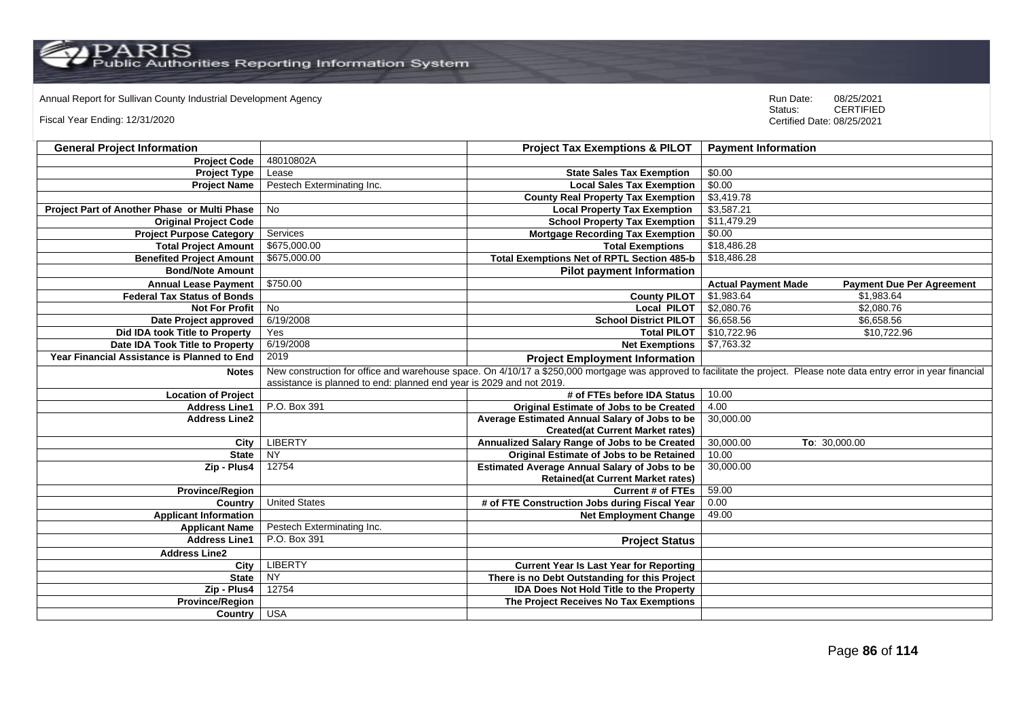# Annual Report for Sullivan County Industrial Development Agency<br>
Status: CERTIFIED

Fiscal Year Ending: 12/31/2020

| <b>General Project Information</b>           |                                                                      | <b>Project Tax Exemptions &amp; PILOT</b>                            | <b>Payment Information</b>                                                                                                                                              |
|----------------------------------------------|----------------------------------------------------------------------|----------------------------------------------------------------------|-------------------------------------------------------------------------------------------------------------------------------------------------------------------------|
| <b>Project Code</b>                          | 48010802A                                                            |                                                                      |                                                                                                                                                                         |
| <b>Project Type</b>                          | Lease                                                                | <b>State Sales Tax Exemption</b>                                     | \$0.00                                                                                                                                                                  |
| <b>Project Name</b>                          | Pestech Exterminating Inc.                                           | <b>Local Sales Tax Exemption</b>                                     | \$0.00                                                                                                                                                                  |
|                                              |                                                                      | <b>County Real Property Tax Exemption</b>                            | \$3,419.78                                                                                                                                                              |
| Project Part of Another Phase or Multi Phase | No                                                                   | <b>Local Property Tax Exemption</b>                                  | \$3,587.21                                                                                                                                                              |
| <b>Original Project Code</b>                 |                                                                      | <b>School Property Tax Exemption</b>                                 | \$11,479.29                                                                                                                                                             |
| <b>Project Purpose Category</b>              | Services                                                             | <b>Mortgage Recording Tax Exemption</b>                              | \$0.00                                                                                                                                                                  |
| <b>Total Project Amount</b>                  | \$675,000.00                                                         | <b>Total Exemptions</b>                                              | \$18,486.28                                                                                                                                                             |
| <b>Benefited Project Amount</b>              | \$675,000.00                                                         | <b>Total Exemptions Net of RPTL Section 485-b</b>                    | \$18,486.28                                                                                                                                                             |
| <b>Bond/Note Amount</b>                      |                                                                      | <b>Pilot payment Information</b>                                     |                                                                                                                                                                         |
| <b>Annual Lease Payment</b>                  | \$750.00                                                             |                                                                      | <b>Actual Payment Made</b><br><b>Payment Due Per Agreement</b>                                                                                                          |
| <b>Federal Tax Status of Bonds</b>           |                                                                      | <b>County PILOT</b>                                                  | \$1,983.64<br>\$1.983.64                                                                                                                                                |
| <b>Not For Profit</b>                        | <b>No</b>                                                            | <b>Local PILOT</b>                                                   | \$2,080.76<br>\$2,080.76                                                                                                                                                |
| Date Project approved                        | 6/19/2008                                                            | <b>School District PILOT</b>                                         | \$6,658.56<br>\$6,658.56                                                                                                                                                |
| Did IDA took Title to Property               | Yes                                                                  | <b>Total PILOT</b>                                                   | \$10,722.96<br>\$10,722.96                                                                                                                                              |
| Date IDA Took Title to Property              | 6/19/2008                                                            | <b>Net Exemptions</b>                                                | \$7,763.32                                                                                                                                                              |
| Year Financial Assistance is Planned to End  | 2019                                                                 | <b>Project Employment Information</b>                                |                                                                                                                                                                         |
| <b>Notes</b>                                 |                                                                      |                                                                      | New construction for office and warehouse space. On 4/10/17 a \$250,000 mortgage was approved to facilitate the project. Please note data entry error in year financial |
|                                              | assistance is planned to end: planned end year is 2029 and not 2019. |                                                                      |                                                                                                                                                                         |
| <b>Location of Project</b>                   |                                                                      | # of FTEs before IDA Status                                          | 10.00                                                                                                                                                                   |
| <b>Address Line1</b>                         | P.O. Box 391                                                         | <b>Original Estimate of Jobs to be Created</b>                       | 4.00                                                                                                                                                                    |
| <b>Address Line2</b>                         |                                                                      | Average Estimated Annual Salary of Jobs to be                        | 30,000.00                                                                                                                                                               |
|                                              |                                                                      | <b>Created(at Current Market rates)</b>                              |                                                                                                                                                                         |
| City                                         | <b>LIBERTY</b><br>$\overline{NY}$                                    | Annualized Salary Range of Jobs to be Created                        | 30,000.00<br>To: 30,000.00<br>10.00                                                                                                                                     |
| <b>State</b>                                 | 12754                                                                | <b>Original Estimate of Jobs to be Retained</b>                      |                                                                                                                                                                         |
| Zip - Plus4                                  |                                                                      | <b>Estimated Average Annual Salary of Jobs to be</b>                 | 30,000.00                                                                                                                                                               |
|                                              |                                                                      | <b>Retained(at Current Market rates)</b><br><b>Current # of FTEs</b> | 59.00                                                                                                                                                                   |
| <b>Province/Region</b><br>Country            | <b>United States</b>                                                 | # of FTE Construction Jobs during Fiscal Year                        | 0.00                                                                                                                                                                    |
| <b>Applicant Information</b>                 |                                                                      | <b>Net Employment Change</b>                                         | 49.00                                                                                                                                                                   |
| <b>Applicant Name</b>                        | Pestech Exterminating Inc.                                           |                                                                      |                                                                                                                                                                         |
| <b>Address Line1</b>                         | P.O. Box 391                                                         | <b>Project Status</b>                                                |                                                                                                                                                                         |
| <b>Address Line2</b>                         |                                                                      |                                                                      |                                                                                                                                                                         |
| City                                         | <b>LIBERTY</b>                                                       | <b>Current Year Is Last Year for Reporting</b>                       |                                                                                                                                                                         |
| <b>State</b>                                 | NY                                                                   | There is no Debt Outstanding for this Project                        |                                                                                                                                                                         |
| Zip - Plus4                                  | 12754                                                                | <b>IDA Does Not Hold Title to the Property</b>                       |                                                                                                                                                                         |
| <b>Province/Region</b>                       |                                                                      | The Project Receives No Tax Exemptions                               |                                                                                                                                                                         |
| Country                                      | <b>USA</b>                                                           |                                                                      |                                                                                                                                                                         |
|                                              |                                                                      |                                                                      |                                                                                                                                                                         |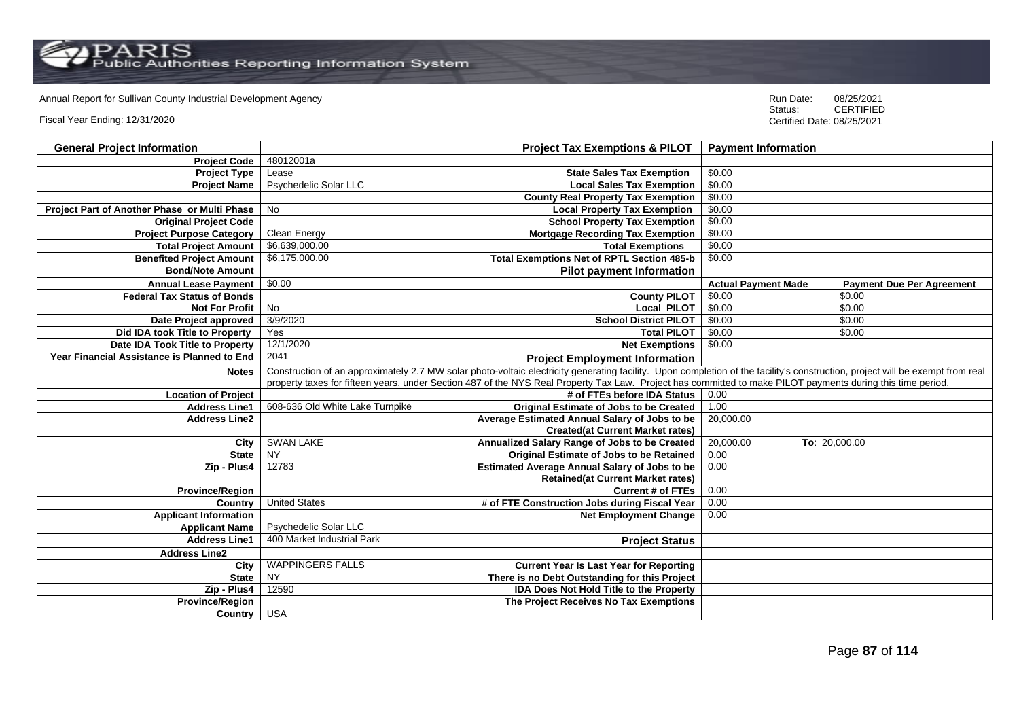# Annual Report for Sullivan County Industrial Development Agency<br>
Status: CERTIFIED

Fiscal Year Ending: 12/31/2020

| <b>General Project Information</b>           |                                 | <b>Project Tax Exemptions &amp; PILOT</b>                                                                                                                                                                                                                                                                                                    | <b>Payment Information</b> |                                  |
|----------------------------------------------|---------------------------------|----------------------------------------------------------------------------------------------------------------------------------------------------------------------------------------------------------------------------------------------------------------------------------------------------------------------------------------------|----------------------------|----------------------------------|
| <b>Project Code</b>                          | 48012001a                       |                                                                                                                                                                                                                                                                                                                                              |                            |                                  |
| <b>Project Type</b>                          | Lease                           | <b>State Sales Tax Exemption</b>                                                                                                                                                                                                                                                                                                             | \$0.00                     |                                  |
| <b>Project Name</b>                          | Psychedelic Solar LLC           | <b>Local Sales Tax Exemption</b>                                                                                                                                                                                                                                                                                                             | \$0.00                     |                                  |
|                                              |                                 | <b>County Real Property Tax Exemption</b>                                                                                                                                                                                                                                                                                                    | \$0.00                     |                                  |
| Project Part of Another Phase or Multi Phase | No                              | <b>Local Property Tax Exemption</b>                                                                                                                                                                                                                                                                                                          | \$0.00                     |                                  |
| <b>Original Project Code</b>                 |                                 | <b>School Property Tax Exemption</b>                                                                                                                                                                                                                                                                                                         | \$0.00                     |                                  |
| <b>Project Purpose Category</b>              | Clean Energy                    | <b>Mortgage Recording Tax Exemption</b>                                                                                                                                                                                                                                                                                                      | \$0.00                     |                                  |
| <b>Total Project Amount</b>                  | \$6,639,000.00                  | <b>Total Exemptions</b>                                                                                                                                                                                                                                                                                                                      | \$0.00                     |                                  |
| <b>Benefited Project Amount</b>              | \$6,175,000.00                  | <b>Total Exemptions Net of RPTL Section 485-b</b>                                                                                                                                                                                                                                                                                            | \$0.00                     |                                  |
| <b>Bond/Note Amount</b>                      |                                 | <b>Pilot payment Information</b>                                                                                                                                                                                                                                                                                                             |                            |                                  |
| <b>Annual Lease Payment</b>                  | \$0.00                          |                                                                                                                                                                                                                                                                                                                                              | <b>Actual Payment Made</b> | <b>Payment Due Per Agreement</b> |
| <b>Federal Tax Status of Bonds</b>           |                                 | <b>County PILOT</b>                                                                                                                                                                                                                                                                                                                          | \$0.00                     | \$0.00                           |
| <b>Not For Profit</b>                        | <b>No</b>                       | <b>Local PILOT</b>                                                                                                                                                                                                                                                                                                                           | \$0.00                     | \$0.00                           |
| Date Project approved                        | 3/9/2020                        | <b>School District PILOT</b>                                                                                                                                                                                                                                                                                                                 | \$0.00                     | \$0.00                           |
| Did IDA took Title to Property               | Yes                             | <b>Total PILOT</b>                                                                                                                                                                                                                                                                                                                           | \$0.00                     | \$0.00                           |
| Date IDA Took Title to Property              | 12/1/2020                       | <b>Net Exemptions</b>                                                                                                                                                                                                                                                                                                                        | \$0.00                     |                                  |
| Year Financial Assistance is Planned to End  | 2041                            | <b>Project Employment Information</b>                                                                                                                                                                                                                                                                                                        |                            |                                  |
| <b>Notes</b>                                 |                                 | Construction of an approximately 2.7 MW solar photo-voltaic electricity generating facility. Upon completion of the facility's construction, project will be exempt from real<br>property taxes for fifteen years, under Section 487 of the NYS Real Property Tax Law. Project has committed to make PILOT payments during this time period. |                            |                                  |
| <b>Location of Project</b>                   |                                 | # of FTEs before IDA Status                                                                                                                                                                                                                                                                                                                  | 0.00                       |                                  |
| <b>Address Line1</b>                         | 608-636 Old White Lake Turnpike | <b>Original Estimate of Jobs to be Created</b>                                                                                                                                                                                                                                                                                               | 1.00                       |                                  |
| <b>Address Line2</b>                         |                                 | Average Estimated Annual Salary of Jobs to be                                                                                                                                                                                                                                                                                                | 20,000.00                  |                                  |
|                                              |                                 | <b>Created(at Current Market rates)</b>                                                                                                                                                                                                                                                                                                      |                            |                                  |
| City                                         | <b>SWAN LAKE</b>                | Annualized Salary Range of Jobs to be Created                                                                                                                                                                                                                                                                                                | 20,000.00                  | To: 20,000.00                    |
| <b>State</b>                                 | NY                              | Original Estimate of Jobs to be Retained                                                                                                                                                                                                                                                                                                     | 0.00                       |                                  |
| Zip - Plus4                                  | 12783                           | <b>Estimated Average Annual Salary of Jobs to be</b>                                                                                                                                                                                                                                                                                         | 0.00                       |                                  |
|                                              |                                 | <b>Retained(at Current Market rates)</b>                                                                                                                                                                                                                                                                                                     |                            |                                  |
| <b>Province/Region</b>                       |                                 | <b>Current # of FTEs</b>                                                                                                                                                                                                                                                                                                                     | 0.00                       |                                  |
| Country                                      | <b>United States</b>            | # of FTE Construction Jobs during Fiscal Year                                                                                                                                                                                                                                                                                                | 0.00                       |                                  |
| <b>Applicant Information</b>                 |                                 | <b>Net Employment Change</b>                                                                                                                                                                                                                                                                                                                 | 0.00                       |                                  |
| <b>Applicant Name</b>                        | Psychedelic Solar LLC           |                                                                                                                                                                                                                                                                                                                                              |                            |                                  |
| <b>Address Line1</b>                         | 400 Market Industrial Park      | <b>Project Status</b>                                                                                                                                                                                                                                                                                                                        |                            |                                  |
| <b>Address Line2</b>                         |                                 |                                                                                                                                                                                                                                                                                                                                              |                            |                                  |
| City                                         | <b>WAPPINGERS FALLS</b>         | <b>Current Year Is Last Year for Reporting</b>                                                                                                                                                                                                                                                                                               |                            |                                  |
| <b>State</b>                                 | <b>NY</b>                       | There is no Debt Outstanding for this Project                                                                                                                                                                                                                                                                                                |                            |                                  |
| Zip - Plus4                                  | 12590                           | <b>IDA Does Not Hold Title to the Property</b>                                                                                                                                                                                                                                                                                               |                            |                                  |
| <b>Province/Region</b>                       |                                 | The Project Receives No Tax Exemptions                                                                                                                                                                                                                                                                                                       |                            |                                  |
| Country USA                                  |                                 |                                                                                                                                                                                                                                                                                                                                              |                            |                                  |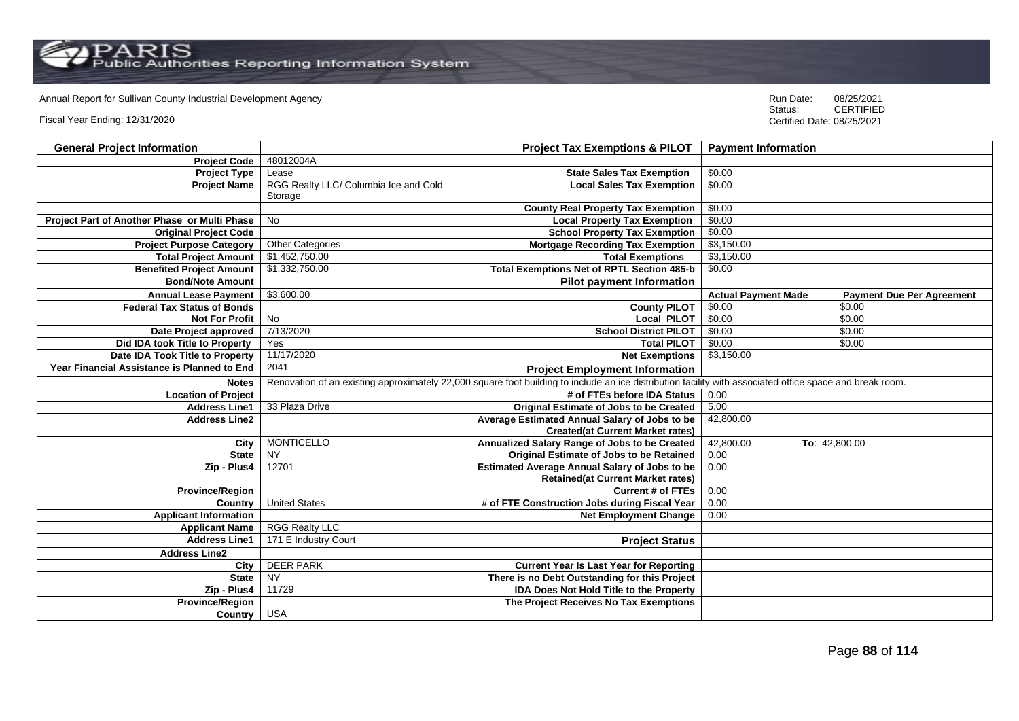# Annual Report for Sullivan County Industrial Development Agency<br>
Status: CERTIFIED

Fiscal Year Ending: 12/31/2020

| <b>General Project Information</b>           |                                       | <b>Project Tax Exemptions &amp; PILOT</b>                                                                                                                | <b>Payment Information</b>                                     |
|----------------------------------------------|---------------------------------------|----------------------------------------------------------------------------------------------------------------------------------------------------------|----------------------------------------------------------------|
| <b>Project Code</b>                          | 48012004A                             |                                                                                                                                                          |                                                                |
| <b>Project Type</b>                          | Lease                                 | <b>State Sales Tax Exemption</b>                                                                                                                         | \$0.00                                                         |
| <b>Project Name</b>                          | RGG Realty LLC/ Columbia Ice and Cold | <b>Local Sales Tax Exemption</b>                                                                                                                         | \$0.00                                                         |
|                                              | Storage                               |                                                                                                                                                          |                                                                |
|                                              |                                       | <b>County Real Property Tax Exemption</b>                                                                                                                | \$0.00                                                         |
| Project Part of Another Phase or Multi Phase | <b>No</b>                             | <b>Local Property Tax Exemption</b>                                                                                                                      | \$0.00                                                         |
| <b>Original Project Code</b>                 |                                       | <b>School Property Tax Exemption</b>                                                                                                                     | \$0.00                                                         |
| <b>Project Purpose Category</b>              | Other Categories                      | <b>Mortgage Recording Tax Exemption</b>                                                                                                                  | \$3,150.00                                                     |
| <b>Total Project Amount</b>                  | \$1,452,750.00                        | <b>Total Exemptions</b>                                                                                                                                  | \$3,150.00                                                     |
| <b>Benefited Project Amount</b>              | \$1,332,750.00                        | Total Exemptions Net of RPTL Section 485-b                                                                                                               | \$0.00                                                         |
| <b>Bond/Note Amount</b>                      |                                       | <b>Pilot payment Information</b>                                                                                                                         |                                                                |
| <b>Annual Lease Payment</b>                  | \$3,600.00                            |                                                                                                                                                          | <b>Actual Payment Made</b><br><b>Payment Due Per Agreement</b> |
| <b>Federal Tax Status of Bonds</b>           |                                       | <b>County PILOT</b>                                                                                                                                      | \$0.00<br>\$0.00                                               |
| <b>Not For Profit</b>                        | No                                    | Local PILOT                                                                                                                                              | \$0.00<br>\$0.00                                               |
| Date Project approved                        | 7/13/2020                             | <b>School District PILOT</b>                                                                                                                             | \$0.00<br>\$0.00                                               |
| Did IDA took Title to Property               | Yes                                   | <b>Total PILOT</b>                                                                                                                                       | \$0.00<br>\$0.00                                               |
| Date IDA Took Title to Property              | 11/17/2020                            | <b>Net Exemptions</b>                                                                                                                                    | \$3,150.00                                                     |
| Year Financial Assistance is Planned to End  | 2041                                  | <b>Project Employment Information</b>                                                                                                                    |                                                                |
| <b>Notes</b>                                 |                                       | Renovation of an existing approximately 22,000 square foot building to include an ice distribution facility with associated office space and break room. |                                                                |
| <b>Location of Project</b>                   |                                       | # of FTEs before IDA Status                                                                                                                              | 0.00                                                           |
| <b>Address Line1</b>                         | 33 Plaza Drive                        | <b>Original Estimate of Jobs to be Created</b>                                                                                                           | 5.00                                                           |
| <b>Address Line2</b>                         |                                       | Average Estimated Annual Salary of Jobs to be                                                                                                            | 42,800.00                                                      |
|                                              |                                       | <b>Created(at Current Market rates)</b>                                                                                                                  |                                                                |
| City                                         | <b>MONTICELLO</b>                     | Annualized Salary Range of Jobs to be Created                                                                                                            | 42,800.00<br>To: 42,800.00                                     |
| <b>State</b>                                 | <b>NY</b>                             | <b>Original Estimate of Jobs to be Retained</b>                                                                                                          | 0.00                                                           |
| Zip - Plus4                                  | 12701                                 | <b>Estimated Average Annual Salary of Jobs to be</b>                                                                                                     | 0.00                                                           |
|                                              |                                       | <b>Retained(at Current Market rates)</b>                                                                                                                 |                                                                |
| Province/Region                              |                                       | <b>Current # of FTEs</b>                                                                                                                                 | 0.00                                                           |
| Country                                      | <b>United States</b>                  | # of FTE Construction Jobs during Fiscal Year                                                                                                            | 0.00                                                           |
| <b>Applicant Information</b>                 |                                       | <b>Net Employment Change</b>                                                                                                                             | 0.00                                                           |
| <b>Applicant Name</b>                        | <b>RGG Realty LLC</b>                 |                                                                                                                                                          |                                                                |
| <b>Address Line1</b>                         | 171 E Industry Court                  | <b>Project Status</b>                                                                                                                                    |                                                                |
| <b>Address Line2</b>                         |                                       |                                                                                                                                                          |                                                                |
| City                                         | <b>DEER PARK</b>                      | <b>Current Year Is Last Year for Reporting</b>                                                                                                           |                                                                |
| <b>State</b>                                 | $\overline{\mathsf{N}^{\mathsf{Y}}}$  | There is no Debt Outstanding for this Project                                                                                                            |                                                                |
| Zip - Plus4                                  | 11729                                 | IDA Does Not Hold Title to the Property                                                                                                                  |                                                                |
| <b>Province/Region</b>                       |                                       | The Project Receives No Tax Exemptions                                                                                                                   |                                                                |
| Country                                      | <b>USA</b>                            |                                                                                                                                                          |                                                                |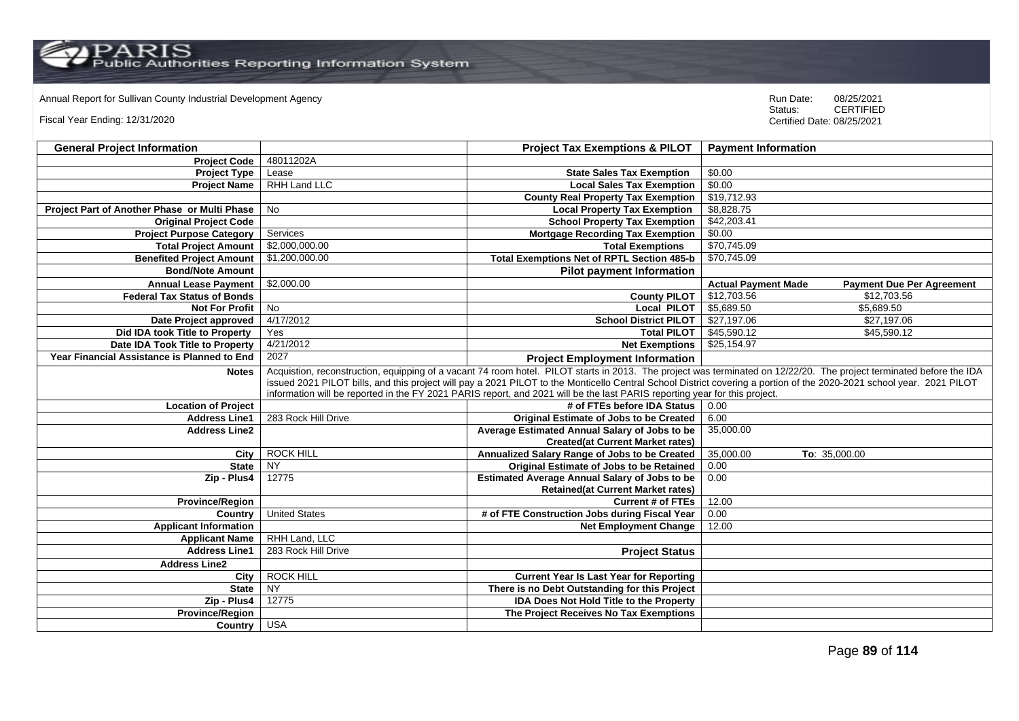# Annual Report for Sullivan County Industrial Development Agency<br>
Status: CERTIFIED

Fiscal Year Ending: 12/31/2020

| <b>General Project Information</b>           |                            | <b>Project Tax Exemptions &amp; PILOT</b>                                                                                  | <b>Payment Information</b>                                                                                                                                            |
|----------------------------------------------|----------------------------|----------------------------------------------------------------------------------------------------------------------------|-----------------------------------------------------------------------------------------------------------------------------------------------------------------------|
| <b>Project Code</b>                          | 48011202A                  |                                                                                                                            |                                                                                                                                                                       |
| <b>Project Type</b>                          | Lease                      | <b>State Sales Tax Exemption</b>                                                                                           | \$0.00                                                                                                                                                                |
| <b>Project Name</b>                          | <b>RHH Land LLC</b>        | <b>Local Sales Tax Exemption</b>                                                                                           | \$0.00                                                                                                                                                                |
|                                              |                            | <b>County Real Property Tax Exemption</b>                                                                                  | \$19,712.93                                                                                                                                                           |
| Project Part of Another Phase or Multi Phase | <b>No</b>                  | <b>Local Property Tax Exemption</b>                                                                                        | $\overline{$8,828.75}$                                                                                                                                                |
| <b>Original Project Code</b>                 |                            | <b>School Property Tax Exemption</b>                                                                                       | \$42,203.41                                                                                                                                                           |
| <b>Project Purpose Category</b>              | Services                   | <b>Mortgage Recording Tax Exemption</b>                                                                                    | \$0.00                                                                                                                                                                |
| <b>Total Project Amount</b>                  | \$2,000,000.00             | <b>Total Exemptions</b>                                                                                                    | \$70,745.09                                                                                                                                                           |
| <b>Benefited Project Amount</b>              | $\overline{$1,200,000.00}$ | <b>Total Exemptions Net of RPTL Section 485-b</b>                                                                          | \$70,745.09                                                                                                                                                           |
| <b>Bond/Note Amount</b>                      |                            | <b>Pilot payment Information</b>                                                                                           |                                                                                                                                                                       |
| <b>Annual Lease Payment</b>                  | \$2,000.00                 |                                                                                                                            | <b>Actual Payment Made</b><br><b>Payment Due Per Agreement</b>                                                                                                        |
| <b>Federal Tax Status of Bonds</b>           |                            | <b>County PILOT</b>                                                                                                        | \$12,703.56<br>\$12,703.56                                                                                                                                            |
| <b>Not For Profit</b>                        | $\overline{N}$             | <b>Local PILOT</b>                                                                                                         | \$5,689.50<br>\$5,689.50                                                                                                                                              |
| Date Project approved                        | 4/17/2012                  | <b>School District PILOT</b>                                                                                               | \$27,197.06<br>\$27,197.06                                                                                                                                            |
| Did IDA took Title to Property               | Yes                        | <b>Total PILOT</b>                                                                                                         | \$45,590.12<br>\$45,590.12                                                                                                                                            |
| Date IDA Took Title to Property              | 4/21/2012                  | <b>Net Exemptions</b>                                                                                                      | \$25,154.97                                                                                                                                                           |
| Year Financial Assistance is Planned to End  | 2027                       | <b>Project Employment Information</b>                                                                                      |                                                                                                                                                                       |
| <b>Notes</b>                                 |                            |                                                                                                                            | Acquistion, reconstruction, equipping of a vacant 74 room hotel. PILOT starts in 2013. The project was terminated on 12/22/20. The project terminated before the IDA  |
|                                              |                            |                                                                                                                            | issued 2021 PILOT bills, and this project will pay a 2021 PILOT to the Monticello Central School District covering a portion of the 2020-2021 school year. 2021 PILOT |
|                                              |                            | information will be reported in the FY 2021 PARIS report, and 2021 will be the last PARIS reporting year for this project. |                                                                                                                                                                       |
| <b>Location of Project</b>                   |                            | # of FTEs before IDA Status                                                                                                | 0.00                                                                                                                                                                  |
| <b>Address Line1</b>                         | 283 Rock Hill Drive        | <b>Original Estimate of Jobs to be Created</b>                                                                             | 6.00                                                                                                                                                                  |
| <b>Address Line2</b>                         |                            | Average Estimated Annual Salary of Jobs to be                                                                              | 35,000.00                                                                                                                                                             |
|                                              |                            | <b>Created(at Current Market rates)</b>                                                                                    |                                                                                                                                                                       |
| City                                         | <b>ROCK HILL</b>           | Annualized Salary Range of Jobs to be Created                                                                              | 35,000.00<br>To: 35,000.00                                                                                                                                            |
| <b>State</b>                                 | NY                         | Original Estimate of Jobs to be Retained                                                                                   | 0.00                                                                                                                                                                  |
| Zip - Plus4                                  | 12775                      | <b>Estimated Average Annual Salary of Jobs to be</b>                                                                       | 0.00                                                                                                                                                                  |
|                                              |                            | <b>Retained(at Current Market rates)</b>                                                                                   |                                                                                                                                                                       |
| <b>Province/Region</b>                       |                            | <b>Current # of FTEs</b>                                                                                                   | 12.00                                                                                                                                                                 |
| Country                                      | <b>United States</b>       | # of FTE Construction Jobs during Fiscal Year                                                                              | 0.00                                                                                                                                                                  |
| <b>Applicant Information</b>                 |                            | <b>Net Employment Change</b>                                                                                               | 12.00                                                                                                                                                                 |
| <b>Applicant Name</b>                        | RHH Land, LLC              |                                                                                                                            |                                                                                                                                                                       |
| <b>Address Line1</b>                         | 283 Rock Hill Drive        | <b>Project Status</b>                                                                                                      |                                                                                                                                                                       |
| <b>Address Line2</b>                         |                            |                                                                                                                            |                                                                                                                                                                       |
| City                                         | <b>ROCK HILL</b>           | <b>Current Year Is Last Year for Reporting</b>                                                                             |                                                                                                                                                                       |
| <b>State</b>                                 | $\overline{NY}$            | There is no Debt Outstanding for this Project                                                                              |                                                                                                                                                                       |
| Zip - Plus4                                  | 12775                      | <b>IDA Does Not Hold Title to the Property</b>                                                                             |                                                                                                                                                                       |
| <b>Province/Region</b>                       |                            | The Project Receives No Tax Exemptions                                                                                     |                                                                                                                                                                       |
| Country USA                                  |                            |                                                                                                                            |                                                                                                                                                                       |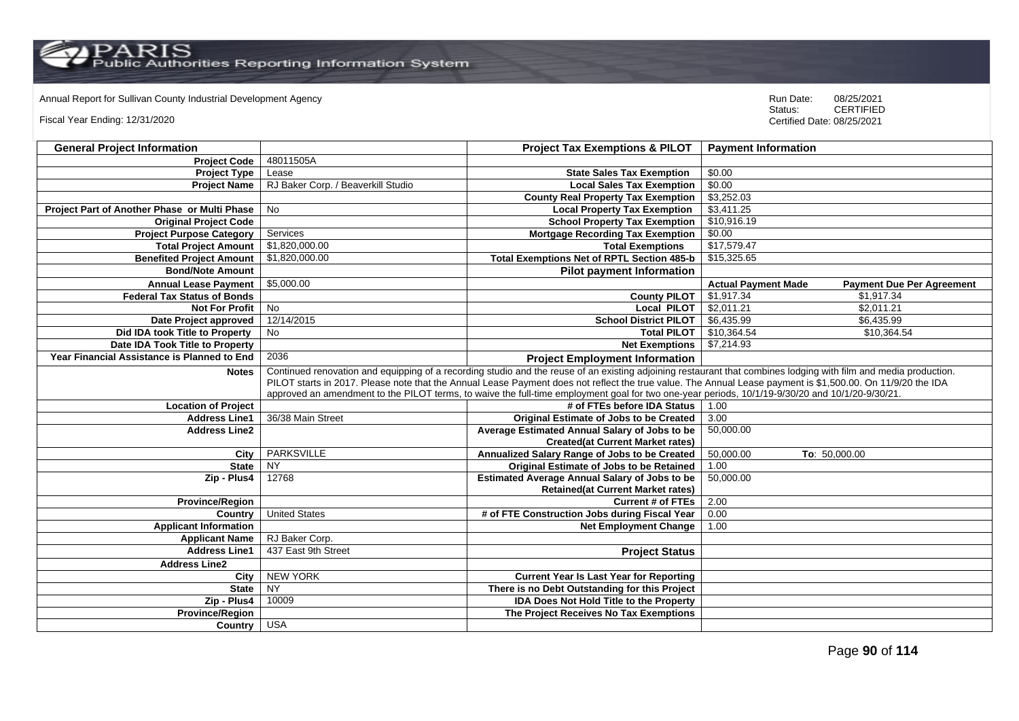$\operatorname{PARS}$  PARIS<br>Public Authorities Reporting Information System

# Annual Report for Sullivan County Industrial Development Agency<br>
Status: CERTIFIED

Fiscal Year Ending: 12/31/2020

| <b>General Project Information</b>           |                                    | <b>Project Tax Exemptions &amp; PILOT</b>                                                                                                       | <b>Payment Information</b>                                                                                                                                       |
|----------------------------------------------|------------------------------------|-------------------------------------------------------------------------------------------------------------------------------------------------|------------------------------------------------------------------------------------------------------------------------------------------------------------------|
| <b>Project Code</b>                          | 48011505A                          |                                                                                                                                                 |                                                                                                                                                                  |
| <b>Project Type</b>                          | Lease                              | <b>State Sales Tax Exemption</b>                                                                                                                | \$0.00                                                                                                                                                           |
| <b>Project Name</b>                          | RJ Baker Corp. / Beaverkill Studio | <b>Local Sales Tax Exemption</b>                                                                                                                | \$0.00                                                                                                                                                           |
|                                              |                                    | <b>County Real Property Tax Exemption</b>                                                                                                       | \$3,252.03                                                                                                                                                       |
| Project Part of Another Phase or Multi Phase | No                                 | <b>Local Property Tax Exemption</b>                                                                                                             | \$3,411.25                                                                                                                                                       |
| <b>Original Project Code</b>                 |                                    | <b>School Property Tax Exemption</b>                                                                                                            | \$10,916.19                                                                                                                                                      |
| <b>Project Purpose Category</b>              | Services                           | <b>Mortgage Recording Tax Exemption</b>                                                                                                         | \$0.00                                                                                                                                                           |
| <b>Total Project Amount</b>                  | \$1,820,000.00                     | <b>Total Exemptions</b>                                                                                                                         | \$17,579.47                                                                                                                                                      |
| <b>Benefited Project Amount</b>              | \$1,820,000.00                     | <b>Total Exemptions Net of RPTL Section 485-b</b>                                                                                               | \$15,325.65                                                                                                                                                      |
| <b>Bond/Note Amount</b>                      |                                    | <b>Pilot payment Information</b>                                                                                                                |                                                                                                                                                                  |
| <b>Annual Lease Payment</b>                  | \$5,000.00                         |                                                                                                                                                 | <b>Actual Payment Made</b><br><b>Payment Due Per Agreement</b>                                                                                                   |
| <b>Federal Tax Status of Bonds</b>           |                                    | <b>County PILOT</b>                                                                                                                             | \$1,917.34<br>\$1,917.34                                                                                                                                         |
| <b>Not For Profit</b>                        | $\overline{N}$                     | <b>Local PILOT</b>                                                                                                                              | \$2,011.21<br>\$2,011.21                                                                                                                                         |
| Date Project approved                        | 12/14/2015                         | <b>School District PILOT</b>                                                                                                                    | \$6,435.99<br>\$6,435.99                                                                                                                                         |
| Did IDA took Title to Property               | No.                                | <b>Total PILOT</b>                                                                                                                              | \$10,364.54<br>\$10,364.54                                                                                                                                       |
| Date IDA Took Title to Property              |                                    | <b>Net Exemptions</b>                                                                                                                           | \$7,214.93                                                                                                                                                       |
| Year Financial Assistance is Planned to End  | 2036                               | <b>Project Employment Information</b>                                                                                                           |                                                                                                                                                                  |
| <b>Notes</b>                                 |                                    |                                                                                                                                                 | Continued renovation and equipping of a recording studio and the reuse of an existing adjoining restaurant that combines lodging with film and media production. |
|                                              |                                    |                                                                                                                                                 | PILOT starts in 2017. Please note that the Annual Lease Payment does not reflect the true value. The Annual Lease payment is \$1,500.00. On 11/9/20 the IDA      |
|                                              |                                    | approved an amendment to the PILOT terms, to waive the full-time employment goal for two one-year periods, 10/1/19-9/30/20 and 10/1/20-9/30/21. |                                                                                                                                                                  |
| <b>Location of Project</b>                   |                                    | # of FTEs before IDA Status                                                                                                                     | 1.00                                                                                                                                                             |
| <b>Address Line1</b>                         | 36/38 Main Street                  | <b>Original Estimate of Jobs to be Created</b>                                                                                                  | 3.00                                                                                                                                                             |
| <b>Address Line2</b>                         |                                    | Average Estimated Annual Salary of Jobs to be                                                                                                   | 50,000.00                                                                                                                                                        |
|                                              |                                    | <b>Created(at Current Market rates)</b>                                                                                                         |                                                                                                                                                                  |
| City                                         | <b>PARKSVILLE</b>                  | Annualized Salary Range of Jobs to be Created                                                                                                   | 50,000.00<br>To: 50,000.00                                                                                                                                       |
| <b>State</b>                                 | <b>NY</b>                          | <b>Original Estimate of Jobs to be Retained</b>                                                                                                 | 1.00                                                                                                                                                             |
| Zip - Plus4                                  | 12768                              | <b>Estimated Average Annual Salary of Jobs to be</b>                                                                                            | 50,000.00                                                                                                                                                        |
|                                              |                                    | <b>Retained(at Current Market rates)</b>                                                                                                        |                                                                                                                                                                  |
| <b>Province/Region</b>                       |                                    | <b>Current # of FTEs</b>                                                                                                                        | 2.00                                                                                                                                                             |
| Country                                      | <b>United States</b>               | # of FTE Construction Jobs during Fiscal Year                                                                                                   | 0.00                                                                                                                                                             |
| <b>Applicant Information</b>                 |                                    | <b>Net Employment Change</b>                                                                                                                    | 1.00                                                                                                                                                             |
| <b>Applicant Name</b>                        | RJ Baker Corp.                     |                                                                                                                                                 |                                                                                                                                                                  |
| <b>Address Line1</b>                         | 437 East 9th Street                | <b>Project Status</b>                                                                                                                           |                                                                                                                                                                  |
| <b>Address Line2</b>                         |                                    |                                                                                                                                                 |                                                                                                                                                                  |
| City                                         | <b>NEW YORK</b>                    | <b>Current Year Is Last Year for Reporting</b>                                                                                                  |                                                                                                                                                                  |
| <b>State</b>                                 | NY                                 | There is no Debt Outstanding for this Project                                                                                                   |                                                                                                                                                                  |
| Zip - Plus4                                  | 10009                              | IDA Does Not Hold Title to the Property                                                                                                         |                                                                                                                                                                  |
| <b>Province/Region</b>                       |                                    | The Project Receives No Tax Exemptions                                                                                                          |                                                                                                                                                                  |
| Country                                      | <b>USA</b>                         |                                                                                                                                                 |                                                                                                                                                                  |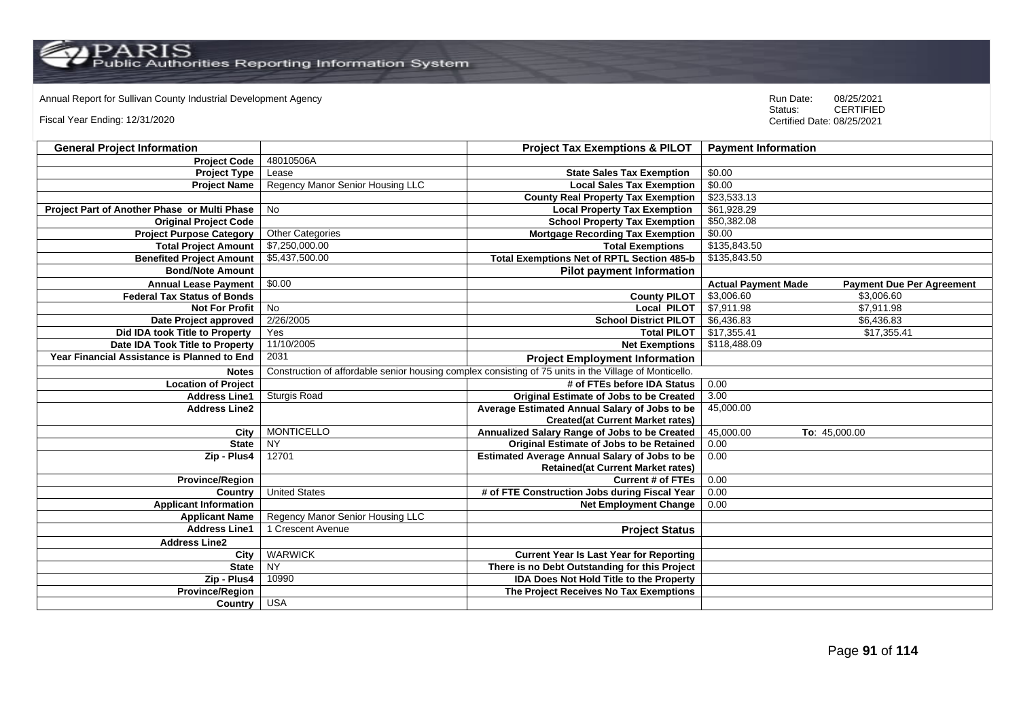$\operatorname{PARIS}_{\text{Public Authors}}$  Reporting Information System

# Annual Report for Sullivan County Industrial Development Agency<br>
Status: CERTIFIED

Fiscal Year Ending: 12/31/2020

| <b>General Project Information</b>           |                                  | <b>Project Tax Exemptions &amp; PILOT</b>                                                              | <b>Payment Information</b>                                     |
|----------------------------------------------|----------------------------------|--------------------------------------------------------------------------------------------------------|----------------------------------------------------------------|
| <b>Project Code</b>                          | 48010506A                        |                                                                                                        |                                                                |
| <b>Project Type</b>                          | Lease                            | <b>State Sales Tax Exemption</b>                                                                       | \$0.00                                                         |
| <b>Project Name</b>                          | Regency Manor Senior Housing LLC | <b>Local Sales Tax Exemption</b>                                                                       | \$0.00                                                         |
|                                              |                                  | <b>County Real Property Tax Exemption</b>                                                              | \$23,533.13                                                    |
| Project Part of Another Phase or Multi Phase | <b>No</b>                        | <b>Local Property Tax Exemption</b>                                                                    | \$61,928.29                                                    |
| <b>Original Project Code</b>                 |                                  | <b>School Property Tax Exemption</b>                                                                   | \$50,382.08                                                    |
| <b>Project Purpose Category</b>              | <b>Other Categories</b>          | <b>Mortgage Recording Tax Exemption</b>                                                                | \$0.00                                                         |
| <b>Total Project Amount</b>                  | \$7,250,000.00                   | <b>Total Exemptions</b>                                                                                | \$135,843.50                                                   |
| <b>Benefited Project Amount</b>              | \$5,437,500.00                   | <b>Total Exemptions Net of RPTL Section 485-b</b>                                                      | \$135,843.50                                                   |
| <b>Bond/Note Amount</b>                      |                                  | <b>Pilot payment Information</b>                                                                       |                                                                |
| <b>Annual Lease Payment</b>                  | \$0.00                           |                                                                                                        | <b>Actual Payment Made</b><br><b>Payment Due Per Agreement</b> |
| <b>Federal Tax Status of Bonds</b>           |                                  | <b>County PILOT</b>                                                                                    | \$3,006.60<br>\$3,006.60                                       |
| <b>Not For Profit</b>                        | No                               | <b>Local PILOT</b>                                                                                     | \$7,911.98<br>\$7,911.98                                       |
| Date Project approved                        | 2/26/2005                        | <b>School District PILOT</b>                                                                           | \$6,436.83<br>\$6,436.83                                       |
| Did IDA took Title to Property               | Yes                              | <b>Total PILOT</b>                                                                                     | \$17,355.41<br>\$17,355.41                                     |
| Date IDA Took Title to Property              | 11/10/2005                       | <b>Net Exemptions</b>                                                                                  | \$118,488.09                                                   |
| Year Financial Assistance is Planned to End  | 2031                             | <b>Project Employment Information</b>                                                                  |                                                                |
| <b>Notes</b>                                 |                                  | Construction of affordable senior housing complex consisting of 75 units in the Village of Monticello. |                                                                |
| <b>Location of Project</b>                   |                                  | # of FTEs before IDA Status                                                                            | 0.00                                                           |
| <b>Address Line1</b>                         | <b>Sturgis Road</b>              | Original Estimate of Jobs to be Created                                                                | 3.00                                                           |
| <b>Address Line2</b>                         |                                  | Average Estimated Annual Salary of Jobs to be                                                          | 45,000.00                                                      |
|                                              |                                  | <b>Created(at Current Market rates)</b>                                                                |                                                                |
| City                                         | <b>MONTICELLO</b>                | Annualized Salary Range of Jobs to be Created                                                          | 45,000.00<br>To: 45,000.00                                     |
| <b>State</b>                                 | <b>NY</b>                        | <b>Original Estimate of Jobs to be Retained</b>                                                        | 0.00                                                           |
| Zip - Plus4                                  | 12701                            | <b>Estimated Average Annual Salary of Jobs to be</b>                                                   | 0.00                                                           |
|                                              |                                  | <b>Retained(at Current Market rates)</b>                                                               |                                                                |
| <b>Province/Region</b>                       |                                  | <b>Current # of FTEs</b>                                                                               | 0.00                                                           |
| Country                                      | <b>United States</b>             | # of FTE Construction Jobs during Fiscal Year                                                          | 0.00                                                           |
| <b>Applicant Information</b>                 |                                  | <b>Net Employment Change</b>                                                                           | 0.00                                                           |
| <b>Applicant Name</b>                        | Regency Manor Senior Housing LLC |                                                                                                        |                                                                |
| <b>Address Line1</b>                         | 1 Crescent Avenue                | <b>Project Status</b>                                                                                  |                                                                |
| <b>Address Line2</b>                         |                                  |                                                                                                        |                                                                |
| City                                         | <b>WARWICK</b>                   | <b>Current Year Is Last Year for Reporting</b>                                                         |                                                                |
| <b>State</b>                                 | NY                               | There is no Debt Outstanding for this Project                                                          |                                                                |
| Zip - Plus4                                  | 10990                            | <b>IDA Does Not Hold Title to the Property</b>                                                         |                                                                |
| <b>Province/Region</b>                       |                                  | The Project Receives No Tax Exemptions                                                                 |                                                                |
| Country                                      | <b>USA</b>                       |                                                                                                        |                                                                |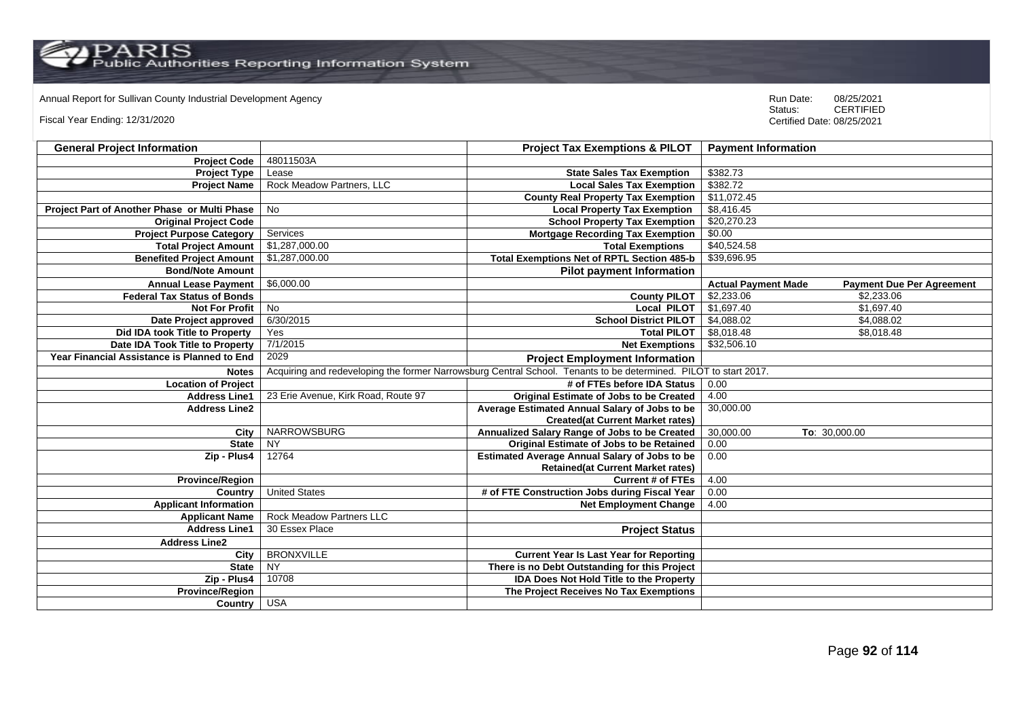$\mathrm{PARS} \ \mathrm{Fuss}$ 

# Annual Report for Sullivan County Industrial Development Agency<br>
Status: CERTIFIED

Fiscal Year Ending: 12/31/2020

| <b>General Project Information</b>           |                                     | <b>Project Tax Exemptions &amp; PILOT</b>                                                                        | <b>Payment Information</b>                                     |
|----------------------------------------------|-------------------------------------|------------------------------------------------------------------------------------------------------------------|----------------------------------------------------------------|
| <b>Project Code</b>                          | 48011503A                           |                                                                                                                  |                                                                |
| <b>Project Type</b>                          | Lease                               | <b>State Sales Tax Exemption</b>                                                                                 | \$382.73                                                       |
| <b>Project Name</b>                          | Rock Meadow Partners, LLC           | <b>Local Sales Tax Exemption</b>                                                                                 | \$382.72                                                       |
|                                              |                                     | <b>County Real Property Tax Exemption</b>                                                                        | \$11,072.45                                                    |
| Project Part of Another Phase or Multi Phase | No                                  | <b>Local Property Tax Exemption</b>                                                                              | \$8,416.45                                                     |
| <b>Original Project Code</b>                 |                                     | <b>School Property Tax Exemption</b>                                                                             | \$20,270.23                                                    |
| <b>Project Purpose Category</b>              | Services                            | <b>Mortgage Recording Tax Exemption</b>                                                                          | \$0.00                                                         |
| <b>Total Project Amount</b>                  | \$1,287,000.00                      | <b>Total Exemptions</b>                                                                                          | \$40,524.58                                                    |
| <b>Benefited Project Amount</b>              | \$1,287,000.00                      | <b>Total Exemptions Net of RPTL Section 485-b</b>                                                                | \$39,696.95                                                    |
| <b>Bond/Note Amount</b>                      |                                     | <b>Pilot payment Information</b>                                                                                 |                                                                |
| <b>Annual Lease Payment</b>                  | \$6,000.00                          |                                                                                                                  | <b>Actual Payment Made</b><br><b>Payment Due Per Agreement</b> |
| <b>Federal Tax Status of Bonds</b>           |                                     | <b>County PILOT</b>                                                                                              | \$2,233.06<br>\$2,233.06                                       |
| <b>Not For Profit</b>                        | <b>No</b>                           | <b>Local PILOT</b>                                                                                               | \$1,697.40<br>\$1,697.40                                       |
| Date Project approved                        | 6/30/2015                           | <b>School District PILOT</b>                                                                                     | \$4,088.02<br>\$4,088.02                                       |
| <b>Did IDA took Title to Property</b>        | Yes                                 | <b>Total PILOT</b>                                                                                               | \$8,018.48<br>\$8,018.48                                       |
| Date IDA Took Title to Property              | 7/1/2015                            | <b>Net Exemptions</b>                                                                                            | \$32,506.10                                                    |
| Year Financial Assistance is Planned to End  | 2029                                | <b>Project Employment Information</b>                                                                            |                                                                |
| <b>Notes</b>                                 |                                     | Acquiring and redeveloping the former Narrowsburg Central School. Tenants to be determined. PILOT to start 2017. |                                                                |
| <b>Location of Project</b>                   |                                     | # of FTEs before IDA Status                                                                                      | 0.00                                                           |
| <b>Address Line1</b>                         | 23 Erie Avenue, Kirk Road, Route 97 | Original Estimate of Jobs to be Created                                                                          | 4.00                                                           |
| <b>Address Line2</b>                         |                                     | Average Estimated Annual Salary of Jobs to be                                                                    | 30,000.00                                                      |
|                                              |                                     | <b>Created(at Current Market rates)</b>                                                                          |                                                                |
| City                                         | <b>NARROWSBURG</b>                  | Annualized Salary Range of Jobs to be Created                                                                    | 30,000.00<br>To: 30,000.00                                     |
| <b>State</b>                                 | <b>NY</b>                           | Original Estimate of Jobs to be Retained                                                                         | 0.00                                                           |
| Zip - Plus4                                  | 12764                               | <b>Estimated Average Annual Salary of Jobs to be</b>                                                             | 0.00                                                           |
|                                              |                                     | <b>Retained(at Current Market rates)</b>                                                                         |                                                                |
| <b>Province/Region</b>                       |                                     | <b>Current # of FTEs</b>                                                                                         | 4.00                                                           |
| Country                                      | <b>United States</b>                | # of FTE Construction Jobs during Fiscal Year                                                                    | 0.00                                                           |
| <b>Applicant Information</b>                 |                                     | <b>Net Employment Change</b>                                                                                     | 4.00                                                           |
| <b>Applicant Name</b>                        | <b>Rock Meadow Partners LLC</b>     |                                                                                                                  |                                                                |
| <b>Address Line1</b>                         | 30 Essex Place                      | <b>Project Status</b>                                                                                            |                                                                |
| <b>Address Line2</b>                         |                                     |                                                                                                                  |                                                                |
| City                                         | <b>BRONXVILLE</b>                   | <b>Current Year Is Last Year for Reporting</b>                                                                   |                                                                |
| <b>State</b>                                 | NY                                  | There is no Debt Outstanding for this Project                                                                    |                                                                |
| Zip - Plus4                                  | 10708                               | <b>IDA Does Not Hold Title to the Property</b>                                                                   |                                                                |
| <b>Province/Region</b>                       |                                     | The Project Receives No Tax Exemptions                                                                           |                                                                |
| Country                                      | <b>USA</b>                          |                                                                                                                  |                                                                |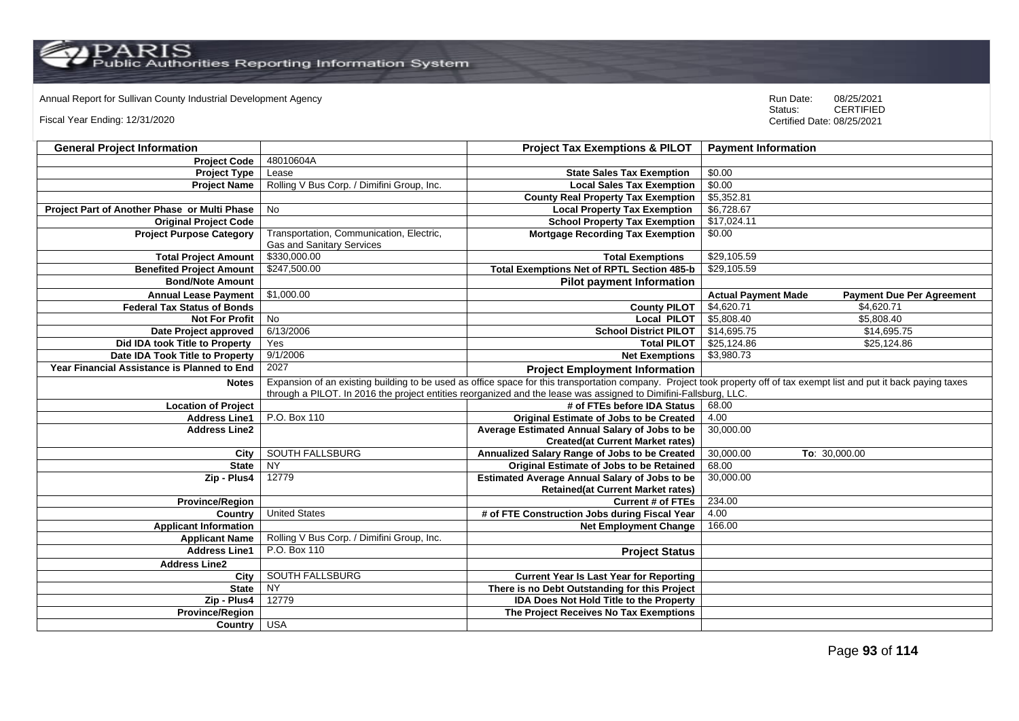$\operatorname{PARS}$  PARIS<br>Public Authorities Reporting Information System

# Annual Report for Sullivan County Industrial Development Agency<br>
Status: CERTIFIED

Fiscal Year Ending: 12/31/2020

| <b>General Project Information</b>           |                                                                                                                                                                                                                                                                                             | <b>Project Tax Exemptions &amp; PILOT</b>            | <b>Payment Information</b>                                     |
|----------------------------------------------|---------------------------------------------------------------------------------------------------------------------------------------------------------------------------------------------------------------------------------------------------------------------------------------------|------------------------------------------------------|----------------------------------------------------------------|
| <b>Project Code</b>                          | 48010604A                                                                                                                                                                                                                                                                                   |                                                      |                                                                |
| <b>Project Type</b>                          | Lease                                                                                                                                                                                                                                                                                       | <b>State Sales Tax Exemption</b>                     | \$0.00                                                         |
| <b>Project Name</b>                          | Rolling V Bus Corp. / Dimifini Group, Inc.                                                                                                                                                                                                                                                  | <b>Local Sales Tax Exemption</b>                     | \$0.00                                                         |
|                                              |                                                                                                                                                                                                                                                                                             | <b>County Real Property Tax Exemption</b>            | \$5,352.81                                                     |
| Project Part of Another Phase or Multi Phase | <b>No</b>                                                                                                                                                                                                                                                                                   | <b>Local Property Tax Exemption</b>                  | \$6,728.67                                                     |
| <b>Original Project Code</b>                 |                                                                                                                                                                                                                                                                                             | <b>School Property Tax Exemption</b>                 | \$17,024.11                                                    |
| <b>Project Purpose Category</b>              | Transportation, Communication, Electric,<br><b>Gas and Sanitary Services</b>                                                                                                                                                                                                                | <b>Mortgage Recording Tax Exemption</b>              | \$0.00                                                         |
| <b>Total Project Amount</b>                  | \$330,000.00                                                                                                                                                                                                                                                                                | <b>Total Exemptions</b>                              | \$29,105.59                                                    |
| <b>Benefited Project Amount</b>              | \$247,500.00                                                                                                                                                                                                                                                                                | <b>Total Exemptions Net of RPTL Section 485-b</b>    | \$29,105.59                                                    |
| <b>Bond/Note Amount</b>                      |                                                                                                                                                                                                                                                                                             | <b>Pilot payment Information</b>                     |                                                                |
| <b>Annual Lease Payment</b>                  | \$1,000.00                                                                                                                                                                                                                                                                                  |                                                      | <b>Actual Payment Made</b><br><b>Payment Due Per Agreement</b> |
| <b>Federal Tax Status of Bonds</b>           |                                                                                                                                                                                                                                                                                             | <b>County PILOT</b>                                  | \$4,620.71<br>\$4,620.71                                       |
| <b>Not For Profit</b>                        | <b>No</b>                                                                                                                                                                                                                                                                                   | <b>Local PILOT</b>                                   | \$5,808.40<br>\$5,808.40                                       |
| Date Project approved                        | 6/13/2006                                                                                                                                                                                                                                                                                   | <b>School District PILOT</b>                         | \$14,695.75<br>\$14,695.75                                     |
| Did IDA took Title to Property               | Yes                                                                                                                                                                                                                                                                                         | <b>Total PILOT</b>                                   | \$25,124.86<br>\$25,124.86                                     |
| Date IDA Took Title to Property              | 9/1/2006                                                                                                                                                                                                                                                                                    | <b>Net Exemptions</b>                                | \$3,980.73                                                     |
| Year Financial Assistance is Planned to End  | 2027                                                                                                                                                                                                                                                                                        | <b>Project Employment Information</b>                |                                                                |
| <b>Notes</b>                                 | Expansion of an existing building to be used as office space for this transportation company. Project took property off of tax exempt list and put it back paying taxes<br>through a PILOT. In 2016 the project entities reorganized and the lease was assigned to Dimifini-Fallsburg, LLC. |                                                      |                                                                |
| <b>Location of Project</b>                   |                                                                                                                                                                                                                                                                                             | # of FTEs before IDA Status                          | 68.00                                                          |
| <b>Address Line1</b>                         | P.O. Box 110                                                                                                                                                                                                                                                                                | <b>Original Estimate of Jobs to be Created</b>       | 4.00                                                           |
| <b>Address Line2</b>                         |                                                                                                                                                                                                                                                                                             | Average Estimated Annual Salary of Jobs to be        | 30,000.00                                                      |
|                                              |                                                                                                                                                                                                                                                                                             | <b>Created(at Current Market rates)</b>              |                                                                |
| City                                         | <b>SOUTH FALLSBURG</b>                                                                                                                                                                                                                                                                      | Annualized Salary Range of Jobs to be Created        | 30,000.00<br>To: 30,000.00                                     |
| <b>State</b>                                 | <b>NY</b>                                                                                                                                                                                                                                                                                   | <b>Original Estimate of Jobs to be Retained</b>      | 68.00                                                          |
| Zip - Plus4                                  | 12779                                                                                                                                                                                                                                                                                       | <b>Estimated Average Annual Salary of Jobs to be</b> | 30,000.00                                                      |
|                                              |                                                                                                                                                                                                                                                                                             | <b>Retained(at Current Market rates)</b>             |                                                                |
| <b>Province/Region</b>                       |                                                                                                                                                                                                                                                                                             | <b>Current # of FTEs</b>                             | 234.00                                                         |
| Country                                      | <b>United States</b>                                                                                                                                                                                                                                                                        | # of FTE Construction Jobs during Fiscal Year        | 4.00                                                           |
| <b>Applicant Information</b>                 |                                                                                                                                                                                                                                                                                             | <b>Net Employment Change</b>                         | 166.00                                                         |
| <b>Applicant Name</b>                        | Rolling V Bus Corp. / Dimifini Group, Inc.                                                                                                                                                                                                                                                  |                                                      |                                                                |
| <b>Address Line1</b>                         | P.O. Box 110                                                                                                                                                                                                                                                                                | <b>Project Status</b>                                |                                                                |
| <b>Address Line2</b>                         |                                                                                                                                                                                                                                                                                             |                                                      |                                                                |
| City                                         | SOUTH FALLSBURG                                                                                                                                                                                                                                                                             | <b>Current Year Is Last Year for Reporting</b>       |                                                                |
| <b>State</b>                                 | <b>NY</b>                                                                                                                                                                                                                                                                                   | There is no Debt Outstanding for this Project        |                                                                |
| Zip - Plus4                                  | 12779                                                                                                                                                                                                                                                                                       | IDA Does Not Hold Title to the Property              |                                                                |
| <b>Province/Region</b>                       |                                                                                                                                                                                                                                                                                             | The Project Receives No Tax Exemptions               |                                                                |
| Country                                      | <b>USA</b>                                                                                                                                                                                                                                                                                  |                                                      |                                                                |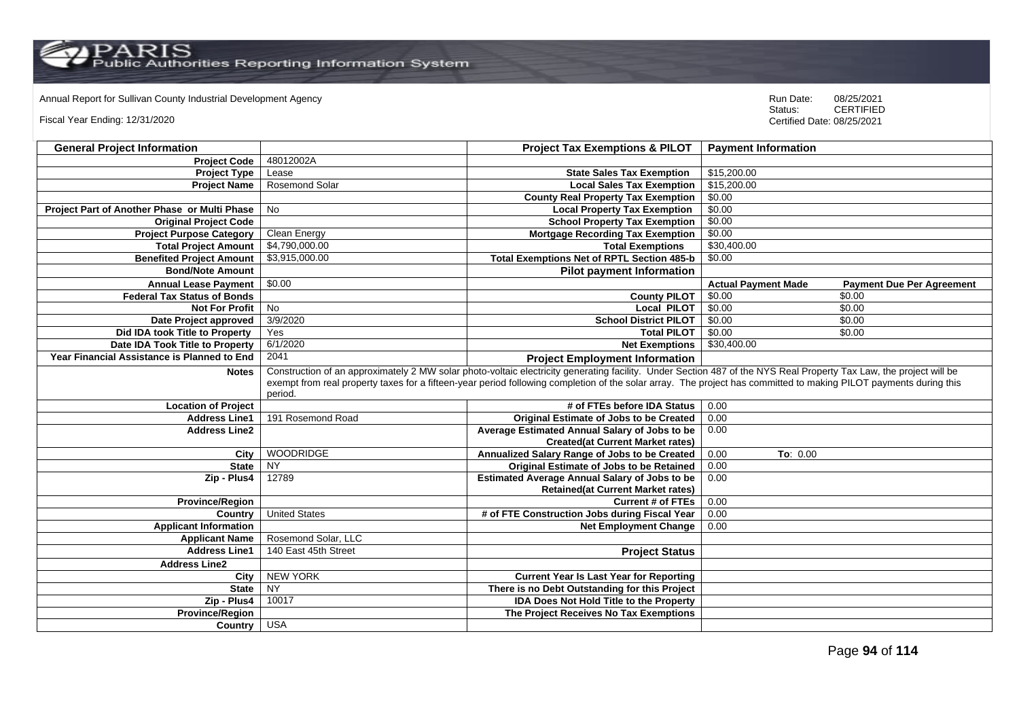$\operatorname{PARIS}$  PARIS<br>Public Authorities Reporting Information System

# Annual Report for Sullivan County Industrial Development Agency<br>
Status: CERTIFIED

Fiscal Year Ending: 12/31/2020

| <b>General Project Information</b>           |                      | <b>Project Tax Exemptions &amp; PILOT</b>            | <b>Payment Information</b>                                                                                                                                         |
|----------------------------------------------|----------------------|------------------------------------------------------|--------------------------------------------------------------------------------------------------------------------------------------------------------------------|
| <b>Project Code</b>                          | 48012002A            |                                                      |                                                                                                                                                                    |
| <b>Project Type</b>                          | Lease                | <b>State Sales Tax Exemption</b>                     | \$15,200.00                                                                                                                                                        |
| <b>Project Name</b>                          | Rosemond Solar       | <b>Local Sales Tax Exemption</b>                     | \$15,200.00                                                                                                                                                        |
|                                              |                      | <b>County Real Property Tax Exemption</b>            | \$0.00                                                                                                                                                             |
| Project Part of Another Phase or Multi Phase | <b>No</b>            | <b>Local Property Tax Exemption</b>                  | \$0.00                                                                                                                                                             |
| <b>Original Project Code</b>                 |                      | <b>School Property Tax Exemption</b>                 | \$0.00                                                                                                                                                             |
| <b>Project Purpose Category</b>              | Clean Energy         | <b>Mortgage Recording Tax Exemption</b>              | \$0.00                                                                                                                                                             |
| <b>Total Project Amount</b>                  | \$4,790,000.00       | <b>Total Exemptions</b>                              | \$30,400.00                                                                                                                                                        |
| <b>Benefited Project Amount</b>              | \$3,915,000.00       | <b>Total Exemptions Net of RPTL Section 485-b</b>    | \$0.00                                                                                                                                                             |
| <b>Bond/Note Amount</b>                      |                      | <b>Pilot payment Information</b>                     |                                                                                                                                                                    |
| <b>Annual Lease Payment</b>                  | \$0.00               |                                                      | <b>Actual Payment Made</b><br><b>Payment Due Per Agreement</b>                                                                                                     |
| <b>Federal Tax Status of Bonds</b>           |                      | <b>County PILOT</b>                                  | \$0.00<br>\$0.00                                                                                                                                                   |
| <b>Not For Profit</b>                        | $\overline{N}$       | <b>Local PILOT</b>                                   | \$0.00<br>\$0.00                                                                                                                                                   |
| Date Project approved                        | 3/9/2020             | <b>School District PILOT</b>                         | \$0.00<br>\$0.00                                                                                                                                                   |
| Did IDA took Title to Property               | Yes                  | <b>Total PILOT</b>                                   | \$0.00<br>\$0.00                                                                                                                                                   |
| Date IDA Took Title to Property              | 6/1/2020             | <b>Net Exemptions</b>                                | \$30,400.00                                                                                                                                                        |
| Year Financial Assistance is Planned to End  | 2041                 | <b>Project Employment Information</b>                |                                                                                                                                                                    |
| <b>Notes</b>                                 |                      |                                                      | Construction of an approximately 2 MW solar photo-voltaic electricity generating facility. Under Section 487 of the NYS Real Property Tax Law, the project will be |
|                                              |                      |                                                      | exempt from real property taxes for a fifteen-year period following completion of the solar array. The project has committed to making PILOT payments during this  |
|                                              | period.              |                                                      |                                                                                                                                                                    |
| <b>Location of Project</b>                   |                      | # of FTEs before IDA Status                          | 0.00                                                                                                                                                               |
| <b>Address Line1</b>                         | 191 Rosemond Road    | <b>Original Estimate of Jobs to be Created</b>       | 0.00                                                                                                                                                               |
| <b>Address Line2</b>                         |                      | Average Estimated Annual Salary of Jobs to be        | 0.00                                                                                                                                                               |
|                                              |                      | <b>Created(at Current Market rates)</b>              |                                                                                                                                                                    |
| City                                         | <b>WOODRIDGE</b>     | Annualized Salary Range of Jobs to be Created        | 0.00<br>To: 0.00                                                                                                                                                   |
| <b>State</b>                                 | NY                   | Original Estimate of Jobs to be Retained             | 0.00                                                                                                                                                               |
| Zip - Plus4                                  | 12789                | <b>Estimated Average Annual Salary of Jobs to be</b> | 0.00                                                                                                                                                               |
|                                              |                      | <b>Retained(at Current Market rates)</b>             |                                                                                                                                                                    |
| <b>Province/Region</b>                       |                      | <b>Current # of FTEs</b>                             | 0.00                                                                                                                                                               |
| Country                                      | <b>United States</b> | # of FTE Construction Jobs during Fiscal Year        | 0.00                                                                                                                                                               |
| <b>Applicant Information</b>                 |                      | <b>Net Employment Change</b>                         | 0.00                                                                                                                                                               |
| <b>Applicant Name</b>                        | Rosemond Solar, LLC  |                                                      |                                                                                                                                                                    |
| <b>Address Line1</b>                         | 140 East 45th Street | <b>Project Status</b>                                |                                                                                                                                                                    |
| <b>Address Line2</b>                         |                      |                                                      |                                                                                                                                                                    |
| City                                         | <b>NEW YORK</b>      | <b>Current Year Is Last Year for Reporting</b>       |                                                                                                                                                                    |
| <b>State</b>                                 | NY                   | There is no Debt Outstanding for this Project        |                                                                                                                                                                    |
| Zip - Plus4                                  | 10017                | <b>IDA Does Not Hold Title to the Property</b>       |                                                                                                                                                                    |
| <b>Province/Region</b>                       |                      | The Project Receives No Tax Exemptions               |                                                                                                                                                                    |
| Country                                      | <b>USA</b>           |                                                      |                                                                                                                                                                    |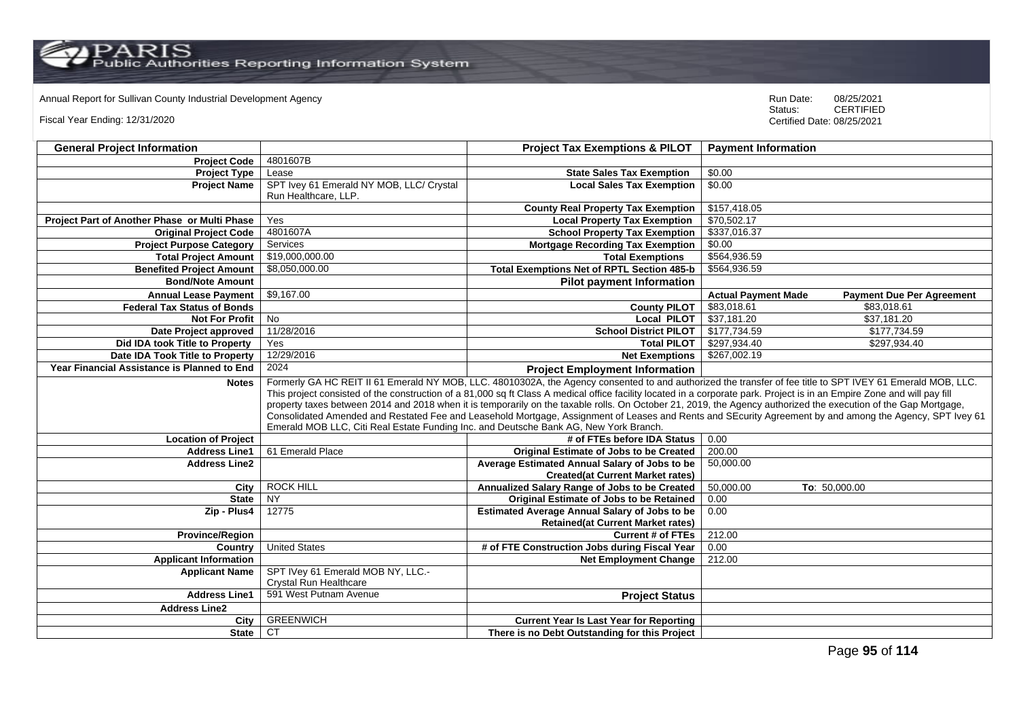# Annual Report for Sullivan County Industrial Development Agency<br>
Status: CERTIFIED

Fiscal Year Ending: 12/31/2020

| <b>General Project Information</b>           |                                                                                       | <b>Project Tax Exemptions &amp; PILOT</b>                                                                                                                                                                                                                                                                                                                                                                                                                                                                                                                                                                                                                              | <b>Payment Information</b> |                                  |
|----------------------------------------------|---------------------------------------------------------------------------------------|------------------------------------------------------------------------------------------------------------------------------------------------------------------------------------------------------------------------------------------------------------------------------------------------------------------------------------------------------------------------------------------------------------------------------------------------------------------------------------------------------------------------------------------------------------------------------------------------------------------------------------------------------------------------|----------------------------|----------------------------------|
| <b>Project Code</b>                          | 4801607B                                                                              |                                                                                                                                                                                                                                                                                                                                                                                                                                                                                                                                                                                                                                                                        |                            |                                  |
| <b>Project Type</b>                          | Lease                                                                                 | <b>State Sales Tax Exemption</b>                                                                                                                                                                                                                                                                                                                                                                                                                                                                                                                                                                                                                                       | \$0.00                     |                                  |
| <b>Project Name</b>                          | SPT Ivey 61 Emerald NY MOB, LLC/ Crystal<br>Run Healthcare, LLP.                      | <b>Local Sales Tax Exemption</b>                                                                                                                                                                                                                                                                                                                                                                                                                                                                                                                                                                                                                                       | \$0.00                     |                                  |
|                                              |                                                                                       | <b>County Real Property Tax Exemption</b>                                                                                                                                                                                                                                                                                                                                                                                                                                                                                                                                                                                                                              | \$157,418.05               |                                  |
| Project Part of Another Phase or Multi Phase | Yes                                                                                   | <b>Local Property Tax Exemption</b>                                                                                                                                                                                                                                                                                                                                                                                                                                                                                                                                                                                                                                    | \$70,502.17                |                                  |
| <b>Original Project Code</b>                 | 4801607A                                                                              | <b>School Property Tax Exemption</b>                                                                                                                                                                                                                                                                                                                                                                                                                                                                                                                                                                                                                                   | \$337,016.37               |                                  |
| <b>Project Purpose Category</b>              | Services                                                                              | <b>Mortgage Recording Tax Exemption</b>                                                                                                                                                                                                                                                                                                                                                                                                                                                                                                                                                                                                                                | \$0.00                     |                                  |
| <b>Total Project Amount</b>                  | \$19,000,000.00                                                                       | <b>Total Exemptions</b>                                                                                                                                                                                                                                                                                                                                                                                                                                                                                                                                                                                                                                                | \$564,936.59               |                                  |
| <b>Benefited Project Amount</b>              | \$8,050,000.00                                                                        | <b>Total Exemptions Net of RPTL Section 485-b</b>                                                                                                                                                                                                                                                                                                                                                                                                                                                                                                                                                                                                                      | \$564,936.59               |                                  |
| <b>Bond/Note Amount</b>                      |                                                                                       | <b>Pilot payment Information</b>                                                                                                                                                                                                                                                                                                                                                                                                                                                                                                                                                                                                                                       |                            |                                  |
| <b>Annual Lease Payment</b>                  | \$9,167.00                                                                            |                                                                                                                                                                                                                                                                                                                                                                                                                                                                                                                                                                                                                                                                        | <b>Actual Payment Made</b> | <b>Payment Due Per Agreement</b> |
| <b>Federal Tax Status of Bonds</b>           |                                                                                       | <b>County PILOT</b>                                                                                                                                                                                                                                                                                                                                                                                                                                                                                                                                                                                                                                                    | \$83,018.61                | \$83,018.61                      |
| <b>Not For Profit</b>                        | <b>No</b>                                                                             | <b>Local PILOT</b>                                                                                                                                                                                                                                                                                                                                                                                                                                                                                                                                                                                                                                                     | \$37,181.20                | \$37,181.20                      |
| Date Project approved                        | 11/28/2016                                                                            | <b>School District PILOT</b>                                                                                                                                                                                                                                                                                                                                                                                                                                                                                                                                                                                                                                           | \$177,734.59               | \$177,734.59                     |
| Did IDA took Title to Property               | Yes                                                                                   | <b>Total PILOT</b>                                                                                                                                                                                                                                                                                                                                                                                                                                                                                                                                                                                                                                                     | \$297,934.40               | \$297,934.40                     |
| Date IDA Took Title to Property              | 12/29/2016                                                                            | <b>Net Exemptions</b>                                                                                                                                                                                                                                                                                                                                                                                                                                                                                                                                                                                                                                                  | \$267,002.19               |                                  |
| Year Financial Assistance is Planned to End  | 2024                                                                                  | <b>Project Employment Information</b>                                                                                                                                                                                                                                                                                                                                                                                                                                                                                                                                                                                                                                  |                            |                                  |
| <b>Notes</b>                                 | Emerald MOB LLC, Citi Real Estate Funding Inc. and Deutsche Bank AG, New York Branch. | Formerly GA HC REIT II 61 Emerald NY MOB, LLC. 48010302A, the Agency consented to and authorized the transfer of fee title to SPT IVEY 61 Emerald MOB, LLC.<br>This project consisted of the construction of a 81,000 sq ft Class A medical office facility located in a corporate park. Project is in an Empire Zone and will pay fill<br>property taxes between 2014 and 2018 when it is temporarily on the taxable rolls. On October 21, 2019, the Agency authorized the execution of the Gap Mortgage,<br>Consolidated Amended and Restated Fee and Leasehold Mortgage, Assignment of Leases and Rents and SEcurity Agreement by and among the Agency, SPT Ivey 61 |                            |                                  |
| <b>Location of Project</b>                   |                                                                                       | # of FTEs before IDA Status                                                                                                                                                                                                                                                                                                                                                                                                                                                                                                                                                                                                                                            | 0.00                       |                                  |
| <b>Address Line1</b>                         | 61 Emerald Place                                                                      | <b>Original Estimate of Jobs to be Created</b>                                                                                                                                                                                                                                                                                                                                                                                                                                                                                                                                                                                                                         | 200.00                     |                                  |
| <b>Address Line2</b>                         |                                                                                       | Average Estimated Annual Salary of Jobs to be<br><b>Created(at Current Market rates)</b>                                                                                                                                                                                                                                                                                                                                                                                                                                                                                                                                                                               | 50,000.00                  |                                  |
| City                                         | <b>ROCK HILL</b>                                                                      | Annualized Salary Range of Jobs to be Created                                                                                                                                                                                                                                                                                                                                                                                                                                                                                                                                                                                                                          | 50,000.00                  | To: 50,000.00                    |
| <b>State</b>                                 | <b>NY</b>                                                                             | <b>Original Estimate of Jobs to be Retained</b>                                                                                                                                                                                                                                                                                                                                                                                                                                                                                                                                                                                                                        | 0.00                       |                                  |
| Zip - Plus4                                  | 12775                                                                                 | <b>Estimated Average Annual Salary of Jobs to be</b><br><b>Retained(at Current Market rates)</b>                                                                                                                                                                                                                                                                                                                                                                                                                                                                                                                                                                       | 0.00                       |                                  |
| <b>Province/Region</b>                       |                                                                                       | <b>Current # of FTEs</b>                                                                                                                                                                                                                                                                                                                                                                                                                                                                                                                                                                                                                                               | 212.00                     |                                  |
| Country                                      | <b>United States</b>                                                                  | # of FTE Construction Jobs during Fiscal Year                                                                                                                                                                                                                                                                                                                                                                                                                                                                                                                                                                                                                          | 0.00                       |                                  |
| <b>Applicant Information</b>                 |                                                                                       | <b>Net Employment Change</b>                                                                                                                                                                                                                                                                                                                                                                                                                                                                                                                                                                                                                                           | 212.00                     |                                  |
| <b>Applicant Name</b>                        | SPT IVey 61 Emerald MOB NY, LLC.-<br>Crystal Run Healthcare                           |                                                                                                                                                                                                                                                                                                                                                                                                                                                                                                                                                                                                                                                                        |                            |                                  |
| <b>Address Line1</b>                         | 591 West Putnam Avenue                                                                | <b>Project Status</b>                                                                                                                                                                                                                                                                                                                                                                                                                                                                                                                                                                                                                                                  |                            |                                  |
| <b>Address Line2</b>                         |                                                                                       |                                                                                                                                                                                                                                                                                                                                                                                                                                                                                                                                                                                                                                                                        |                            |                                  |
| City                                         | <b>GREENWICH</b>                                                                      | <b>Current Year Is Last Year for Reporting</b>                                                                                                                                                                                                                                                                                                                                                                                                                                                                                                                                                                                                                         |                            |                                  |
| <b>State</b>                                 | <b>CT</b>                                                                             | There is no Debt Outstanding for this Project                                                                                                                                                                                                                                                                                                                                                                                                                                                                                                                                                                                                                          |                            |                                  |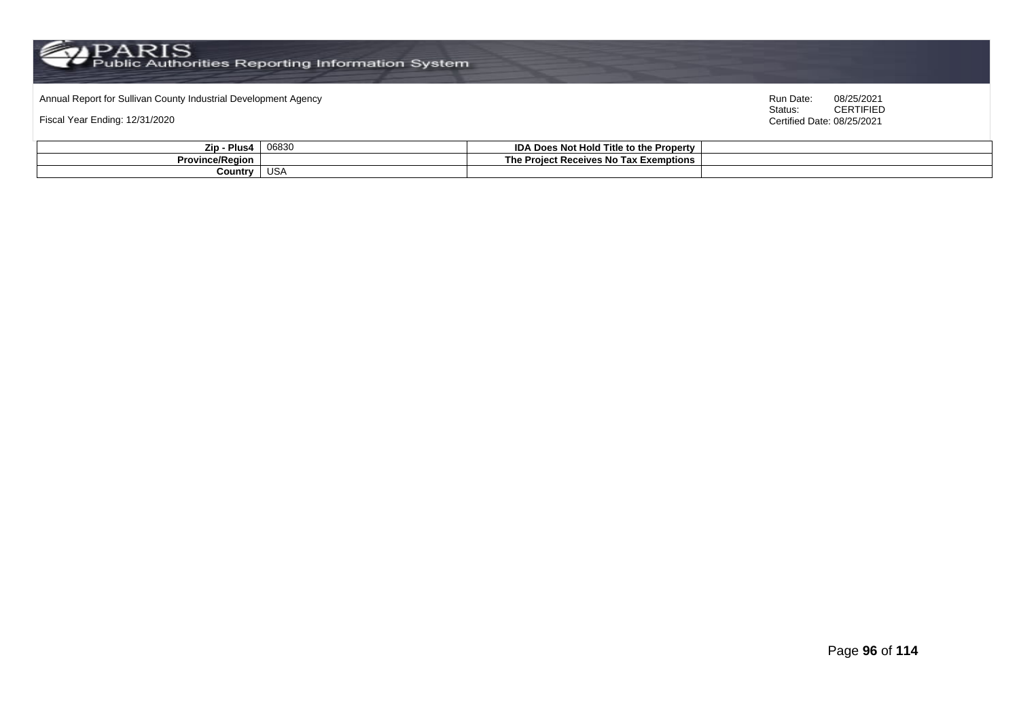$\mathrm{PARS} \ \mathrm{PARS}$ 

# Annual Report for Sullivan County Industrial Development Agency<br>
Status: CERTIFIED

Fiscal Year Ending: 12/31/2020

| - Plus4<br>. GIN 1      | 06830 | <b>IDA Does Not Hold Title to the Property</b> |  |
|-------------------------|-------|------------------------------------------------|--|
| $-$<br>Province/Region_ |       | e Project Receives No Tax Exemptions<br>The '  |  |
| Country                 | US/   |                                                |  |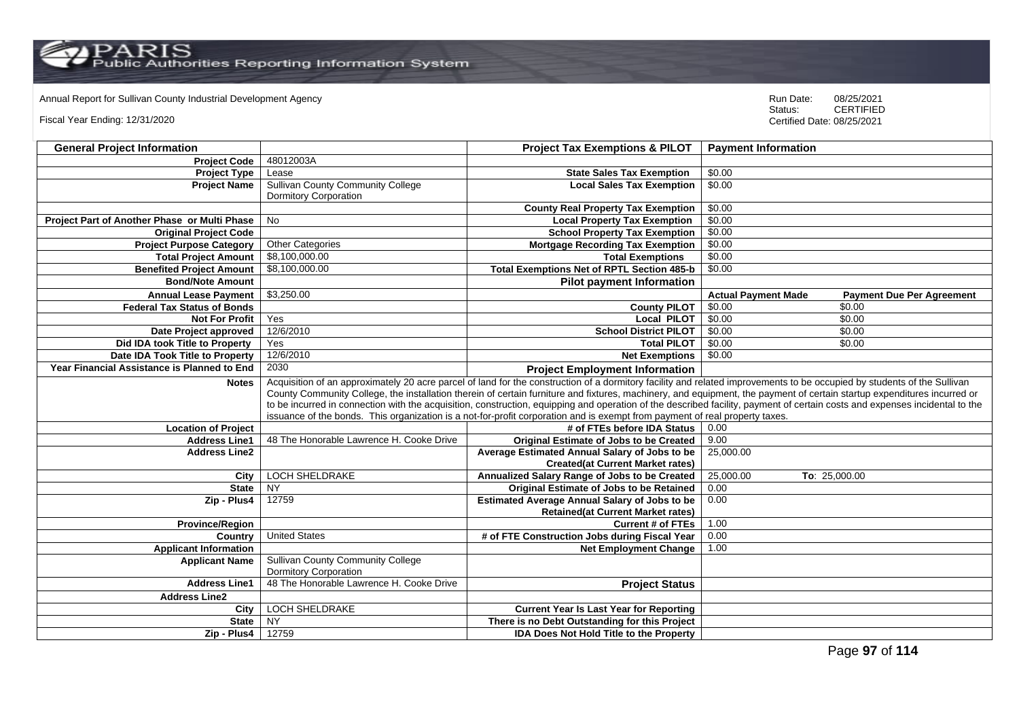# Annual Report for Sullivan County Industrial Development Agency<br>
Status: CERTIFIED

Fiscal Year Ending: 12/31/2020

| <b>General Project Information</b>           |                                                                                                                                                                         | <b>Project Tax Exemptions &amp; PILOT</b>                                                                                   | <b>Payment Information</b>                                                                                                                                                  |  |
|----------------------------------------------|-------------------------------------------------------------------------------------------------------------------------------------------------------------------------|-----------------------------------------------------------------------------------------------------------------------------|-----------------------------------------------------------------------------------------------------------------------------------------------------------------------------|--|
| <b>Project Code</b>                          | 48012003A                                                                                                                                                               |                                                                                                                             |                                                                                                                                                                             |  |
| <b>Project Type</b>                          | Lease                                                                                                                                                                   | <b>State Sales Tax Exemption</b>                                                                                            | \$0.00                                                                                                                                                                      |  |
| <b>Project Name</b>                          | <b>Sullivan County Community College</b>                                                                                                                                | <b>Local Sales Tax Exemption</b>                                                                                            | \$0.00                                                                                                                                                                      |  |
|                                              | Dormitory Corporation                                                                                                                                                   |                                                                                                                             |                                                                                                                                                                             |  |
|                                              |                                                                                                                                                                         | <b>County Real Property Tax Exemption</b>                                                                                   | \$0.00                                                                                                                                                                      |  |
| Project Part of Another Phase or Multi Phase | <b>No</b>                                                                                                                                                               | <b>Local Property Tax Exemption</b>                                                                                         | \$0.00                                                                                                                                                                      |  |
| <b>Original Project Code</b>                 |                                                                                                                                                                         | <b>School Property Tax Exemption</b>                                                                                        | \$0.00                                                                                                                                                                      |  |
| <b>Project Purpose Category</b>              | Other Categories                                                                                                                                                        | <b>Mortgage Recording Tax Exemption</b>                                                                                     | \$0.00                                                                                                                                                                      |  |
| <b>Total Project Amount</b>                  | \$8,100,000,00                                                                                                                                                          | <b>Total Exemptions</b>                                                                                                     | \$0.00                                                                                                                                                                      |  |
| <b>Benefited Project Amount</b>              | \$8,100,000.00                                                                                                                                                          | <b>Total Exemptions Net of RPTL Section 485-b</b>                                                                           | \$0.00                                                                                                                                                                      |  |
| <b>Bond/Note Amount</b>                      |                                                                                                                                                                         | <b>Pilot payment Information</b>                                                                                            |                                                                                                                                                                             |  |
| <b>Annual Lease Payment</b>                  | \$3,250.00                                                                                                                                                              |                                                                                                                             | <b>Actual Payment Made</b><br><b>Payment Due Per Agreement</b>                                                                                                              |  |
| <b>Federal Tax Status of Bonds</b>           |                                                                                                                                                                         | <b>County PILOT</b>                                                                                                         | \$0.00<br>\$0.00                                                                                                                                                            |  |
| <b>Not For Profit</b>                        | Yes                                                                                                                                                                     | <b>Local PILOT</b>                                                                                                          | \$0.00<br>\$0.00                                                                                                                                                            |  |
| Date Project approved                        | 12/6/2010                                                                                                                                                               | <b>School District PILOT</b>                                                                                                | \$0.00<br>\$0.00                                                                                                                                                            |  |
| <b>Did IDA took Title to Property</b>        | Yes                                                                                                                                                                     | <b>Total PILOT</b>                                                                                                          | \$0.00<br>\$0.00                                                                                                                                                            |  |
| Date IDA Took Title to Property              | 12/6/2010                                                                                                                                                               | <b>Net Exemptions</b>                                                                                                       | \$0.00                                                                                                                                                                      |  |
| Year Financial Assistance is Planned to End  | 2030                                                                                                                                                                    | <b>Project Employment Information</b>                                                                                       |                                                                                                                                                                             |  |
| <b>Notes</b>                                 |                                                                                                                                                                         |                                                                                                                             | Acquisition of an approximately 20 acre parcel of land for the construction of a dormitory facility and related improvements to be occupied by students of the Sullivan     |  |
|                                              | County Community College, the installation therein of certain furniture and fixtures, machinery, and equipment, the payment of certain startup expenditures incurred or |                                                                                                                             |                                                                                                                                                                             |  |
|                                              |                                                                                                                                                                         |                                                                                                                             | to be incurred in connection with the acquisition, construction, equipping and operation of the described facility, payment of certain costs and expenses incidental to the |  |
|                                              |                                                                                                                                                                         | issuance of the bonds. This organization is a not-for-profit corporation and is exempt from payment of real property taxes. |                                                                                                                                                                             |  |
| <b>Location of Project</b>                   |                                                                                                                                                                         | # of FTEs before IDA Status                                                                                                 | 0.00                                                                                                                                                                        |  |
| <b>Address Line1</b>                         | 48 The Honorable Lawrence H. Cooke Drive                                                                                                                                | Original Estimate of Jobs to be Created                                                                                     | 9.00                                                                                                                                                                        |  |
| <b>Address Line2</b>                         |                                                                                                                                                                         | Average Estimated Annual Salary of Jobs to be                                                                               | 25,000.00                                                                                                                                                                   |  |
|                                              |                                                                                                                                                                         | <b>Created(at Current Market rates)</b>                                                                                     |                                                                                                                                                                             |  |
| City                                         | LOCH SHELDRAKE                                                                                                                                                          | Annualized Salary Range of Jobs to be Created                                                                               | 25,000.00<br>To: 25,000.00                                                                                                                                                  |  |
| <b>State</b>                                 | <b>NY</b>                                                                                                                                                               | <b>Original Estimate of Jobs to be Retained</b>                                                                             | 0.00                                                                                                                                                                        |  |
| Zip - Plus4                                  | 12759                                                                                                                                                                   | <b>Estimated Average Annual Salary of Jobs to be</b>                                                                        | 0.00                                                                                                                                                                        |  |
|                                              |                                                                                                                                                                         | <b>Retained(at Current Market rates)</b>                                                                                    |                                                                                                                                                                             |  |
| <b>Province/Region</b>                       |                                                                                                                                                                         | <b>Current # of FTEs</b>                                                                                                    | 1.00                                                                                                                                                                        |  |
| Country                                      | <b>United States</b>                                                                                                                                                    | # of FTE Construction Jobs during Fiscal Year                                                                               | 0.00                                                                                                                                                                        |  |
| <b>Applicant Information</b>                 |                                                                                                                                                                         | <b>Net Employment Change</b>                                                                                                | 1.00                                                                                                                                                                        |  |
| <b>Applicant Name</b>                        | <b>Sullivan County Community College</b>                                                                                                                                |                                                                                                                             |                                                                                                                                                                             |  |
|                                              | <b>Dormitory Corporation</b>                                                                                                                                            |                                                                                                                             |                                                                                                                                                                             |  |
| <b>Address Line1</b>                         | 48 The Honorable Lawrence H. Cooke Drive                                                                                                                                | <b>Project Status</b>                                                                                                       |                                                                                                                                                                             |  |
| <b>Address Line2</b>                         |                                                                                                                                                                         |                                                                                                                             |                                                                                                                                                                             |  |
| City                                         | LOCH SHELDRAKE                                                                                                                                                          | <b>Current Year Is Last Year for Reporting</b>                                                                              |                                                                                                                                                                             |  |
| <b>State</b>                                 | $\overline{N}$                                                                                                                                                          | There is no Debt Outstanding for this Project                                                                               |                                                                                                                                                                             |  |
| Zip - Plus4                                  | 12759                                                                                                                                                                   | IDA Does Not Hold Title to the Property                                                                                     |                                                                                                                                                                             |  |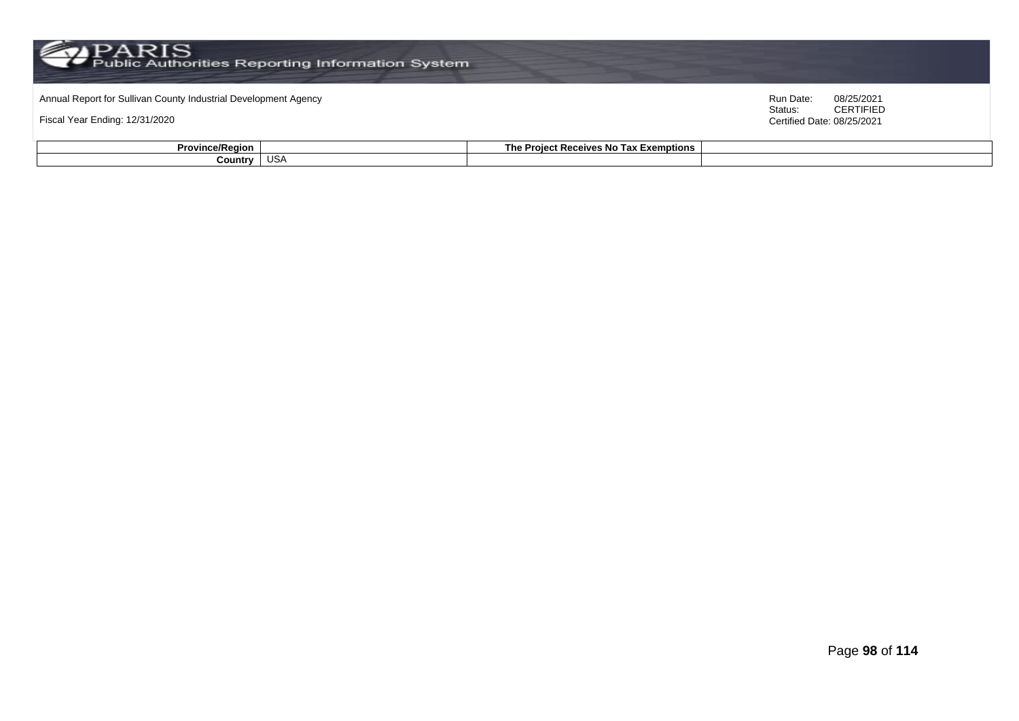# Annual Report for Sullivan County Industrial Development Agency<br>
Status: CERTIFIED

Fiscal Year Ending: 12/31/2020

| าce/Reaion<br>Provir |      | e Proiect Receives No i<br>т<br>∍ Tax Exemptions<br>пе |  |
|----------------------|------|--------------------------------------------------------|--|
| Country              | -USA |                                                        |  |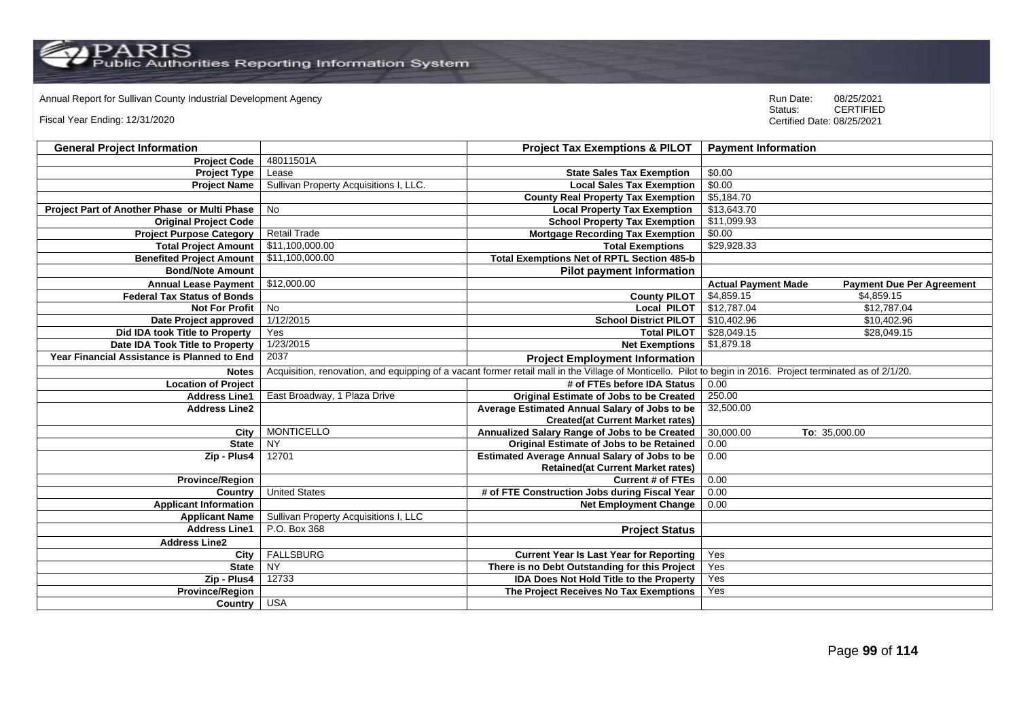$\operatorname{PARS}$  Fublic Authorities Reporting Information System

# Annual Report for Sullivan County Industrial Development Agency<br>
Status: CERTIFIED

Fiscal Year Ending: 12/31/2020

| <b>General Project Information</b>           |                                        | <b>Project Tax Exemptions &amp; PILOT</b>                                                                                                                    | <b>Payment Information</b>                                     |
|----------------------------------------------|----------------------------------------|--------------------------------------------------------------------------------------------------------------------------------------------------------------|----------------------------------------------------------------|
| <b>Project Code</b>                          | 48011501A                              |                                                                                                                                                              |                                                                |
| <b>Project Type</b>                          | Lease                                  | <b>State Sales Tax Exemption</b>                                                                                                                             | \$0.00                                                         |
| <b>Project Name</b>                          | Sullivan Property Acquisitions I, LLC. | <b>Local Sales Tax Exemption</b>                                                                                                                             | \$0.00                                                         |
|                                              |                                        | <b>County Real Property Tax Exemption</b>                                                                                                                    | \$5,184.70                                                     |
| Project Part of Another Phase or Multi Phase | <b>No</b>                              | <b>Local Property Tax Exemption</b>                                                                                                                          | \$13,643.70                                                    |
| <b>Original Project Code</b>                 |                                        | <b>School Property Tax Exemption</b>                                                                                                                         | \$11,099.93                                                    |
| <b>Project Purpose Category</b>              | <b>Retail Trade</b>                    | <b>Mortgage Recording Tax Exemption</b>                                                                                                                      | \$0.00                                                         |
| <b>Total Project Amount</b>                  | \$11,100,000.00                        | <b>Total Exemptions</b>                                                                                                                                      | \$29,928.33                                                    |
| <b>Benefited Project Amount</b>              | \$11,100,000.00                        | <b>Total Exemptions Net of RPTL Section 485-b</b>                                                                                                            |                                                                |
| <b>Bond/Note Amount</b>                      |                                        | <b>Pilot payment Information</b>                                                                                                                             |                                                                |
| <b>Annual Lease Payment</b>                  | \$12,000.00                            |                                                                                                                                                              | <b>Actual Payment Made</b><br><b>Payment Due Per Agreement</b> |
| <b>Federal Tax Status of Bonds</b>           |                                        | <b>County PILOT</b>                                                                                                                                          | \$4,859.15<br>\$4,859.15                                       |
| <b>Not For Profit</b>                        | No                                     | <b>Local PILOT</b>                                                                                                                                           | \$12,787.04<br>\$12,787.04                                     |
| Date Project approved                        | 1/12/2015                              | <b>School District PILOT</b>                                                                                                                                 | \$10,402.96<br>\$10,402.96                                     |
| Did IDA took Title to Property               | Yes                                    | <b>Total PILOT</b>                                                                                                                                           | \$28,049.15<br>\$28,049.15                                     |
| Date IDA Took Title to Property              | 1/23/2015                              | <b>Net Exemptions</b>                                                                                                                                        | \$1,879.18                                                     |
| Year Financial Assistance is Planned to End  | 2037                                   | <b>Project Employment Information</b>                                                                                                                        |                                                                |
| <b>Notes</b>                                 |                                        | Acquisition, renovation, and equipping of a vacant former retail mall in the Village of Monticello. Pilot to begin in 2016. Project terminated as of 2/1/20. |                                                                |
| <b>Location of Project</b>                   |                                        | # of FTEs before IDA Status                                                                                                                                  | 0.00                                                           |
| <b>Address Line1</b>                         | East Broadway, 1 Plaza Drive           | Original Estimate of Jobs to be Created                                                                                                                      | 250.00                                                         |
| <b>Address Line2</b>                         |                                        | Average Estimated Annual Salary of Jobs to be                                                                                                                | 32,500.00                                                      |
|                                              |                                        | <b>Created(at Current Market rates)</b>                                                                                                                      |                                                                |
| City                                         | <b>MONTICELLO</b>                      | Annualized Salary Range of Jobs to be Created                                                                                                                | 30,000.00<br>To: 35,000.00                                     |
| <b>State</b>                                 | <b>NY</b>                              | <b>Original Estimate of Jobs to be Retained</b>                                                                                                              | 0.00                                                           |
| Zip - Plus4                                  | 12701                                  | <b>Estimated Average Annual Salary of Jobs to be</b>                                                                                                         | 0.00                                                           |
|                                              |                                        | <b>Retained(at Current Market rates)</b>                                                                                                                     |                                                                |
| <b>Province/Region</b>                       |                                        | <b>Current # of FTEs</b>                                                                                                                                     | 0.00                                                           |
| Country                                      | <b>United States</b>                   | # of FTE Construction Jobs during Fiscal Year                                                                                                                | 0.00                                                           |
| <b>Applicant Information</b>                 |                                        | <b>Net Employment Change</b>                                                                                                                                 | 0.00                                                           |
| <b>Applicant Name</b>                        | Sullivan Property Acquisitions I, LLC  |                                                                                                                                                              |                                                                |
| <b>Address Line1</b>                         | P.O. Box 368                           | <b>Project Status</b>                                                                                                                                        |                                                                |
| <b>Address Line2</b>                         |                                        |                                                                                                                                                              |                                                                |
| City                                         | <b>FALLSBURG</b>                       | <b>Current Year Is Last Year for Reporting</b>                                                                                                               | Yes                                                            |
| <b>State</b>                                 | NY                                     | There is no Debt Outstanding for this Project                                                                                                                | Yes                                                            |
| Zip - Plus4                                  | 12733                                  | <b>IDA Does Not Hold Title to the Property</b>                                                                                                               | Yes                                                            |
| <b>Province/Region</b>                       |                                        | The Project Receives No Tax Exemptions                                                                                                                       | Yes                                                            |
| Country                                      | <b>USA</b>                             |                                                                                                                                                              |                                                                |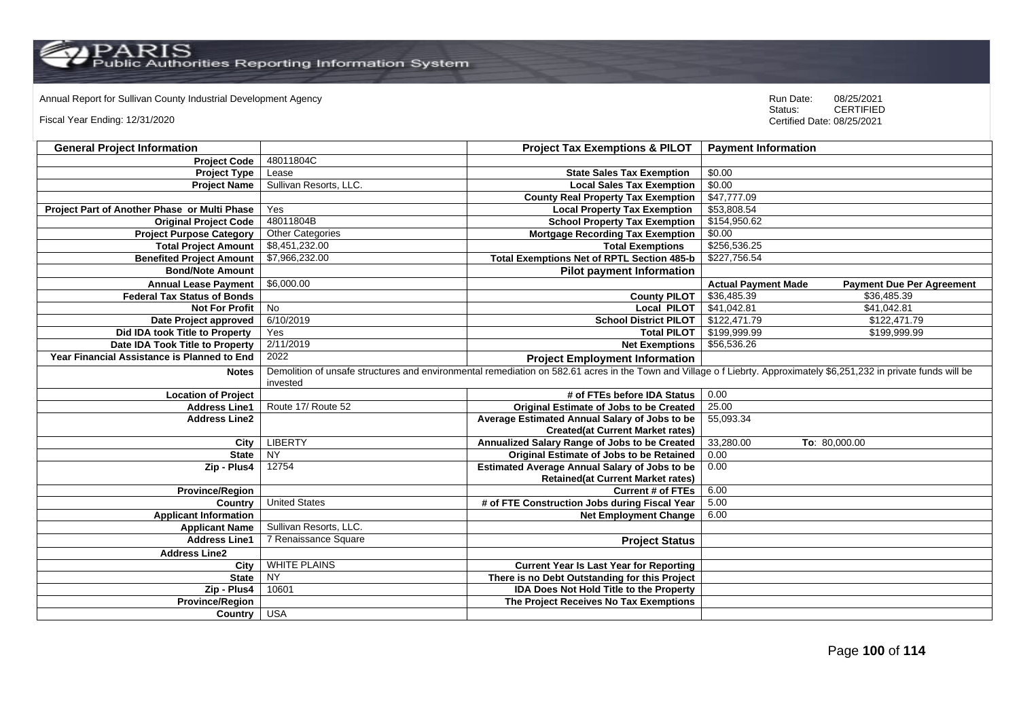# Annual Report for Sullivan County Industrial Development Agency<br>
Status: CERTIFIED

Fiscal Year Ending: 12/31/2020

| <b>General Project Information</b>           |                        | <b>Project Tax Exemptions &amp; PILOT</b>            | <b>Payment Information</b>                                                                                                                                           |
|----------------------------------------------|------------------------|------------------------------------------------------|----------------------------------------------------------------------------------------------------------------------------------------------------------------------|
| <b>Project Code</b>                          | 48011804C              |                                                      |                                                                                                                                                                      |
| <b>Project Type</b>                          | Lease                  | <b>State Sales Tax Exemption</b>                     | \$0.00                                                                                                                                                               |
| <b>Project Name</b>                          | Sullivan Resorts, LLC. | <b>Local Sales Tax Exemption</b>                     | \$0.00                                                                                                                                                               |
|                                              |                        | <b>County Real Property Tax Exemption</b>            | \$47,777.09                                                                                                                                                          |
| Project Part of Another Phase or Multi Phase | Yes                    | <b>Local Property Tax Exemption</b>                  | \$53,808.54                                                                                                                                                          |
| <b>Original Project Code</b>                 | 48011804B              | <b>School Property Tax Exemption</b>                 | \$154,950.62                                                                                                                                                         |
| <b>Project Purpose Category</b>              | Other Categories       | <b>Mortgage Recording Tax Exemption</b>              | \$0.00                                                                                                                                                               |
| <b>Total Project Amount</b>                  | \$8,451,232.00         | <b>Total Exemptions</b>                              | \$256,536.25                                                                                                                                                         |
| <b>Benefited Project Amount</b>              | \$7,966,232.00         | <b>Total Exemptions Net of RPTL Section 485-b</b>    | \$227,756.54                                                                                                                                                         |
| <b>Bond/Note Amount</b>                      |                        | <b>Pilot payment Information</b>                     |                                                                                                                                                                      |
| <b>Annual Lease Payment</b>                  | \$6,000.00             |                                                      | <b>Actual Payment Made</b><br><b>Payment Due Per Agreement</b>                                                                                                       |
| <b>Federal Tax Status of Bonds</b>           |                        | <b>County PILOT</b>                                  | \$36,485.39<br>\$36,485.39                                                                                                                                           |
| <b>Not For Profit</b>                        | <b>No</b>              | <b>Local PILOT</b>                                   | \$41,042.81<br>\$41,042.81                                                                                                                                           |
| Date Project approved                        | 6/10/2019              | <b>School District PILOT</b>                         | \$122,471.79<br>\$122,471.79                                                                                                                                         |
| Did IDA took Title to Property               | Yes                    | <b>Total PILOT</b>                                   | \$199,999.99<br>\$199,999.99                                                                                                                                         |
| Date IDA Took Title to Property              | 2/11/2019              | <b>Net Exemptions</b>                                | \$56,536.26                                                                                                                                                          |
| Year Financial Assistance is Planned to End  | 2022                   | <b>Project Employment Information</b>                |                                                                                                                                                                      |
| <b>Notes</b>                                 |                        |                                                      | Demolition of unsafe structures and environmental remediation on 582.61 acres in the Town and Village of Liebrty. Approximately \$6,251,232 in private funds will be |
|                                              | invested               |                                                      |                                                                                                                                                                      |
| <b>Location of Project</b>                   |                        | # of FTEs before IDA Status                          | 0.00                                                                                                                                                                 |
| <b>Address Line1</b>                         | Route 17/ Route 52     | <b>Original Estimate of Jobs to be Created</b>       | 25.00                                                                                                                                                                |
| <b>Address Line2</b>                         |                        | Average Estimated Annual Salary of Jobs to be        | 55,093.34                                                                                                                                                            |
|                                              |                        | <b>Created(at Current Market rates)</b>              |                                                                                                                                                                      |
| City                                         | <b>LIBERTY</b>         | Annualized Salary Range of Jobs to be Created        | 33,280.00<br>To: 80,000.00                                                                                                                                           |
| <b>State</b>                                 | $\overline{NY}$        | <b>Original Estimate of Jobs to be Retained</b>      | 0.00                                                                                                                                                                 |
| Zip - Plus4                                  | 12754                  | <b>Estimated Average Annual Salary of Jobs to be</b> | 0.00                                                                                                                                                                 |
|                                              |                        | <b>Retained(at Current Market rates)</b>             |                                                                                                                                                                      |
| <b>Province/Region</b>                       |                        | <b>Current # of FTEs</b>                             | 6.00                                                                                                                                                                 |
| Country                                      | <b>United States</b>   | # of FTE Construction Jobs during Fiscal Year        | 5.00                                                                                                                                                                 |
| <b>Applicant Information</b>                 |                        | <b>Net Employment Change</b>                         | 6.00                                                                                                                                                                 |
| <b>Applicant Name</b>                        | Sullivan Resorts, LLC. |                                                      |                                                                                                                                                                      |
| <b>Address Line1</b>                         | 7 Renaissance Square   | <b>Project Status</b>                                |                                                                                                                                                                      |
| <b>Address Line2</b>                         |                        |                                                      |                                                                                                                                                                      |
| City                                         | <b>WHITE PLAINS</b>    | <b>Current Year Is Last Year for Reporting</b>       |                                                                                                                                                                      |
| <b>State</b>                                 | NY                     | There is no Debt Outstanding for this Project        |                                                                                                                                                                      |
| Zip - Plus4                                  | 10601                  | <b>IDA Does Not Hold Title to the Property</b>       |                                                                                                                                                                      |
| <b>Province/Region</b>                       |                        | The Project Receives No Tax Exemptions               |                                                                                                                                                                      |
| Country                                      | <b>USA</b>             |                                                      |                                                                                                                                                                      |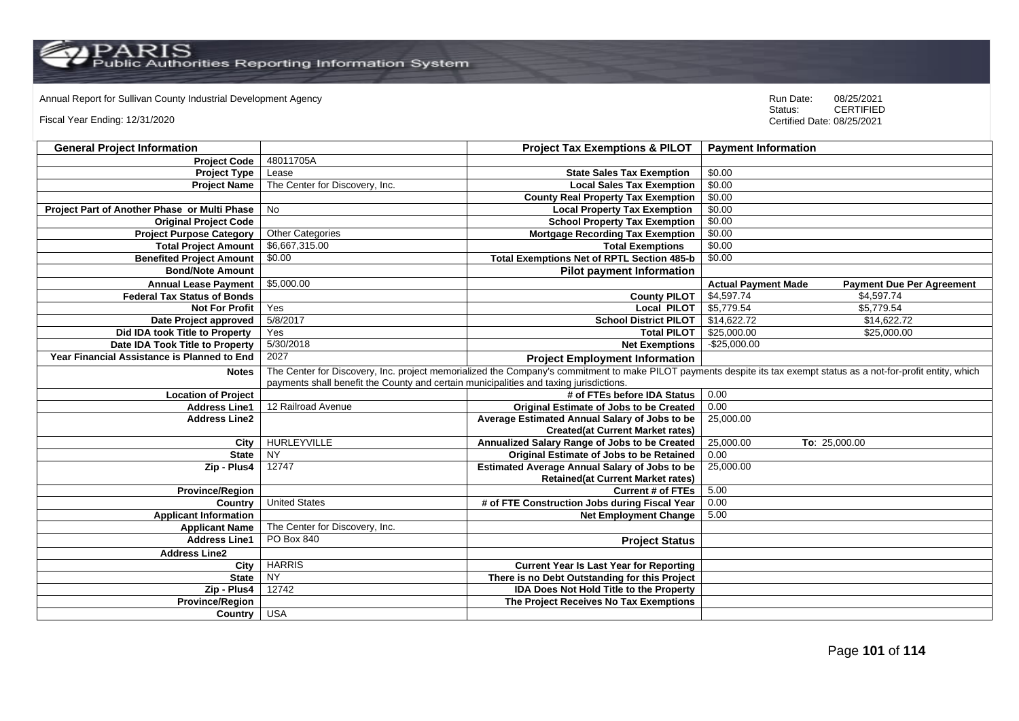# Annual Report for Sullivan County Industrial Development Agency<br>
Status: CERTIFIED

Fiscal Year Ending: 12/31/2020

| <b>General Project Information</b>           |                                                                                        | <b>Project Tax Exemptions &amp; PILOT</b>                                                                                                                           | <b>Payment Information</b> |                                  |
|----------------------------------------------|----------------------------------------------------------------------------------------|---------------------------------------------------------------------------------------------------------------------------------------------------------------------|----------------------------|----------------------------------|
| <b>Project Code</b>                          | 48011705A                                                                              |                                                                                                                                                                     |                            |                                  |
| <b>Project Type</b>                          | Lease                                                                                  | <b>State Sales Tax Exemption</b>                                                                                                                                    | \$0.00                     |                                  |
| <b>Project Name</b>                          | The Center for Discovery, Inc.                                                         | <b>Local Sales Tax Exemption</b>                                                                                                                                    | \$0.00                     |                                  |
|                                              |                                                                                        | <b>County Real Property Tax Exemption</b>                                                                                                                           | \$0.00                     |                                  |
| Project Part of Another Phase or Multi Phase | No                                                                                     | <b>Local Property Tax Exemption</b>                                                                                                                                 | \$0.00                     |                                  |
| <b>Original Project Code</b>                 |                                                                                        | <b>School Property Tax Exemption</b>                                                                                                                                | \$0.00                     |                                  |
| <b>Project Purpose Category</b>              | <b>Other Categories</b>                                                                | <b>Mortgage Recording Tax Exemption</b>                                                                                                                             | \$0.00                     |                                  |
| <b>Total Project Amount</b>                  | \$6,667,315.00                                                                         | <b>Total Exemptions</b>                                                                                                                                             | \$0.00                     |                                  |
| <b>Benefited Project Amount</b>              | \$0.00                                                                                 | <b>Total Exemptions Net of RPTL Section 485-b</b>                                                                                                                   | \$0.00                     |                                  |
| <b>Bond/Note Amount</b>                      |                                                                                        | <b>Pilot payment Information</b>                                                                                                                                    |                            |                                  |
| <b>Annual Lease Payment</b>                  | \$5,000.00                                                                             |                                                                                                                                                                     | <b>Actual Payment Made</b> | <b>Payment Due Per Agreement</b> |
| <b>Federal Tax Status of Bonds</b>           |                                                                                        | <b>County PILOT</b>                                                                                                                                                 | \$4,597.74                 | \$4.597.74                       |
| <b>Not For Profit</b>                        | Yes                                                                                    | <b>Local PILOT</b>                                                                                                                                                  | \$5,779.54                 | \$5,779.54                       |
| Date Project approved                        | 5/8/2017                                                                               | <b>School District PILOT</b>                                                                                                                                        | \$14,622.72                | \$14,622.72                      |
| Did IDA took Title to Property               | Yes                                                                                    | <b>Total PILOT</b>                                                                                                                                                  | $\sqrt{$25,000.00}$        | \$25,000.00                      |
| Date IDA Took Title to Property              | 5/30/2018                                                                              | <b>Net Exemptions</b>                                                                                                                                               | $-$25,000.00$              |                                  |
| Year Financial Assistance is Planned to End  | 2027                                                                                   | <b>Project Employment Information</b>                                                                                                                               |                            |                                  |
| <b>Notes</b>                                 |                                                                                        | The Center for Discovery, Inc. project memorialized the Company's commitment to make PILOT payments despite its tax exempt status as a not-for-profit entity, which |                            |                                  |
|                                              | payments shall benefit the County and certain municipalities and taxing jurisdictions. |                                                                                                                                                                     |                            |                                  |
| <b>Location of Project</b>                   |                                                                                        | # of FTEs before IDA Status                                                                                                                                         | 0.00                       |                                  |
| <b>Address Line1</b>                         | 12 Railroad Avenue                                                                     | <b>Original Estimate of Jobs to be Created</b>                                                                                                                      | 0.00                       |                                  |
| <b>Address Line2</b>                         |                                                                                        | Average Estimated Annual Salary of Jobs to be                                                                                                                       | 25,000.00                  |                                  |
|                                              |                                                                                        | <b>Created(at Current Market rates)</b>                                                                                                                             |                            |                                  |
| City                                         | HURLEYVILLE                                                                            | Annualized Salary Range of Jobs to be Created                                                                                                                       | 25,000.00                  | To: 25,000.00                    |
| <b>State</b>                                 | $\overline{NY}$                                                                        | Original Estimate of Jobs to be Retained                                                                                                                            | 0.00                       |                                  |
| Zip - Plus4                                  | 12747                                                                                  | <b>Estimated Average Annual Salary of Jobs to be</b>                                                                                                                | 25,000.00                  |                                  |
|                                              |                                                                                        | <b>Retained(at Current Market rates)</b>                                                                                                                            |                            |                                  |
| <b>Province/Region</b>                       |                                                                                        | <b>Current # of FTEs</b>                                                                                                                                            | 5.00                       |                                  |
| Country                                      | <b>United States</b>                                                                   | # of FTE Construction Jobs during Fiscal Year                                                                                                                       | 0.00                       |                                  |
| <b>Applicant Information</b>                 |                                                                                        | <b>Net Employment Change</b>                                                                                                                                        | 5.00                       |                                  |
| <b>Applicant Name</b>                        | The Center for Discovery, Inc.                                                         |                                                                                                                                                                     |                            |                                  |
| <b>Address Line1</b>                         | PO Box 840                                                                             | <b>Project Status</b>                                                                                                                                               |                            |                                  |
| <b>Address Line2</b>                         |                                                                                        |                                                                                                                                                                     |                            |                                  |
| City                                         | <b>HARRIS</b>                                                                          | <b>Current Year Is Last Year for Reporting</b>                                                                                                                      |                            |                                  |
| <b>State</b>                                 | NY                                                                                     | There is no Debt Outstanding for this Project                                                                                                                       |                            |                                  |
| Zip - Plus4                                  | 12742                                                                                  | <b>IDA Does Not Hold Title to the Property</b>                                                                                                                      |                            |                                  |
| <b>Province/Region</b>                       |                                                                                        | The Project Receives No Tax Exemptions                                                                                                                              |                            |                                  |
| Country USA                                  |                                                                                        |                                                                                                                                                                     |                            |                                  |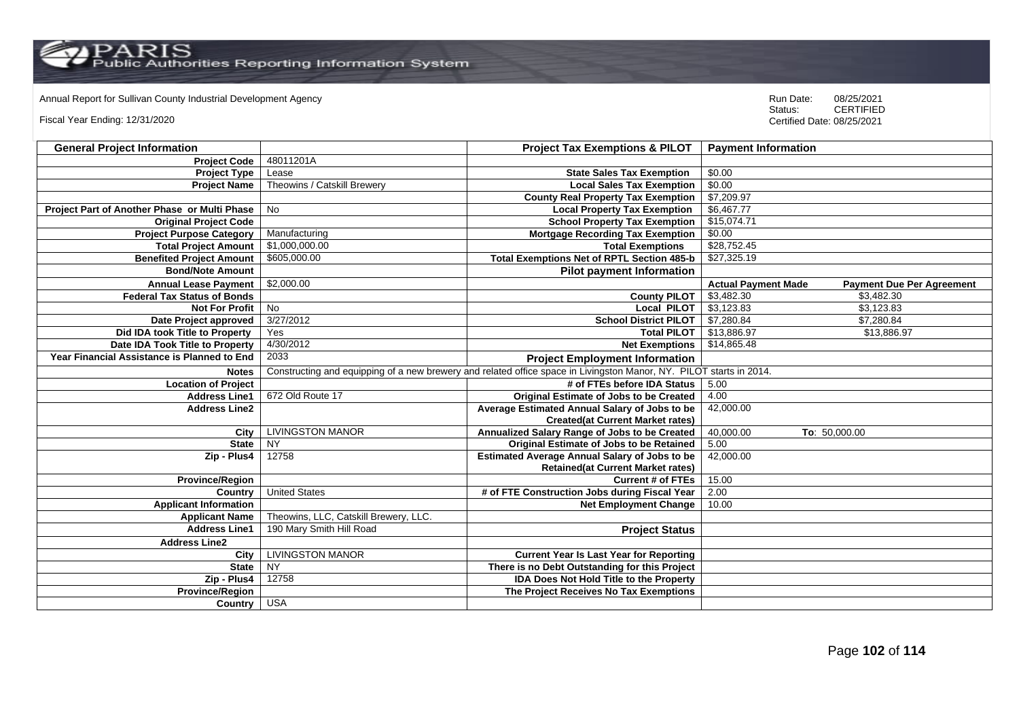# Annual Report for Sullivan County Industrial Development Agency<br>
Status: CERTIFIED

Fiscal Year Ending: 12/31/2020

| <b>General Project Information</b>           |                                       | <b>Project Tax Exemptions &amp; PILOT</b>                                                                           | <b>Payment Information</b>                                     |
|----------------------------------------------|---------------------------------------|---------------------------------------------------------------------------------------------------------------------|----------------------------------------------------------------|
| <b>Project Code</b>                          | 48011201A                             |                                                                                                                     |                                                                |
| <b>Project Type</b>                          | Lease                                 | <b>State Sales Tax Exemption</b>                                                                                    | \$0.00                                                         |
| <b>Project Name</b>                          | Theowins / Catskill Brewery           | <b>Local Sales Tax Exemption</b>                                                                                    | \$0.00                                                         |
|                                              |                                       | <b>County Real Property Tax Exemption</b>                                                                           | \$7,209.97                                                     |
| Project Part of Another Phase or Multi Phase | <b>No</b>                             | <b>Local Property Tax Exemption</b>                                                                                 | \$6,467.77                                                     |
| <b>Original Project Code</b>                 |                                       | <b>School Property Tax Exemption</b>                                                                                | \$15,074.71                                                    |
| <b>Project Purpose Category</b>              | Manufacturing                         | <b>Mortgage Recording Tax Exemption</b>                                                                             | \$0.00                                                         |
| <b>Total Project Amount</b>                  | \$1,000,000.00                        | <b>Total Exemptions</b>                                                                                             | \$28,752.45                                                    |
| <b>Benefited Project Amount</b>              | \$605,000.00                          | Total Exemptions Net of RPTL Section 485-b                                                                          | \$27,325.19                                                    |
| <b>Bond/Note Amount</b>                      |                                       | <b>Pilot payment Information</b>                                                                                    |                                                                |
| <b>Annual Lease Payment</b>                  | \$2,000.00                            |                                                                                                                     | <b>Actual Payment Made</b><br><b>Payment Due Per Agreement</b> |
| <b>Federal Tax Status of Bonds</b>           |                                       | <b>County PILOT</b>                                                                                                 | \$3,482.30<br>\$3,482.30                                       |
| <b>Not For Profit</b>                        | No                                    | <b>Local PILOT</b>                                                                                                  | \$3,123.83<br>\$3,123.83                                       |
| Date Project approved                        | 3/27/2012                             | <b>School District PILOT</b>                                                                                        | \$7,280.84<br>\$7,280.84                                       |
| Did IDA took Title to Property               | Yes                                   | <b>Total PILOT</b>                                                                                                  | \$13,886.97<br>\$13,886.97                                     |
| Date IDA Took Title to Property              | 4/30/2012                             | <b>Net Exemptions</b>                                                                                               | \$14,865.48                                                    |
| Year Financial Assistance is Planned to End  | 2033                                  | <b>Project Employment Information</b>                                                                               |                                                                |
| <b>Notes</b>                                 |                                       | Constructing and equipping of a new brewery and related office space in Livingston Manor, NY. PILOT starts in 2014. |                                                                |
| <b>Location of Project</b>                   |                                       | # of FTEs before IDA Status                                                                                         | 5.00                                                           |
| <b>Address Line1</b>                         | 672 Old Route 17                      | <b>Original Estimate of Jobs to be Created</b>                                                                      | 4.00                                                           |
| <b>Address Line2</b>                         |                                       | Average Estimated Annual Salary of Jobs to be                                                                       | 42,000.00                                                      |
|                                              |                                       | <b>Created(at Current Market rates)</b>                                                                             |                                                                |
| City                                         | <b>LIVINGSTON MANOR</b>               | Annualized Salary Range of Jobs to be Created                                                                       | 40,000.00<br>To: 50,000.00                                     |
| <b>State</b>                                 | NY                                    | Original Estimate of Jobs to be Retained                                                                            | 5.00                                                           |
| Zip - Plus4                                  | 12758                                 | <b>Estimated Average Annual Salary of Jobs to be</b>                                                                | 42,000.00                                                      |
|                                              |                                       | <b>Retained(at Current Market rates)</b>                                                                            |                                                                |
| <b>Province/Region</b>                       |                                       | <b>Current # of FTEs</b>                                                                                            | 15.00                                                          |
| Country                                      | <b>United States</b>                  | # of FTE Construction Jobs during Fiscal Year                                                                       | 2.00                                                           |
| <b>Applicant Information</b>                 |                                       | <b>Net Employment Change</b>                                                                                        | 10.00                                                          |
| <b>Applicant Name</b>                        | Theowins, LLC, Catskill Brewery, LLC. |                                                                                                                     |                                                                |
| <b>Address Line1</b>                         | 190 Mary Smith Hill Road              | <b>Project Status</b>                                                                                               |                                                                |
| <b>Address Line2</b>                         |                                       |                                                                                                                     |                                                                |
| City                                         | <b>LIVINGSTON MANOR</b>               | <b>Current Year Is Last Year for Reporting</b>                                                                      |                                                                |
| <b>State</b>                                 | <b>NY</b>                             | There is no Debt Outstanding for this Project                                                                       |                                                                |
| Zip - Plus4                                  | 12758                                 | <b>IDA Does Not Hold Title to the Property</b>                                                                      |                                                                |
| <b>Province/Region</b>                       |                                       | The Project Receives No Tax Exemptions                                                                              |                                                                |
| Country USA                                  |                                       |                                                                                                                     |                                                                |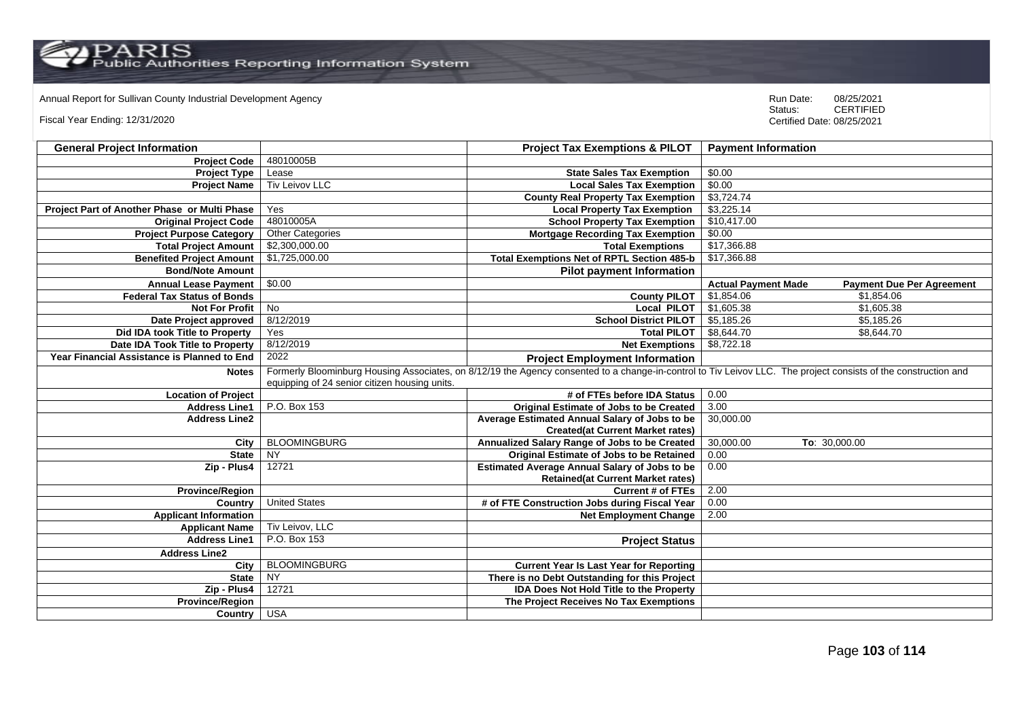# Annual Report for Sullivan County Industrial Development Agency<br>
Status: CERTIFIED

Fiscal Year Ending: 12/31/2020

| <b>General Project Information</b>           |                                                                                                                                                                 | <b>Project Tax Exemptions &amp; PILOT</b>            | <b>Payment Information</b> |                                  |
|----------------------------------------------|-----------------------------------------------------------------------------------------------------------------------------------------------------------------|------------------------------------------------------|----------------------------|----------------------------------|
| <b>Project Code</b>                          | 48010005B                                                                                                                                                       |                                                      |                            |                                  |
| <b>Project Type</b>                          | Lease                                                                                                                                                           | <b>State Sales Tax Exemption</b>                     | \$0.00                     |                                  |
| <b>Project Name</b>                          | <b>Tiv Leivov LLC</b>                                                                                                                                           | <b>Local Sales Tax Exemption</b>                     | \$0.00                     |                                  |
|                                              |                                                                                                                                                                 | <b>County Real Property Tax Exemption</b>            | \$3,724.74                 |                                  |
| Project Part of Another Phase or Multi Phase | Yes                                                                                                                                                             | <b>Local Property Tax Exemption</b>                  | \$3,225.14                 |                                  |
| <b>Original Project Code</b>                 | 48010005A                                                                                                                                                       | <b>School Property Tax Exemption</b>                 | \$10,417.00                |                                  |
| <b>Project Purpose Category</b>              | <b>Other Categories</b>                                                                                                                                         | <b>Mortgage Recording Tax Exemption</b>              | \$0.00                     |                                  |
| <b>Total Project Amount</b>                  | \$2,300,000.00                                                                                                                                                  | <b>Total Exemptions</b>                              | \$17,366.88                |                                  |
| <b>Benefited Project Amount</b>              | \$1,725,000.00                                                                                                                                                  | <b>Total Exemptions Net of RPTL Section 485-b</b>    | \$17,366.88                |                                  |
| <b>Bond/Note Amount</b>                      |                                                                                                                                                                 | <b>Pilot payment Information</b>                     |                            |                                  |
| <b>Annual Lease Payment</b>                  | \$0.00                                                                                                                                                          |                                                      | <b>Actual Payment Made</b> | <b>Payment Due Per Agreement</b> |
| <b>Federal Tax Status of Bonds</b>           |                                                                                                                                                                 | <b>County PILOT</b>                                  | \$1,854.06                 | \$1,854.06                       |
| <b>Not For Profit</b>                        | No                                                                                                                                                              | <b>Local PILOT</b>                                   | \$1,605.38                 | \$1,605.38                       |
| Date Project approved                        | 8/12/2019                                                                                                                                                       | <b>School District PILOT</b>                         | \$5,185.26                 | \$5,185.26                       |
| Did IDA took Title to Property               | Yes                                                                                                                                                             | <b>Total PILOT</b>                                   | \$8,644.70                 | \$8,644.70                       |
| Date IDA Took Title to Property              | 8/12/2019                                                                                                                                                       | <b>Net Exemptions</b>                                | \$8,722.18                 |                                  |
| Year Financial Assistance is Planned to End  | 2022                                                                                                                                                            | <b>Project Employment Information</b>                |                            |                                  |
| <b>Notes</b>                                 | Formerly Bloominburg Housing Associates, on 8/12/19 the Agency consented to a change-in-control to Tiv Leivov LLC. The project consists of the construction and |                                                      |                            |                                  |
|                                              | equipping of 24 senior citizen housing units.                                                                                                                   |                                                      |                            |                                  |
| <b>Location of Project</b>                   |                                                                                                                                                                 | # of FTEs before IDA Status                          | 0.00                       |                                  |
| <b>Address Line1</b>                         | P.O. Box 153                                                                                                                                                    | <b>Original Estimate of Jobs to be Created</b>       | 3.00                       |                                  |
| <b>Address Line2</b>                         |                                                                                                                                                                 | Average Estimated Annual Salary of Jobs to be        | 30,000.00                  |                                  |
|                                              |                                                                                                                                                                 | <b>Created(at Current Market rates)</b>              |                            |                                  |
| City                                         | <b>BLOOMINGBURG</b>                                                                                                                                             | Annualized Salary Range of Jobs to be Created        | 30,000.00<br>To: 30,000.00 |                                  |
| <b>State</b>                                 | <b>NY</b>                                                                                                                                                       | <b>Original Estimate of Jobs to be Retained</b>      | 0.00                       |                                  |
| Zip - Plus4                                  | 12721                                                                                                                                                           | <b>Estimated Average Annual Salary of Jobs to be</b> | 0.00                       |                                  |
|                                              |                                                                                                                                                                 | <b>Retained(at Current Market rates)</b>             |                            |                                  |
| <b>Province/Region</b>                       |                                                                                                                                                                 | <b>Current # of FTEs</b>                             | 2.00                       |                                  |
| Country                                      | <b>United States</b>                                                                                                                                            | # of FTE Construction Jobs during Fiscal Year        | 0.00                       |                                  |
| <b>Applicant Information</b>                 |                                                                                                                                                                 | <b>Net Employment Change</b>                         | 2.00                       |                                  |
| <b>Applicant Name</b>                        | Tiv Leivov, LLC                                                                                                                                                 |                                                      |                            |                                  |
| <b>Address Line1</b>                         | P.O. Box 153                                                                                                                                                    | <b>Project Status</b>                                |                            |                                  |
| <b>Address Line2</b>                         |                                                                                                                                                                 |                                                      |                            |                                  |
| City                                         | <b>BLOOMINGBURG</b>                                                                                                                                             | <b>Current Year Is Last Year for Reporting</b>       |                            |                                  |
| <b>State</b>                                 | <b>NY</b>                                                                                                                                                       | There is no Debt Outstanding for this Project        |                            |                                  |
| Zip - Plus4                                  | 12721                                                                                                                                                           | <b>IDA Does Not Hold Title to the Property</b>       |                            |                                  |
| <b>Province/Region</b>                       |                                                                                                                                                                 | The Project Receives No Tax Exemptions               |                            |                                  |
| Country USA                                  |                                                                                                                                                                 |                                                      |                            |                                  |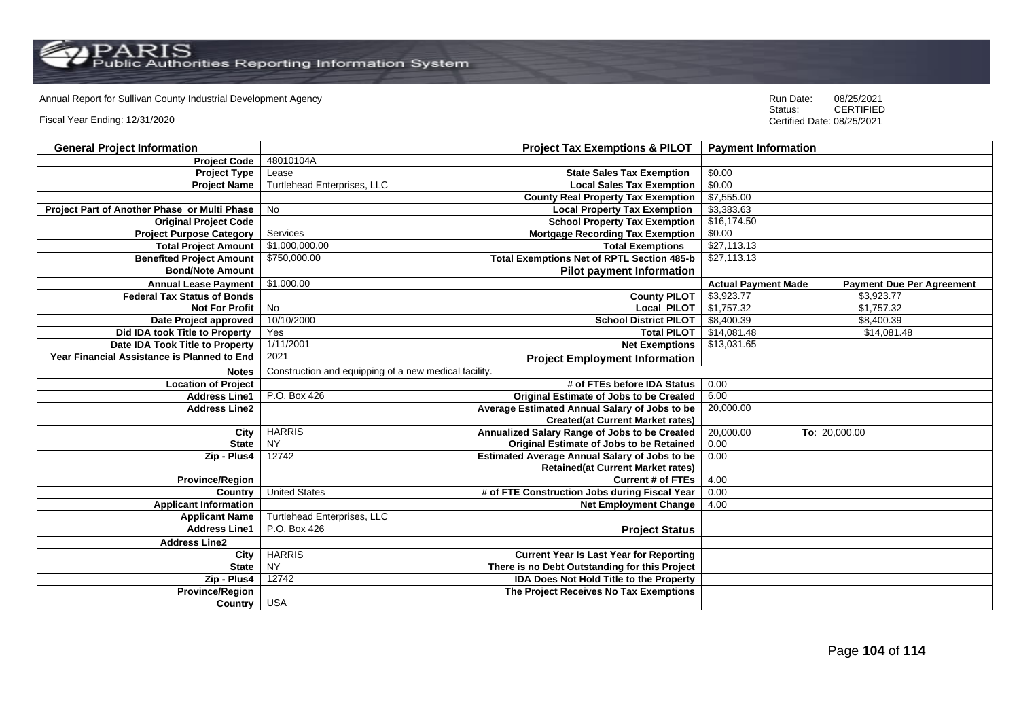# Annual Report for Sullivan County Industrial Development Agency<br>
Status: CERTIFIED

Fiscal Year Ending: 12/31/2020

| <b>General Project Information</b>           |                                                       | <b>Project Tax Exemptions &amp; PILOT</b>            | <b>Payment Information</b>                                     |
|----------------------------------------------|-------------------------------------------------------|------------------------------------------------------|----------------------------------------------------------------|
| <b>Project Code</b>                          | 48010104A                                             |                                                      |                                                                |
| <b>Project Type</b>                          | Lease                                                 | <b>State Sales Tax Exemption</b>                     | \$0.00                                                         |
| <b>Project Name</b>                          | <b>Turtlehead Enterprises, LLC</b>                    | <b>Local Sales Tax Exemption</b>                     | \$0.00                                                         |
|                                              |                                                       | <b>County Real Property Tax Exemption</b>            | \$7,555.00                                                     |
| Project Part of Another Phase or Multi Phase | No                                                    | <b>Local Property Tax Exemption</b>                  | \$3,383.63                                                     |
| <b>Original Project Code</b>                 |                                                       | <b>School Property Tax Exemption</b>                 | \$16,174.50                                                    |
| <b>Project Purpose Category</b>              | Services                                              | <b>Mortgage Recording Tax Exemption</b>              | \$0.00                                                         |
| <b>Total Project Amount</b>                  | \$1,000,000.00                                        | <b>Total Exemptions</b>                              | \$27,113.13                                                    |
| <b>Benefited Project Amount</b>              | \$750,000.00                                          | <b>Total Exemptions Net of RPTL Section 485-b</b>    | \$27,113.13                                                    |
| <b>Bond/Note Amount</b>                      |                                                       | <b>Pilot payment Information</b>                     |                                                                |
| <b>Annual Lease Payment</b>                  | \$1,000.00                                            |                                                      | <b>Actual Payment Made</b><br><b>Payment Due Per Agreement</b> |
| <b>Federal Tax Status of Bonds</b>           |                                                       | <b>County PILOT</b>                                  | \$3,923.77<br>\$3,923.77                                       |
| <b>Not For Profit</b>                        | No                                                    | <b>Local PILOT</b>                                   | \$1,757.32<br>\$1,757.32                                       |
| Date Project approved                        | 10/10/2000                                            | <b>School District PILOT</b>                         | \$8,400.39<br>\$8,400.39                                       |
| Did IDA took Title to Property               | Yes                                                   | <b>Total PILOT</b>                                   | \$14,081.48<br>\$14,081.48                                     |
| Date IDA Took Title to Property              | 1/11/2001                                             | <b>Net Exemptions</b>                                | \$13,031.65                                                    |
| Year Financial Assistance is Planned to End  | 2021                                                  | <b>Project Employment Information</b>                |                                                                |
| <b>Notes</b>                                 | Construction and equipping of a new medical facility. |                                                      |                                                                |
| <b>Location of Project</b>                   |                                                       | # of FTEs before IDA Status                          | 0.00                                                           |
| <b>Address Line1</b>                         | P.O. Box 426                                          | Original Estimate of Jobs to be Created              | 6.00                                                           |
| <b>Address Line2</b>                         |                                                       | Average Estimated Annual Salary of Jobs to be        | 20,000.00                                                      |
|                                              |                                                       | <b>Created(at Current Market rates)</b>              |                                                                |
| City                                         | <b>HARRIS</b>                                         | Annualized Salary Range of Jobs to be Created        | 20,000.00<br>To: 20,000.00                                     |
| <b>State</b>                                 | <b>NY</b>                                             | Original Estimate of Jobs to be Retained             | 0.00                                                           |
| Zip - Plus4                                  | 12742                                                 | <b>Estimated Average Annual Salary of Jobs to be</b> | 0.00                                                           |
|                                              |                                                       | <b>Retained(at Current Market rates)</b>             |                                                                |
| <b>Province/Region</b>                       |                                                       | <b>Current # of FTEs</b>                             | 4.00                                                           |
| Country                                      | <b>United States</b>                                  | # of FTE Construction Jobs during Fiscal Year        | 0.00                                                           |
| <b>Applicant Information</b>                 |                                                       | <b>Net Employment Change</b>                         | 4.00                                                           |
| <b>Applicant Name</b>                        | <b>Turtlehead Enterprises, LLC</b>                    |                                                      |                                                                |
| <b>Address Line1</b>                         | P.O. Box 426                                          | <b>Project Status</b>                                |                                                                |
| <b>Address Line2</b>                         |                                                       |                                                      |                                                                |
| City                                         | <b>HARRIS</b>                                         | <b>Current Year Is Last Year for Reporting</b>       |                                                                |
| <b>State</b>                                 | NY                                                    | There is no Debt Outstanding for this Project        |                                                                |
| Zip - Plus4                                  | 12742                                                 | <b>IDA Does Not Hold Title to the Property</b>       |                                                                |
| <b>Province/Region</b>                       |                                                       | The Project Receives No Tax Exemptions               |                                                                |
| Country                                      | <b>USA</b>                                            |                                                      |                                                                |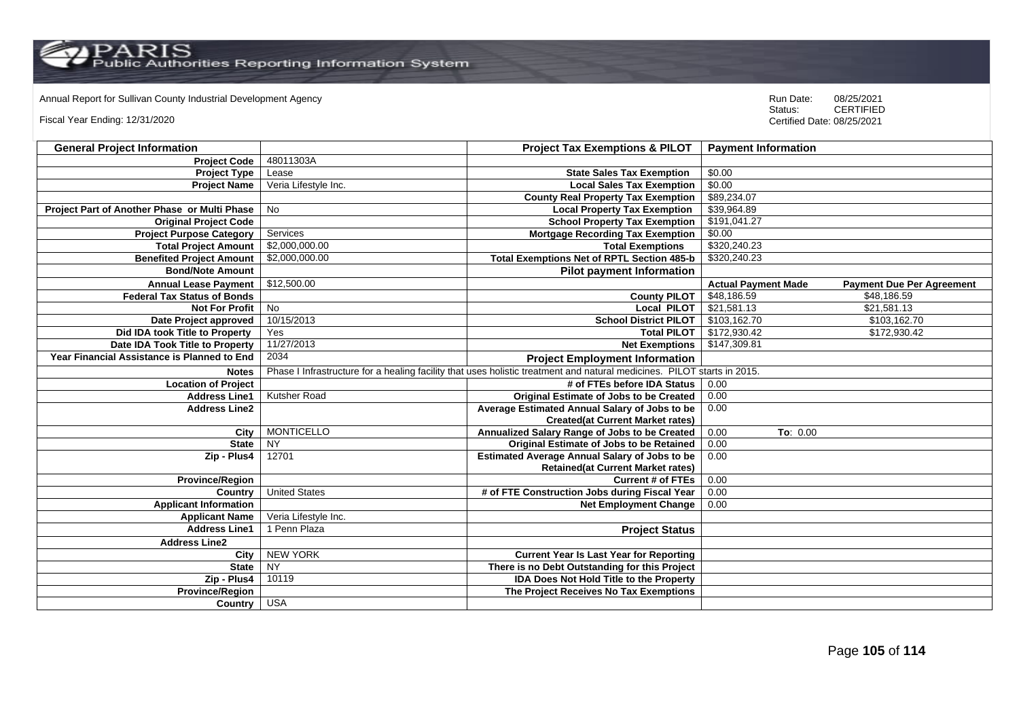# Annual Report for Sullivan County Industrial Development Agency<br>
Status: CERTIFIED

Fiscal Year Ending: 12/31/2020

| <b>General Project Information</b>           |                      | <b>Project Tax Exemptions &amp; PILOT</b>                                                                               | <b>Payment Information</b> |                                  |
|----------------------------------------------|----------------------|-------------------------------------------------------------------------------------------------------------------------|----------------------------|----------------------------------|
| <b>Project Code</b>                          | 48011303A            |                                                                                                                         |                            |                                  |
| <b>Project Type</b>                          | Lease                | <b>State Sales Tax Exemption</b>                                                                                        | \$0.00                     |                                  |
| <b>Project Name</b>                          | Veria Lifestyle Inc. | <b>Local Sales Tax Exemption</b>                                                                                        | \$0.00                     |                                  |
|                                              |                      | <b>County Real Property Tax Exemption</b>                                                                               | \$89,234.07                |                                  |
| Project Part of Another Phase or Multi Phase | No                   | <b>Local Property Tax Exemption</b>                                                                                     | \$39,964.89                |                                  |
| <b>Original Project Code</b>                 |                      | <b>School Property Tax Exemption</b>                                                                                    | \$191,041.27               |                                  |
| <b>Project Purpose Category</b>              | Services             | <b>Mortgage Recording Tax Exemption</b>                                                                                 | \$0.00                     |                                  |
| <b>Total Project Amount</b>                  | \$2,000,000.00       | <b>Total Exemptions</b>                                                                                                 | \$320,240.23               |                                  |
| <b>Benefited Project Amount</b>              | \$2,000,000.00       | <b>Total Exemptions Net of RPTL Section 485-b</b>                                                                       | \$320,240.23               |                                  |
| <b>Bond/Note Amount</b>                      |                      | <b>Pilot payment Information</b>                                                                                        |                            |                                  |
| <b>Annual Lease Payment</b>                  | \$12,500.00          |                                                                                                                         | <b>Actual Payment Made</b> | <b>Payment Due Per Agreement</b> |
| <b>Federal Tax Status of Bonds</b>           |                      | <b>County PILOT</b>                                                                                                     | \$48,186.59                | \$48,186.59                      |
| <b>Not For Profit</b>                        | No                   | <b>Local PILOT</b>                                                                                                      | \$21,581.13                | \$21,581.13                      |
| Date Project approved                        | 10/15/2013           | <b>School District PILOT</b>                                                                                            | \$103,162.70               | \$103,162.70                     |
| Did IDA took Title to Property               | Yes                  | <b>Total PILOT</b>                                                                                                      | \$172,930.42               | \$172,930.42                     |
| Date IDA Took Title to Property              | 11/27/2013           | <b>Net Exemptions</b>                                                                                                   | \$147,309.81               |                                  |
| Year Financial Assistance is Planned to End  | 2034                 | <b>Project Employment Information</b>                                                                                   |                            |                                  |
| <b>Notes</b>                                 |                      | Phase I Infrastructure for a healing facility that uses holistic treatment and natural medicines. PILOT starts in 2015. |                            |                                  |
| <b>Location of Project</b>                   |                      | # of FTEs before IDA Status                                                                                             | 0.00                       |                                  |
| <b>Address Line1</b>                         | Kutsher Road         | Original Estimate of Jobs to be Created                                                                                 | 0.00                       |                                  |
| <b>Address Line2</b>                         |                      | Average Estimated Annual Salary of Jobs to be                                                                           | 0.00                       |                                  |
|                                              |                      | <b>Created(at Current Market rates)</b>                                                                                 |                            |                                  |
| City                                         | <b>MONTICELLO</b>    | Annualized Salary Range of Jobs to be Created                                                                           | 0.00<br>To: 0.00           |                                  |
| <b>State</b>                                 | <b>NY</b>            | Original Estimate of Jobs to be Retained                                                                                | 0.00                       |                                  |
| Zip - Plus4                                  | 12701                | <b>Estimated Average Annual Salary of Jobs to be</b>                                                                    | 0.00                       |                                  |
|                                              |                      | <b>Retained(at Current Market rates)</b>                                                                                |                            |                                  |
| <b>Province/Region</b>                       |                      | <b>Current # of FTEs</b>                                                                                                | 0.00                       |                                  |
| Country                                      | <b>United States</b> | # of FTE Construction Jobs during Fiscal Year                                                                           | 0.00                       |                                  |
| <b>Applicant Information</b>                 |                      | <b>Net Employment Change</b>                                                                                            | 0.00                       |                                  |
| <b>Applicant Name</b>                        | Veria Lifestyle Inc. |                                                                                                                         |                            |                                  |
| <b>Address Line1</b>                         | 1 Penn Plaza         | <b>Project Status</b>                                                                                                   |                            |                                  |
| <b>Address Line2</b>                         |                      |                                                                                                                         |                            |                                  |
| City                                         | <b>NEW YORK</b>      | <b>Current Year Is Last Year for Reporting</b>                                                                          |                            |                                  |
| <b>State</b>                                 | NY                   | There is no Debt Outstanding for this Project                                                                           |                            |                                  |
| Zip - Plus4                                  | 10119                | <b>IDA Does Not Hold Title to the Property</b>                                                                          |                            |                                  |
| <b>Province/Region</b>                       |                      | The Project Receives No Tax Exemptions                                                                                  |                            |                                  |
| Country                                      | <b>USA</b>           |                                                                                                                         |                            |                                  |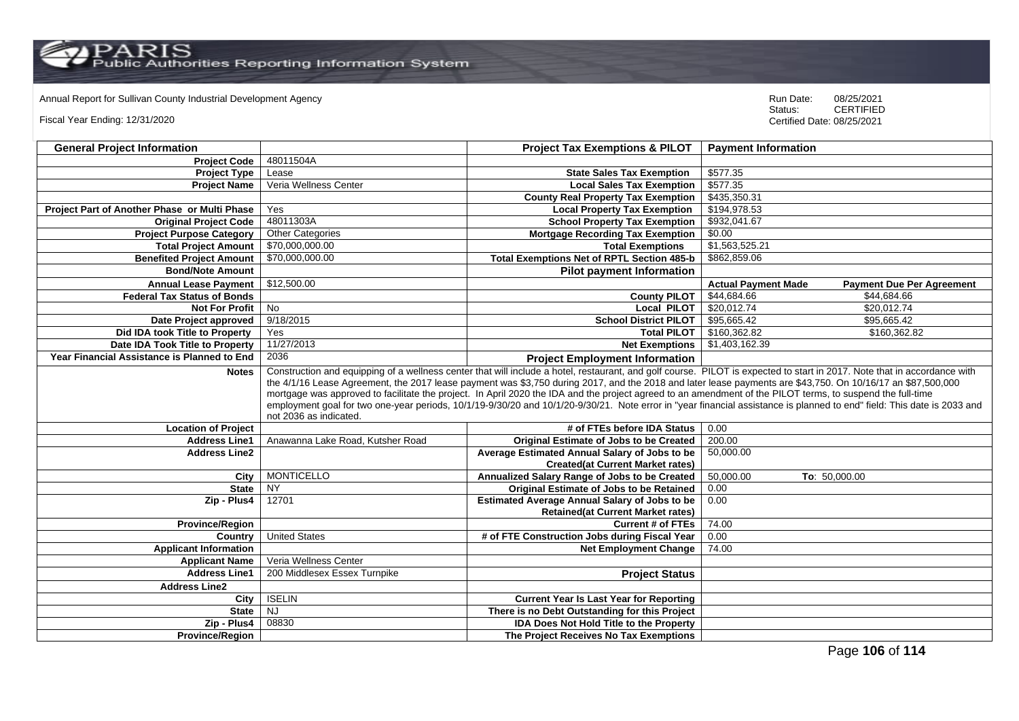# Annual Report for Sullivan County Industrial Development Agency<br>
Status: CERTIFIED

Fiscal Year Ending: 12/31/2020

| <b>General Project Information</b>           |                                  | <b>Project Tax Exemptions &amp; PILOT</b>                                                                                                                  | <b>Payment Information</b>                                                                                                                                                                                                                                                                                                             |
|----------------------------------------------|----------------------------------|------------------------------------------------------------------------------------------------------------------------------------------------------------|----------------------------------------------------------------------------------------------------------------------------------------------------------------------------------------------------------------------------------------------------------------------------------------------------------------------------------------|
| <b>Project Code</b>                          | 48011504A                        |                                                                                                                                                            |                                                                                                                                                                                                                                                                                                                                        |
| <b>Project Type</b>                          | Lease                            | <b>State Sales Tax Exemption</b>                                                                                                                           | \$577.35                                                                                                                                                                                                                                                                                                                               |
| <b>Project Name</b>                          | Veria Wellness Center            | <b>Local Sales Tax Exemption</b>                                                                                                                           | \$577.35                                                                                                                                                                                                                                                                                                                               |
|                                              |                                  | <b>County Real Property Tax Exemption</b>                                                                                                                  | \$435,350.31                                                                                                                                                                                                                                                                                                                           |
| Project Part of Another Phase or Multi Phase | Yes                              | <b>Local Property Tax Exemption</b>                                                                                                                        | \$194,978.53                                                                                                                                                                                                                                                                                                                           |
| <b>Original Project Code</b>                 | 48011303A                        | <b>School Property Tax Exemption</b>                                                                                                                       | \$932,041.67                                                                                                                                                                                                                                                                                                                           |
| <b>Project Purpose Category</b>              | <b>Other Categories</b>          | <b>Mortgage Recording Tax Exemption</b>                                                                                                                    | \$0.00                                                                                                                                                                                                                                                                                                                                 |
| <b>Total Project Amount</b>                  | \$70,000,000.00                  | <b>Total Exemptions</b>                                                                                                                                    | \$1,563,525.21                                                                                                                                                                                                                                                                                                                         |
| <b>Benefited Project Amount</b>              | \$70,000,000.00                  | <b>Total Exemptions Net of RPTL Section 485-b</b>                                                                                                          | \$862,859.06                                                                                                                                                                                                                                                                                                                           |
| <b>Bond/Note Amount</b>                      |                                  | <b>Pilot payment Information</b>                                                                                                                           |                                                                                                                                                                                                                                                                                                                                        |
| <b>Annual Lease Payment</b>                  | \$12,500.00                      |                                                                                                                                                            | <b>Actual Payment Made</b><br><b>Payment Due Per Agreement</b>                                                                                                                                                                                                                                                                         |
| <b>Federal Tax Status of Bonds</b>           |                                  | <b>County PILOT</b>                                                                                                                                        | \$44,684.66<br>\$44,684.66                                                                                                                                                                                                                                                                                                             |
| <b>Not For Profit</b>                        | No                               | <b>Local PILOT</b>                                                                                                                                         | \$20,012.74<br>\$20,012.74                                                                                                                                                                                                                                                                                                             |
| Date Project approved                        | 9/18/2015                        | <b>School District PILOT</b>                                                                                                                               | \$95,665.42<br>\$95,665.42                                                                                                                                                                                                                                                                                                             |
| Did IDA took Title to Property               | Yes                              | <b>Total PILOT</b>                                                                                                                                         | \$160,362.82<br>\$160,362.82                                                                                                                                                                                                                                                                                                           |
| Date IDA Took Title to Property              | 11/27/2013                       | <b>Net Exemptions</b>                                                                                                                                      | \$1,403,162.39                                                                                                                                                                                                                                                                                                                         |
| Year Financial Assistance is Planned to End  | 2036                             | <b>Project Employment Information</b>                                                                                                                      |                                                                                                                                                                                                                                                                                                                                        |
|                                              | not 2036 as indicated.           | mortgage was approved to facilitate the project. In April 2020 the IDA and the project agreed to an amendment of the PILOT terms, to suspend the full-time | the 4/1/16 Lease Agreement, the 2017 lease payment was \$3,750 during 2017, and the 2018 and later lease payments are \$43,750. On 10/16/17 an \$87,500,000<br>employment goal for two one-year periods, 10/1/19-9/30/20 and 10/1/20-9/30/21. Note error in "year financial assistance is planned to end" field: This date is 2033 and |
| <b>Location of Project</b>                   |                                  | # of FTEs before IDA Status                                                                                                                                | 0.00                                                                                                                                                                                                                                                                                                                                   |
| <b>Address Line1</b>                         | Anawanna Lake Road, Kutsher Road | Original Estimate of Jobs to be Created                                                                                                                    | 200.00                                                                                                                                                                                                                                                                                                                                 |
| <b>Address Line2</b>                         |                                  | Average Estimated Annual Salary of Jobs to be                                                                                                              | 50,000.00                                                                                                                                                                                                                                                                                                                              |
|                                              |                                  | <b>Created(at Current Market rates)</b>                                                                                                                    |                                                                                                                                                                                                                                                                                                                                        |
| City                                         | <b>MONTICELLO</b>                | Annualized Salary Range of Jobs to be Created                                                                                                              | 50,000.00<br>To: 50,000.00                                                                                                                                                                                                                                                                                                             |
| <b>State</b>                                 | <b>NY</b>                        | Original Estimate of Jobs to be Retained                                                                                                                   | 0.00                                                                                                                                                                                                                                                                                                                                   |
| Zip - Plus4                                  | 12701                            | <b>Estimated Average Annual Salary of Jobs to be</b>                                                                                                       | 0.00                                                                                                                                                                                                                                                                                                                                   |
|                                              |                                  | <b>Retained(at Current Market rates)</b>                                                                                                                   |                                                                                                                                                                                                                                                                                                                                        |
| <b>Province/Region</b>                       |                                  | <b>Current # of FTEs</b>                                                                                                                                   | 74.00                                                                                                                                                                                                                                                                                                                                  |
| Country                                      | <b>United States</b>             | # of FTE Construction Jobs during Fiscal Year                                                                                                              | 0.00                                                                                                                                                                                                                                                                                                                                   |
| <b>Applicant Information</b>                 |                                  | <b>Net Employment Change</b>                                                                                                                               | 74.00                                                                                                                                                                                                                                                                                                                                  |
| <b>Applicant Name</b>                        | Veria Wellness Center            |                                                                                                                                                            |                                                                                                                                                                                                                                                                                                                                        |
| <b>Address Line1</b>                         | 200 Middlesex Essex Turnpike     | <b>Project Status</b>                                                                                                                                      |                                                                                                                                                                                                                                                                                                                                        |
| <b>Address Line2</b>                         |                                  |                                                                                                                                                            |                                                                                                                                                                                                                                                                                                                                        |
| City                                         | <b>ISELIN</b>                    | <b>Current Year Is Last Year for Reporting</b>                                                                                                             |                                                                                                                                                                                                                                                                                                                                        |
| <b>State</b>                                 | <b>NJ</b>                        | There is no Debt Outstanding for this Project                                                                                                              |                                                                                                                                                                                                                                                                                                                                        |
| Zip - Plus4                                  | 08830                            | <b>IDA Does Not Hold Title to the Property</b>                                                                                                             |                                                                                                                                                                                                                                                                                                                                        |
| <b>Province/Region</b>                       |                                  | The Project Receives No Tax Exemptions                                                                                                                     |                                                                                                                                                                                                                                                                                                                                        |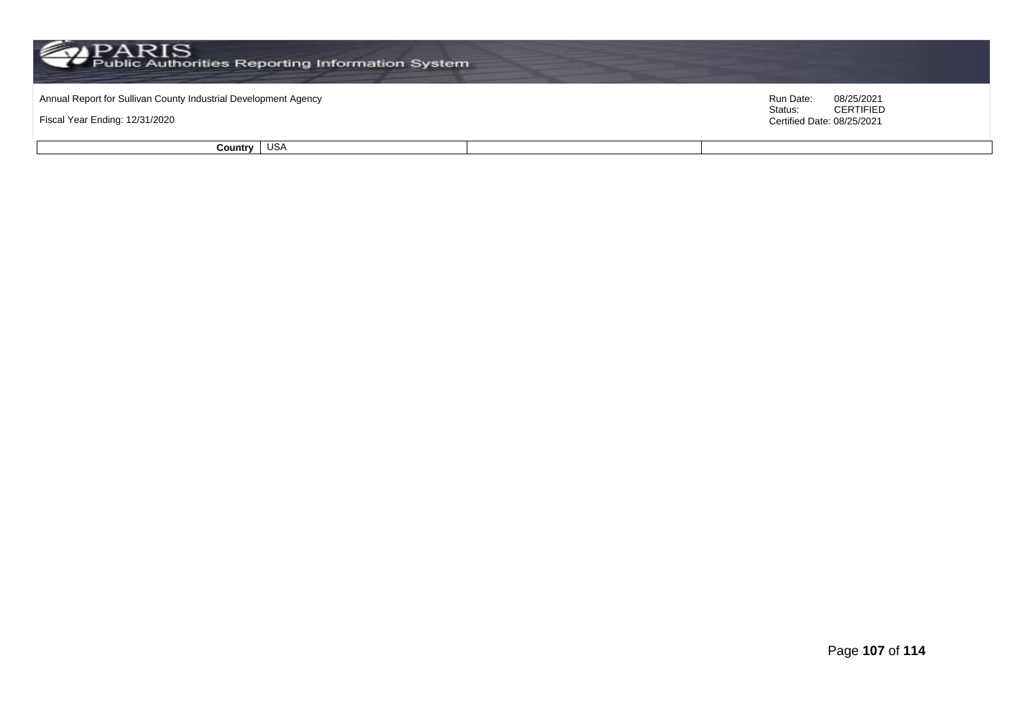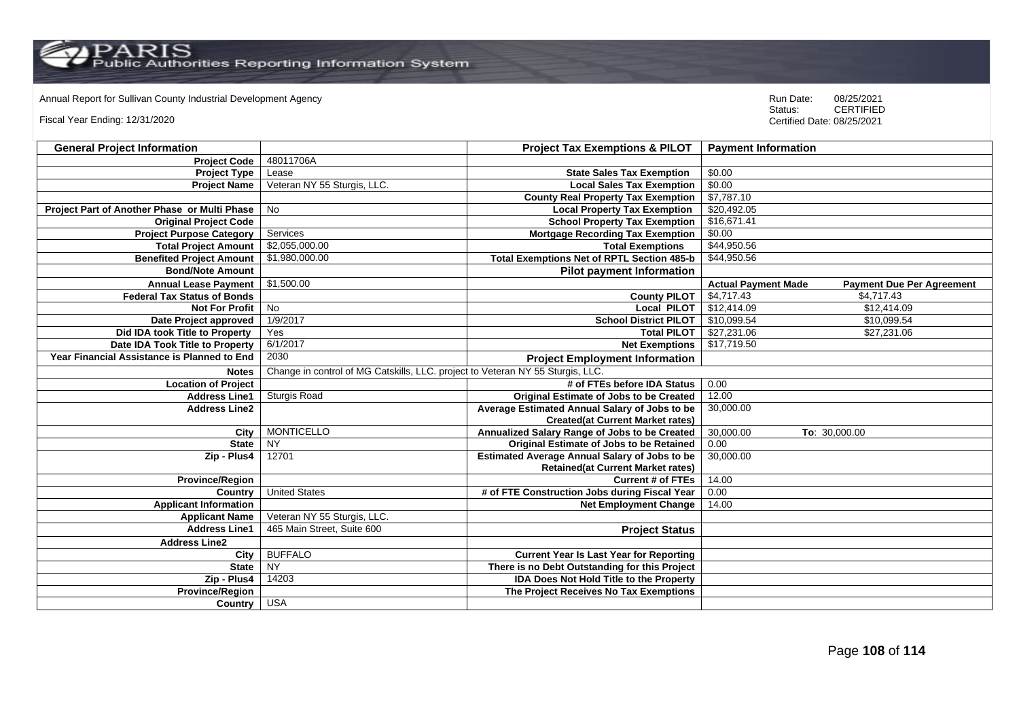# Annual Report for Sullivan County Industrial Development Agency<br>
Status: CERTIFIED

Fiscal Year Ending: 12/31/2020

| <b>General Project Information</b>           |                                                                                | <b>Project Tax Exemptions &amp; PILOT</b>            | <b>Payment Information</b>                                     |
|----------------------------------------------|--------------------------------------------------------------------------------|------------------------------------------------------|----------------------------------------------------------------|
| <b>Project Code</b>                          | 48011706A                                                                      |                                                      |                                                                |
| <b>Project Type</b>                          | Lease                                                                          | <b>State Sales Tax Exemption</b>                     | \$0.00                                                         |
| <b>Project Name</b>                          | Veteran NY 55 Sturgis, LLC.                                                    | <b>Local Sales Tax Exemption</b>                     | \$0.00                                                         |
|                                              |                                                                                | <b>County Real Property Tax Exemption</b>            | \$7,787.10                                                     |
| Project Part of Another Phase or Multi Phase | No                                                                             | <b>Local Property Tax Exemption</b>                  | \$20,492.05                                                    |
| <b>Original Project Code</b>                 |                                                                                | <b>School Property Tax Exemption</b>                 | \$16,671.41                                                    |
| <b>Project Purpose Category</b>              | Services                                                                       | <b>Mortgage Recording Tax Exemption</b>              | \$0.00                                                         |
| <b>Total Project Amount</b>                  | \$2,055,000.00                                                                 | <b>Total Exemptions</b>                              | \$44,950.56                                                    |
| <b>Benefited Project Amount</b>              | \$1,980,000.00                                                                 | <b>Total Exemptions Net of RPTL Section 485-b</b>    | \$44,950.56                                                    |
| <b>Bond/Note Amount</b>                      |                                                                                | <b>Pilot payment Information</b>                     |                                                                |
| <b>Annual Lease Payment</b>                  | \$1,500.00                                                                     |                                                      | <b>Actual Payment Made</b><br><b>Payment Due Per Agreement</b> |
| <b>Federal Tax Status of Bonds</b>           |                                                                                | <b>County PILOT</b>                                  | \$4,717.43<br>\$4,717.43                                       |
| <b>Not For Profit</b>                        | No                                                                             | <b>Local PILOT</b>                                   | \$12,414.09<br>\$12,414.09                                     |
| Date Project approved                        | 1/9/2017                                                                       | <b>School District PILOT</b>                         | \$10,099.54<br>\$10,099.54                                     |
| Did IDA took Title to Property               | Yes                                                                            | <b>Total PILOT</b>                                   | \$27,231.06<br>\$27,231.06                                     |
| Date IDA Took Title to Property              | 6/1/2017                                                                       | <b>Net Exemptions</b>                                | \$17,719.50                                                    |
| Year Financial Assistance is Planned to End  | 2030                                                                           | <b>Project Employment Information</b>                |                                                                |
| <b>Notes</b>                                 | Change in control of MG Catskills, LLC. project to Veteran NY 55 Sturgis, LLC. |                                                      |                                                                |
| <b>Location of Project</b>                   |                                                                                | # of FTEs before IDA Status                          | 0.00                                                           |
| <b>Address Line1</b>                         | <b>Sturgis Road</b>                                                            | Original Estimate of Jobs to be Created              | 12.00                                                          |
| <b>Address Line2</b>                         |                                                                                | Average Estimated Annual Salary of Jobs to be        | 30,000.00                                                      |
|                                              |                                                                                | <b>Created(at Current Market rates)</b>              |                                                                |
| City                                         | <b>MONTICELLO</b>                                                              | Annualized Salary Range of Jobs to be Created        | 30,000.00<br>To: 30,000.00                                     |
| <b>State</b>                                 | <b>NY</b>                                                                      | Original Estimate of Jobs to be Retained             | 0.00                                                           |
| Zip - Plus4                                  | 12701                                                                          | <b>Estimated Average Annual Salary of Jobs to be</b> | 30,000.00                                                      |
|                                              |                                                                                | <b>Retained(at Current Market rates)</b>             |                                                                |
| <b>Province/Region</b>                       |                                                                                | <b>Current # of FTEs</b>                             | 14.00                                                          |
| Country                                      | <b>United States</b>                                                           | # of FTE Construction Jobs during Fiscal Year        | 0.00                                                           |
| <b>Applicant Information</b>                 |                                                                                | <b>Net Employment Change</b>                         | 14.00                                                          |
| <b>Applicant Name</b>                        | Veteran NY 55 Sturgis, LLC.                                                    |                                                      |                                                                |
| <b>Address Line1</b>                         | 465 Main Street, Suite 600                                                     | <b>Project Status</b>                                |                                                                |
| <b>Address Line2</b>                         |                                                                                |                                                      |                                                                |
| City                                         | <b>BUFFALO</b>                                                                 | <b>Current Year Is Last Year for Reporting</b>       |                                                                |
| <b>State</b>                                 | NY                                                                             | There is no Debt Outstanding for this Project        |                                                                |
| Zip - Plus4                                  | 14203                                                                          | <b>IDA Does Not Hold Title to the Property</b>       |                                                                |
| <b>Province/Region</b>                       |                                                                                | The Project Receives No Tax Exemptions               |                                                                |
| Country                                      | <b>USA</b>                                                                     |                                                      |                                                                |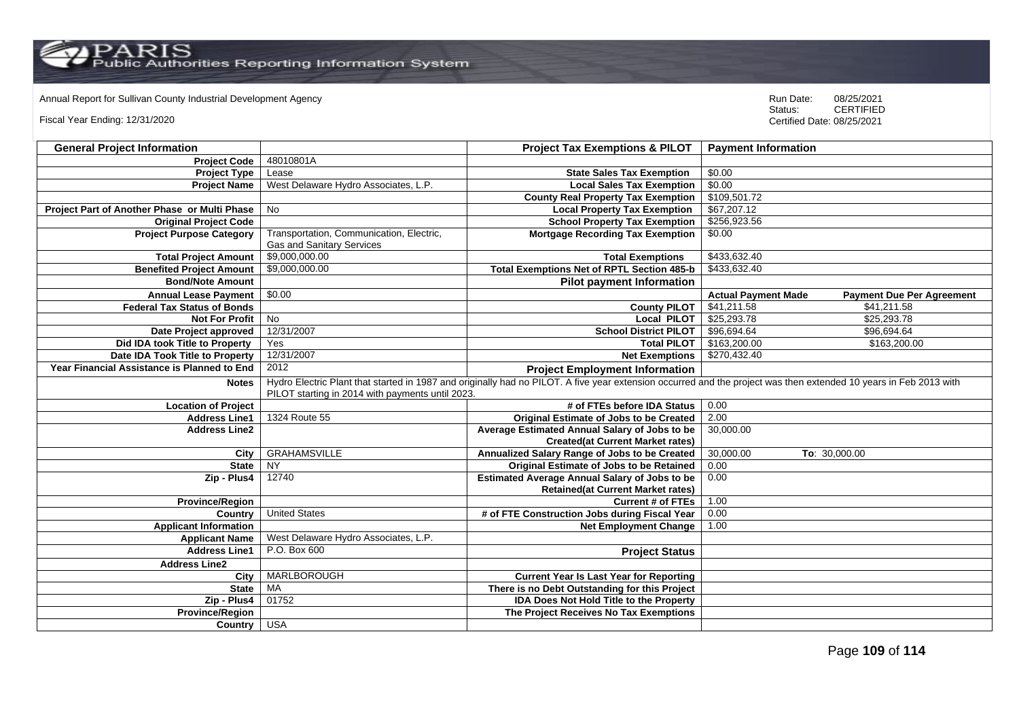# Annual Report for Sullivan County Industrial Development Agency<br>
Status: CERTIFIED

Fiscal Year Ending: 12/31/2020

| <b>General Project Information</b>           |                                                                              | <b>Project Tax Exemptions &amp; PILOT</b>            | <b>Payment Information</b>                                                                                                                                        |
|----------------------------------------------|------------------------------------------------------------------------------|------------------------------------------------------|-------------------------------------------------------------------------------------------------------------------------------------------------------------------|
| <b>Project Code</b>                          | 48010801A                                                                    |                                                      |                                                                                                                                                                   |
| <b>Project Type</b>                          | Lease                                                                        | <b>State Sales Tax Exemption</b>                     | \$0.00                                                                                                                                                            |
| <b>Project Name</b>                          | West Delaware Hydro Associates, L.P.                                         | <b>Local Sales Tax Exemption</b>                     | \$0.00                                                                                                                                                            |
|                                              |                                                                              | <b>County Real Property Tax Exemption</b>            | \$109,501.72                                                                                                                                                      |
| Project Part of Another Phase or Multi Phase | <b>No</b>                                                                    | <b>Local Property Tax Exemption</b>                  | \$67,207.12                                                                                                                                                       |
| <b>Original Project Code</b>                 |                                                                              | <b>School Property Tax Exemption</b>                 | \$256,923.56                                                                                                                                                      |
| <b>Project Purpose Category</b>              | Transportation, Communication, Electric,<br><b>Gas and Sanitary Services</b> | <b>Mortgage Recording Tax Exemption</b>              | \$0.00                                                                                                                                                            |
| <b>Total Project Amount</b>                  | \$9,000,000.00                                                               | <b>Total Exemptions</b>                              | \$433,632.40                                                                                                                                                      |
| <b>Benefited Project Amount</b>              | \$9,000,000.00                                                               | <b>Total Exemptions Net of RPTL Section 485-b</b>    | \$433,632.40                                                                                                                                                      |
| <b>Bond/Note Amount</b>                      |                                                                              | <b>Pilot payment Information</b>                     |                                                                                                                                                                   |
| <b>Annual Lease Payment</b>                  | \$0.00                                                                       |                                                      | <b>Actual Payment Made</b><br><b>Payment Due Per Agreement</b>                                                                                                    |
| <b>Federal Tax Status of Bonds</b>           |                                                                              | <b>County PILOT</b>                                  | \$41,211.58<br>\$41,211.58                                                                                                                                        |
| <b>Not For Profit</b>                        | No                                                                           | <b>Local PILOT</b>                                   | \$25,293.78<br>\$25,293.78                                                                                                                                        |
| Date Project approved                        | 12/31/2007                                                                   | <b>School District PILOT</b>                         | \$96,694.64<br>\$96,694.64                                                                                                                                        |
| Did IDA took Title to Property               | Yes                                                                          | <b>Total PILOT</b>                                   | \$163,200.00<br>\$163,200.00                                                                                                                                      |
| Date IDA Took Title to Property              | 12/31/2007                                                                   | <b>Net Exemptions</b>                                | \$270,432.40                                                                                                                                                      |
| Year Financial Assistance is Planned to End  | 2012                                                                         | <b>Project Employment Information</b>                |                                                                                                                                                                   |
| <b>Notes</b>                                 | PILOT starting in 2014 with payments until 2023.                             |                                                      | Hydro Electric Plant that started in 1987 and originally had no PILOT. A five year extension occurred and the project was then extended 10 years in Feb 2013 with |
| <b>Location of Project</b>                   |                                                                              | # of FTEs before IDA Status                          | 0.00                                                                                                                                                              |
| <b>Address Line1</b>                         | 1324 Route 55                                                                | <b>Original Estimate of Jobs to be Created</b>       | 2.00                                                                                                                                                              |
| <b>Address Line2</b>                         |                                                                              | Average Estimated Annual Salary of Jobs to be        | 30,000.00                                                                                                                                                         |
|                                              |                                                                              | <b>Created(at Current Market rates)</b>              |                                                                                                                                                                   |
| City                                         | <b>GRAHAMSVILLE</b>                                                          | Annualized Salary Range of Jobs to be Created        | 30,000.00<br>To: 30,000.00                                                                                                                                        |
| <b>State</b>                                 | <b>NY</b>                                                                    | <b>Original Estimate of Jobs to be Retained</b>      | 0.00                                                                                                                                                              |
| Zip - Plus4                                  | 12740                                                                        | <b>Estimated Average Annual Salary of Jobs to be</b> | 0.00                                                                                                                                                              |
|                                              |                                                                              | <b>Retained(at Current Market rates)</b>             |                                                                                                                                                                   |
| <b>Province/Region</b>                       |                                                                              | <b>Current # of FTEs</b>                             | 1.00                                                                                                                                                              |
| Country                                      | <b>United States</b>                                                         | # of FTE Construction Jobs during Fiscal Year        | 0.00                                                                                                                                                              |
| <b>Applicant Information</b>                 |                                                                              | <b>Net Employment Change</b>                         | 1.00                                                                                                                                                              |
| <b>Applicant Name</b>                        | West Delaware Hydro Associates, L.P.                                         |                                                      |                                                                                                                                                                   |
| <b>Address Line1</b>                         | P.O. Box 600                                                                 | <b>Project Status</b>                                |                                                                                                                                                                   |
| <b>Address Line2</b>                         |                                                                              |                                                      |                                                                                                                                                                   |
| City                                         | MARLBOROUGH                                                                  | <b>Current Year Is Last Year for Reporting</b>       |                                                                                                                                                                   |
| <b>State</b>                                 | <b>MA</b>                                                                    | There is no Debt Outstanding for this Project        |                                                                                                                                                                   |
| Zip - Plus4                                  | 01752                                                                        | IDA Does Not Hold Title to the Property              |                                                                                                                                                                   |
| <b>Province/Region</b>                       |                                                                              | The Project Receives No Tax Exemptions               |                                                                                                                                                                   |
| <b>Country</b>                               | <b>USA</b>                                                                   |                                                      |                                                                                                                                                                   |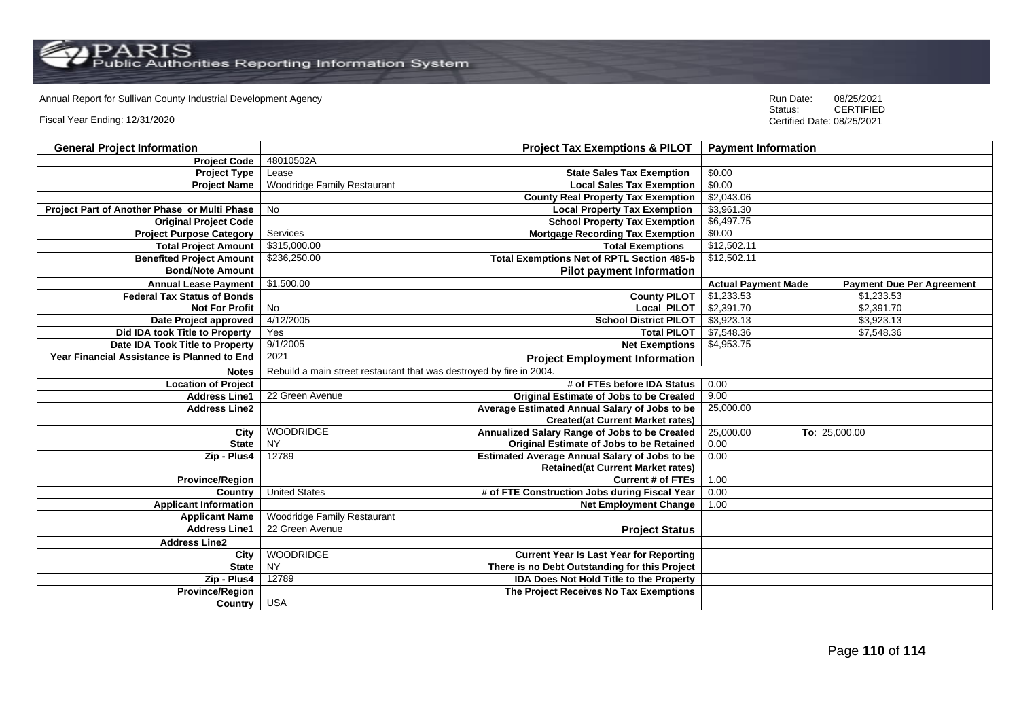# Annual Report for Sullivan County Industrial Development Agency<br>
Status: CERTIFIED

Fiscal Year Ending: 12/31/2020

| <b>General Project Information</b>           |                                                                      | <b>Project Tax Exemptions &amp; PILOT</b>            | <b>Payment Information</b>                                     |
|----------------------------------------------|----------------------------------------------------------------------|------------------------------------------------------|----------------------------------------------------------------|
| <b>Project Code</b>                          | 48010502A                                                            |                                                      |                                                                |
| <b>Project Type</b>                          | Lease                                                                | <b>State Sales Tax Exemption</b>                     | \$0.00                                                         |
| <b>Project Name</b>                          | Woodridge Family Restaurant                                          | <b>Local Sales Tax Exemption</b>                     | \$0.00                                                         |
|                                              |                                                                      | <b>County Real Property Tax Exemption</b>            | \$2,043.06                                                     |
| Project Part of Another Phase or Multi Phase | No                                                                   | <b>Local Property Tax Exemption</b>                  | \$3,961.30                                                     |
| <b>Original Project Code</b>                 |                                                                      | <b>School Property Tax Exemption</b>                 | \$6,497.75                                                     |
| <b>Project Purpose Category</b>              | Services                                                             | <b>Mortgage Recording Tax Exemption</b>              | \$0.00                                                         |
| <b>Total Project Amount</b>                  | \$315,000.00                                                         | <b>Total Exemptions</b>                              | \$12,502.11                                                    |
| <b>Benefited Project Amount</b>              | \$236,250.00                                                         | <b>Total Exemptions Net of RPTL Section 485-b</b>    | \$12,502.11                                                    |
| <b>Bond/Note Amount</b>                      |                                                                      | <b>Pilot payment Information</b>                     |                                                                |
| <b>Annual Lease Payment</b>                  | \$1,500.00                                                           |                                                      | <b>Actual Payment Made</b><br><b>Payment Due Per Agreement</b> |
| <b>Federal Tax Status of Bonds</b>           |                                                                      | <b>County PILOT</b>                                  | \$1,233.53<br>\$1,233.53                                       |
| <b>Not For Profit</b>                        | No                                                                   | <b>Local PILOT</b>                                   | \$2,391.70<br>\$2,391.70                                       |
| Date Project approved                        | 4/12/2005                                                            | <b>School District PILOT</b>                         | \$3,923.13<br>\$3,923.13                                       |
| Did IDA took Title to Property               | Yes                                                                  | <b>Total PILOT</b>                                   | \$7,548.36<br>\$7,548.36                                       |
| Date IDA Took Title to Property              | 9/1/2005                                                             | <b>Net Exemptions</b>                                | \$4,953.75                                                     |
| Year Financial Assistance is Planned to End  | 2021                                                                 | <b>Project Employment Information</b>                |                                                                |
| <b>Notes</b>                                 | Rebuild a main street restaurant that was destroyed by fire in 2004. |                                                      |                                                                |
| <b>Location of Project</b>                   |                                                                      | # of FTEs before IDA Status                          | 0.00                                                           |
| <b>Address Line1</b>                         | 22 Green Avenue                                                      | Original Estimate of Jobs to be Created              | 9.00                                                           |
| <b>Address Line2</b>                         |                                                                      | Average Estimated Annual Salary of Jobs to be        | 25,000.00                                                      |
|                                              |                                                                      | <b>Created(at Current Market rates)</b>              |                                                                |
| City                                         | <b>WOODRIDGE</b>                                                     | Annualized Salary Range of Jobs to be Created        | 25,000.00<br>To: 25,000.00                                     |
| <b>State</b>                                 | <b>NY</b>                                                            | Original Estimate of Jobs to be Retained             | 0.00                                                           |
| Zip - Plus4                                  | 12789                                                                | <b>Estimated Average Annual Salary of Jobs to be</b> | 0.00                                                           |
|                                              |                                                                      | <b>Retained(at Current Market rates)</b>             |                                                                |
| <b>Province/Region</b>                       |                                                                      | <b>Current # of FTEs</b>                             | 1.00                                                           |
| Country                                      | <b>United States</b>                                                 | # of FTE Construction Jobs during Fiscal Year        | 0.00                                                           |
| <b>Applicant Information</b>                 |                                                                      | <b>Net Employment Change</b>                         | 1.00                                                           |
| <b>Applicant Name</b>                        | Woodridge Family Restaurant                                          |                                                      |                                                                |
| <b>Address Line1</b>                         | 22 Green Avenue                                                      | <b>Project Status</b>                                |                                                                |
| <b>Address Line2</b>                         |                                                                      |                                                      |                                                                |
| City                                         | <b>WOODRIDGE</b>                                                     | <b>Current Year Is Last Year for Reporting</b>       |                                                                |
| <b>State</b>                                 | NY                                                                   | There is no Debt Outstanding for this Project        |                                                                |
| Zip - Plus4                                  | 12789                                                                | <b>IDA Does Not Hold Title to the Property</b>       |                                                                |
| <b>Province/Region</b>                       |                                                                      | The Project Receives No Tax Exemptions               |                                                                |
| Country                                      | <b>USA</b>                                                           |                                                      |                                                                |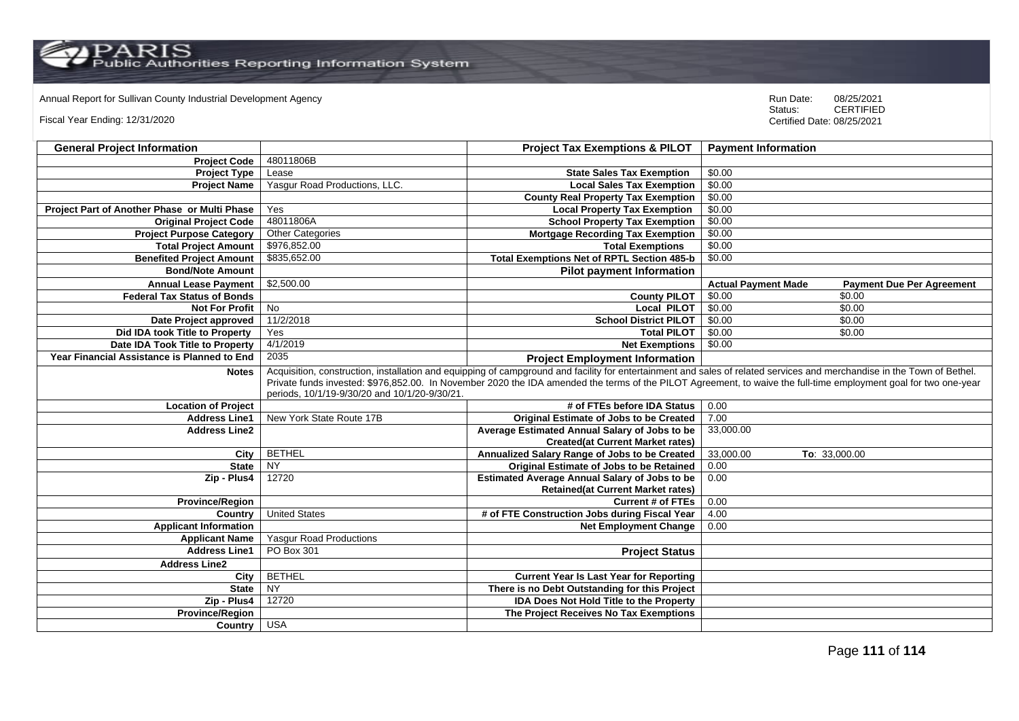# Annual Report for Sullivan County Industrial Development Agency<br>
Status: CERTIFIED

Fiscal Year Ending: 12/31/2020

| <b>General Project Information</b>           |                                               | <b>Project Tax Exemptions &amp; PILOT</b>            | <b>Payment Information</b>                                                                                                                                              |
|----------------------------------------------|-----------------------------------------------|------------------------------------------------------|-------------------------------------------------------------------------------------------------------------------------------------------------------------------------|
| <b>Project Code</b>                          | 48011806B                                     |                                                      |                                                                                                                                                                         |
| <b>Project Type</b>                          | Lease                                         | <b>State Sales Tax Exemption</b>                     | \$0.00                                                                                                                                                                  |
| <b>Project Name</b>                          | Yasgur Road Productions, LLC.                 | <b>Local Sales Tax Exemption</b>                     | \$0.00                                                                                                                                                                  |
|                                              |                                               | <b>County Real Property Tax Exemption</b>            | \$0.00                                                                                                                                                                  |
| Project Part of Another Phase or Multi Phase | Yes                                           | <b>Local Property Tax Exemption</b>                  | \$0.00                                                                                                                                                                  |
| <b>Original Project Code</b>                 | 48011806A                                     | <b>School Property Tax Exemption</b>                 | \$0.00                                                                                                                                                                  |
| <b>Project Purpose Category</b>              | <b>Other Categories</b>                       | <b>Mortgage Recording Tax Exemption</b>              | \$0.00                                                                                                                                                                  |
| <b>Total Project Amount</b>                  | \$976,852.00                                  | <b>Total Exemptions</b>                              | \$0.00                                                                                                                                                                  |
| <b>Benefited Project Amount</b>              | \$835,652.00                                  | <b>Total Exemptions Net of RPTL Section 485-b</b>    | \$0.00                                                                                                                                                                  |
| <b>Bond/Note Amount</b>                      |                                               | <b>Pilot payment Information</b>                     |                                                                                                                                                                         |
| <b>Annual Lease Payment</b>                  | \$2,500.00                                    |                                                      | <b>Actual Payment Made</b><br><b>Payment Due Per Agreement</b>                                                                                                          |
| <b>Federal Tax Status of Bonds</b>           |                                               | <b>County PILOT</b>                                  | \$0.00<br>\$0.00                                                                                                                                                        |
| <b>Not For Profit</b>                        | $\overline{N}$                                | <b>Local PILOT</b>                                   | \$0.00<br>\$0.00                                                                                                                                                        |
| Date Project approved                        | 11/2/2018                                     | <b>School District PILOT</b>                         | \$0.00<br>\$0.00                                                                                                                                                        |
| Did IDA took Title to Property               | Yes                                           | <b>Total PILOT</b>                                   | \$0.00<br>\$0.00                                                                                                                                                        |
| Date IDA Took Title to Property              | 4/1/2019                                      | <b>Net Exemptions</b>                                | \$0.00                                                                                                                                                                  |
| Year Financial Assistance is Planned to End  | 2035                                          | <b>Project Employment Information</b>                |                                                                                                                                                                         |
| <b>Notes</b>                                 |                                               |                                                      | Acquisition, construction, installation and equipping of campground and facility for entertainment and sales of related services and merchandise in the Town of Bethel. |
|                                              | periods, 10/1/19-9/30/20 and 10/1/20-9/30/21. |                                                      | Private funds invested: \$976,852.00. In November 2020 the IDA amended the terms of the PILOT Agreement, to waive the full-time employment goal for two one-year        |
| <b>Location of Project</b>                   |                                               | # of FTEs before IDA Status                          | 0.00                                                                                                                                                                    |
| <b>Address Line1</b>                         | New York State Route 17B                      | <b>Original Estimate of Jobs to be Created</b>       | 7.00                                                                                                                                                                    |
| <b>Address Line2</b>                         |                                               | Average Estimated Annual Salary of Jobs to be        | 33,000.00                                                                                                                                                               |
|                                              |                                               | <b>Created(at Current Market rates)</b>              |                                                                                                                                                                         |
| City                                         | <b>BETHEL</b>                                 | Annualized Salary Range of Jobs to be Created        | 33,000.00<br>To: 33,000.00                                                                                                                                              |
| <b>State</b>                                 | NY                                            | Original Estimate of Jobs to be Retained             | 0.00                                                                                                                                                                    |
| Zip - Plus4                                  | 12720                                         | <b>Estimated Average Annual Salary of Jobs to be</b> | 0.00                                                                                                                                                                    |
|                                              |                                               | <b>Retained(at Current Market rates)</b>             |                                                                                                                                                                         |
| <b>Province/Region</b>                       |                                               | <b>Current # of FTEs</b>                             | 0.00                                                                                                                                                                    |
| Country                                      | <b>United States</b>                          | # of FTE Construction Jobs during Fiscal Year        | 4.00                                                                                                                                                                    |
| <b>Applicant Information</b>                 |                                               | <b>Net Employment Change</b>                         | 0.00                                                                                                                                                                    |
| <b>Applicant Name</b>                        | <b>Yasgur Road Productions</b>                |                                                      |                                                                                                                                                                         |
| <b>Address Line1</b>                         | PO Box 301                                    | <b>Project Status</b>                                |                                                                                                                                                                         |
| <b>Address Line2</b>                         |                                               |                                                      |                                                                                                                                                                         |
| City                                         | <b>BETHEL</b>                                 | <b>Current Year Is Last Year for Reporting</b>       |                                                                                                                                                                         |
| <b>State</b>                                 | NY                                            | There is no Debt Outstanding for this Project        |                                                                                                                                                                         |
| Zip - Plus4                                  | 12720                                         | <b>IDA Does Not Hold Title to the Property</b>       |                                                                                                                                                                         |
| <b>Province/Region</b>                       |                                               | The Project Receives No Tax Exemptions               |                                                                                                                                                                         |
| <b>Country</b>                               | <b>USA</b>                                    |                                                      |                                                                                                                                                                         |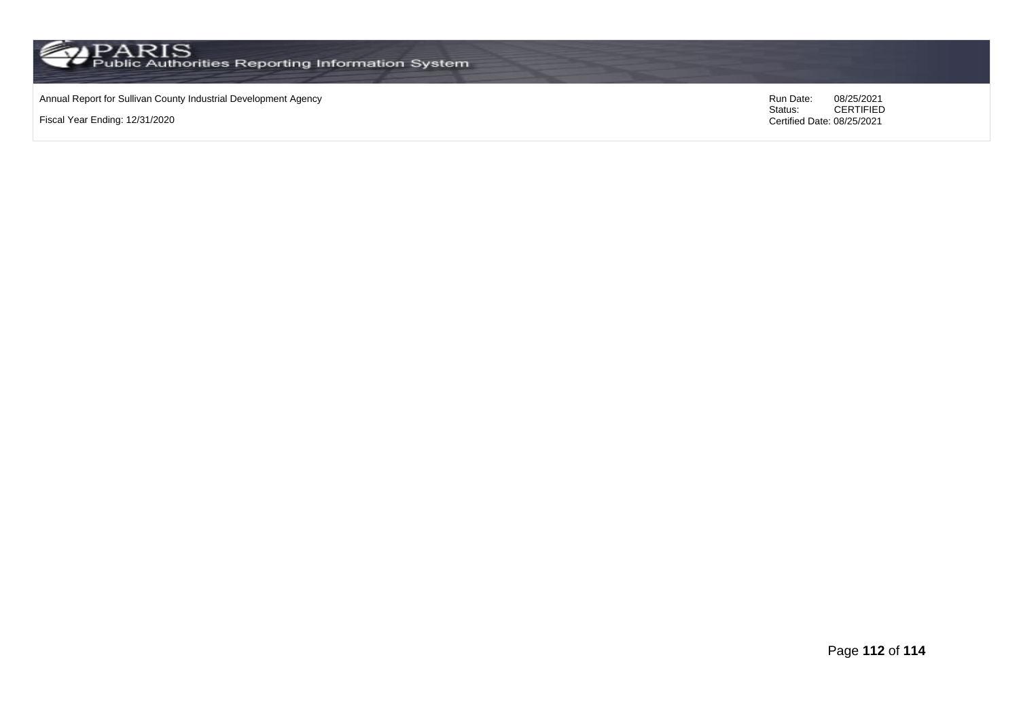Annual Report for Sullivan County Industrial Development Agency<br>
Status: CERTIFIED

Fiscal Year Ending: 12/31/2020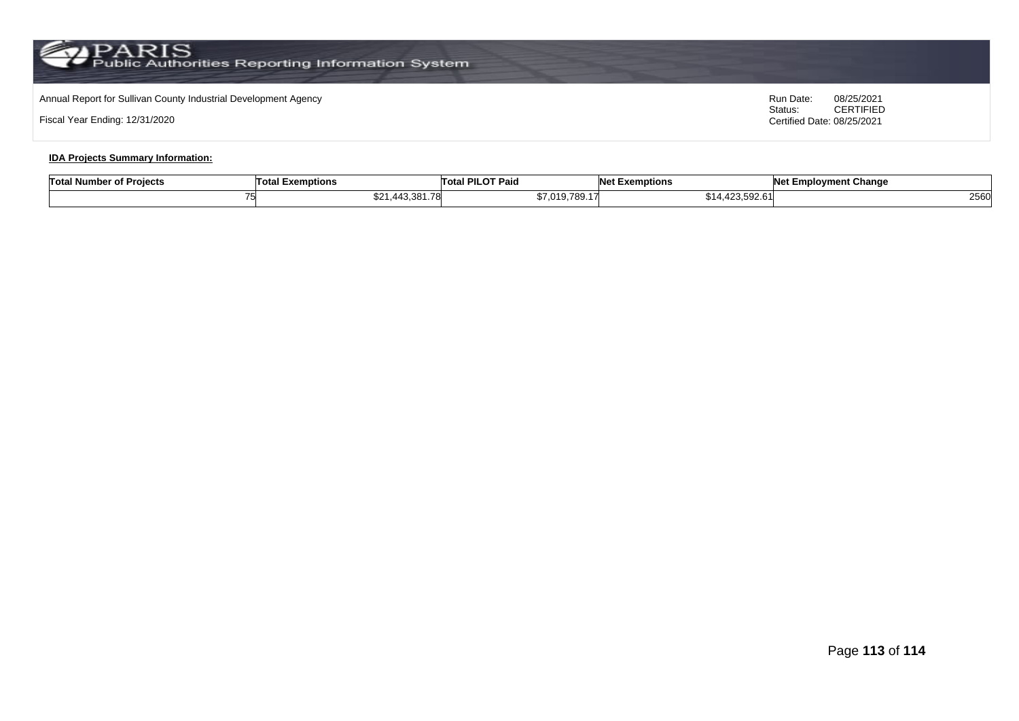#### Annual Report for Sullivan County Industrial Development Agency<br>
Status: CERTIFIED<br>
CERTIFIED

Fiscal Year Ending: 12/31/2020

CERTIFIED Certified Date: 08/25/2021

#### **IDA Projects Summary Information:**

| <b>Total Number of Projects</b> | Total<br>l Exemptions                                   | <b>I PILOT Paig</b><br>Total I | <b>Net Exemptions</b>                   | Net Emplovment Change |
|---------------------------------|---------------------------------------------------------|--------------------------------|-----------------------------------------|-----------------------|
|                                 | $\overline{11000170}$<br>$\sim$<br>140.001.70<br>- PL I | \$7,019,789.17                 | 100.500.01<br>÷и.<br>61 4<br>423,592.01 | 2560                  |